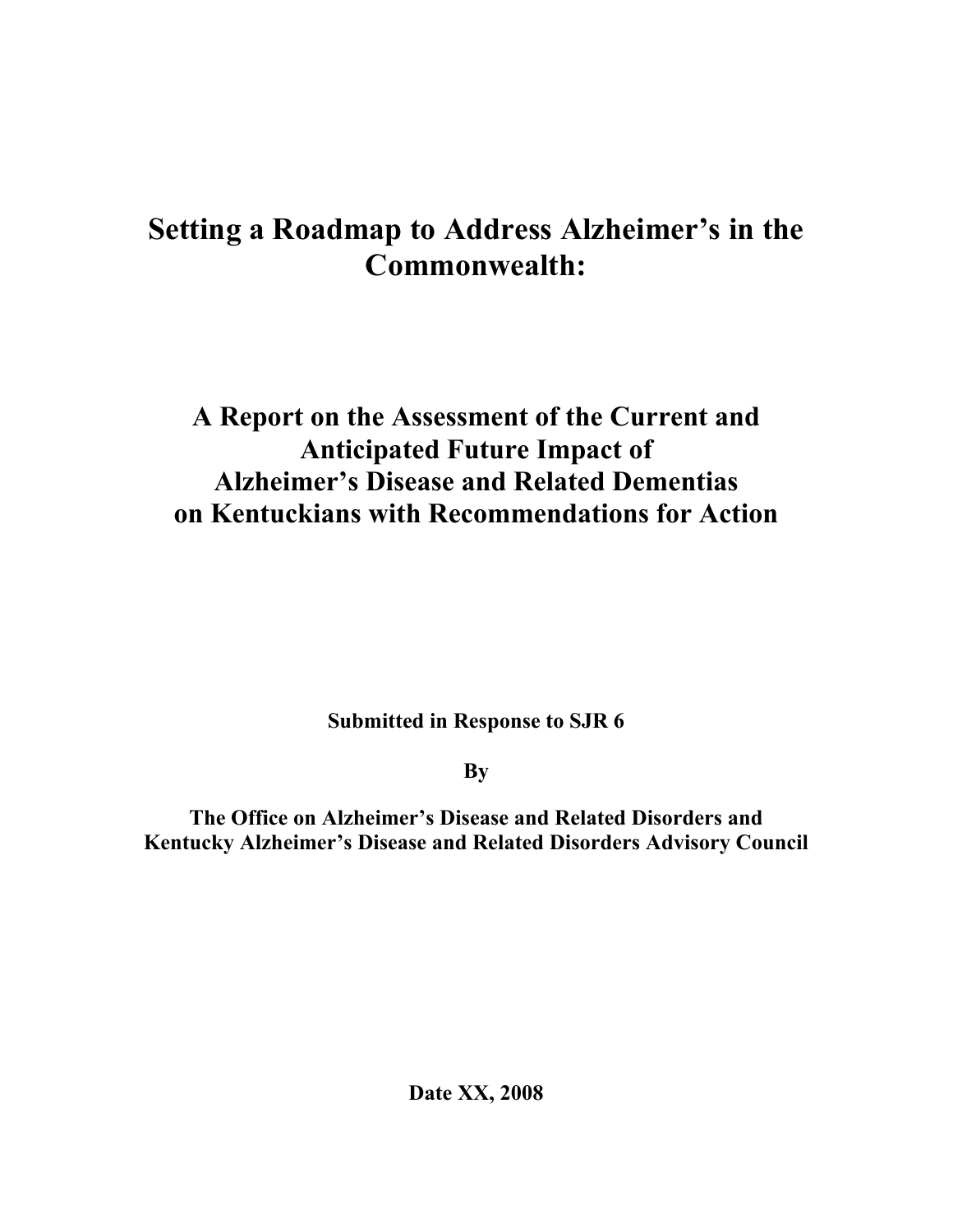# **Setting a Roadmap to Address Alzheimer's in the Commonwealth:**

# **A Report on the Assessment of the Current and Anticipated Future Impact of Alzheimer's Disease and Related Dementias on Kentuckians with Recommendations for Action**

**Submitted in Response to SJR 6** 

**By** 

**The Office on Alzheimer's Disease and Related Disorders and Kentucky Alzheimer's Disease and Related Disorders Advisory Council** 

**Date XX, 2008**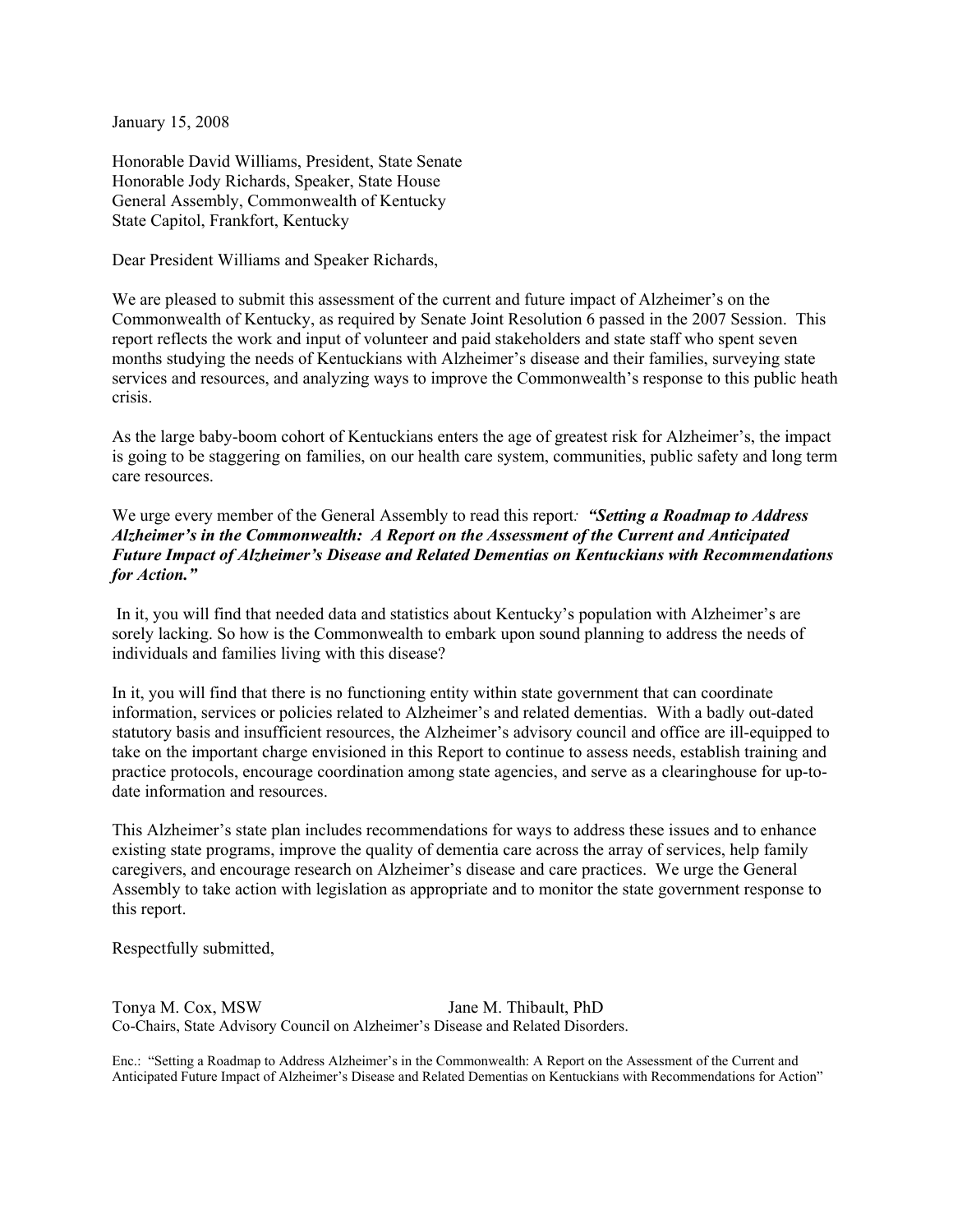January 15, 2008

Honorable David Williams, President, State Senate Honorable Jody Richards, Speaker, State House General Assembly, Commonwealth of Kentucky State Capitol, Frankfort, Kentucky

Dear President Williams and Speaker Richards,

We are pleased to submit this assessment of the current and future impact of Alzheimer's on the Commonwealth of Kentucky, as required by Senate Joint Resolution 6 passed in the 2007 Session. This report reflects the work and input of volunteer and paid stakeholders and state staff who spent seven months studying the needs of Kentuckians with Alzheimer's disease and their families, surveying state services and resources, and analyzing ways to improve the Commonwealth's response to this public heath crisis.

As the large baby-boom cohort of Kentuckians enters the age of greatest risk for Alzheimer's, the impact is going to be staggering on families, on our health care system, communities, public safety and long term care resources.

We urge every member of the General Assembly to read this report*: "Setting a Roadmap to Address Alzheimer's in the Commonwealth: A Report on the Assessment of the Current and Anticipated Future Impact of Alzheimer's Disease and Related Dementias on Kentuckians with Recommendations for Action."* 

In it, you will find that needed data and statistics about Kentucky's population with Alzheimer's are sorely lacking. So how is the Commonwealth to embark upon sound planning to address the needs of individuals and families living with this disease?

In it, you will find that there is no functioning entity within state government that can coordinate information, services or policies related to Alzheimer's and related dementias. With a badly out-dated statutory basis and insufficient resources, the Alzheimer's advisory council and office are ill-equipped to take on the important charge envisioned in this Report to continue to assess needs, establish training and practice protocols, encourage coordination among state agencies, and serve as a clearinghouse for up-todate information and resources.

This Alzheimer's state plan includes recommendations for ways to address these issues and to enhance existing state programs, improve the quality of dementia care across the array of services, help family caregivers, and encourage research on Alzheimer's disease and care practices. We urge the General Assembly to take action with legislation as appropriate and to monitor the state government response to this report.

Respectfully submitted,

Tonya M. Cox, MSW Jane M. Thibault, PhD Co-Chairs, State Advisory Council on Alzheimer's Disease and Related Disorders.

Enc.: "Setting a Roadmap to Address Alzheimer's in the Commonwealth: A Report on the Assessment of the Current and Anticipated Future Impact of Alzheimer's Disease and Related Dementias on Kentuckians with Recommendations for Action"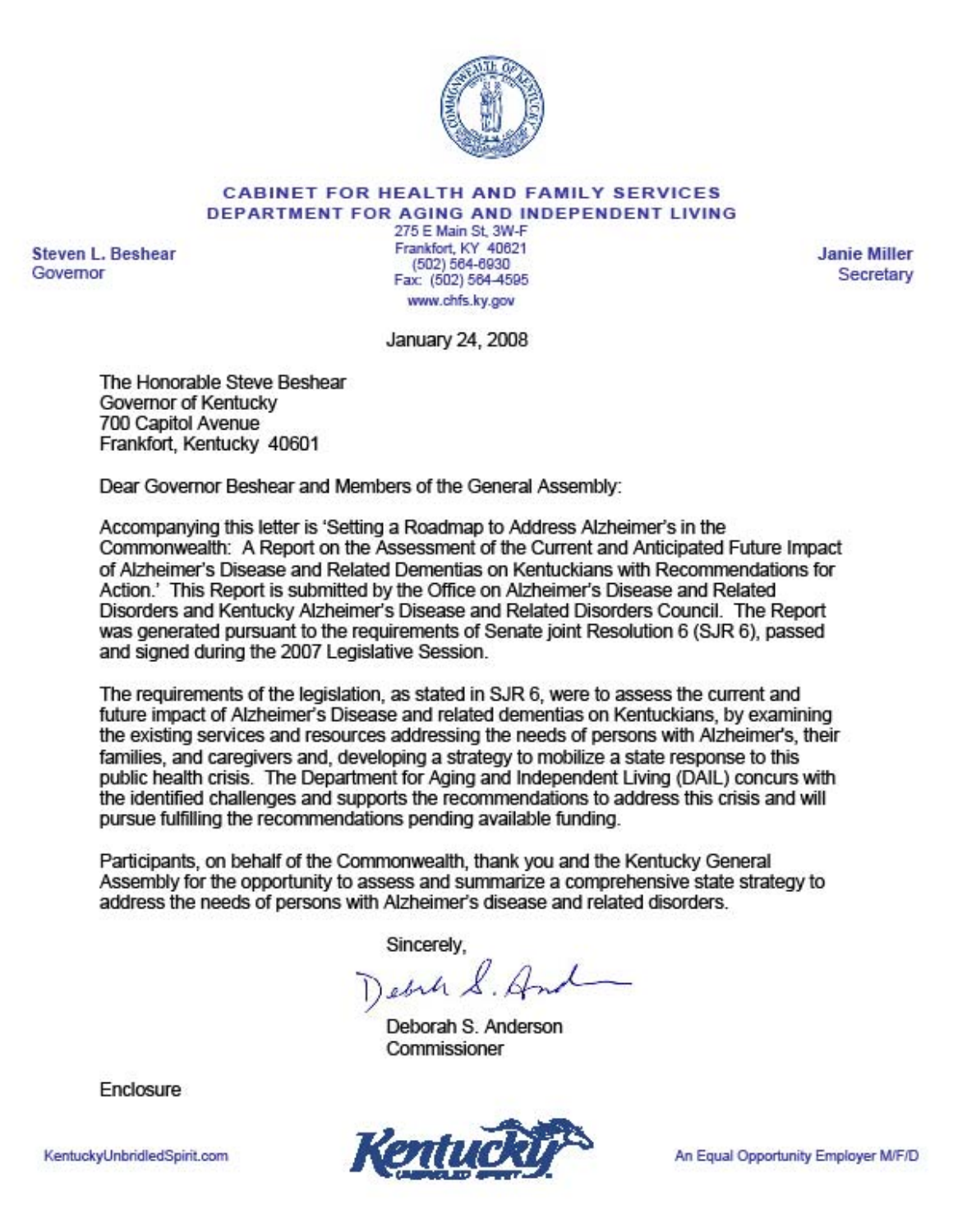

#### **CABINET FOR HEALTH AND FAMILY SERVICES** DEPARTMENT FOR AGING AND INDEPENDENT LIVING

**Steven L. Beshear** Governor

275 E Main St. 3W-F Frankfort, KY 40621 (502) 564-6930 Fax: (502) 564-4595 www.chfs.ky.gov

**Janie Miller** Secretary

January 24, 2008

The Honorable Steve Beshear Governor of Kentucky 700 Capitol Avenue Frankfort, Kentucky 40601

Dear Governor Beshear and Members of the General Assembly:

Accompanying this letter is 'Setting a Roadmap to Address Alzheimer's in the Commonwealth: A Report on the Assessment of the Current and Anticipated Future Impact of Alzheimer's Disease and Related Dementias on Kentuckians with Recommendations for Action.' This Report is submitted by the Office on Alzheimer's Disease and Related Disorders and Kentucky Alzheimer's Disease and Related Disorders Council. The Report was generated pursuant to the requirements of Senate joint Resolution 6 (SJR 6), passed and signed during the 2007 Legislative Session.

The requirements of the legislation, as stated in SJR 6, were to assess the current and future impact of Alzheimer's Disease and related dementias on Kentuckians, by examining the existing services and resources addressing the needs of persons with Alzheimer's, their families, and caregivers and, developing a strategy to mobilize a state response to this public health crisis. The Department for Aging and Independent Living (DAIL) concurs with the identified challenges and supports the recommendations to address this crisis and will pursue fulfilling the recommendations pending available funding.

Participants, on behalf of the Commonwealth, thank you and the Kentucky General Assembly for the opportunity to assess and summarize a comprehensive state strategy to address the needs of persons with Alzheimer's disease and related disorders.

Sincerely.

ebil &

Deborah S. Anderson Commissioner

**Enclosure** 



An Equal Opportunity Employer M/F/D

KentuckyUnbridledSpirit.com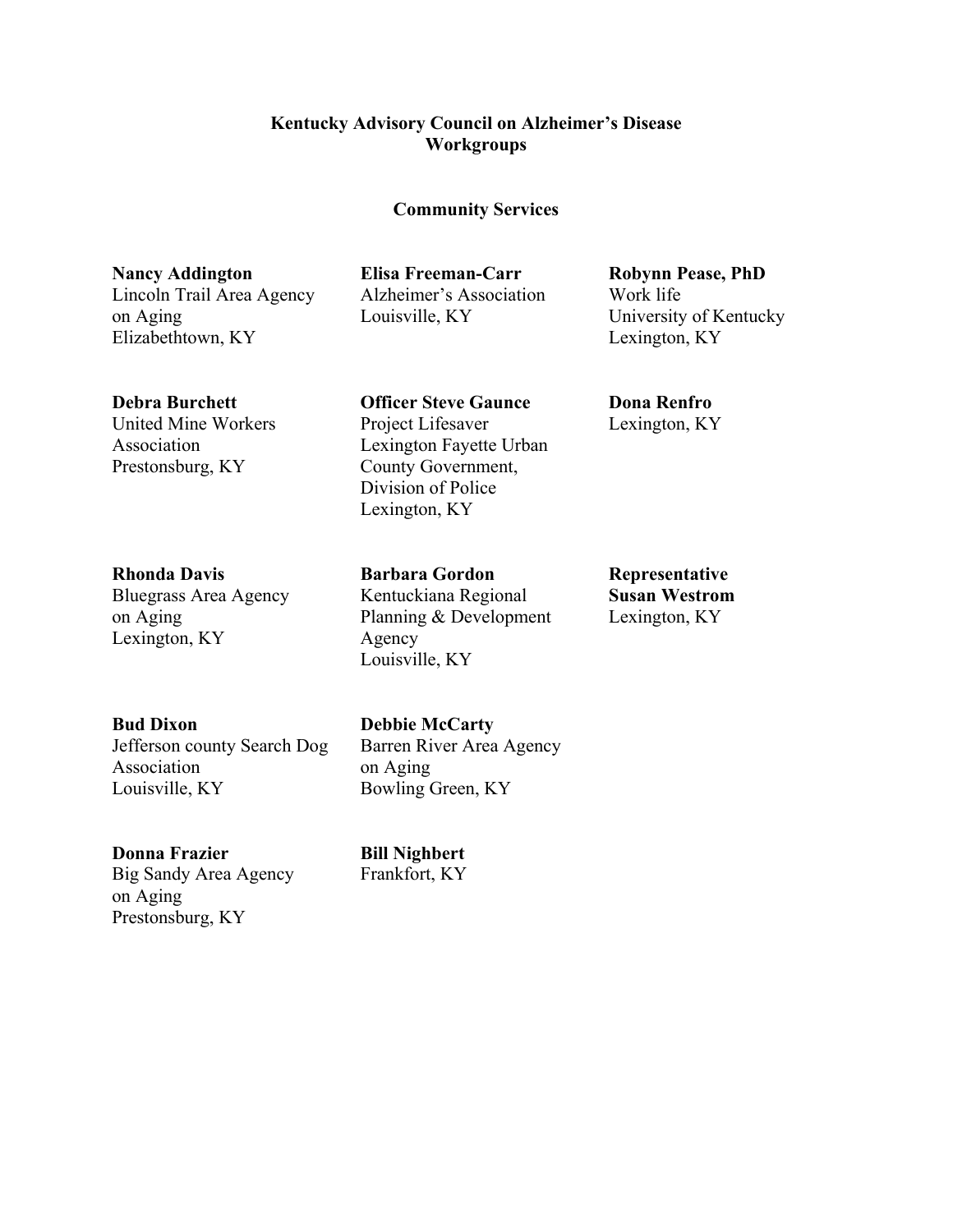# **Kentucky Advisory Council on Alzheimer's Disease Workgroups**

#### **Community Services**

#### **Nancy Addington**

Lincoln Trail Area Agency on Aging Elizabethtown, KY

**Elisa Freeman-Carr**  Alzheimer's Association Louisville, KY

**Robynn Pease, PhD**  Work life University of Kentucky Lexington, KY

**Debra Burchett**  United Mine Workers

Association Prestonsburg, KY

**Officer Steve Gaunce**  Project Lifesaver Lexington Fayette Urban County Government, Division of Police Lexington, KY

**Dona Renfro**  Lexington, KY

**Rhonda Davis**  Bluegrass Area Agency on Aging Lexington, KY

**Barbara Gordon**  Kentuckiana Regional Planning & Development Agency Louisville, KY

**Representative Susan Westrom**  Lexington, KY

#### **Bud Dixon**  Jefferson county Search Dog Association Louisville, KY

**Debbie McCarty**  Barren River Area Agency on Aging Bowling Green, KY

#### **Donna Frazier**

Big Sandy Area Agency on Aging Prestonsburg, KY

**Bill Nighbert**  Frankfort, KY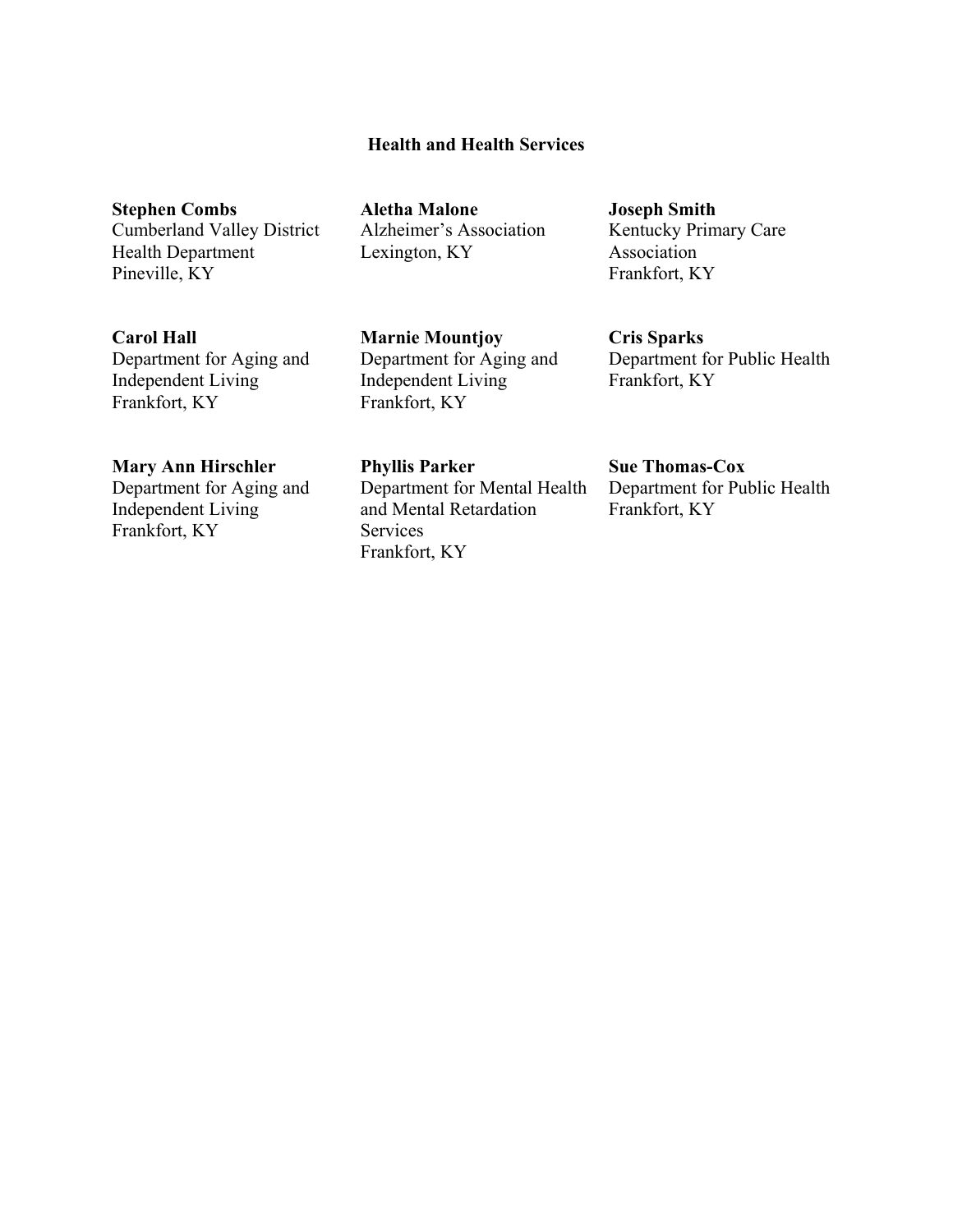# **Health and Health Services**

# **Stephen Combs**

Cumberland Valley District Health Department Pineville, KY

**Aletha Malone**  Alzheimer's Association Lexington, KY

**Joseph Smith**  Kentucky Primary Care Association Frankfort, KY

**Carol Hall**  Department for Aging and Independent Living Frankfort, KY

**Marnie Mountjoy**  Department for Aging and Independent Living Frankfort, KY

**Cris Sparks**  Department for Public Health Frankfort, KY

#### **Mary Ann Hirschler**

Department for Aging and Independent Living Frankfort, KY

**Phyllis Parker**  Department for Mental Health and Mental Retardation **Services** Frankfort, KY

**Sue Thomas-Cox**  Department for Public Health Frankfort, KY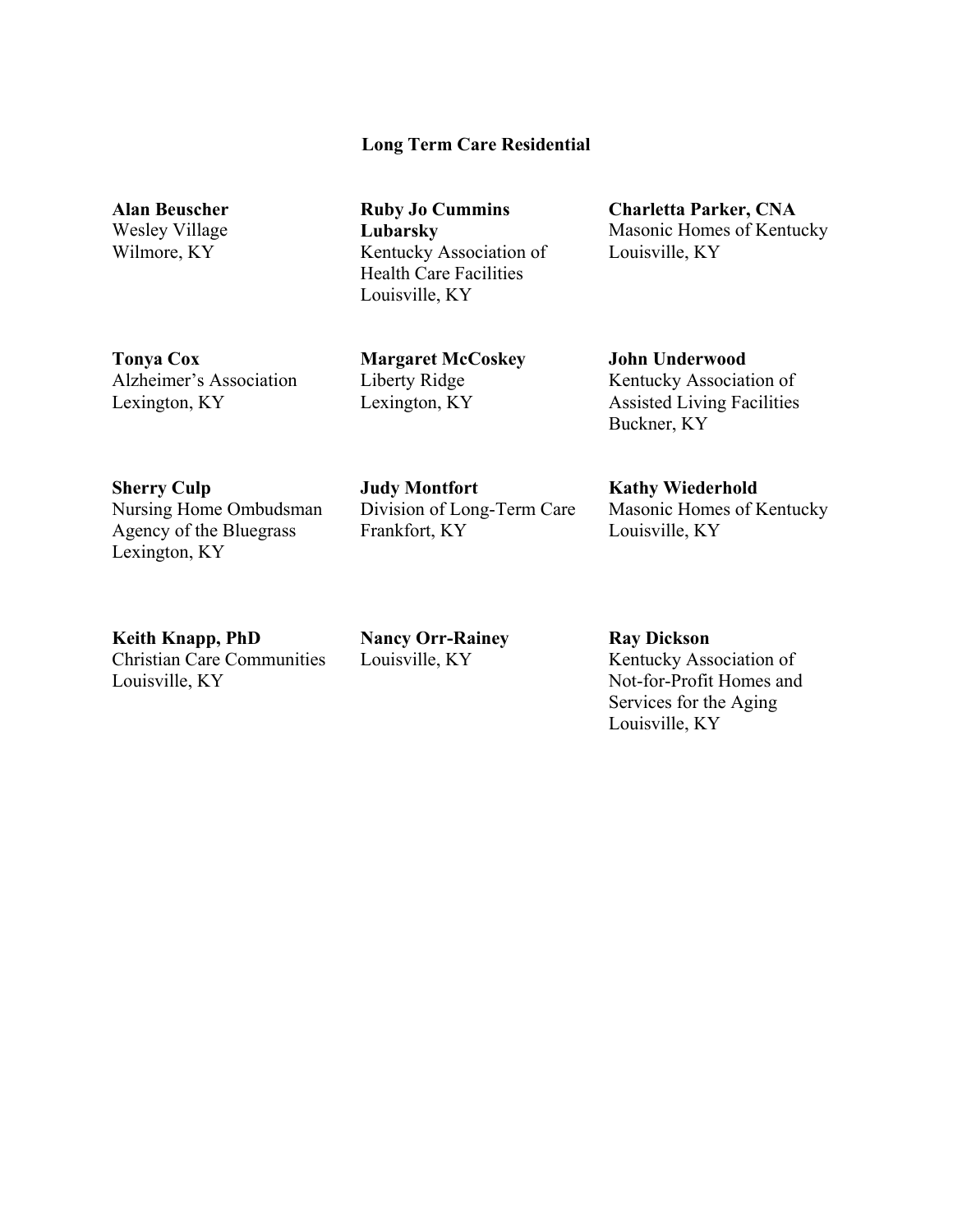#### **Long Term Care Residential**

#### **Alan Beuscher**

Wesley Village Wilmore, KY

**Ruby Jo Cummins Lubarsky**  Kentucky Association of Health Care Facilities Louisville, KY

**Charletta Parker, CNA**  Masonic Homes of Kentucky Louisville, KY

**Tonya Cox**  Alzheimer's Association Lexington, KY

**Margaret McCoskey**  Liberty Ridge Lexington, KY

**John Underwood**  Kentucky Association of Assisted Living Facilities Buckner, KY

**Sherry Culp**  Nursing Home Ombudsman Agency of the Bluegrass Lexington, KY

**Judy Montfort**  Division of Long-Term Care Frankfort, KY

**Kathy Wiederhold**  Masonic Homes of Kentucky Louisville, KY

#### **Keith Knapp, PhD**

Christian Care Communities Louisville, KY

**Nancy Orr-Rainey**  Louisville, KY

**Ray Dickson**  Kentucky Association of Not-for-Profit Homes and Services for the Aging Louisville, KY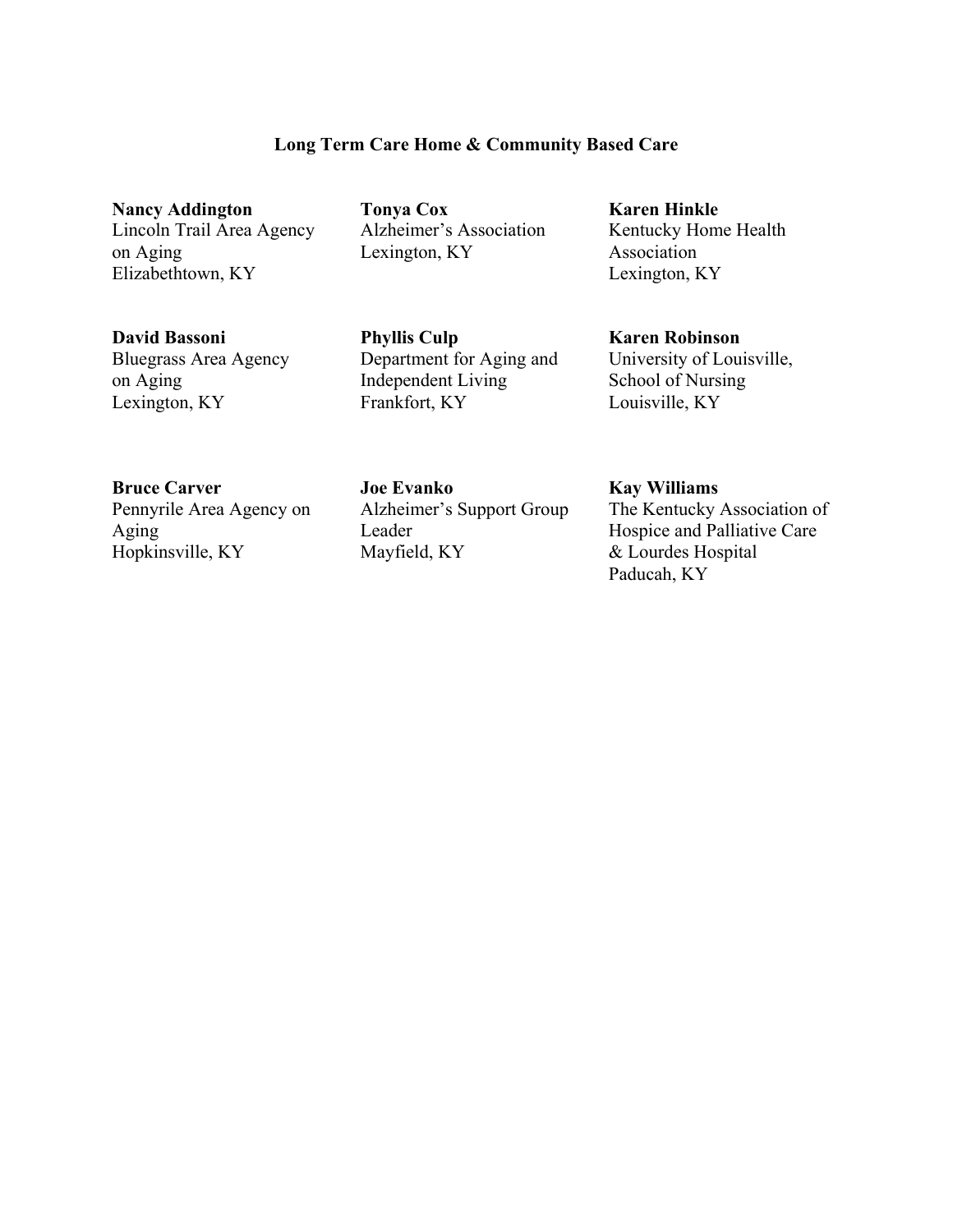#### **Long Term Care Home & Community Based Care**

**Nancy Addington** 

Lincoln Trail Area Agency on Aging Elizabethtown, KY

**Tonya Cox**  Alzheimer's Association Lexington, KY

**Karen Robinson** 

**Karen Hinkle**  Kentucky Home Health Association Lexington, KY

#### **David Bassoni**

Bluegrass Area Agency on Aging Lexington, KY

**Phyllis Culp**  Department for Aging and Independent Living Frankfort, KY

University of Louisville, School of Nursing Louisville, KY

#### **Bruce Carver**

Pennyrile Area Agency on Aging Hopkinsville, KY

**Joe Evanko**  Alzheimer's Support Group Leader Mayfield, KY

**Kay Williams**  The Kentucky Association of Hospice and Palliative Care & Lourdes Hospital Paducah, KY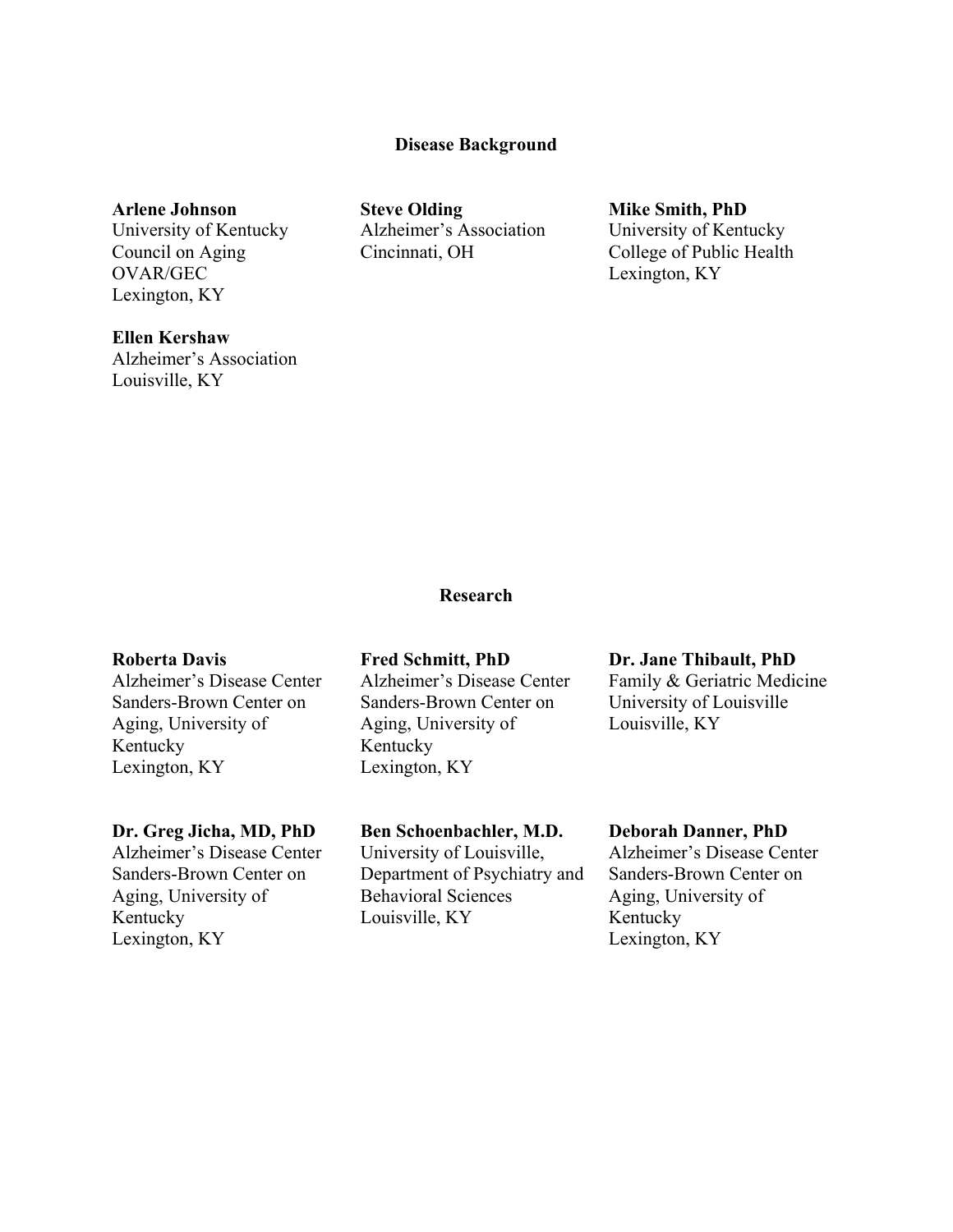#### **Disease Background**

#### **Arlene Johnson**

University of Kentucky Council on Aging OVAR/GEC Lexington, KY

#### **Ellen Kershaw**

Alzheimer's Association Louisville, KY

**Steve Olding**  Alzheimer's Association Cincinnati, OH

# **Mike Smith, PhD**  University of Kentucky College of Public Health Lexington, KY

#### **Research**

#### **Roberta Davis**

Alzheimer's Disease Center Sanders-Brown Center on Aging, University of Kentucky Lexington, KY

#### **Dr. Greg Jicha, MD, PhD**

Alzheimer's Disease Center Sanders-Brown Center on Aging, University of Kentucky Lexington, KY

# **Fred Schmitt, PhD**  Alzheimer's Disease Center Sanders-Brown Center on Aging, University of Kentucky Lexington, KY

#### **Dr. Jane Thibault, PhD**

Family & Geriatric Medicine University of Louisville Louisville, KY

#### **Ben Schoenbachler, M.D.**

University of Louisville, Department of Psychiatry and Behavioral Sciences Louisville, KY

#### **Deborah Danner, PhD**

Alzheimer's Disease Center Sanders-Brown Center on Aging, University of Kentucky Lexington, KY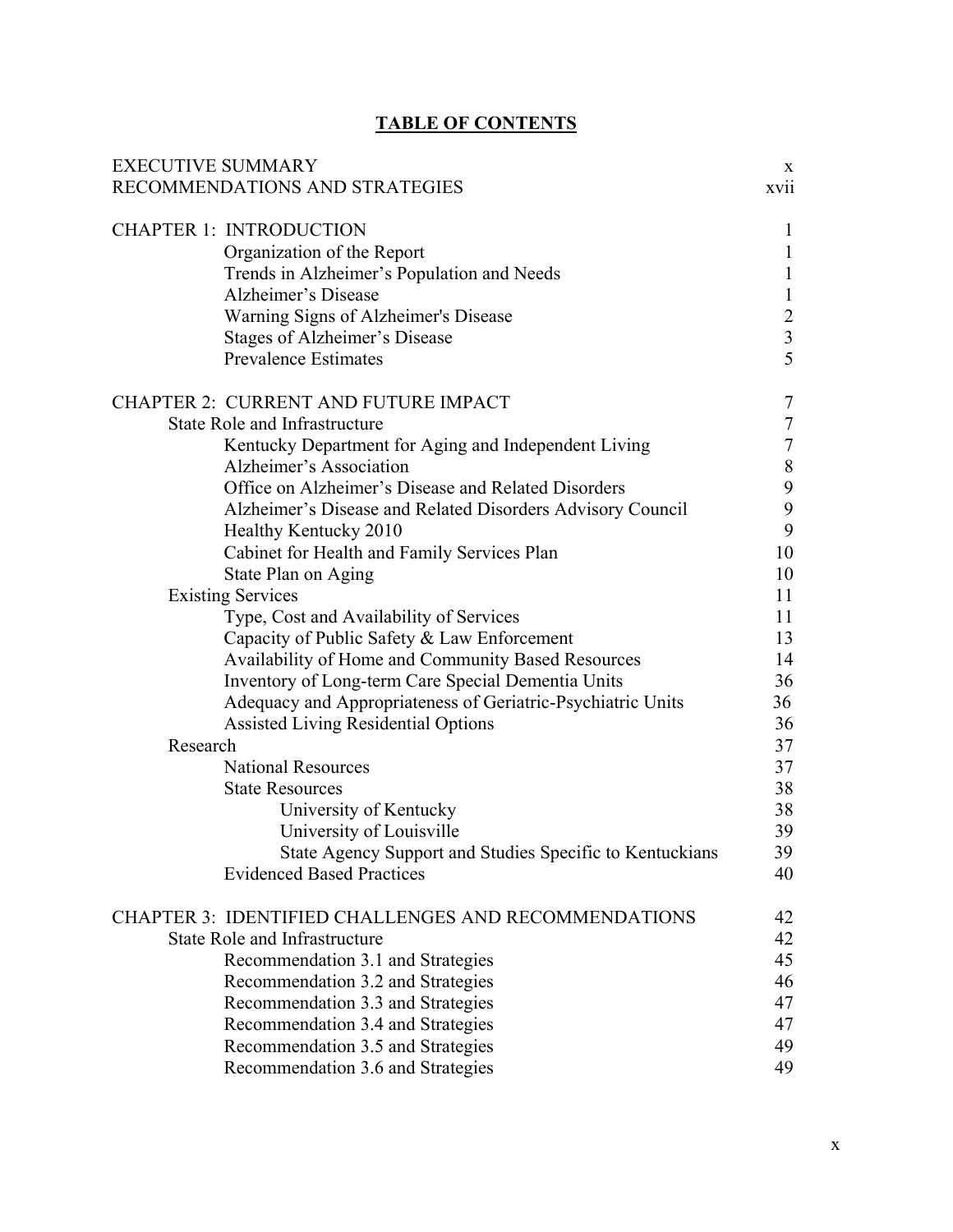# **TABLE OF CONTENTS**

| <b>EXECUTIVE SUMMARY</b>                                    | X              |
|-------------------------------------------------------------|----------------|
| RECOMMENDATIONS AND STRATEGIES                              | <b>XV11</b>    |
|                                                             |                |
| <b>CHAPTER 1: INTRODUCTION</b>                              | 1              |
| Organization of the Report                                  | $\mathbf{1}$   |
| Trends in Alzheimer's Population and Needs                  | $\mathbf{1}$   |
| Alzheimer's Disease                                         | $\mathbf{1}$   |
| Warning Signs of Alzheimer's Disease                        |                |
| <b>Stages of Alzheimer's Disease</b>                        | $\frac{2}{3}$  |
| <b>Prevalence Estimates</b>                                 | $\overline{5}$ |
| <b>CHAPTER 2: CURRENT AND FUTURE IMPACT</b>                 | 7              |
| State Role and Infrastructure                               | $\tau$         |
| Kentucky Department for Aging and Independent Living        | $\tau$         |
| Alzheimer's Association                                     | $8\,$          |
| Office on Alzheimer's Disease and Related Disorders         | 9              |
| Alzheimer's Disease and Related Disorders Advisory Council  | 9              |
| Healthy Kentucky 2010                                       | 9              |
| Cabinet for Health and Family Services Plan                 | 10             |
| State Plan on Aging                                         | 10             |
| <b>Existing Services</b>                                    | 11             |
| Type, Cost and Availability of Services                     | 11             |
| Capacity of Public Safety & Law Enforcement                 | 13             |
| Availability of Home and Community Based Resources          | 14             |
| Inventory of Long-term Care Special Dementia Units          | 36             |
| Adequacy and Appropriateness of Geriatric-Psychiatric Units | 36             |
| <b>Assisted Living Residential Options</b>                  | 36             |
| Research                                                    | 37             |
| <b>National Resources</b>                                   | 37             |
| <b>State Resources</b>                                      | 38             |
| University of Kentucky                                      | 38             |
| University of Louisville                                    | 39             |
| State Agency Support and Studies Specific to Kentuckians    | 39             |
| <b>Evidenced Based Practices</b>                            | 40             |
| <b>CHAPTER 3: IDENTIFIED CHALLENGES AND RECOMMENDATIONS</b> | 42             |
| State Role and Infrastructure                               | 42             |
| Recommendation 3.1 and Strategies                           | 45             |
| Recommendation 3.2 and Strategies                           | 46             |
| Recommendation 3.3 and Strategies                           | 47             |
| Recommendation 3.4 and Strategies                           | 47             |
| Recommendation 3.5 and Strategies                           | 49             |
| Recommendation 3.6 and Strategies                           | 49             |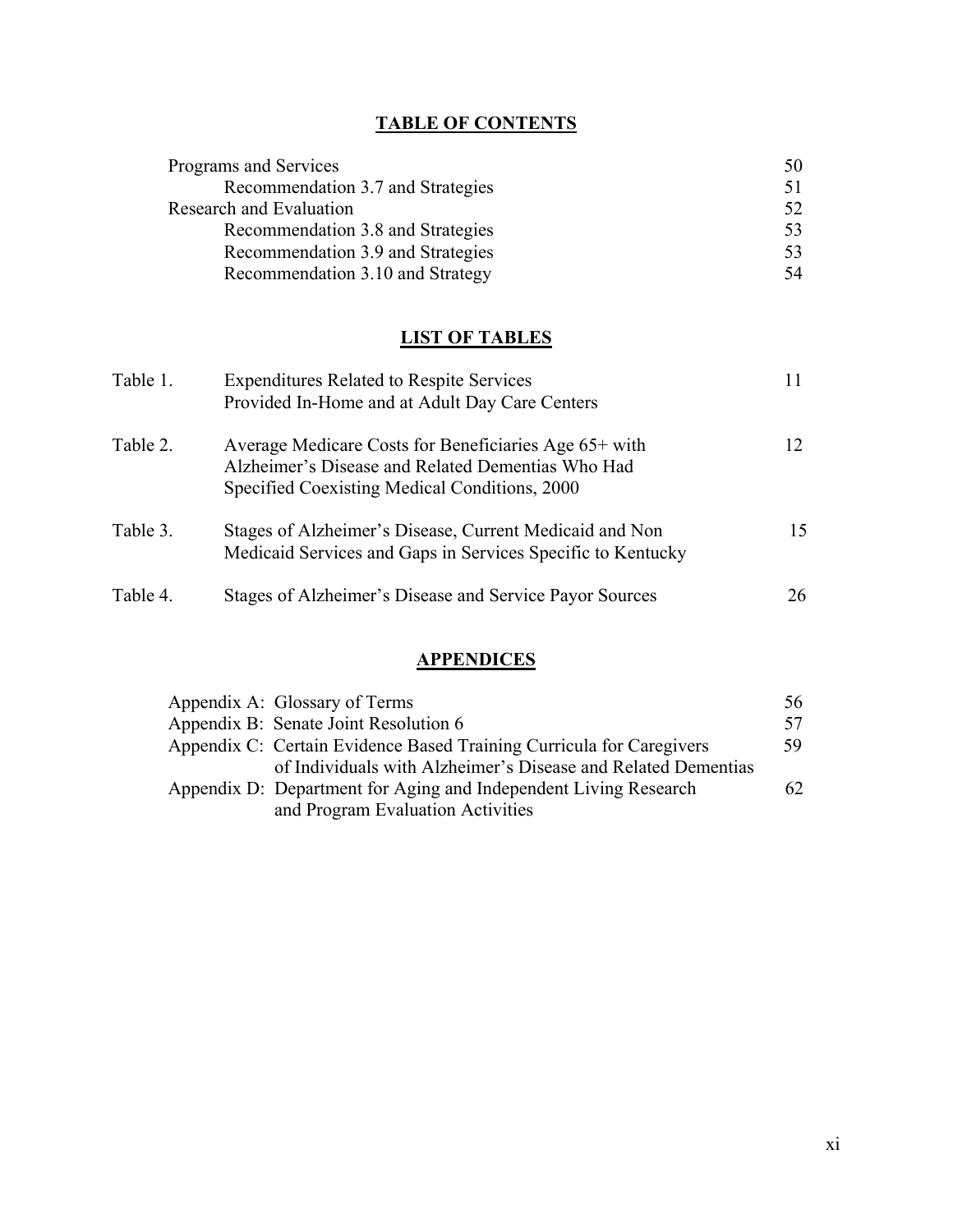# **TABLE OF CONTENTS**

| Programs and Services             | 50  |
|-----------------------------------|-----|
| Recommendation 3.7 and Strategies |     |
| Research and Evaluation           | 52. |
| Recommendation 3.8 and Strategies | 53. |
| Recommendation 3.9 and Strategies | 53. |
| Recommendation 3.10 and Strategy  | 54  |

# **LIST OF TABLES**

| Table 1. | <b>Expenditures Related to Respite Services</b><br>Provided In-Home and at Adult Day Care Centers                                                           |    |
|----------|-------------------------------------------------------------------------------------------------------------------------------------------------------------|----|
| Table 2. | Average Medicare Costs for Beneficiaries Age 65+ with<br>Alzheimer's Disease and Related Dementias Who Had<br>Specified Coexisting Medical Conditions, 2000 | 12 |
| Table 3. | Stages of Alzheimer's Disease, Current Medicaid and Non<br>Medicaid Services and Gaps in Services Specific to Kentucky                                      | 15 |
| Table 4. | Stages of Alzheimer's Disease and Service Payor Sources                                                                                                     | 26 |

# **APPENDICES**

| Appendix A: Glossary of Terms                                        | 56 |
|----------------------------------------------------------------------|----|
| Appendix B: Senate Joint Resolution 6                                | 57 |
| Appendix C: Certain Evidence Based Training Curricula for Caregivers | 59 |
| of Individuals with Alzheimer's Disease and Related Dementias        |    |
| Appendix D: Department for Aging and Independent Living Research     | 62 |
| and Program Evaluation Activities                                    |    |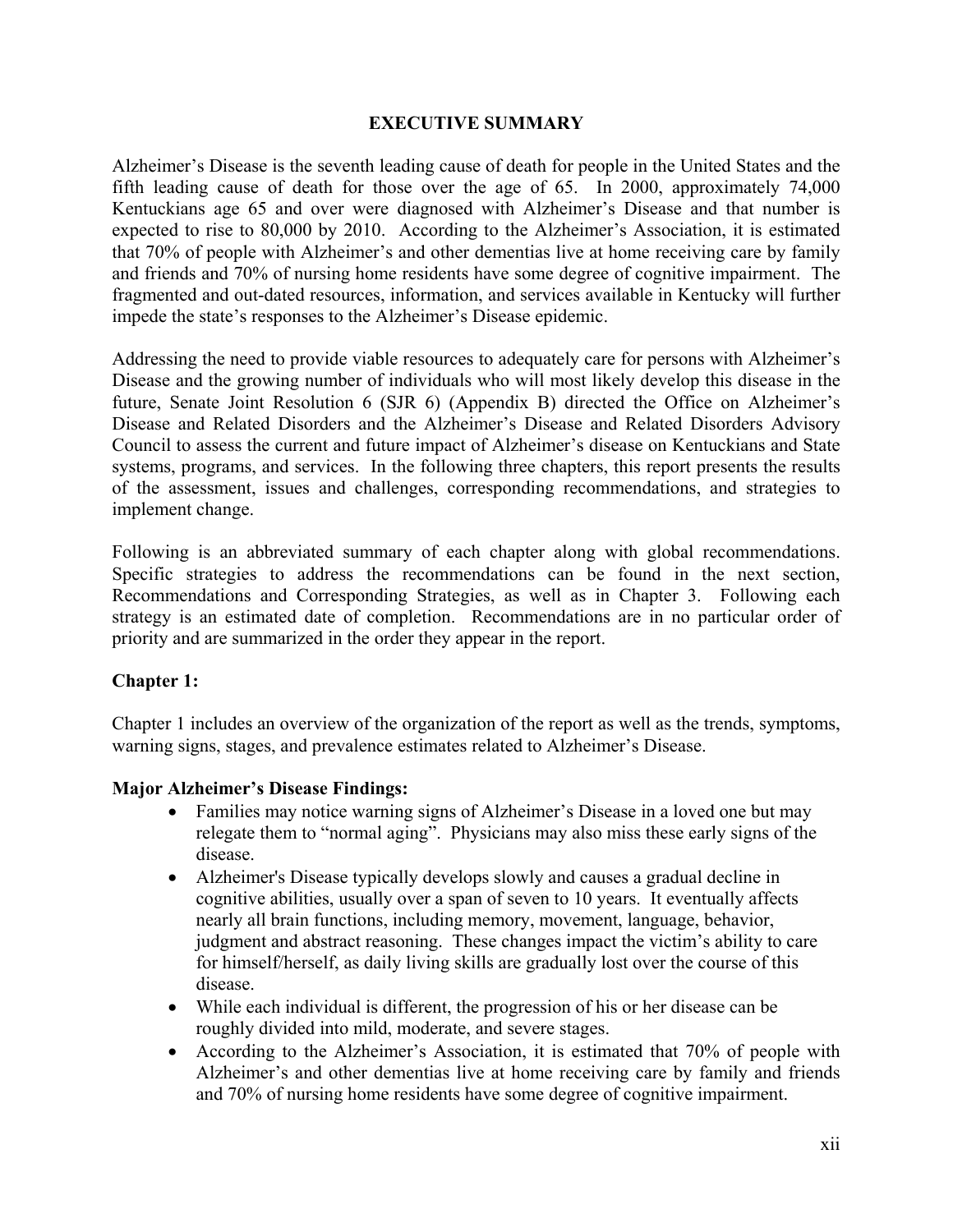# **EXECUTIVE SUMMARY**

Alzheimer's Disease is the seventh leading cause of death for people in the United States and the fifth leading cause of death for those over the age of 65. In 2000, approximately 74,000 Kentuckians age 65 and over were diagnosed with Alzheimer's Disease and that number is expected to rise to 80,000 by 2010. According to the Alzheimer's Association, it is estimated that 70% of people with Alzheimer's and other dementias live at home receiving care by family and friends and 70% of nursing home residents have some degree of cognitive impairment. The fragmented and out-dated resources, information, and services available in Kentucky will further impede the state's responses to the Alzheimer's Disease epidemic.

Addressing the need to provide viable resources to adequately care for persons with Alzheimer's Disease and the growing number of individuals who will most likely develop this disease in the future, Senate Joint Resolution 6 (SJR 6) (Appendix B) directed the Office on Alzheimer's Disease and Related Disorders and the Alzheimer's Disease and Related Disorders Advisory Council to assess the current and future impact of Alzheimer's disease on Kentuckians and State systems, programs, and services. In the following three chapters, this report presents the results of the assessment, issues and challenges, corresponding recommendations, and strategies to implement change.

Following is an abbreviated summary of each chapter along with global recommendations. Specific strategies to address the recommendations can be found in the next section, Recommendations and Corresponding Strategies, as well as in Chapter 3. Following each strategy is an estimated date of completion. Recommendations are in no particular order of priority and are summarized in the order they appear in the report.

# **Chapter 1:**

Chapter 1 includes an overview of the organization of the report as well as the trends, symptoms, warning signs, stages, and prevalence estimates related to Alzheimer's Disease.

# **Major Alzheimer's Disease Findings:**

- Families may notice warning signs of Alzheimer's Disease in a loved one but may relegate them to "normal aging". Physicians may also miss these early signs of the disease.
- Alzheimer's Disease typically develops slowly and causes a gradual decline in cognitive abilities, usually over a span of seven to 10 years. It eventually affects nearly all brain functions, including memory, movement, language, behavior, judgment and abstract reasoning. These changes impact the victim's ability to care for himself/herself, as daily living skills are gradually lost over the course of this disease.
- While each individual is different, the progression of his or her disease can be roughly divided into mild, moderate, and severe stages.
- According to the Alzheimer's Association, it is estimated that 70% of people with Alzheimer's and other dementias live at home receiving care by family and friends and 70% of nursing home residents have some degree of cognitive impairment.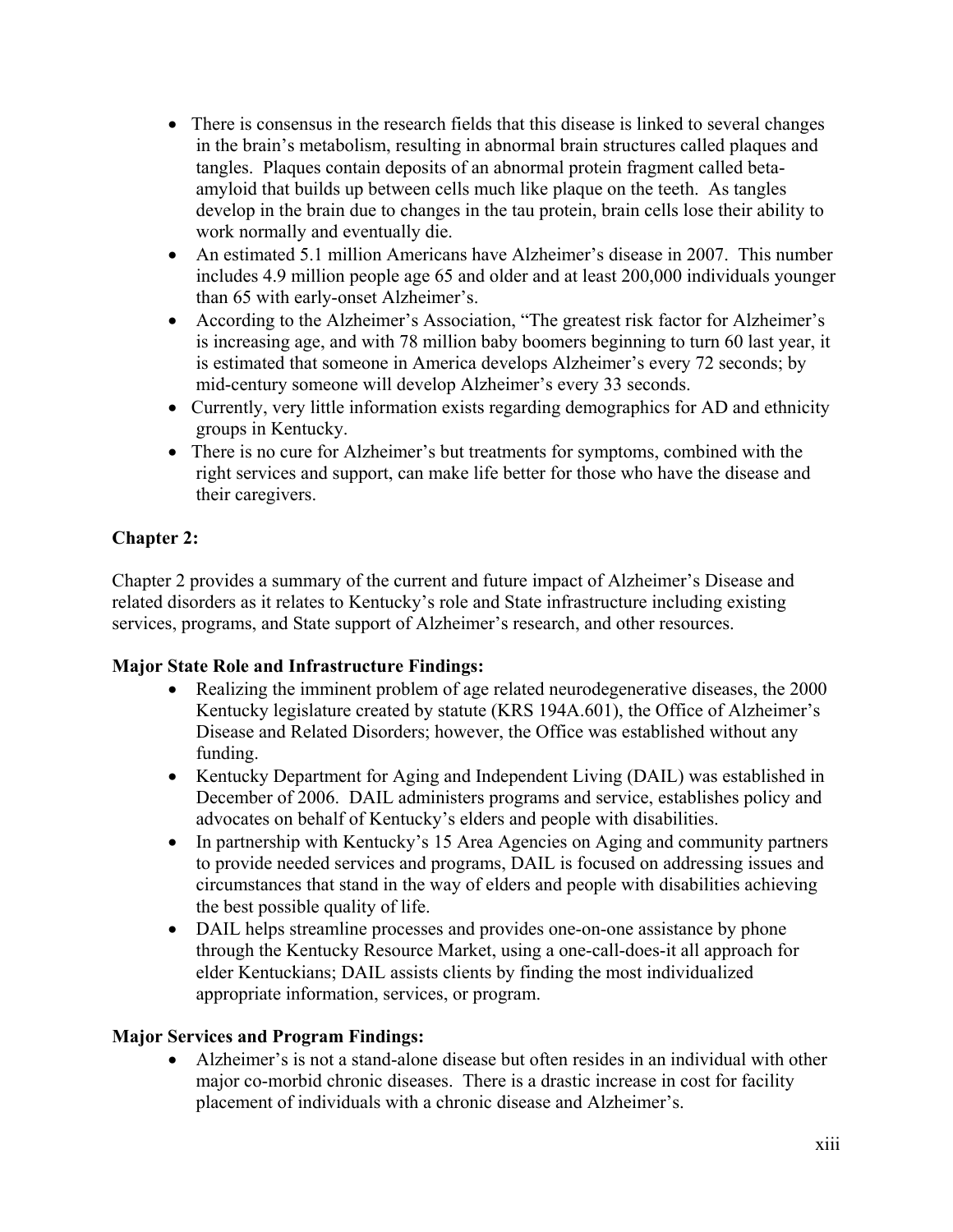- There is consensus in the research fields that this disease is linked to several changes in the brain's metabolism, resulting in abnormal brain structures called plaques and tangles. Plaques contain deposits of an abnormal protein fragment called betaamyloid that builds up between cells much like plaque on the teeth. As tangles develop in the brain due to changes in the tau protein, brain cells lose their ability to work normally and eventually die.
- An estimated 5.1 million Americans have Alzheimer's disease in 2007. This number includes 4.9 million people age 65 and older and at least 200,000 individuals younger than 65 with early-onset Alzheimer's.
- According to the Alzheimer's Association, "The greatest risk factor for Alzheimer's is increasing age, and with 78 million baby boomers beginning to turn 60 last year, it is estimated that someone in America develops Alzheimer's every 72 seconds; by mid-century someone will develop Alzheimer's every 33 seconds.
- Currently, very little information exists regarding demographics for AD and ethnicity groups in Kentucky.
- There is no cure for Alzheimer's but treatments for symptoms, combined with the right services and support, can make life better for those who have the disease and their caregivers.

# **Chapter 2:**

Chapter 2 provides a summary of the current and future impact of Alzheimer's Disease and related disorders as it relates to Kentucky's role and State infrastructure including existing services, programs, and State support of Alzheimer's research, and other resources.

# **Major State Role and Infrastructure Findings:**

- Realizing the imminent problem of age related neurodegenerative diseases, the 2000 Kentucky legislature created by statute (KRS 194A.601), the Office of Alzheimer's Disease and Related Disorders; however, the Office was established without any funding.
- Kentucky Department for Aging and Independent Living (DAIL) was established in December of 2006. DAIL administers programs and service, establishes policy and advocates on behalf of Kentucky's elders and people with disabilities.
- In partnership with Kentucky's 15 Area Agencies on Aging and community partners to provide needed services and programs, DAIL is focused on addressing issues and circumstances that stand in the way of elders and people with disabilities achieving the best possible quality of life.
- DAIL helps streamline processes and provides one-on-one assistance by phone through the Kentucky Resource Market, using a one-call-does-it all approach for elder Kentuckians; DAIL assists clients by finding the most individualized appropriate information, services, or program.

# **Major Services and Program Findings:**

• Alzheimer's is not a stand-alone disease but often resides in an individual with other major co-morbid chronic diseases. There is a drastic increase in cost for facility placement of individuals with a chronic disease and Alzheimer's.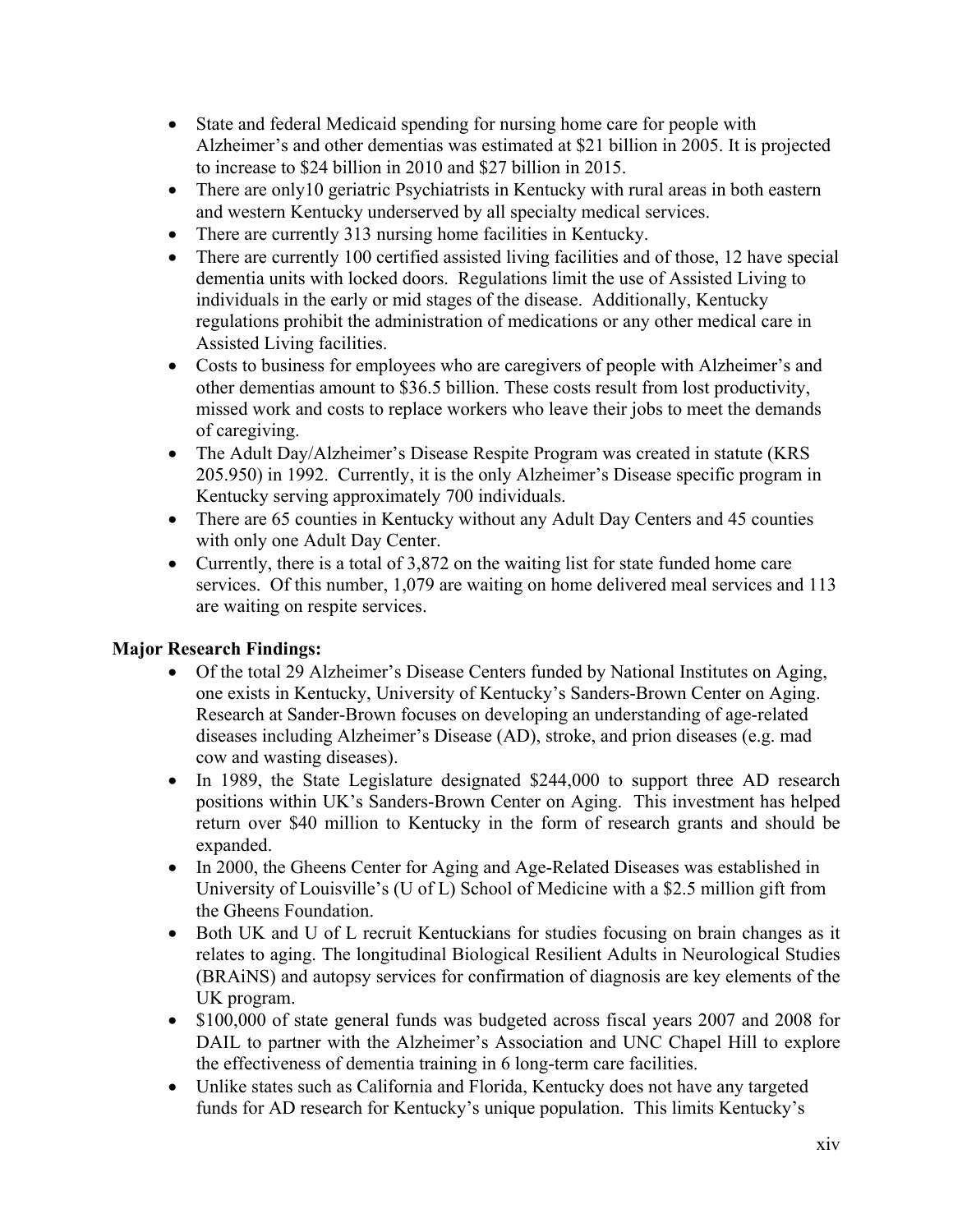- State and federal Medicaid spending for nursing home care for people with Alzheimer's and other dementias was estimated at \$21 billion in 2005. It is projected to increase to \$24 billion in 2010 and \$27 billion in 2015.
- There are only 10 geriatric Psychiatrists in Kentucky with rural areas in both eastern and western Kentucky underserved by all specialty medical services.
- There are currently 313 nursing home facilities in Kentucky.
- There are currently 100 certified assisted living facilities and of those, 12 have special dementia units with locked doors. Regulations limit the use of Assisted Living to individuals in the early or mid stages of the disease. Additionally, Kentucky regulations prohibit the administration of medications or any other medical care in Assisted Living facilities.
- Costs to business for employees who are caregivers of people with Alzheimer's and other dementias amount to \$36.5 billion. These costs result from lost productivity, missed work and costs to replace workers who leave their jobs to meet the demands of caregiving.
- The Adult Day/Alzheimer's Disease Respite Program was created in statute (KRS 205.950) in 1992. Currently, it is the only Alzheimer's Disease specific program in Kentucky serving approximately 700 individuals.
- There are 65 counties in Kentucky without any Adult Day Centers and 45 counties with only one Adult Day Center.
- Currently, there is a total of 3,872 on the waiting list for state funded home care services. Of this number, 1,079 are waiting on home delivered meal services and 113 are waiting on respite services.

# **Major Research Findings:**

- Of the total 29 Alzheimer's Disease Centers funded by National Institutes on Aging, one exists in Kentucky, University of Kentucky's Sanders-Brown Center on Aging. Research at Sander-Brown focuses on developing an understanding of age-related diseases including Alzheimer's Disease (AD), stroke, and prion diseases (e.g. mad cow and wasting diseases).
- In 1989, the State Legislature designated \$244,000 to support three AD research positions within UK's Sanders-Brown Center on Aging. This investment has helped return over \$40 million to Kentucky in the form of research grants and should be expanded.
- In 2000, the Gheens Center for Aging and Age-Related Diseases was established in University of Louisville's (U of L) School of Medicine with a \$2.5 million gift from the Gheens Foundation.
- Both UK and U of L recruit Kentuckians for studies focusing on brain changes as it relates to aging. The longitudinal Biological Resilient Adults in Neurological Studies (BRAiNS) and autopsy services for confirmation of diagnosis are key elements of the UK program.
- \$100,000 of state general funds was budgeted across fiscal years 2007 and 2008 for DAIL to partner with the Alzheimer's Association and UNC Chapel Hill to explore the effectiveness of dementia training in 6 long-term care facilities.
- Unlike states such as California and Florida, Kentucky does not have any targeted funds for AD research for Kentucky's unique population. This limits Kentucky's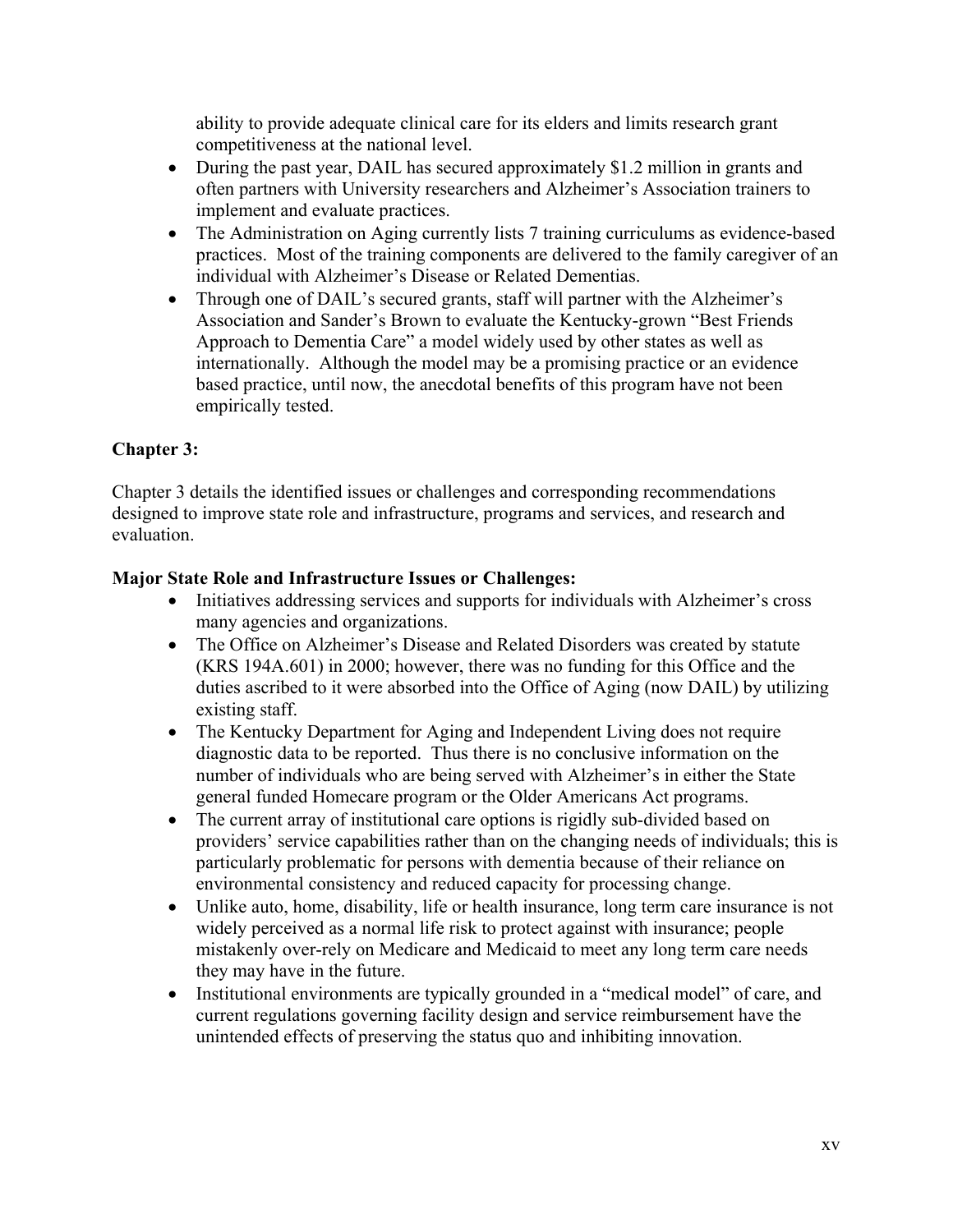ability to provide adequate clinical care for its elders and limits research grant competitiveness at the national level.

- During the past year, DAIL has secured approximately \$1.2 million in grants and often partners with University researchers and Alzheimer's Association trainers to implement and evaluate practices.
- The Administration on Aging currently lists 7 training curriculums as evidence-based practices. Most of the training components are delivered to the family caregiver of an individual with Alzheimer's Disease or Related Dementias.
- Through one of DAIL's secured grants, staff will partner with the Alzheimer's Association and Sander's Brown to evaluate the Kentucky-grown "Best Friends Approach to Dementia Care" a model widely used by other states as well as internationally. Although the model may be a promising practice or an evidence based practice, until now, the anecdotal benefits of this program have not been empirically tested.

# **Chapter 3:**

Chapter 3 details the identified issues or challenges and corresponding recommendations designed to improve state role and infrastructure, programs and services, and research and evaluation.

# **Major State Role and Infrastructure Issues or Challenges:**

- Initiatives addressing services and supports for individuals with Alzheimer's cross many agencies and organizations.
- The Office on Alzheimer's Disease and Related Disorders was created by statute (KRS 194A.601) in 2000; however, there was no funding for this Office and the duties ascribed to it were absorbed into the Office of Aging (now DAIL) by utilizing existing staff.
- The Kentucky Department for Aging and Independent Living does not require diagnostic data to be reported. Thus there is no conclusive information on the number of individuals who are being served with Alzheimer's in either the State general funded Homecare program or the Older Americans Act programs.
- The current array of institutional care options is rigidly sub-divided based on providers' service capabilities rather than on the changing needs of individuals; this is particularly problematic for persons with dementia because of their reliance on environmental consistency and reduced capacity for processing change.
- Unlike auto, home, disability, life or health insurance, long term care insurance is not widely perceived as a normal life risk to protect against with insurance; people mistakenly over-rely on Medicare and Medicaid to meet any long term care needs they may have in the future.
- Institutional environments are typically grounded in a "medical model" of care, and current regulations governing facility design and service reimbursement have the unintended effects of preserving the status quo and inhibiting innovation.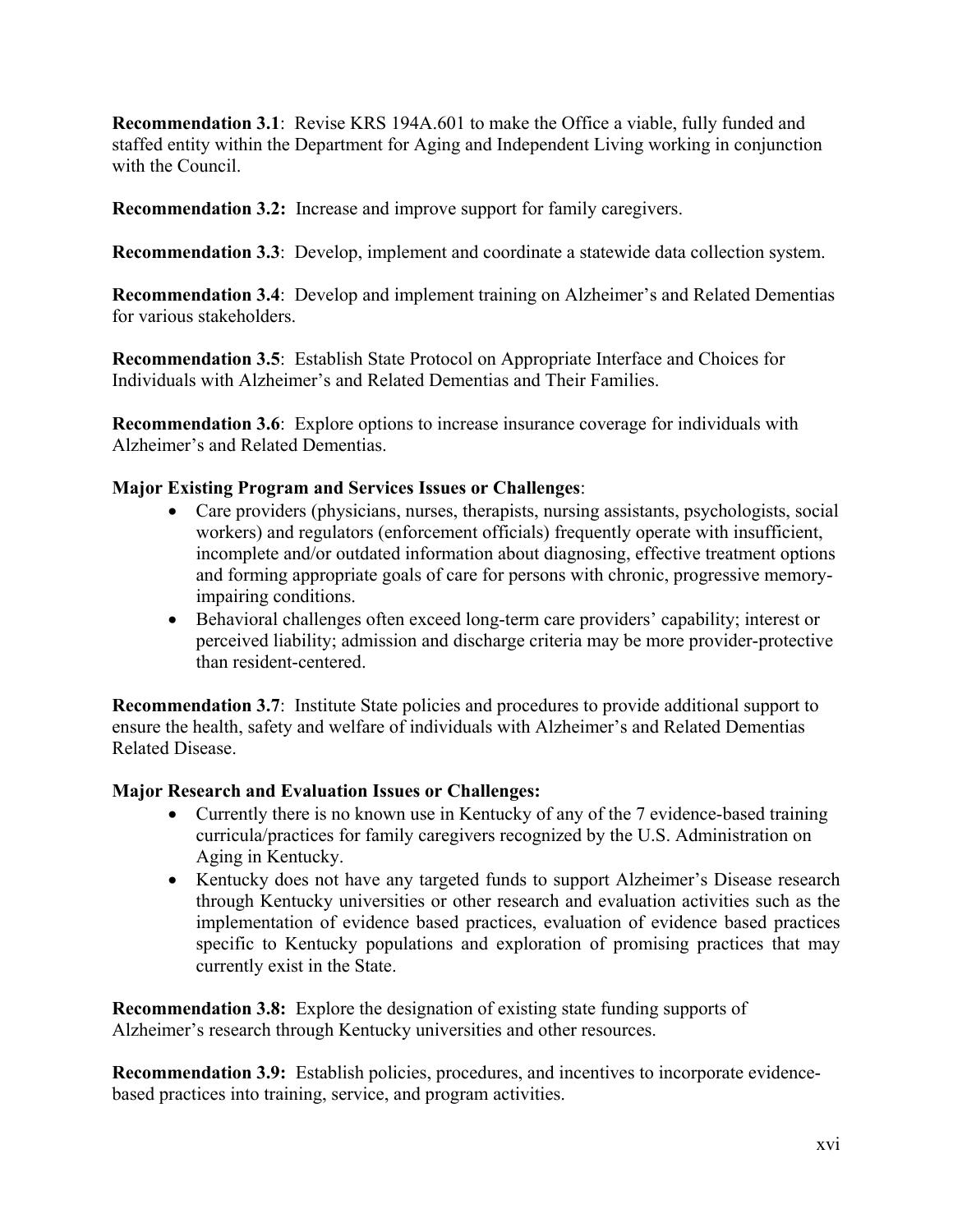**Recommendation 3.1**: Revise KRS 194A.601 to make the Office a viable, fully funded and staffed entity within the Department for Aging and Independent Living working in conjunction with the Council.

**Recommendation 3.2:** Increase and improve support for family caregivers.

**Recommendation 3.3**: Develop, implement and coordinate a statewide data collection system.

**Recommendation 3.4**: Develop and implement training on Alzheimer's and Related Dementias for various stakeholders.

**Recommendation 3.5**: Establish State Protocol on Appropriate Interface and Choices for Individuals with Alzheimer's and Related Dementias and Their Families.

**Recommendation 3.6**: Explore options to increase insurance coverage for individuals with Alzheimer's and Related Dementias.

# **Major Existing Program and Services Issues or Challenges**:

- Care providers (physicians, nurses, therapists, nursing assistants, psychologists, social workers) and regulators (enforcement officials) frequently operate with insufficient, incomplete and/or outdated information about diagnosing, effective treatment options and forming appropriate goals of care for persons with chronic, progressive memoryimpairing conditions.
- Behavioral challenges often exceed long-term care providers' capability; interest or perceived liability; admission and discharge criteria may be more provider-protective than resident-centered.

**Recommendation 3.7:** Institute State policies and procedures to provide additional support to ensure the health, safety and welfare of individuals with Alzheimer's and Related Dementias Related Disease.

# **Major Research and Evaluation Issues or Challenges:**

- Currently there is no known use in Kentucky of any of the 7 evidence-based training curricula/practices for family caregivers recognized by the U.S. Administration on Aging in Kentucky.
- Kentucky does not have any targeted funds to support Alzheimer's Disease research through Kentucky universities or other research and evaluation activities such as the implementation of evidence based practices, evaluation of evidence based practices specific to Kentucky populations and exploration of promising practices that may currently exist in the State.

**Recommendation 3.8:** Explore the designation of existing state funding supports of Alzheimer's research through Kentucky universities and other resources.

**Recommendation 3.9:**Establish policies, procedures, and incentives to incorporate evidencebased practices into training, service, and program activities.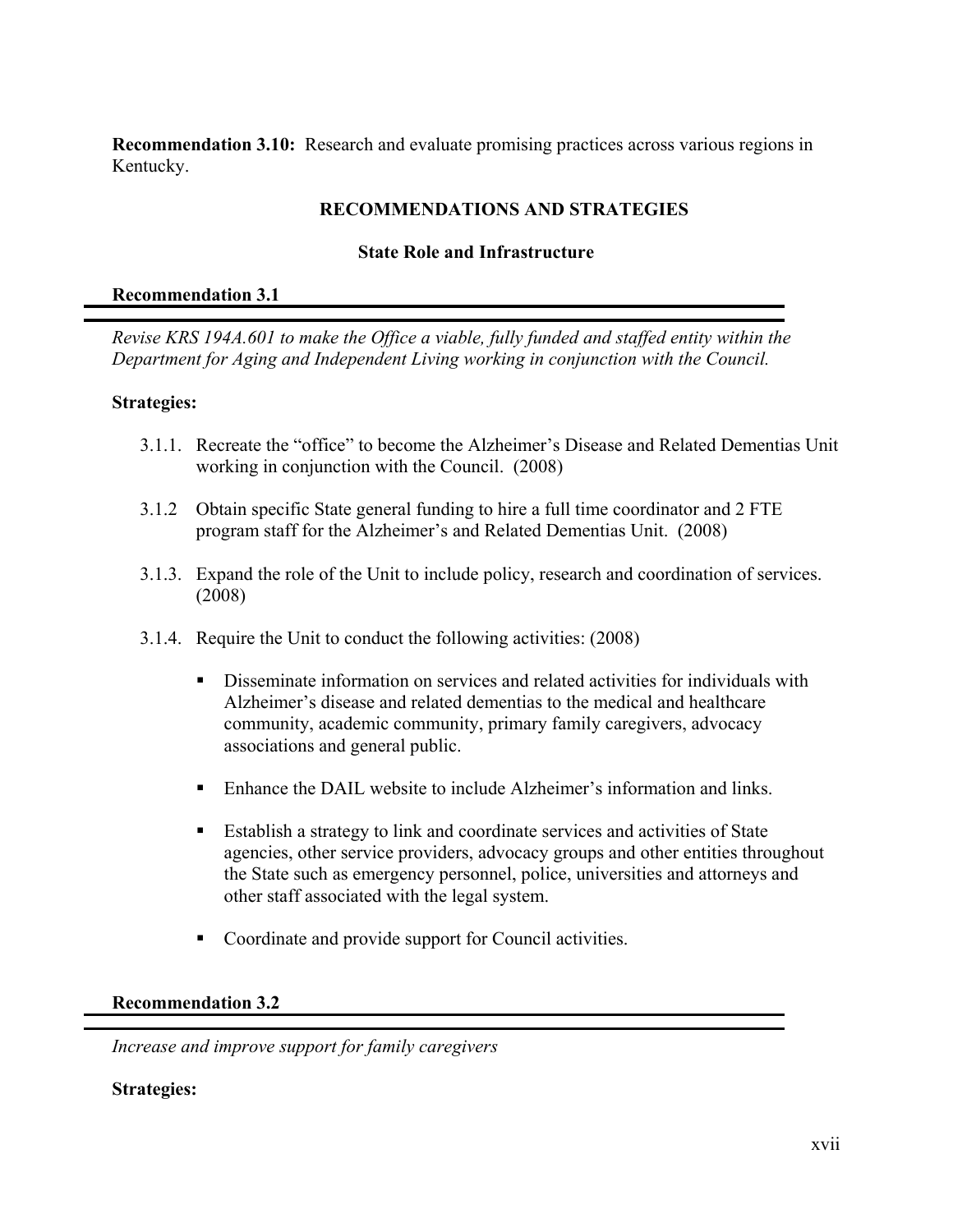**Recommendation 3.10:** Research and evaluate promising practices across various regions in Kentucky.

# **RECOMMENDATIONS AND STRATEGIES**

# **State Role and Infrastructure**

# **Recommendation 3.1**

*Revise KRS 194A.601 to make the Office a viable, fully funded and staffed entity within the Department for Aging and Independent Living working in conjunction with the Council.* 

# **Strategies:**

- 3.1.1. Recreate the "office" to become the Alzheimer's Disease and Related Dementias Unit working in conjunction with the Council. (2008)
- 3.1.2 Obtain specific State general funding to hire a full time coordinator and 2 FTE program staff for the Alzheimer's and Related Dementias Unit. (2008)
- 3.1.3. Expand the role of the Unit to include policy, research and coordination of services. (2008)
- 3.1.4. Require the Unit to conduct the following activities: (2008)
	- Disseminate information on services and related activities for individuals with Alzheimer's disease and related dementias to the medical and healthcare community, academic community, primary family caregivers, advocacy associations and general public.
	- Enhance the DAIL website to include Alzheimer's information and links.
	- Establish a strategy to link and coordinate services and activities of State agencies, other service providers, advocacy groups and other entities throughout the State such as emergency personnel, police, universities and attorneys and other staff associated with the legal system.
	- Coordinate and provide support for Council activities.

# **Recommendation 3.2**

*Increase and improve support for family caregivers*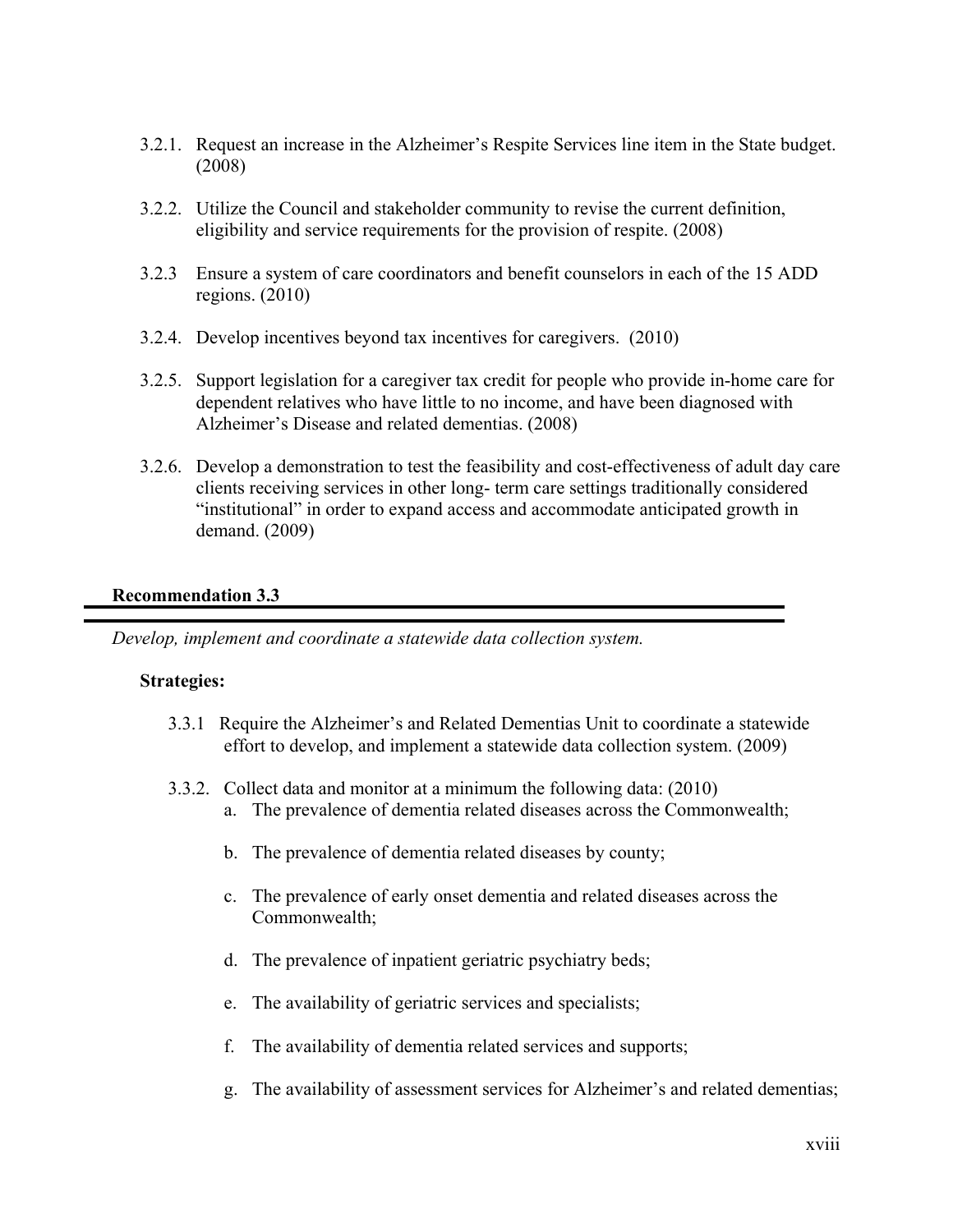- 3.2.1. Request an increase in the Alzheimer's Respite Services line item in the State budget. (2008)
- 3.2.2. Utilize the Council and stakeholder community to revise the current definition, eligibility and service requirements for the provision of respite. (2008)
- 3.2.3 Ensure a system of care coordinators and benefit counselors in each of the 15 ADD regions. (2010)
- 3.2.4. Develop incentives beyond tax incentives for caregivers. (2010)
- 3.2.5. Support legislation for a caregiver tax credit for people who provide in-home care for dependent relatives who have little to no income, and have been diagnosed with Alzheimer's Disease and related dementias. (2008)
- 3.2.6. Develop a demonstration to test the feasibility and cost-effectiveness of adult day care clients receiving services in other long- term care settings traditionally considered "institutional" in order to expand access and accommodate anticipated growth in demand. (2009)

# **Recommendation 3.3**

*Develop, implement and coordinate a statewide data collection system.* 

- 3.3.1 Require the Alzheimer's and Related Dementias Unit to coordinate a statewide effort to develop, and implement a statewide data collection system. (2009)
- 3.3.2. Collect data and monitor at a minimum the following data: (2010)
	- a. The prevalence of dementia related diseases across the Commonwealth;
	- b. The prevalence of dementia related diseases by county;
	- c. The prevalence of early onset dementia and related diseases across the Commonwealth;
	- d. The prevalence of inpatient geriatric psychiatry beds;
	- e. The availability of geriatric services and specialists;
	- f. The availability of dementia related services and supports;
	- g. The availability of assessment services for Alzheimer's and related dementias;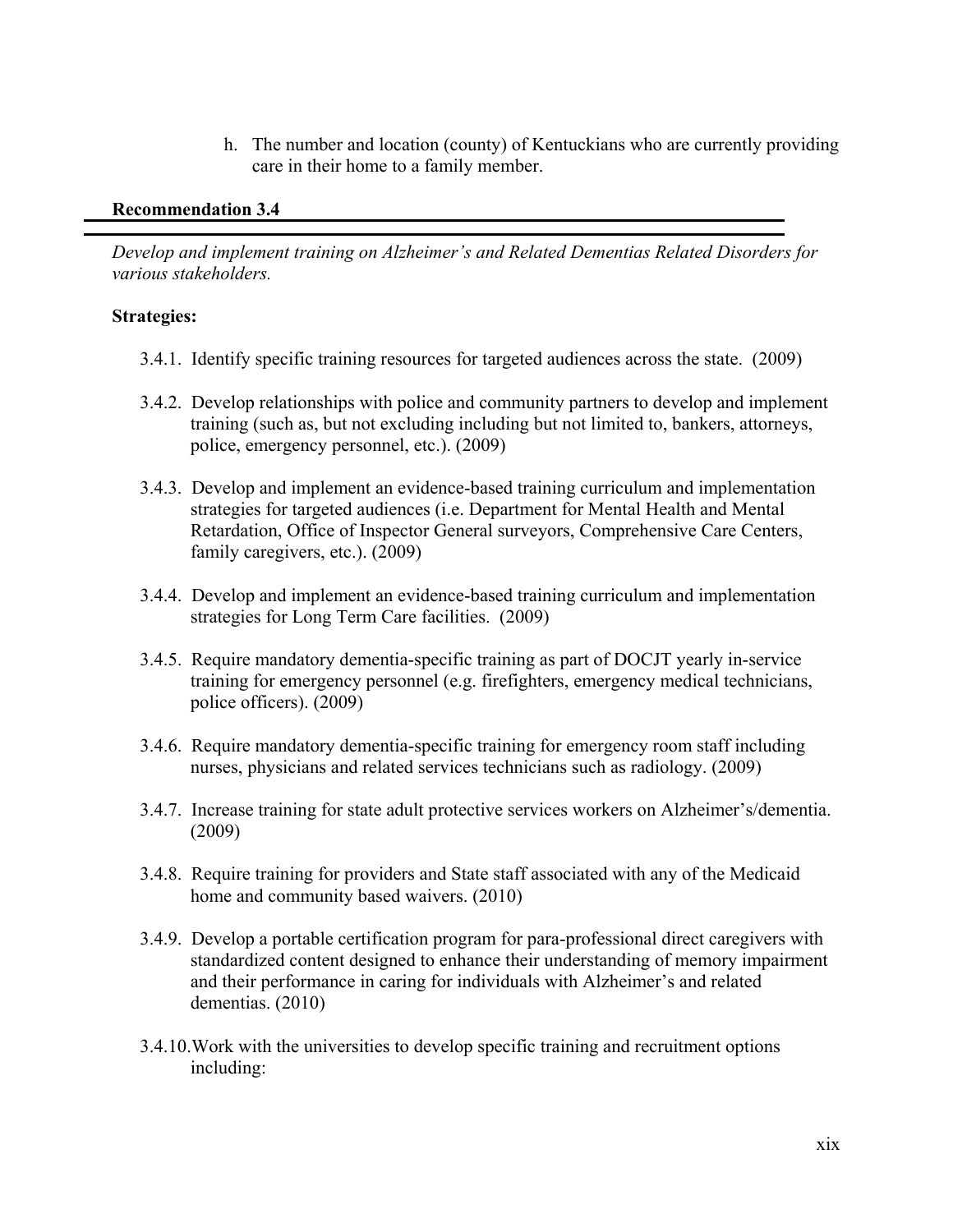h. The number and location (county) of Kentuckians who are currently providing care in their home to a family member.

# **Recommendation 3.4**

*Develop and implement training on Alzheimer's and Related Dementias Related Disorders for various stakeholders.* 

- 3.4.1. Identify specific training resources for targeted audiences across the state. (2009)
- 3.4.2. Develop relationships with police and community partners to develop and implement training (such as, but not excluding including but not limited to, bankers, attorneys, police, emergency personnel, etc.). (2009)
- 3.4.3. Develop and implement an evidence-based training curriculum and implementation strategies for targeted audiences (i.e. Department for Mental Health and Mental Retardation, Office of Inspector General surveyors, Comprehensive Care Centers, family caregivers, etc.). (2009)
- 3.4.4. Develop and implement an evidence-based training curriculum and implementation strategies for Long Term Care facilities. (2009)
- 3.4.5. Require mandatory dementia-specific training as part of DOCJT yearly in-service training for emergency personnel (e.g. firefighters, emergency medical technicians, police officers). (2009)
- 3.4.6. Require mandatory dementia-specific training for emergency room staff including nurses, physicians and related services technicians such as radiology. (2009)
- 3.4.7. Increase training for state adult protective services workers on Alzheimer's/dementia. (2009)
- 3.4.8. Require training for providers and State staff associated with any of the Medicaid home and community based waivers. (2010)
- 3.4.9. Develop a portable certification program for para-professional direct caregivers with standardized content designed to enhance their understanding of memory impairment and their performance in caring for individuals with Alzheimer's and related dementias. (2010)
- 3.4.10.Work with the universities to develop specific training and recruitment options including: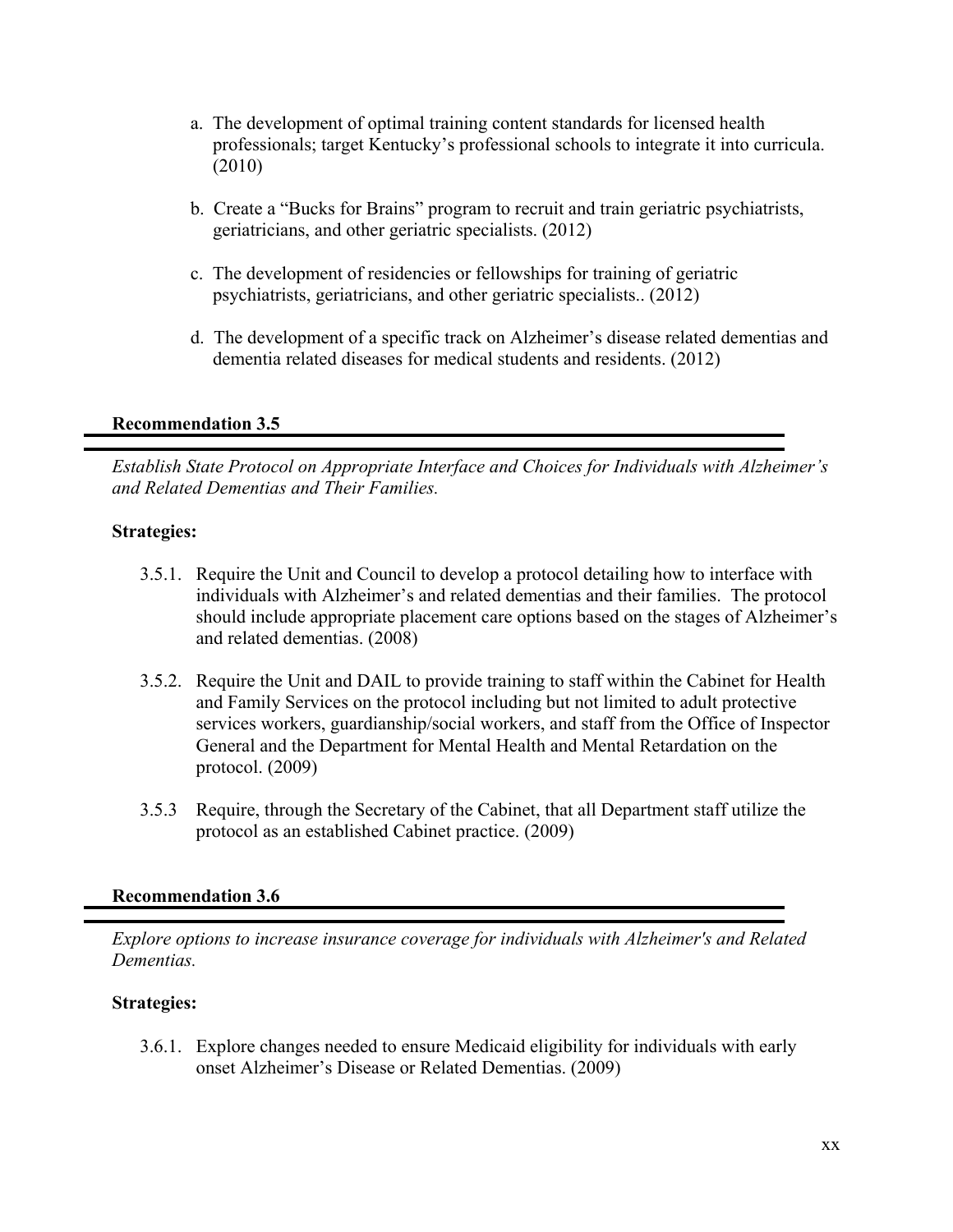- a. The development of optimal training content standards for licensed health professionals; target Kentucky's professional schools to integrate it into curricula. (2010)
- b. Create a "Bucks for Brains" program to recruit and train geriatric psychiatrists, geriatricians, and other geriatric specialists. (2012)
- c. The development of residencies or fellowships for training of geriatric psychiatrists, geriatricians, and other geriatric specialists.. (2012)
- d. The development of a specific track on Alzheimer's disease related dementias and dementia related diseases for medical students and residents. (2012)

# **Recommendation 3.5**

*Establish State Protocol on Appropriate Interface and Choices for Individuals with Alzheimer's and Related Dementias and Their Families.* 

# **Strategies:**

- 3.5.1. Require the Unit and Council to develop a protocol detailing how to interface with individuals with Alzheimer's and related dementias and their families. The protocol should include appropriate placement care options based on the stages of Alzheimer's and related dementias. (2008)
- 3.5.2. Require the Unit and DAIL to provide training to staff within the Cabinet for Health and Family Services on the protocol including but not limited to adult protective services workers, guardianship/social workers, and staff from the Office of Inspector General and the Department for Mental Health and Mental Retardation on the protocol. (2009)
- 3.5.3 Require, through the Secretary of the Cabinet, that all Department staff utilize the protocol as an established Cabinet practice. (2009)

# **Recommendation 3.6**

*Explore options to increase insurance coverage for individuals with Alzheimer's and Related Dementias.* 

# **Strategies:**

3.6.1. Explore changes needed to ensure Medicaid eligibility for individuals with early onset Alzheimer's Disease or Related Dementias. (2009)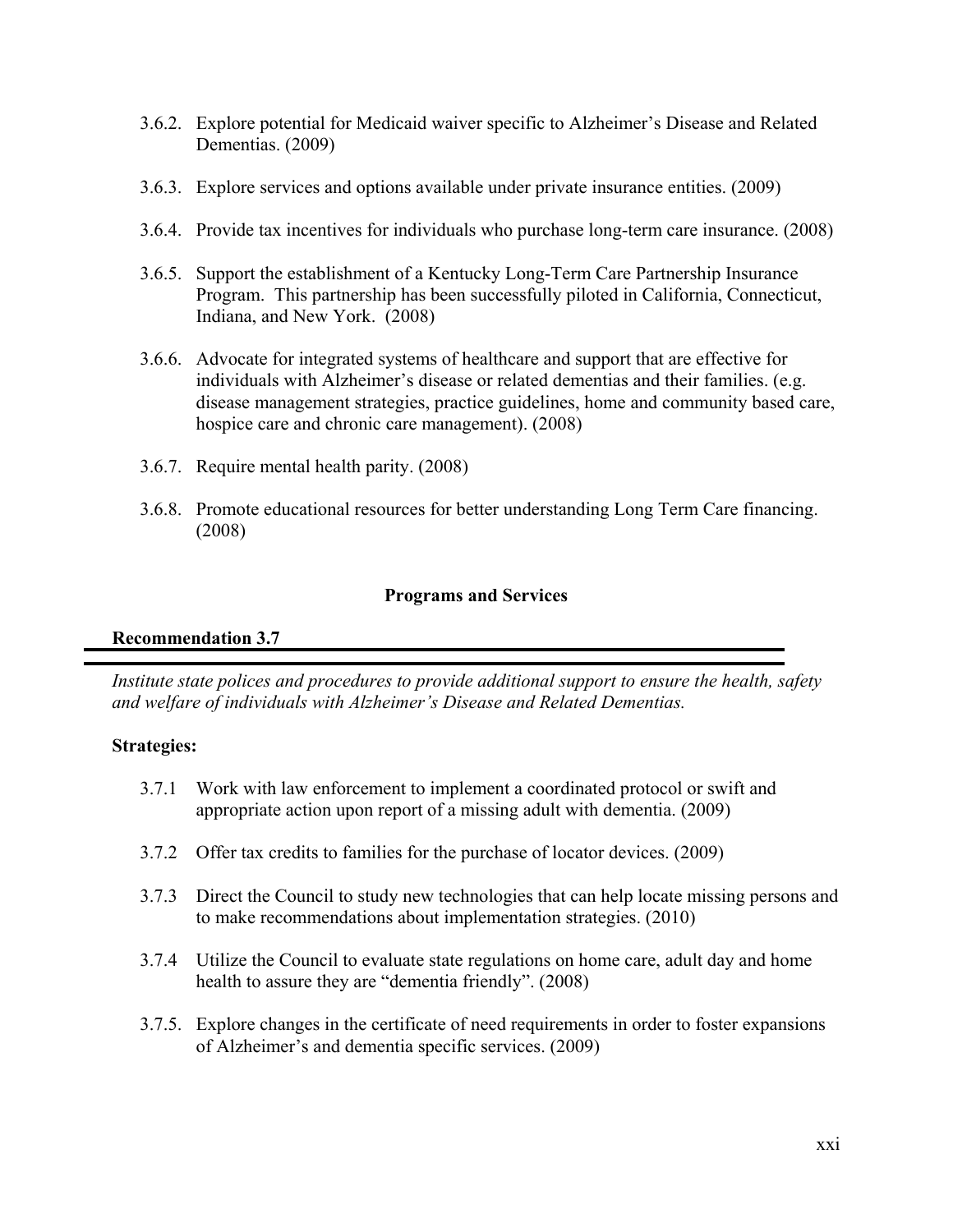- 3.6.2. Explore potential for Medicaid waiver specific to Alzheimer's Disease and Related Dementias. (2009)
- 3.6.3. Explore services and options available under private insurance entities. (2009)
- 3.6.4. Provide tax incentives for individuals who purchase long-term care insurance. (2008)
- 3.6.5. Support the establishment of a Kentucky Long-Term Care Partnership Insurance Program. This partnership has been successfully piloted in California, Connecticut, Indiana, and New York. (2008)
- 3.6.6. Advocate for integrated systems of healthcare and support that are effective for individuals with Alzheimer's disease or related dementias and their families. (e.g. disease management strategies, practice guidelines, home and community based care, hospice care and chronic care management). (2008)
- 3.6.7. Require mental health parity. (2008)
- 3.6.8. Promote educational resources for better understanding Long Term Care financing. (2008)

# **Programs and Services**

#### **Recommendation 3.7**

*Institute state polices and procedures to provide additional support to ensure the health, safety and welfare of individuals with Alzheimer's Disease and Related Dementias.* 

- 3.7.1 Work with law enforcement to implement a coordinated protocol or swift and appropriate action upon report of a missing adult with dementia. (2009)
- 3.7.2 Offer tax credits to families for the purchase of locator devices. (2009)
- 3.7.3 Direct the Council to study new technologies that can help locate missing persons and to make recommendations about implementation strategies. (2010)
- 3.7.4 Utilize the Council to evaluate state regulations on home care, adult day and home health to assure they are "dementia friendly". (2008)
- 3.7.5. Explore changes in the certificate of need requirements in order to foster expansions of Alzheimer's and dementia specific services. (2009)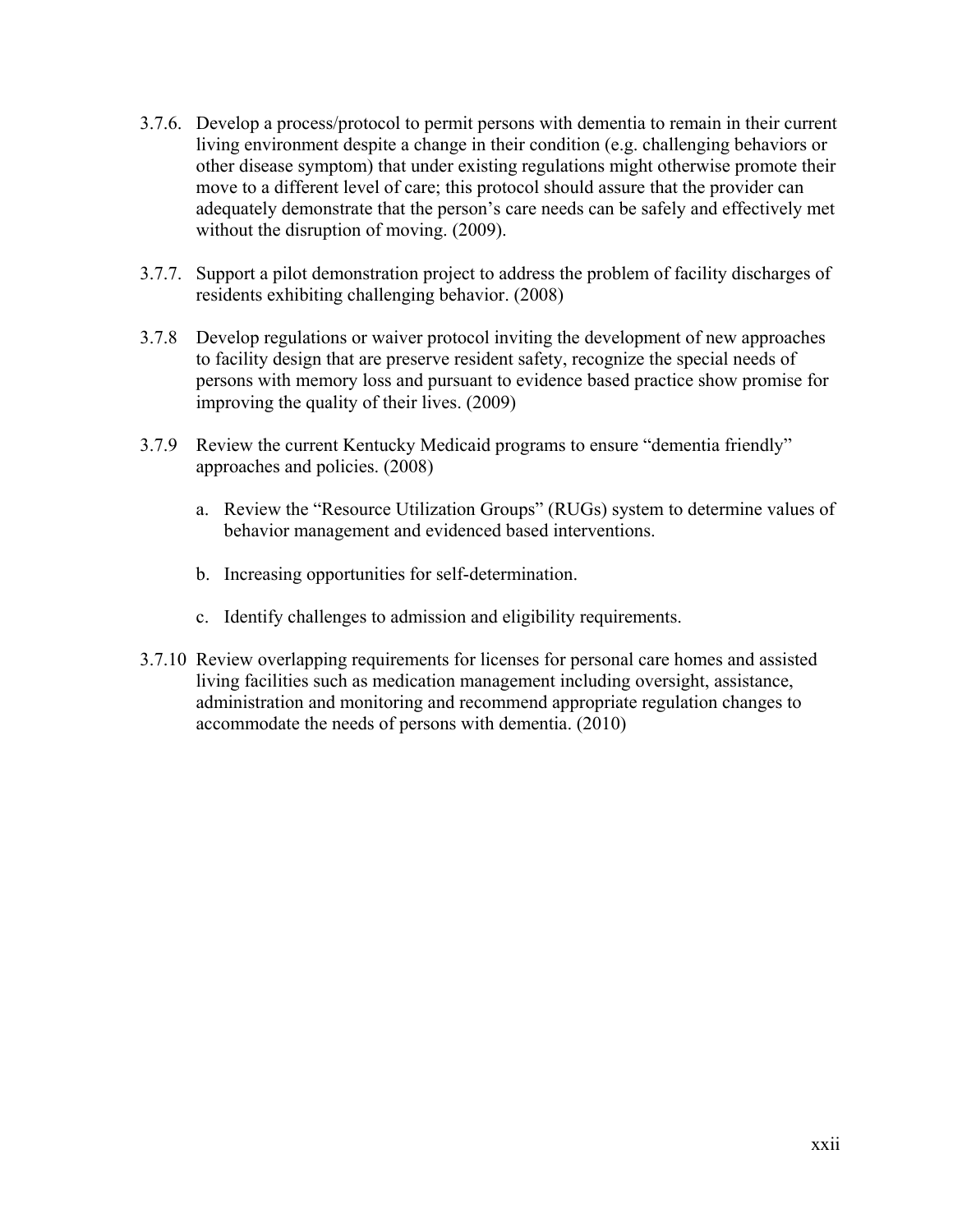- 3.7.6. Develop a process/protocol to permit persons with dementia to remain in their current living environment despite a change in their condition (e.g. challenging behaviors or other disease symptom) that under existing regulations might otherwise promote their move to a different level of care; this protocol should assure that the provider can adequately demonstrate that the person's care needs can be safely and effectively met without the disruption of moving. (2009).
- 3.7.7. Support a pilot demonstration project to address the problem of facility discharges of residents exhibiting challenging behavior. (2008)
- 3.7.8 Develop regulations or waiver protocol inviting the development of new approaches to facility design that are preserve resident safety, recognize the special needs of persons with memory loss and pursuant to evidence based practice show promise for improving the quality of their lives. (2009)
- 3.7.9 Review the current Kentucky Medicaid programs to ensure "dementia friendly" approaches and policies. (2008)
	- a. Review the "Resource Utilization Groups" (RUGs) system to determine values of behavior management and evidenced based interventions.
	- b. Increasing opportunities for self-determination.
	- c. Identify challenges to admission and eligibility requirements.
- 3.7.10 Review overlapping requirements for licenses for personal care homes and assisted living facilities such as medication management including oversight, assistance, administration and monitoring and recommend appropriate regulation changes to accommodate the needs of persons with dementia. (2010)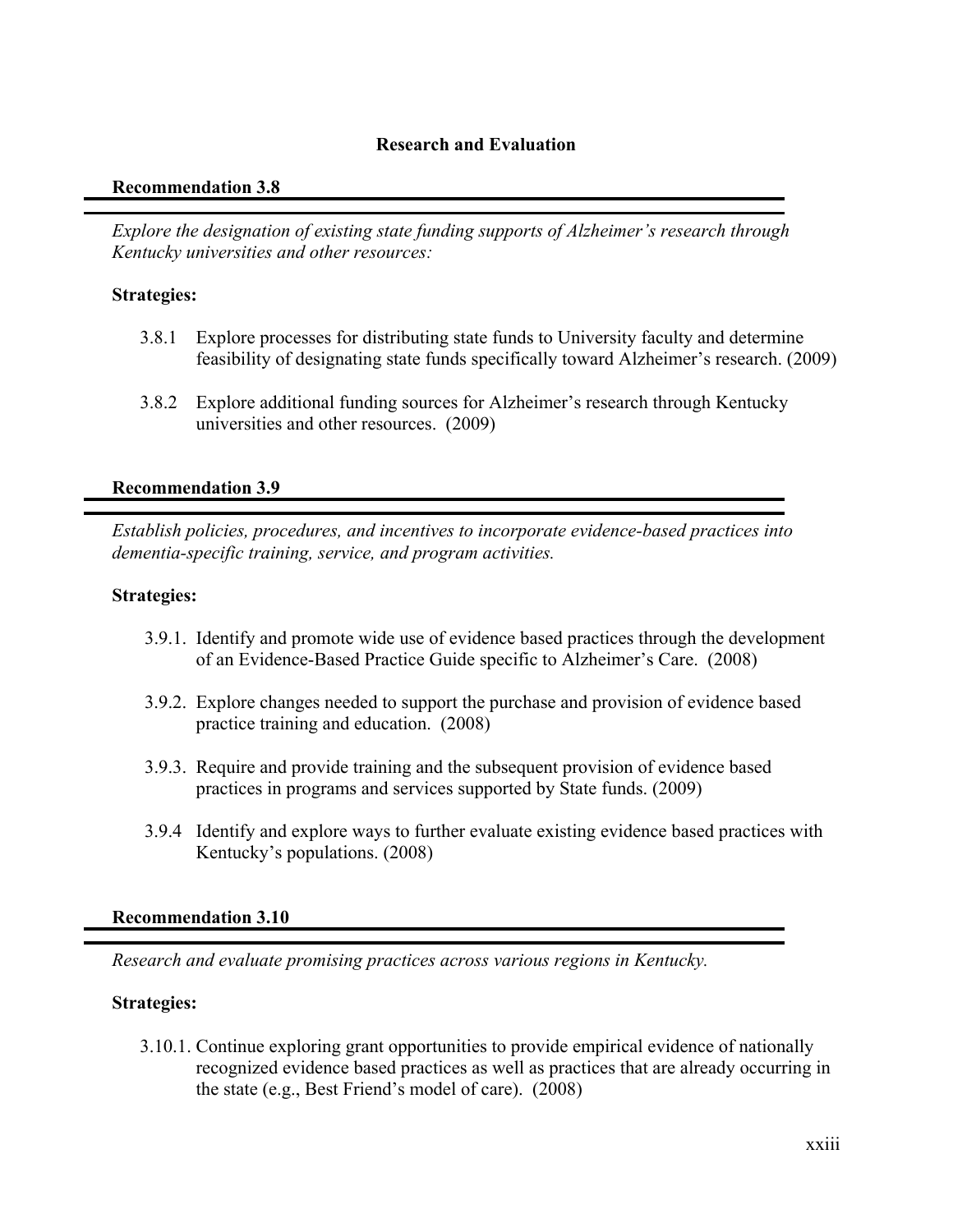# **Research and Evaluation**

#### **Recommendation 3.8**

*Explore the designation of existing state funding supports of Alzheimer's research through Kentucky universities and other resources:* 

#### **Strategies:**

- 3.8.1 Explore processes for distributing state funds to University faculty and determine feasibility of designating state funds specifically toward Alzheimer's research. (2009)
- 3.8.2 Explore additional funding sources for Alzheimer's research through Kentucky universities and other resources. (2009)

#### **Recommendation 3.9**

*Establish policies, procedures, and incentives to incorporate evidence-based practices into dementia-specific training, service, and program activities.* 

#### **Strategies:**

- 3.9.1. Identify and promote wide use of evidence based practices through the development of an Evidence-Based Practice Guide specific to Alzheimer's Care. (2008)
- 3.9.2. Explore changes needed to support the purchase and provision of evidence based practice training and education. (2008)
- 3.9.3. Require and provide training and the subsequent provision of evidence based practices in programs and services supported by State funds. (2009)
- 3.9.4 Identify and explore ways to further evaluate existing evidence based practices with Kentucky's populations. (2008)

#### **Recommendation 3.10**

*Research and evaluate promising practices across various regions in Kentucky.* 

#### **Strategies:**

3.10.1. Continue exploring grant opportunities to provide empirical evidence of nationally recognized evidence based practices as well as practices that are already occurring in the state (e.g., Best Friend's model of care). (2008)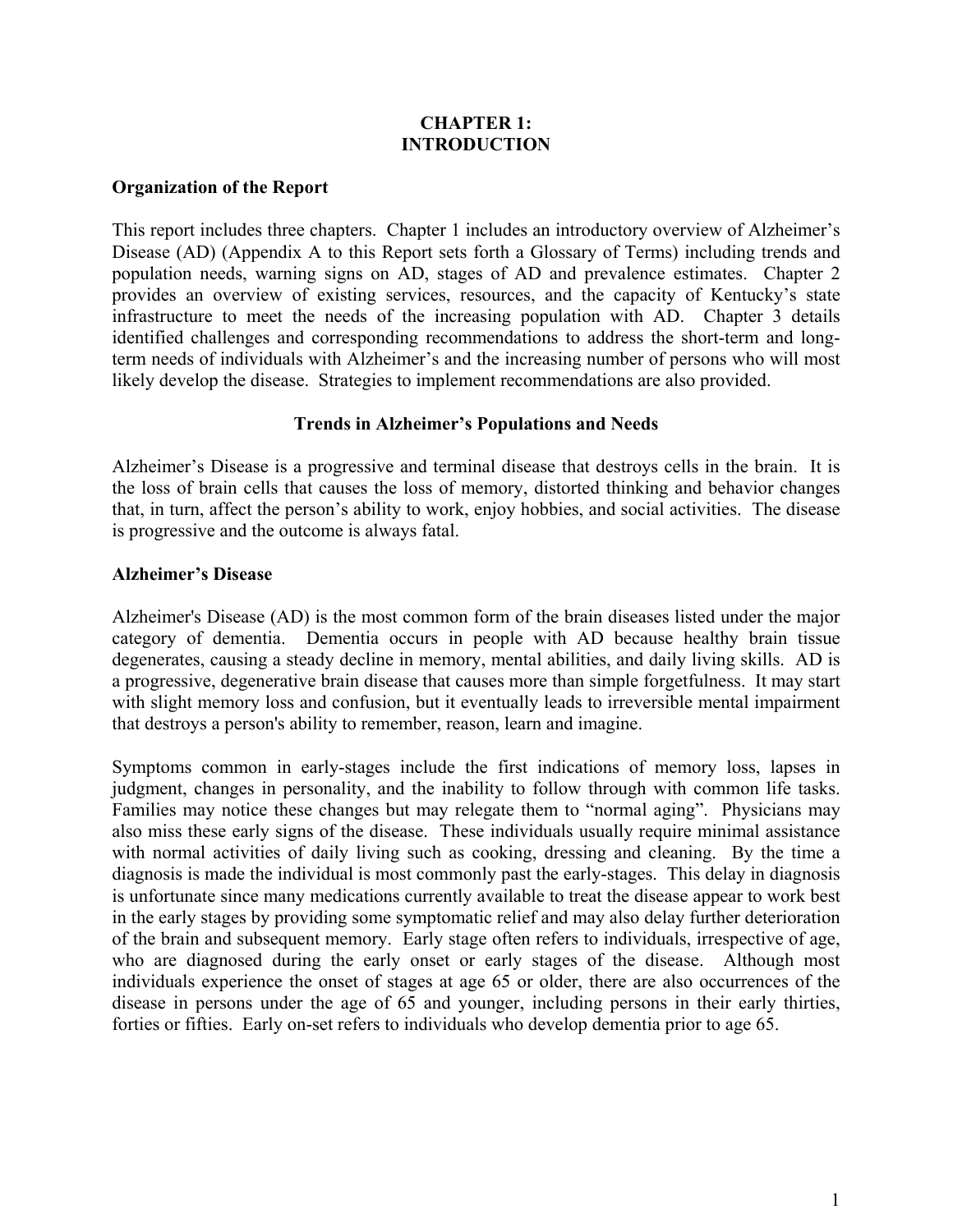# **CHAPTER 1: INTRODUCTION**

# **Organization of the Report**

This report includes three chapters. Chapter 1 includes an introductory overview of Alzheimer's Disease (AD) (Appendix A to this Report sets forth a Glossary of Terms) including trends and population needs, warning signs on AD, stages of AD and prevalence estimates. Chapter 2 provides an overview of existing services, resources, and the capacity of Kentucky's state infrastructure to meet the needs of the increasing population with AD. Chapter 3 details identified challenges and corresponding recommendations to address the short-term and longterm needs of individuals with Alzheimer's and the increasing number of persons who will most likely develop the disease. Strategies to implement recommendations are also provided.

# **Trends in Alzheimer's Populations and Needs**

Alzheimer's Disease is a progressive and terminal disease that destroys cells in the brain. It is the loss of brain cells that causes the loss of memory, distorted thinking and behavior changes that, in turn, affect the person's ability to work, enjoy hobbies, and social activities. The disease is progressive and the outcome is always fatal.

#### **Alzheimer's Disease**

Alzheimer's Disease (AD) is the most common form of the brain diseases listed under the major category of dementia. Dementia occurs in people with AD because healthy brain tissue degenerates, causing a steady decline in memory, mental abilities, and daily living skills. AD is a progressive, degenerative brain disease that causes more than simple forgetfulness. It may start with slight memory loss and confusion, but it eventually leads to irreversible mental impairment that destroys a person's ability to remember, reason, learn and imagine.

Symptoms common in early-stages include the first indications of memory loss, lapses in judgment, changes in personality, and the inability to follow through with common life tasks. Families may notice these changes but may relegate them to "normal aging". Physicians may also miss these early signs of the disease. These individuals usually require minimal assistance with normal activities of daily living such as cooking, dressing and cleaning. By the time a diagnosis is made the individual is most commonly past the early-stages. This delay in diagnosis is unfortunate since many medications currently available to treat the disease appear to work best in the early stages by providing some symptomatic relief and may also delay further deterioration of the brain and subsequent memory. Early stage often refers to individuals, irrespective of age, who are diagnosed during the early onset or early stages of the disease. Although most individuals experience the onset of stages at age 65 or older, there are also occurrences of the disease in persons under the age of 65 and younger, including persons in their early thirties, forties or fifties. Early on-set refers to individuals who develop dementia prior to age 65.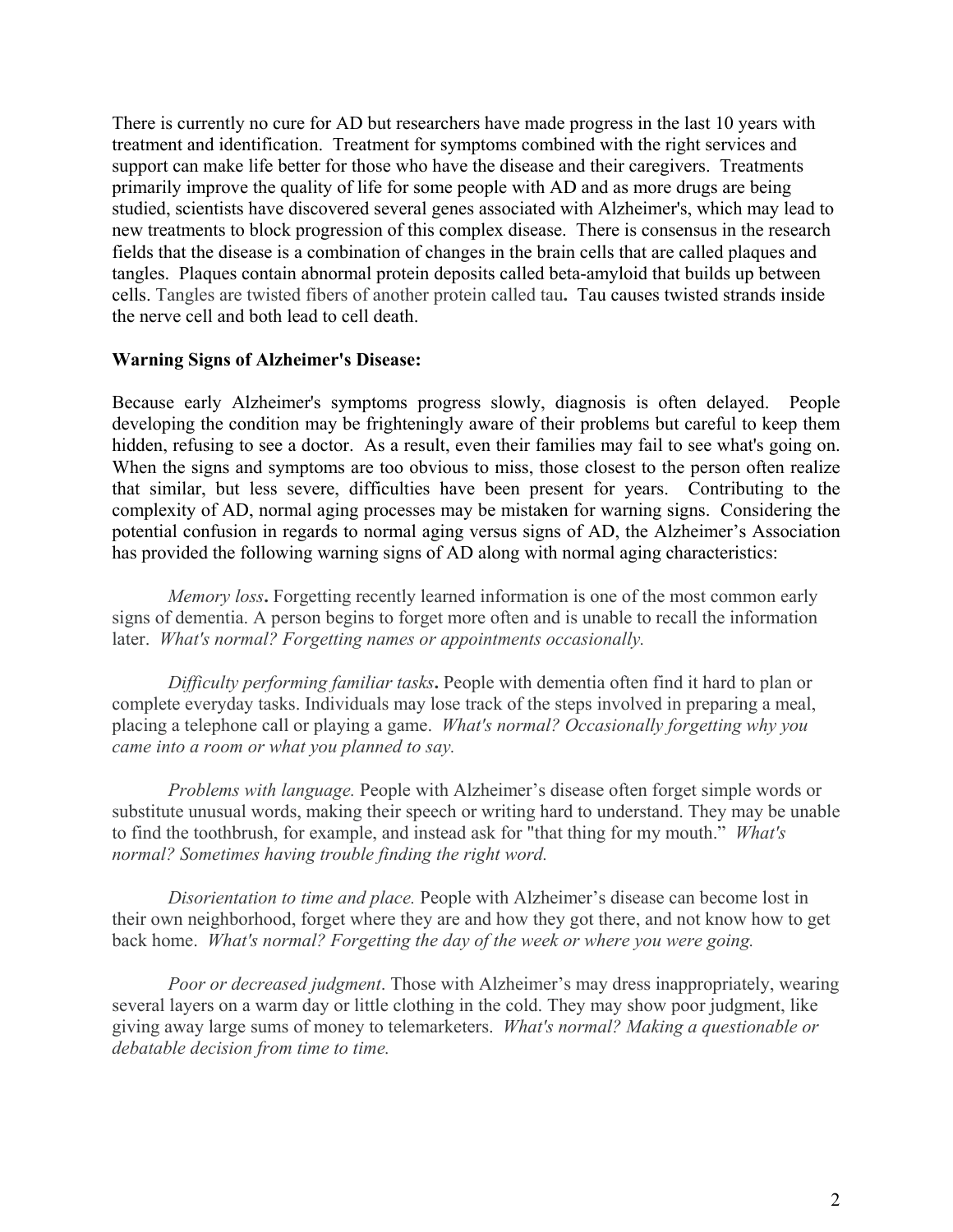There is currently no cure for AD but researchers have made progress in the last 10 years with treatment and identification. Treatment for symptoms combined with the right services and support can make life better for those who have the disease and their caregivers. Treatments primarily improve the quality of life for some people with AD and as more drugs are being studied, scientists have discovered several genes associated with Alzheimer's, which may lead to new treatments to block progression of this complex disease. There is consensus in the research fields that the disease is a combination of changes in the brain cells that are called plaques and tangles. Plaques contain abnormal protein deposits called beta-amyloid that builds up between cells. Tangles are twisted fibers of another protein called tau**.** Tau causes twisted strands inside the nerve cell and both lead to cell death.

#### **Warning Signs of Alzheimer's Disease:**

Because early Alzheimer's symptoms progress slowly, diagnosis is often delayed. People developing the condition may be frighteningly aware of their problems but careful to keep them hidden, refusing to see a doctor. As a result, even their families may fail to see what's going on. When the signs and symptoms are too obvious to miss, those closest to the person often realize that similar, but less severe, difficulties have been present for years. Contributing to the complexity of AD, normal aging processes may be mistaken for warning signs. Considering the potential confusion in regards to normal aging versus signs of AD, the Alzheimer's Association has provided the following warning signs of AD along with normal aging characteristics:

*Memory loss***.** Forgetting recently learned information is one of the most common early signs of dementia. A person begins to forget more often and is unable to recall the information later. *What's normal? Forgetting names or appointments occasionally.* 

*Difficulty performing familiar tasks***.** People with dementia often find it hard to plan or complete everyday tasks. Individuals may lose track of the steps involved in preparing a meal, placing a telephone call or playing a game. *What's normal? Occasionally forgetting why you came into a room or what you planned to say.* 

*Problems with language.* People with Alzheimer's disease often forget simple words or substitute unusual words, making their speech or writing hard to understand. They may be unable to find the toothbrush, for example, and instead ask for "that thing for my mouth." *What's normal? Sometimes having trouble finding the right word.*

*Disorientation to time and place.* People with Alzheimer's disease can become lost in their own neighborhood, forget where they are and how they got there, and not know how to get back home. *What's normal? Forgetting the day of the week or where you were going.* 

*Poor or decreased judgment*. Those with Alzheimer's may dress inappropriately, wearing several layers on a warm day or little clothing in the cold. They may show poor judgment, like giving away large sums of money to telemarketers. *What's normal? Making a questionable or debatable decision from time to time.*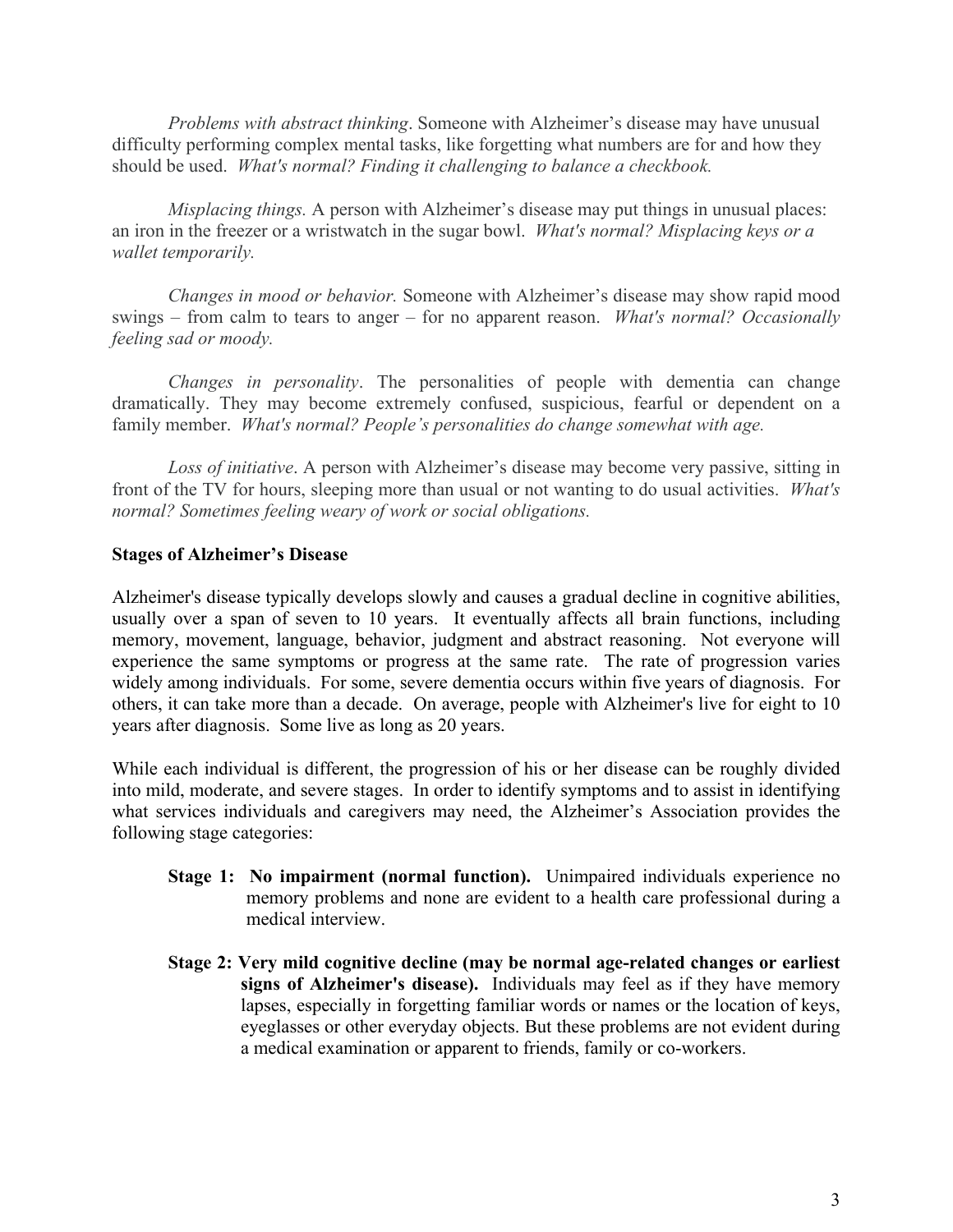*Problems with abstract thinking*. Someone with Alzheimer's disease may have unusual difficulty performing complex mental tasks, like forgetting what numbers are for and how they should be used. *What's normal? Finding it challenging to balance a checkbook.* 

*Misplacing things.* A person with Alzheimer's disease may put things in unusual places: an iron in the freezer or a wristwatch in the sugar bowl. *What's normal? Misplacing keys or a wallet temporarily.* 

*Changes in mood or behavior.* Someone with Alzheimer's disease may show rapid mood swings – from calm to tears to anger – for no apparent reason. *What's normal? Occasionally feeling sad or moody.* 

*Changes in personality*. The personalities of people with dementia can change dramatically. They may become extremely confused, suspicious, fearful or dependent on a family member. *What's normal? People's personalities do change somewhat with age.* 

*Loss of initiative*. A person with Alzheimer's disease may become very passive, sitting in front of the TV for hours, sleeping more than usual or not wanting to do usual activities. *What's normal? Sometimes feeling weary of work or social obligations.*

# **Stages of Alzheimer's Disease**

Alzheimer's disease typically develops slowly and causes a gradual decline in cognitive abilities, usually over a span of seven to 10 years. It eventually affects all brain functions, including memory, movement, language, behavior, judgment and abstract reasoning. Not everyone will experience the same symptoms or progress at the same rate. The rate of progression varies widely among individuals. For some, severe dementia occurs within five years of diagnosis. For others, it can take more than a decade. On average, people with Alzheimer's live for eight to 10 years after diagnosis. Some live as long as 20 years.

While each individual is different, the progression of his or her disease can be roughly divided into mild, moderate, and severe stages. In order to identify symptoms and to assist in identifying what services individuals and caregivers may need, the Alzheimer's Association provides the following stage categories:

- **Stage 1: No impairment (normal function).** Unimpaired individuals experience no memory problems and none are evident to a health care professional during a medical interview.
- **Stage 2: Very mild cognitive decline (may be normal age-related changes or earliest signs of Alzheimer's disease).** Individuals may feel as if they have memory lapses, especially in forgetting familiar words or names or the location of keys, eyeglasses or other everyday objects. But these problems are not evident during a medical examination or apparent to friends, family or co-workers.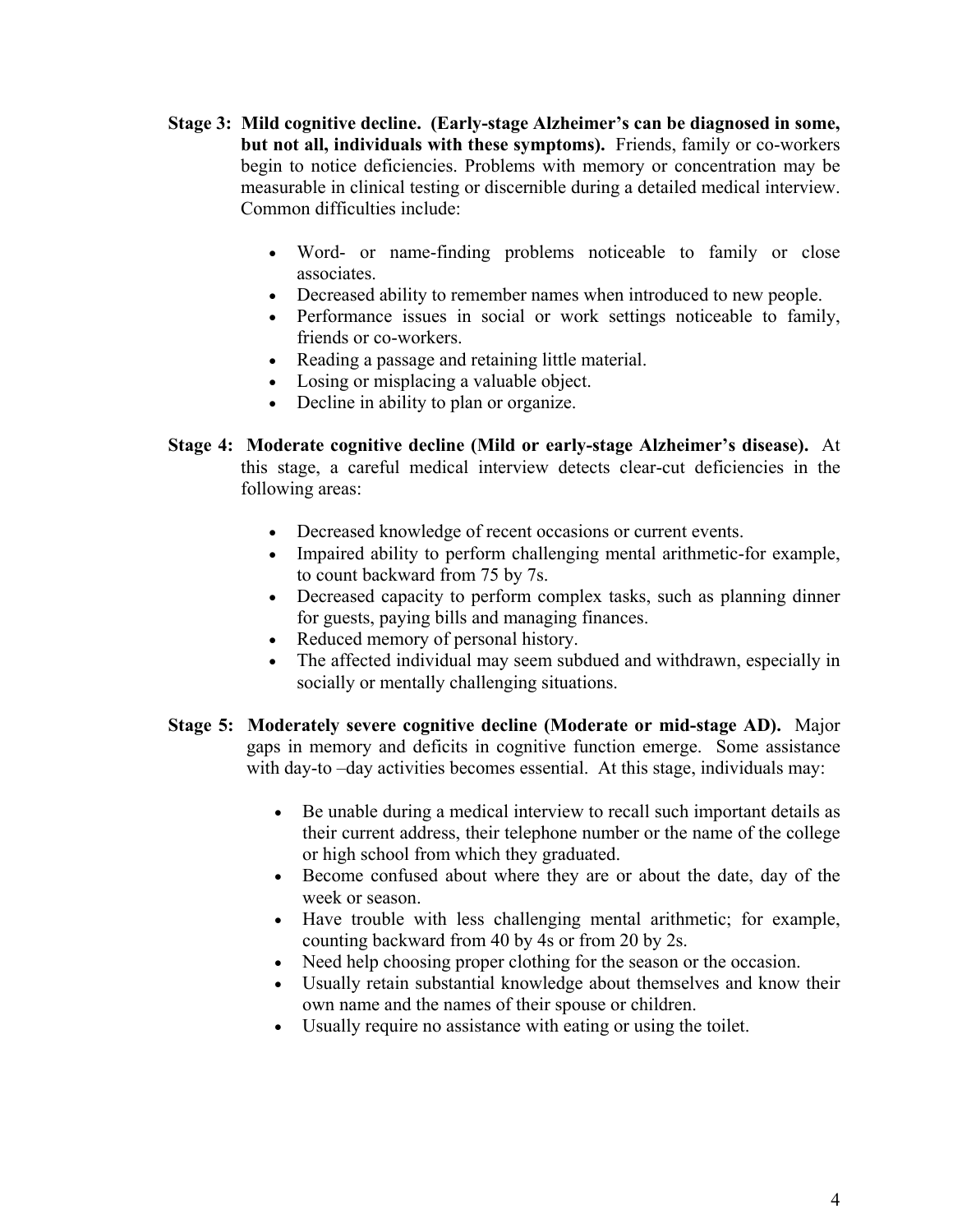- **Stage 3: Mild cognitive decline. (Early-stage Alzheimer's can be diagnosed in some, but not all, individuals with these symptoms).** Friends, family or co-workers begin to notice deficiencies. Problems with memory or concentration may be measurable in clinical testing or discernible during a detailed medical interview. Common difficulties include:
	- Word- or name-finding problems noticeable to family or close associates.
	- Decreased ability to remember names when introduced to new people.
	- Performance issues in social or work settings noticeable to family, friends or co-workers.
	- Reading a passage and retaining little material.
	- Losing or misplacing a valuable object.
	- Decline in ability to plan or organize.
- **Stage 4: Moderate cognitive decline (Mild or early-stage Alzheimer's disease).** At this stage, a careful medical interview detects clear-cut deficiencies in the following areas:
	- Decreased knowledge of recent occasions or current events.
	- Impaired ability to perform challenging mental arithmetic-for example, to count backward from 75 by 7s.
	- Decreased capacity to perform complex tasks, such as planning dinner for guests, paying bills and managing finances.
	- Reduced memory of personal history.
	- The affected individual may seem subdued and withdrawn, especially in socially or mentally challenging situations.
- **Stage 5: Moderately severe cognitive decline (Moderate or mid-stage AD).** Major gaps in memory and deficits in cognitive function emerge. Some assistance with day-to-day activities becomes essential. At this stage, individuals may:
	- Be unable during a medical interview to recall such important details as their current address, their telephone number or the name of the college or high school from which they graduated.
	- Become confused about where they are or about the date, day of the week or season.
	- Have trouble with less challenging mental arithmetic; for example, counting backward from 40 by 4s or from 20 by 2s.
	- Need help choosing proper clothing for the season or the occasion.
	- Usually retain substantial knowledge about themselves and know their own name and the names of their spouse or children.
	- Usually require no assistance with eating or using the toilet.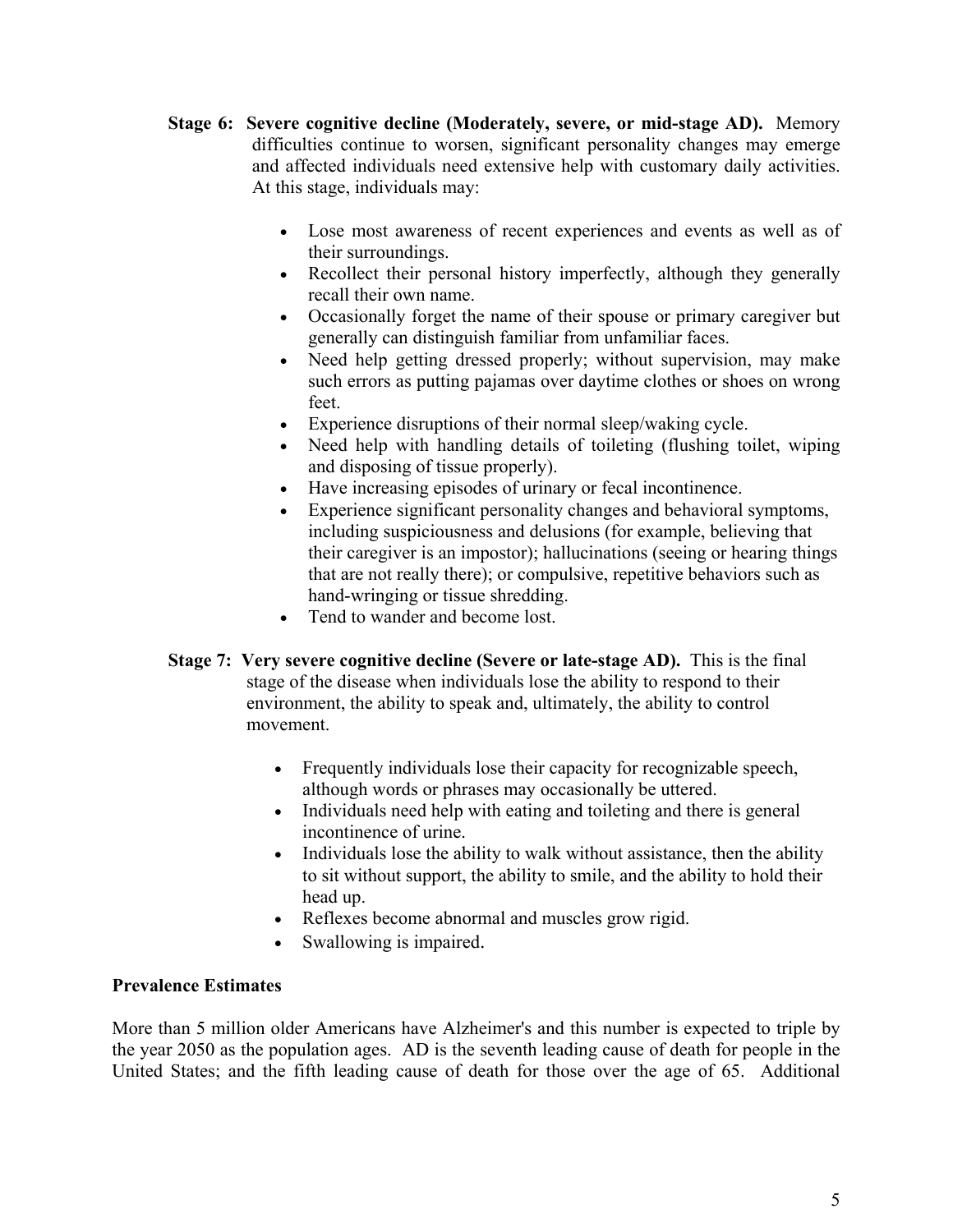- **Stage 6: Severe cognitive decline (Moderately, severe, or mid-stage AD).** Memory difficulties continue to worsen, significant personality changes may emerge and affected individuals need extensive help with customary daily activities. At this stage, individuals may:
	- Lose most awareness of recent experiences and events as well as of their surroundings.
	- Recollect their personal history imperfectly, although they generally recall their own name.
	- Occasionally forget the name of their spouse or primary caregiver but generally can distinguish familiar from unfamiliar faces.
	- Need help getting dressed properly; without supervision, may make such errors as putting pajamas over daytime clothes or shoes on wrong feet.
	- Experience disruptions of their normal sleep/waking cycle.
	- Need help with handling details of toileting (flushing toilet, wiping and disposing of tissue properly).
	- Have increasing episodes of urinary or fecal incontinence.
	- Experience significant personality changes and behavioral symptoms, including suspiciousness and delusions (for example, believing that their caregiver is an impostor); hallucinations (seeing or hearing things that are not really there); or compulsive, repetitive behaviors such as hand-wringing or tissue shredding.
	- Tend to wander and become lost.
- **Stage 7: Very severe cognitive decline (Severe or late-stage AD).** This is the final stage of the disease when individuals lose the ability to respond to their environment, the ability to speak and, ultimately, the ability to control movement.
	- Frequently individuals lose their capacity for recognizable speech, although words or phrases may occasionally be uttered.
	- Individuals need help with eating and toileting and there is general incontinence of urine.
	- Individuals lose the ability to walk without assistance, then the ability to sit without support, the ability to smile, and the ability to hold their head up.
	- Reflexes become abnormal and muscles grow rigid.
	- Swallowing is impaired.

# **Prevalence Estimates**

More than 5 million older Americans have Alzheimer's and this number is expected to triple by the year 2050 as the population ages. AD is the seventh leading cause of death for people in the United States; and the fifth leading cause of death for those over the age of 65. Additional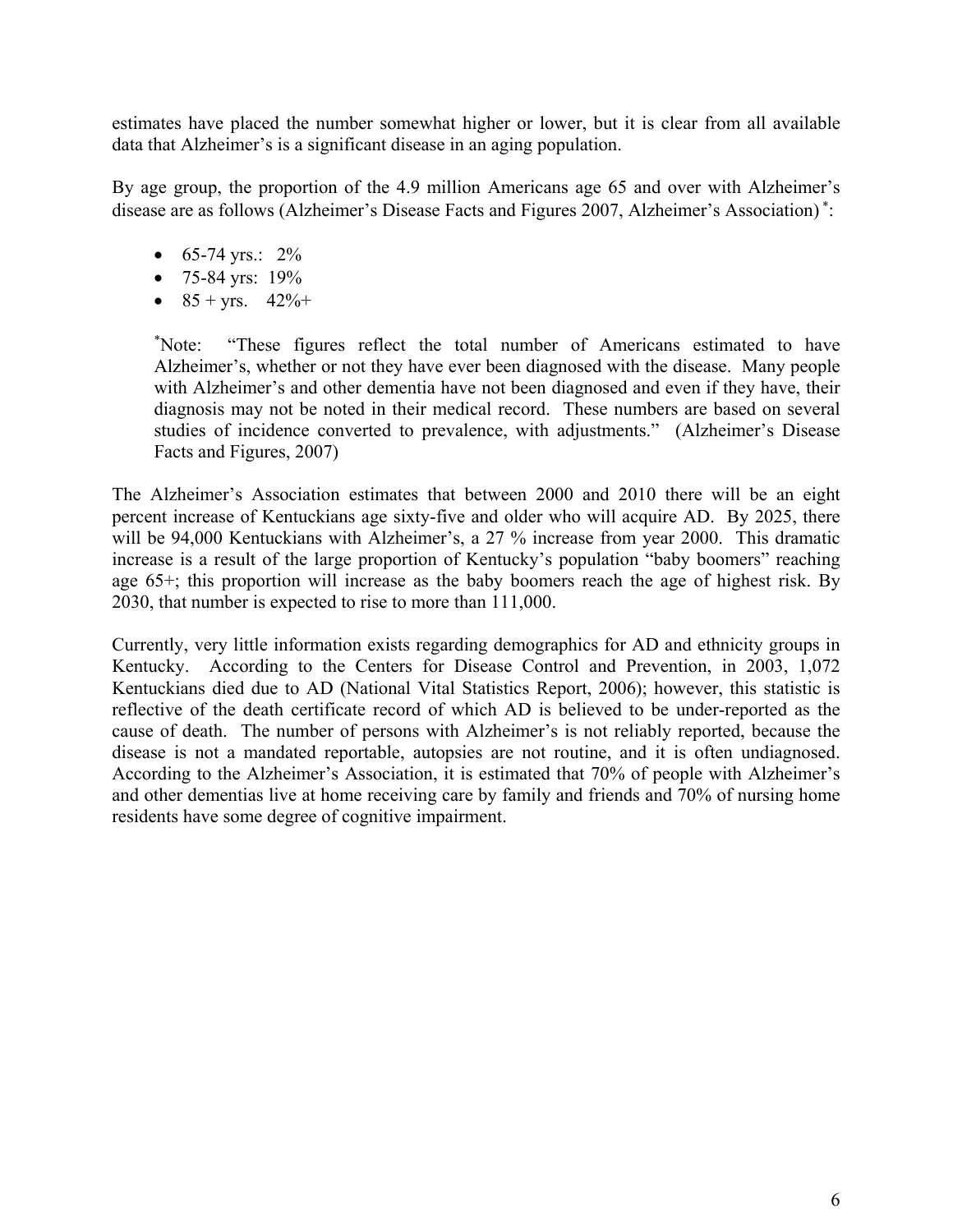estimates have placed the number somewhat higher or lower, but it is clear from all available data that Alzheimer's is a significant disease in an aging population.

By age group, the proportion of the 4.9 million Americans age 65 and over with Alzheimer's disease are as follows (Alzheimer's Disease Facts and Figures 2007, Alzheimer's Association) <sup>∗</sup> :

- 65-74 yrs.:  $2\%$
- 75-84 yrs:  $19\%$
- $85 + yrs$ .  $42\% +$

∗ "These figures reflect the total number of Americans estimated to have Alzheimer's, whether or not they have ever been diagnosed with the disease. Many people with Alzheimer's and other dementia have not been diagnosed and even if they have, their diagnosis may not be noted in their medical record. These numbers are based on several studies of incidence converted to prevalence, with adjustments." (Alzheimer's Disease Facts and Figures, 2007)

The Alzheimer's Association estimates that between 2000 and 2010 there will be an eight percent increase of Kentuckians age sixty-five and older who will acquire AD. By 2025, there will be 94,000 Kentuckians with Alzheimer's, a 27 % increase from year 2000. This dramatic increase is a result of the large proportion of Kentucky's population "baby boomers" reaching age 65+; this proportion will increase as the baby boomers reach the age of highest risk. By 2030, that number is expected to rise to more than 111,000.

Currently, very little information exists regarding demographics for AD and ethnicity groups in Kentucky. According to the Centers for Disease Control and Prevention, in 2003, 1,072 Kentuckians died due to AD (National Vital Statistics Report, 2006); however, this statistic is reflective of the death certificate record of which AD is believed to be under-reported as the cause of death. The number of persons with Alzheimer's is not reliably reported, because the disease is not a mandated reportable, autopsies are not routine, and it is often undiagnosed. According to the Alzheimer's Association, it is estimated that 70% of people with Alzheimer's and other dementias live at home receiving care by family and friends and 70% of nursing home residents have some degree of cognitive impairment.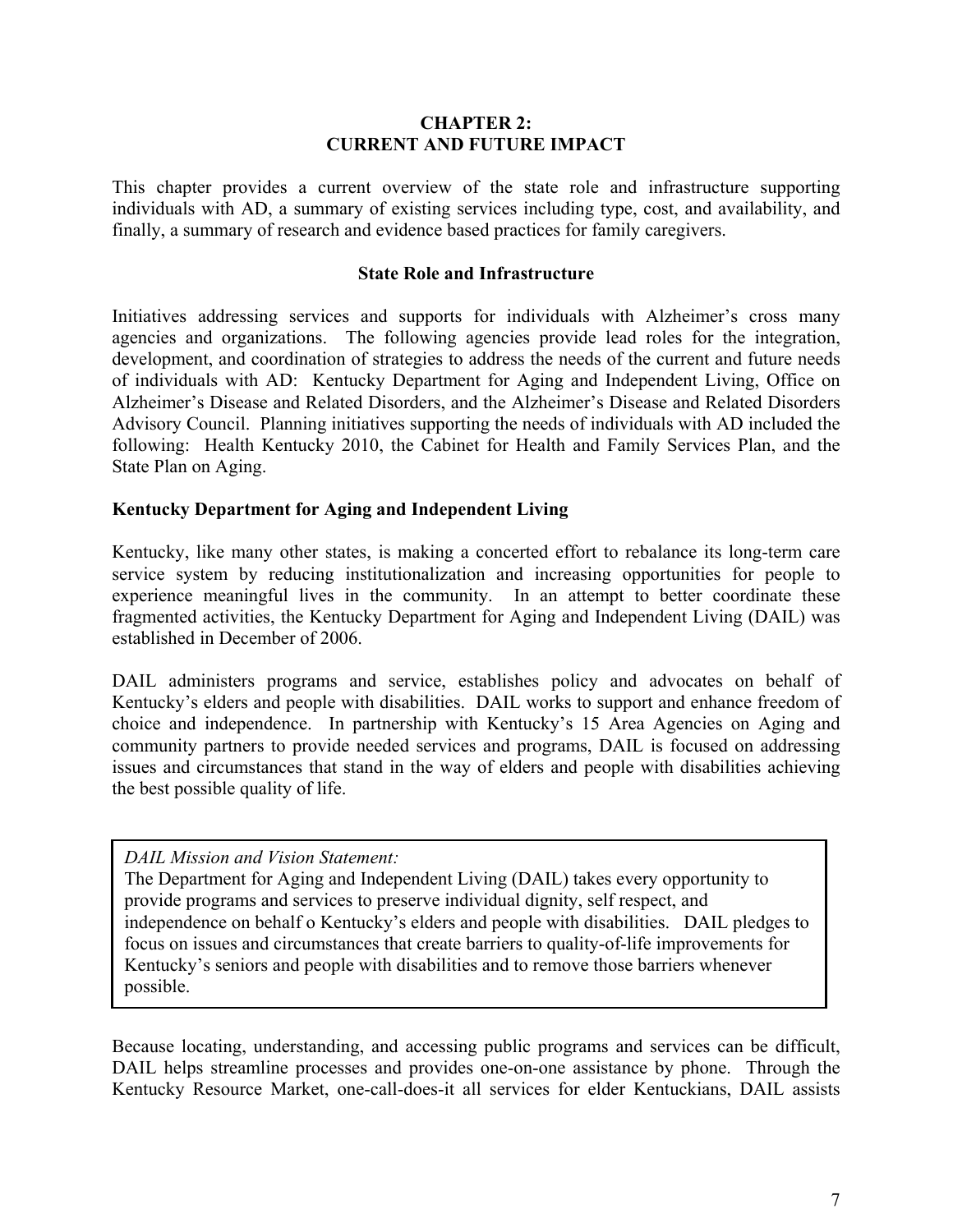## **CHAPTER 2: CURRENT AND FUTURE IMPACT**

This chapter provides a current overview of the state role and infrastructure supporting individuals with AD, a summary of existing services including type, cost, and availability, and finally, a summary of research and evidence based practices for family caregivers.

#### **State Role and Infrastructure**

Initiatives addressing services and supports for individuals with Alzheimer's cross many agencies and organizations. The following agencies provide lead roles for the integration, development, and coordination of strategies to address the needs of the current and future needs of individuals with AD: Kentucky Department for Aging and Independent Living, Office on Alzheimer's Disease and Related Disorders, and the Alzheimer's Disease and Related Disorders Advisory Council. Planning initiatives supporting the needs of individuals with AD included the following: Health Kentucky 2010, the Cabinet for Health and Family Services Plan, and the State Plan on Aging.

#### **Kentucky Department for Aging and Independent Living**

Kentucky, like many other states, is making a concerted effort to rebalance its long-term care service system by reducing institutionalization and increasing opportunities for people to experience meaningful lives in the community. In an attempt to better coordinate these fragmented activities, the Kentucky Department for Aging and Independent Living (DAIL) was established in December of 2006.

DAIL administers programs and service, establishes policy and advocates on behalf of Kentucky's elders and people with disabilities. DAIL works to support and enhance freedom of choice and independence. In partnership with Kentucky's 15 Area Agencies on Aging and community partners to provide needed services and programs, DAIL is focused on addressing issues and circumstances that stand in the way of elders and people with disabilities achieving the best possible quality of life.

#### *DAIL Mission and Vision Statement:*

The Department for Aging and Independent Living (DAIL) takes every opportunity to provide programs and services to preserve individual dignity, self respect, and independence on behalf o Kentucky's elders and people with disabilities. DAIL pledges to focus on issues and circumstances that create barriers to quality-of-life improvements for Kentucky's seniors and people with disabilities and to remove those barriers whenever possible.

Because locating, understanding, and accessing public programs and services can be difficult, DAIL helps streamline processes and provides one-on-one assistance by phone. Through the Kentucky Resource Market, one-call-does-it all services for elder Kentuckians, DAIL assists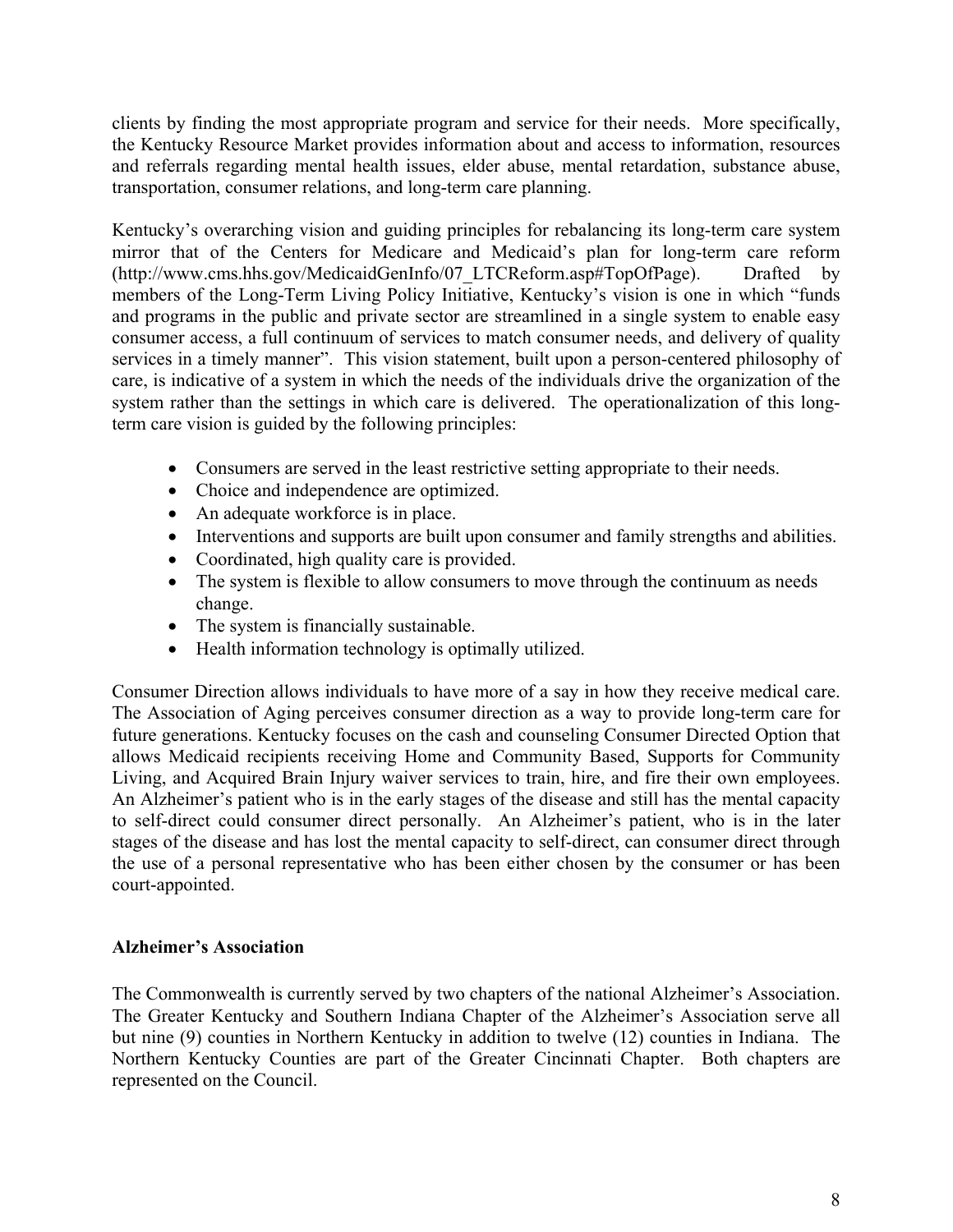clients by finding the most appropriate program and service for their needs. More specifically, the Kentucky Resource Market provides information about and access to information, resources and referrals regarding mental health issues, elder abuse, mental retardation, substance abuse, transportation, consumer relations, and long-term care planning.

Kentucky's overarching vision and guiding principles for rebalancing its long-term care system mirror that of the Centers for Medicare and Medicaid's plan for long-term care reform (http://www.cms.hhs.gov/MedicaidGenInfo/07\_LTCReform.asp#TopOfPage). Drafted by members of the Long-Term Living Policy Initiative, Kentucky's vision is one in which "funds and programs in the public and private sector are streamlined in a single system to enable easy consumer access, a full continuum of services to match consumer needs, and delivery of quality services in a timely manner". This vision statement, built upon a person-centered philosophy of care, is indicative of a system in which the needs of the individuals drive the organization of the system rather than the settings in which care is delivered. The operationalization of this longterm care vision is guided by the following principles:

- Consumers are served in the least restrictive setting appropriate to their needs.
- Choice and independence are optimized.
- An adequate workforce is in place.
- Interventions and supports are built upon consumer and family strengths and abilities.
- Coordinated, high quality care is provided.
- The system is flexible to allow consumers to move through the continuum as needs change.
- The system is financially sustainable.
- Health information technology is optimally utilized.

Consumer Direction allows individuals to have more of a say in how they receive medical care. The Association of Aging perceives consumer direction as a way to provide long-term care for future generations. Kentucky focuses on the cash and counseling Consumer Directed Option that allows Medicaid recipients receiving Home and Community Based, Supports for Community Living, and Acquired Brain Injury waiver services to train, hire, and fire their own employees. An Alzheimer's patient who is in the early stages of the disease and still has the mental capacity to self-direct could consumer direct personally. An Alzheimer's patient, who is in the later stages of the disease and has lost the mental capacity to self-direct, can consumer direct through the use of a personal representative who has been either chosen by the consumer or has been court-appointed.

# **Alzheimer's Association**

The Commonwealth is currently served by two chapters of the national Alzheimer's Association. The Greater Kentucky and Southern Indiana Chapter of the Alzheimer's Association serve all but nine (9) counties in Northern Kentucky in addition to twelve (12) counties in Indiana. The Northern Kentucky Counties are part of the Greater Cincinnati Chapter. Both chapters are represented on the Council.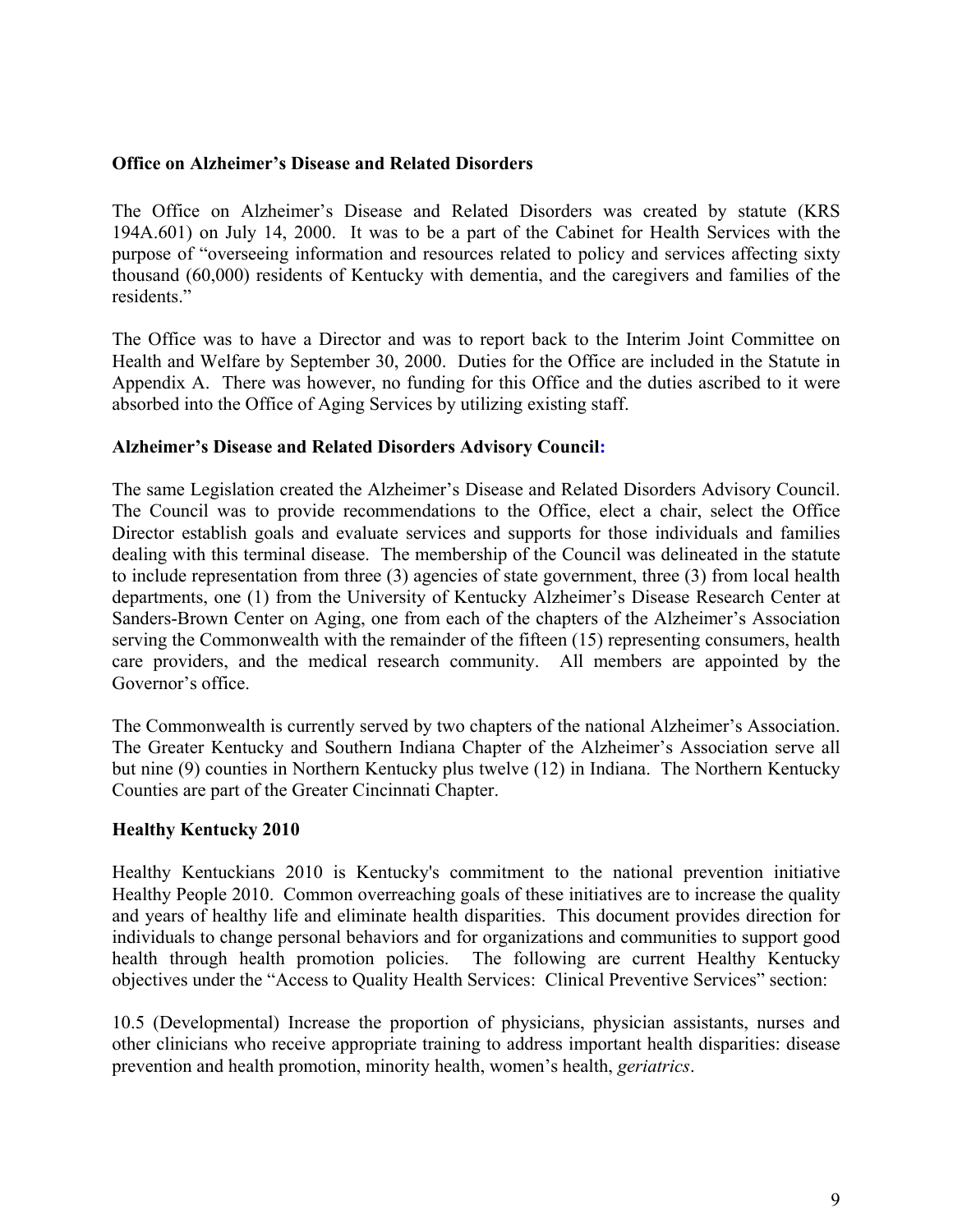## **Office on Alzheimer's Disease and Related Disorders**

The Office on Alzheimer's Disease and Related Disorders was created by statute (KRS 194A.601) on July 14, 2000. It was to be a part of the Cabinet for Health Services with the purpose of "overseeing information and resources related to policy and services affecting sixty thousand (60,000) residents of Kentucky with dementia, and the caregivers and families of the residents."

The Office was to have a Director and was to report back to the Interim Joint Committee on Health and Welfare by September 30, 2000. Duties for the Office are included in the Statute in Appendix A. There was however, no funding for this Office and the duties ascribed to it were absorbed into the Office of Aging Services by utilizing existing staff.

#### **Alzheimer's Disease and Related Disorders Advisory Council:**

The same Legislation created the Alzheimer's Disease and Related Disorders Advisory Council. The Council was to provide recommendations to the Office, elect a chair, select the Office Director establish goals and evaluate services and supports for those individuals and families dealing with this terminal disease. The membership of the Council was delineated in the statute to include representation from three (3) agencies of state government, three (3) from local health departments, one (1) from the University of Kentucky Alzheimer's Disease Research Center at Sanders-Brown Center on Aging, one from each of the chapters of the Alzheimer's Association serving the Commonwealth with the remainder of the fifteen (15) representing consumers, health care providers, and the medical research community. All members are appointed by the Governor's office.

The Commonwealth is currently served by two chapters of the national Alzheimer's Association. The Greater Kentucky and Southern Indiana Chapter of the Alzheimer's Association serve all but nine (9) counties in Northern Kentucky plus twelve (12) in Indiana. The Northern Kentucky Counties are part of the Greater Cincinnati Chapter.

#### **Healthy Kentucky 2010**

Healthy Kentuckians 2010 is Kentucky's commitment to the national prevention initiative Healthy People 2010. Common overreaching goals of these initiatives are to increase the quality and years of healthy life and eliminate health disparities. This document provides direction for individuals to change personal behaviors and for organizations and communities to support good health through health promotion policies. The following are current Healthy Kentucky objectives under the "Access to Quality Health Services: Clinical Preventive Services" section:

10.5 (Developmental) Increase the proportion of physicians, physician assistants, nurses and other clinicians who receive appropriate training to address important health disparities: disease prevention and health promotion, minority health, women's health, *geriatrics*.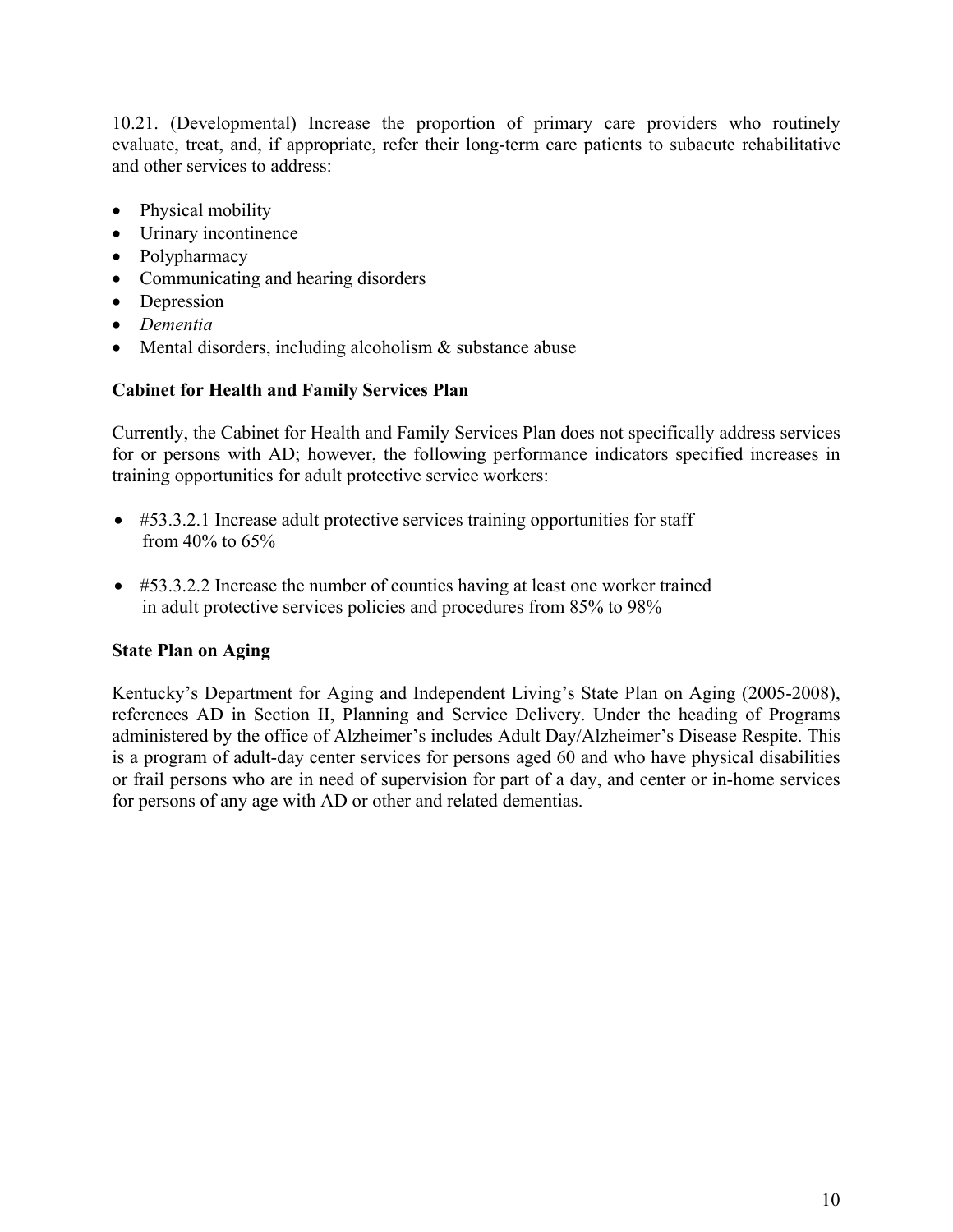10.21. (Developmental) Increase the proportion of primary care providers who routinely evaluate, treat, and, if appropriate, refer their long-term care patients to subacute rehabilitative and other services to address:

- Physical mobility
- Urinary incontinence
- Polypharmacy
- Communicating and hearing disorders
- Depression
- *Dementia*
- Mental disorders, including alcoholism & substance abuse

# **Cabinet for Health and Family Services Plan**

Currently, the Cabinet for Health and Family Services Plan does not specifically address services for or persons with AD; however, the following performance indicators specified increases in training opportunities for adult protective service workers:

- #53.3.2.1 Increase adult protective services training opportunities for staff from 40% to 65%
- #53.3.2.2 Increase the number of counties having at least one worker trained in adult protective services policies and procedures from 85% to 98%

# **State Plan on Aging**

Kentucky's Department for Aging and Independent Living's State Plan on Aging (2005-2008), references AD in Section II, Planning and Service Delivery. Under the heading of Programs administered by the office of Alzheimer's includes Adult Day/Alzheimer's Disease Respite. This is a program of adult-day center services for persons aged 60 and who have physical disabilities or frail persons who are in need of supervision for part of a day, and center or in-home services for persons of any age with AD or other and related dementias.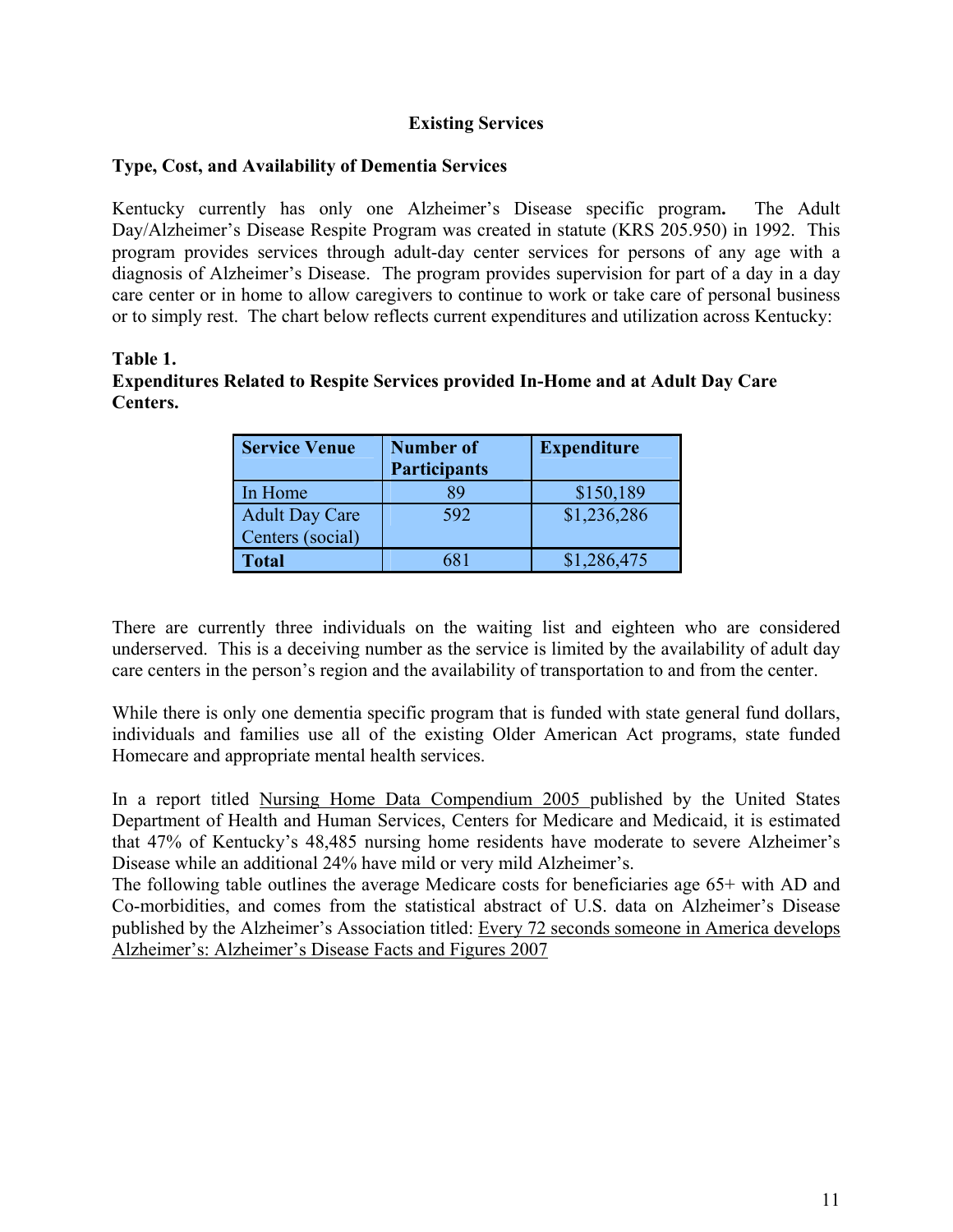# **Existing Services**

# **Type, Cost, and Availability of Dementia Services**

Kentucky currently has only one Alzheimer's Disease specific program**.** The Adult Day/Alzheimer's Disease Respite Program was created in statute (KRS 205.950) in 1992. This program provides services through adult-day center services for persons of any age with a diagnosis of Alzheimer's Disease. The program provides supervision for part of a day in a day care center or in home to allow caregivers to continue to work or take care of personal business or to simply rest. The chart below reflects current expenditures and utilization across Kentucky:

# **Table 1.**

# **Expenditures Related to Respite Services provided In-Home and at Adult Day Care Centers.**

| <b>Service Venue</b>  | <b>Number of</b><br><b>Participants</b> | <b>Expenditure</b> |
|-----------------------|-----------------------------------------|--------------------|
| In Home               | 89                                      | \$150,189          |
| <b>Adult Day Care</b> | 592                                     | \$1,236,286        |
| Centers (social)      |                                         |                    |
| <b>Total</b>          |                                         | \$1,286,475        |

There are currently three individuals on the waiting list and eighteen who are considered underserved. This is a deceiving number as the service is limited by the availability of adult day care centers in the person's region and the availability of transportation to and from the center.

While there is only one dementia specific program that is funded with state general fund dollars, individuals and families use all of the existing Older American Act programs, state funded Homecare and appropriate mental health services.

In a report titled Nursing Home Data Compendium 2005 published by the United States Department of Health and Human Services, Centers for Medicare and Medicaid, it is estimated that 47% of Kentucky's 48,485 nursing home residents have moderate to severe Alzheimer's Disease while an additional 24% have mild or very mild Alzheimer's.

The following table outlines the average Medicare costs for beneficiaries age 65+ with AD and Co-morbidities, and comes from the statistical abstract of U.S. data on Alzheimer's Disease published by the Alzheimer's Association titled: Every 72 seconds someone in America develops Alzheimer's: Alzheimer's Disease Facts and Figures 2007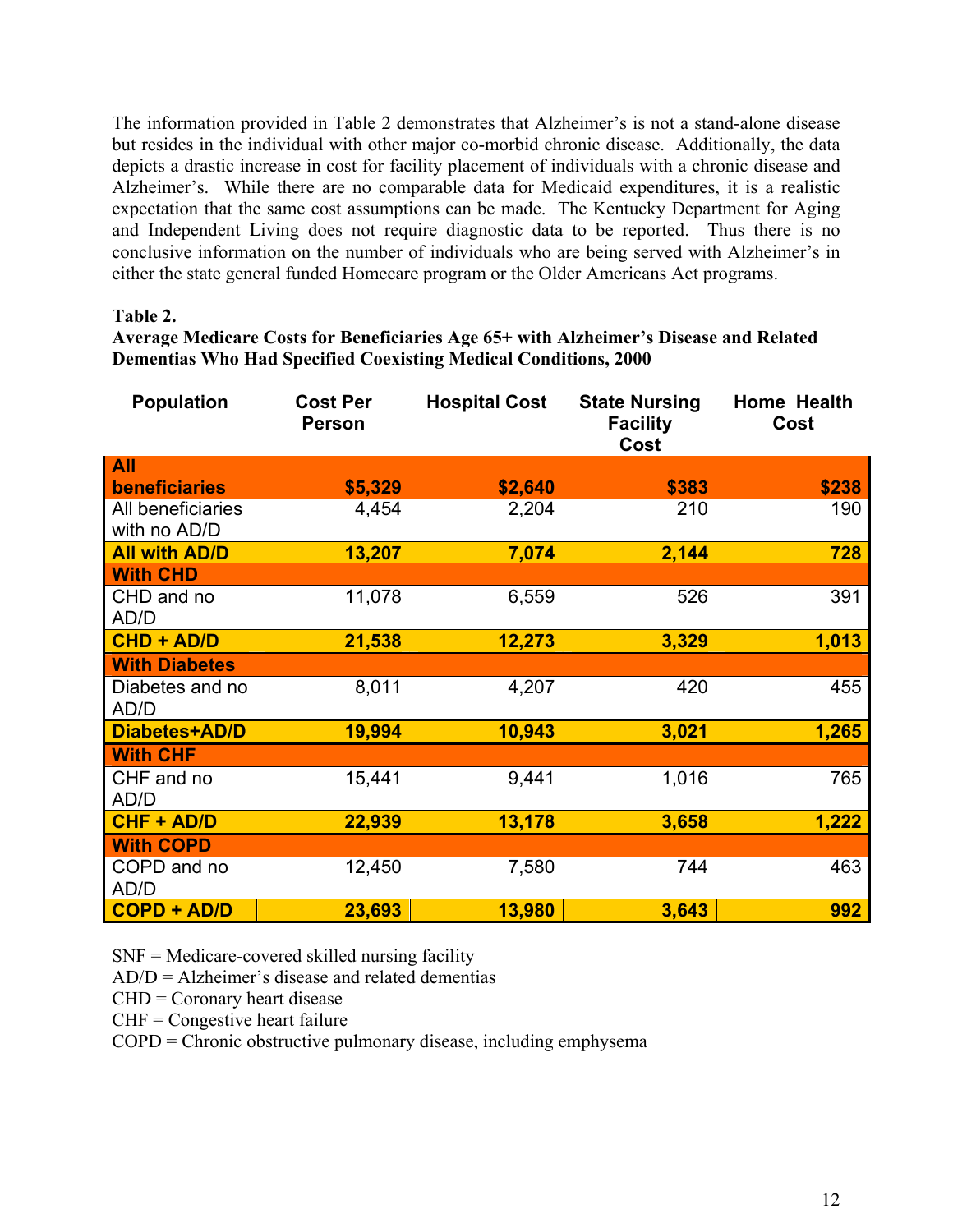The information provided in Table 2 demonstrates that Alzheimer's is not a stand-alone disease but resides in the individual with other major co-morbid chronic disease. Additionally, the data depicts a drastic increase in cost for facility placement of individuals with a chronic disease and Alzheimer's. While there are no comparable data for Medicaid expenditures, it is a realistic expectation that the same cost assumptions can be made. The Kentucky Department for Aging and Independent Living does not require diagnostic data to be reported. Thus there is no conclusive information on the number of individuals who are being served with Alzheimer's in either the state general funded Homecare program or the Older Americans Act programs.

# **Table 2.**

# **Average Medicare Costs for Beneficiaries Age 65+ with Alzheimer's Disease and Related Dementias Who Had Specified Coexisting Medical Conditions, 2000**

| <b>Population</b>                 | <b>Cost Per</b><br><b>Person</b> | <b>Hospital Cost</b> | <b>State Nursing</b><br><b>Facility</b><br>Cost | Home Health<br>Cost |
|-----------------------------------|----------------------------------|----------------------|-------------------------------------------------|---------------------|
| All                               |                                  |                      |                                                 |                     |
| <b>beneficiaries</b>              | \$5,329                          | \$2,640              | \$383                                           | \$238               |
| All beneficiaries<br>with no AD/D | 4,454                            | 2,204                | 210                                             | 190                 |
| <b>All with AD/D</b>              | 13,207                           | 7,074                | 2,144                                           | 728                 |
| <b>With CHD</b>                   |                                  |                      |                                                 |                     |
| CHD and no<br>AD/D                | 11,078                           | 6,559                | 526                                             | 391                 |
| CHD + AD/D                        | 21,538                           | 12,273               | 3,329                                           | 1,013               |
| <b>With Diabetes</b>              |                                  |                      |                                                 |                     |
| Diabetes and no<br>AD/D           | 8,011                            | 4,207                | 420                                             | 455                 |
| Diabetes+AD/D                     | 19,994                           | 10,943               | 3,021                                           | 1,265               |
| <b>With CHF</b>                   |                                  |                      |                                                 |                     |
| CHF and no<br>AD/D                | 15,441                           | 9,441                | 1,016                                           | 765                 |
| <b>CHF + AD/D</b>                 | 22,939                           | 13,178               | 3,658                                           | 1,222               |
| <b>With COPD</b>                  |                                  |                      |                                                 |                     |
| COPD and no<br>AD/D               | 12,450                           | 7,580                | 744                                             | 463                 |
| <b>COPD + AD/D</b>                | 23,693                           | 13,980               | 3,643                                           | 992                 |

 $SNF =$  Medicare-covered skilled nursing facility

 $AD/D = A1$ zheimer's disease and related dementias

 $CHD =$  Coronary heart disease

 $CHF =$ Congestive heart failure

COPD = Chronic obstructive pulmonary disease, including emphysema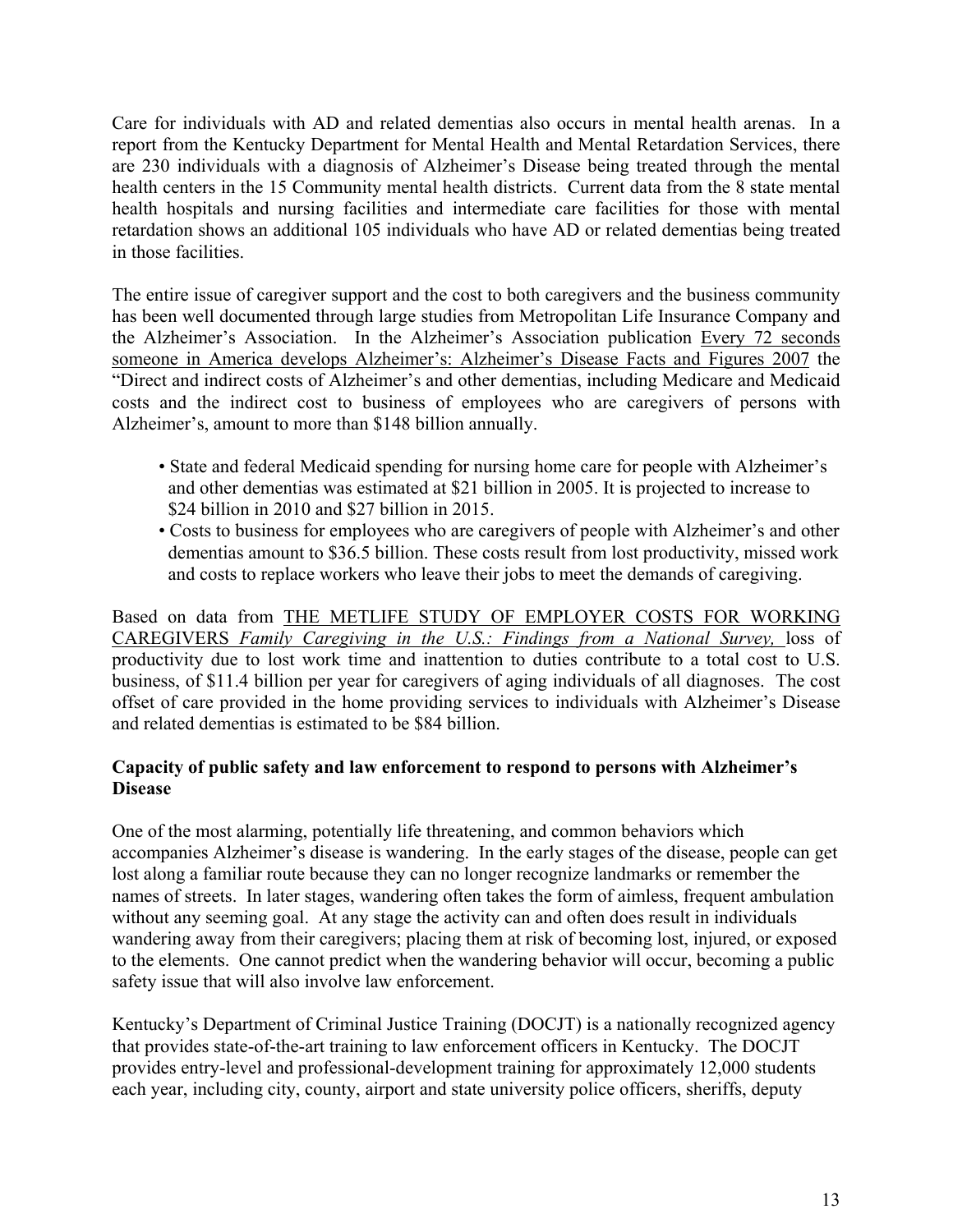Care for individuals with AD and related dementias also occurs in mental health arenas. In a report from the Kentucky Department for Mental Health and Mental Retardation Services, there are 230 individuals with a diagnosis of Alzheimer's Disease being treated through the mental health centers in the 15 Community mental health districts. Current data from the 8 state mental health hospitals and nursing facilities and intermediate care facilities for those with mental retardation shows an additional 105 individuals who have AD or related dementias being treated in those facilities.

The entire issue of caregiver support and the cost to both caregivers and the business community has been well documented through large studies from Metropolitan Life Insurance Company and the Alzheimer's Association. In the Alzheimer's Association publication Every 72 seconds someone in America develops Alzheimer's: Alzheimer's Disease Facts and Figures 2007 the "Direct and indirect costs of Alzheimer's and other dementias, including Medicare and Medicaid costs and the indirect cost to business of employees who are caregivers of persons with Alzheimer's, amount to more than \$148 billion annually.

- State and federal Medicaid spending for nursing home care for people with Alzheimer's and other dementias was estimated at \$21 billion in 2005. It is projected to increase to \$24 billion in 2010 and \$27 billion in 2015.
- Costs to business for employees who are caregivers of people with Alzheimer's and other dementias amount to \$36.5 billion. These costs result from lost productivity, missed work and costs to replace workers who leave their jobs to meet the demands of caregiving.

Based on data from THE METLIFE STUDY OF EMPLOYER COSTS FOR WORKING CAREGIVERS *Family Caregiving in the U.S.: Findings from a National Survey,* loss of productivity due to lost work time and inattention to duties contribute to a total cost to U.S. business, of \$11.4 billion per year for caregivers of aging individuals of all diagnoses. The cost offset of care provided in the home providing services to individuals with Alzheimer's Disease and related dementias is estimated to be \$84 billion.

# **Capacity of public safety and law enforcement to respond to persons with Alzheimer's Disease**

One of the most alarming, potentially life threatening, and common behaviors which accompanies Alzheimer's disease is wandering. In the early stages of the disease, people can get lost along a familiar route because they can no longer recognize landmarks or remember the names of streets. In later stages, wandering often takes the form of aimless, frequent ambulation without any seeming goal. At any stage the activity can and often does result in individuals wandering away from their caregivers; placing them at risk of becoming lost, injured, or exposed to the elements. One cannot predict when the wandering behavior will occur, becoming a public safety issue that will also involve law enforcement.

Kentucky's Department of Criminal Justice Training (DOCJT) is a nationally recognized agency that provides state-of-the-art training to law enforcement officers in Kentucky. The DOCJT provides entry-level and professional-development training for approximately 12,000 students each year, including city, county, airport and state university police officers, sheriffs, deputy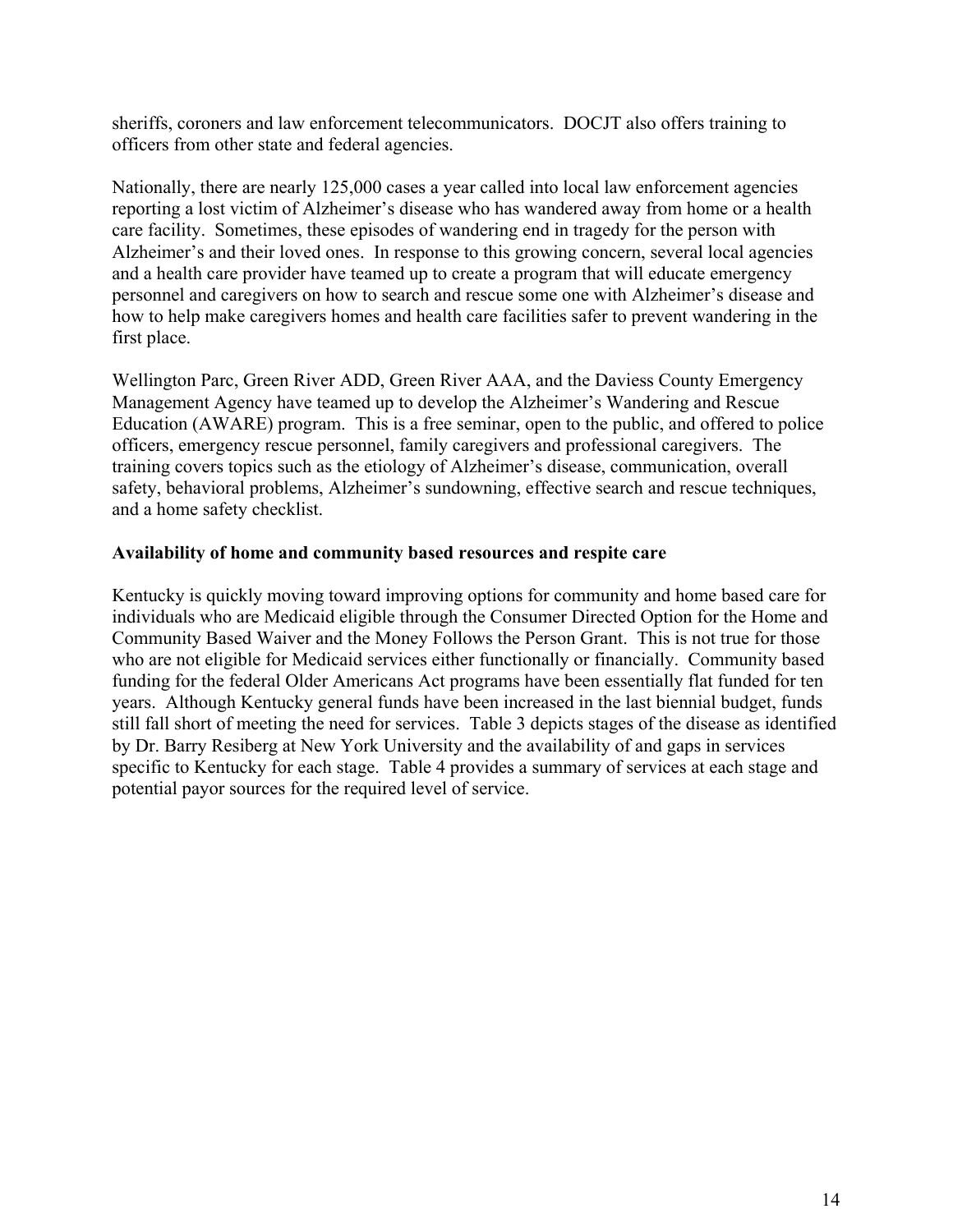sheriffs, coroners and law enforcement telecommunicators. DOCJT also offers training to officers from other state and federal agencies.

Nationally, there are nearly 125,000 cases a year called into local law enforcement agencies reporting a lost victim of Alzheimer's disease who has wandered away from home or a health care facility. Sometimes, these episodes of wandering end in tragedy for the person with Alzheimer's and their loved ones. In response to this growing concern, several local agencies and a health care provider have teamed up to create a program that will educate emergency personnel and caregivers on how to search and rescue some one with Alzheimer's disease and how to help make caregivers homes and health care facilities safer to prevent wandering in the first place.

Wellington Parc, Green River ADD, Green River AAA, and the Daviess County Emergency Management Agency have teamed up to develop the Alzheimer's Wandering and Rescue Education (AWARE) program. This is a free seminar, open to the public, and offered to police officers, emergency rescue personnel, family caregivers and professional caregivers. The training covers topics such as the etiology of Alzheimer's disease, communication, overall safety, behavioral problems, Alzheimer's sundowning, effective search and rescue techniques, and a home safety checklist.

# **Availability of home and community based resources and respite care**

Kentucky is quickly moving toward improving options for community and home based care for individuals who are Medicaid eligible through the Consumer Directed Option for the Home and Community Based Waiver and the Money Follows the Person Grant. This is not true for those who are not eligible for Medicaid services either functionally or financially. Community based funding for the federal Older Americans Act programs have been essentially flat funded for ten years. Although Kentucky general funds have been increased in the last biennial budget, funds still fall short of meeting the need for services. Table 3 depicts stages of the disease as identified by Dr. Barry Resiberg at New York University and the availability of and gaps in services specific to Kentucky for each stage. Table 4 provides a summary of services at each stage and potential payor sources for the required level of service.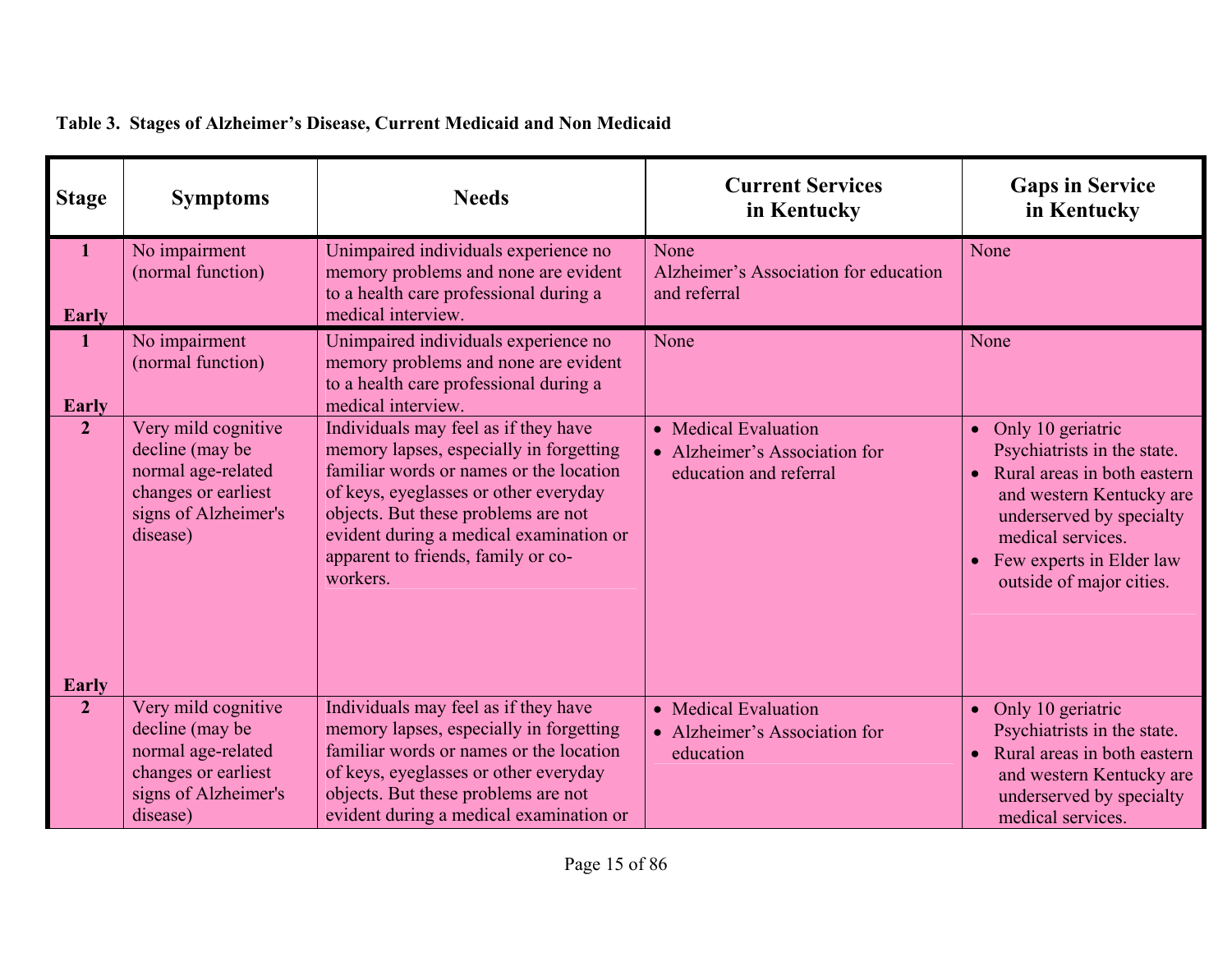| <b>Stage</b>                   | <b>Symptoms</b>                                                                                                          | <b>Needs</b>                                                                                                                                                                                                                                                                                            | <b>Current Services</b><br>in Kentucky                                          | <b>Gaps in Service</b><br>in Kentucky                                                                                                                                                                                                          |
|--------------------------------|--------------------------------------------------------------------------------------------------------------------------|---------------------------------------------------------------------------------------------------------------------------------------------------------------------------------------------------------------------------------------------------------------------------------------------------------|---------------------------------------------------------------------------------|------------------------------------------------------------------------------------------------------------------------------------------------------------------------------------------------------------------------------------------------|
| $\mathbf{1}$<br><b>Early</b>   | No impairment<br>(normal function)                                                                                       | Unimpaired individuals experience no<br>memory problems and none are evident<br>to a health care professional during a<br>medical interview.                                                                                                                                                            | None<br>Alzheimer's Association for education<br>and referral                   | None                                                                                                                                                                                                                                           |
| 1<br><b>Early</b>              | No impairment<br>(normal function)                                                                                       | Unimpaired individuals experience no<br>memory problems and none are evident<br>to a health care professional during a<br>medical interview.                                                                                                                                                            | None                                                                            | None                                                                                                                                                                                                                                           |
| $\overline{2}$<br><b>Early</b> | Very mild cognitive<br>decline (may be)<br>normal age-related<br>changes or earliest<br>signs of Alzheimer's<br>disease) | Individuals may feel as if they have<br>memory lapses, especially in forgetting<br>familiar words or names or the location<br>of keys, eyeglasses or other everyday<br>objects. But these problems are not<br>evident during a medical examination or<br>apparent to friends, family or co-<br>workers. | • Medical Evaluation<br>• Alzheimer's Association for<br>education and referral | Only 10 geriatric<br>$\bullet$<br>Psychiatrists in the state.<br>Rural areas in both eastern<br>$\bullet$<br>and western Kentucky are<br>underserved by specialty<br>medical services.<br>Few experts in Elder law<br>outside of major cities. |
| $\overline{2}$                 | Very mild cognitive<br>decline (may be<br>normal age-related<br>changes or earliest<br>signs of Alzheimer's<br>disease)  | Individuals may feel as if they have<br>memory lapses, especially in forgetting<br>familiar words or names or the location<br>of keys, eyeglasses or other everyday<br>objects. But these problems are not<br>evident during a medical examination or                                                   | • Medical Evaluation<br>• Alzheimer's Association for<br>education              | • Only 10 geriatric<br>Psychiatrists in the state.<br>• Rural areas in both eastern<br>and western Kentucky are<br>underserved by specialty<br>medical services.                                                                               |

# **Table 3. Stages of Alzheimer's Disease, Current Medicaid and Non Medicaid**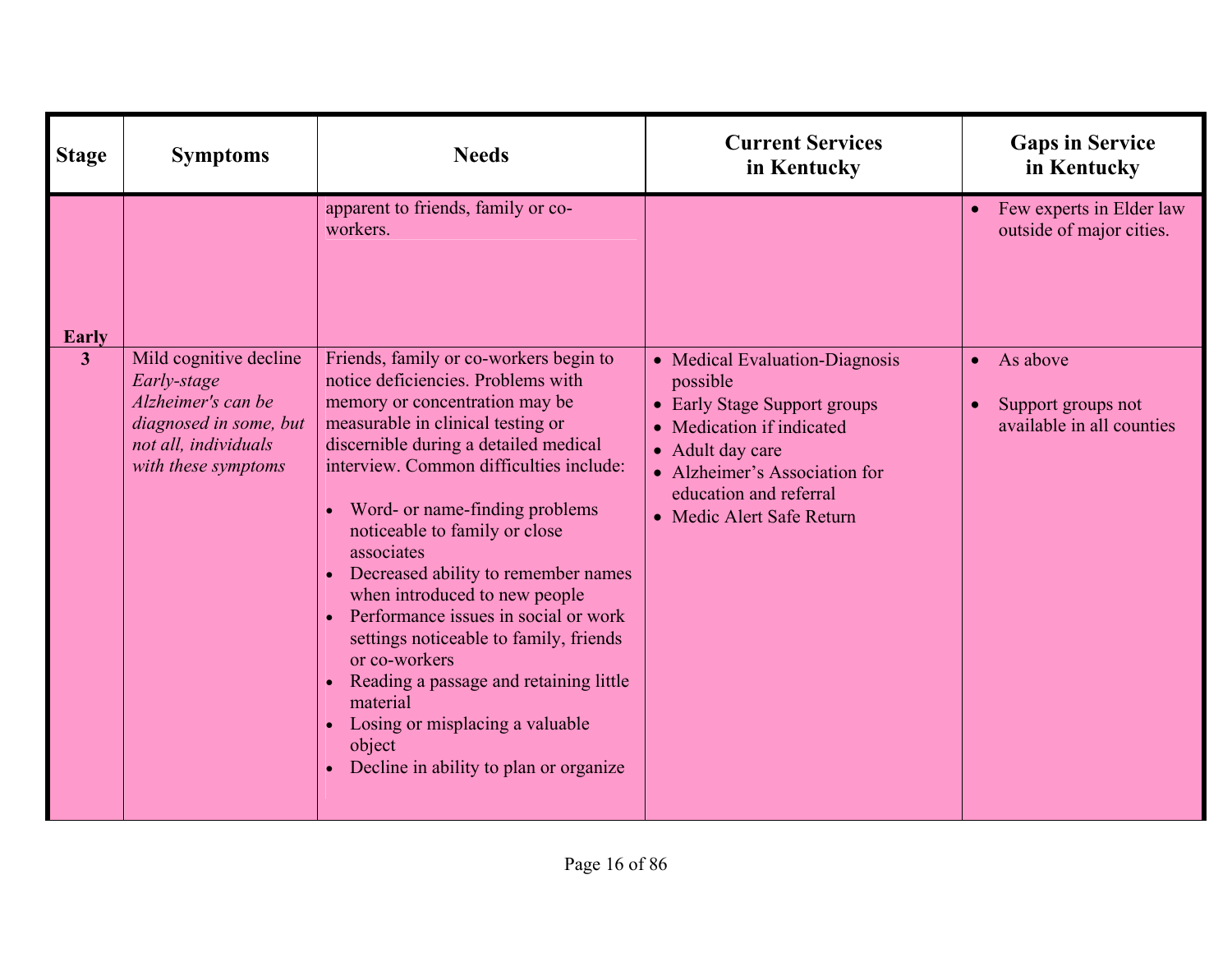| <b>Stage</b>                   | <b>Symptoms</b>                                                                                                                      | <b>Needs</b>                                                                                                                                                                                                                                                                                                                                                                                          | <b>Current Services</b><br>in Kentucky                                                                                                                       | <b>Gaps in Service</b><br>in Kentucky                                                                                                         |
|--------------------------------|--------------------------------------------------------------------------------------------------------------------------------------|-------------------------------------------------------------------------------------------------------------------------------------------------------------------------------------------------------------------------------------------------------------------------------------------------------------------------------------------------------------------------------------------------------|--------------------------------------------------------------------------------------------------------------------------------------------------------------|-----------------------------------------------------------------------------------------------------------------------------------------------|
| <b>Early</b><br>3 <sup>1</sup> | Mild cognitive decline<br>Early-stage<br>Alzheimer's can be<br>diagnosed in some, but<br>not all, individuals<br>with these symptoms | apparent to friends, family or co-<br>workers.<br>Friends, family or co-workers begin to<br>notice deficiencies. Problems with<br>memory or concentration may be<br>measurable in clinical testing or<br>discernible during a detailed medical<br>interview. Common difficulties include:                                                                                                             | • Medical Evaluation-Diagnosis<br>possible<br>• Early Stage Support groups<br>• Medication if indicated<br>• Adult day care<br>• Alzheimer's Association for | Few experts in Elder law<br>outside of major cities.<br>As above<br>$\bullet$<br>Support groups not<br>$\bullet$<br>available in all counties |
|                                |                                                                                                                                      | Word- or name-finding problems<br>noticeable to family or close<br>associates<br>Decreased ability to remember names<br>when introduced to new people<br>Performance issues in social or work<br>settings noticeable to family, friends<br>or co-workers<br>Reading a passage and retaining little<br>material<br>Losing or misplacing a valuable<br>object<br>Decline in ability to plan or organize | education and referral<br>• Medic Alert Safe Return                                                                                                          |                                                                                                                                               |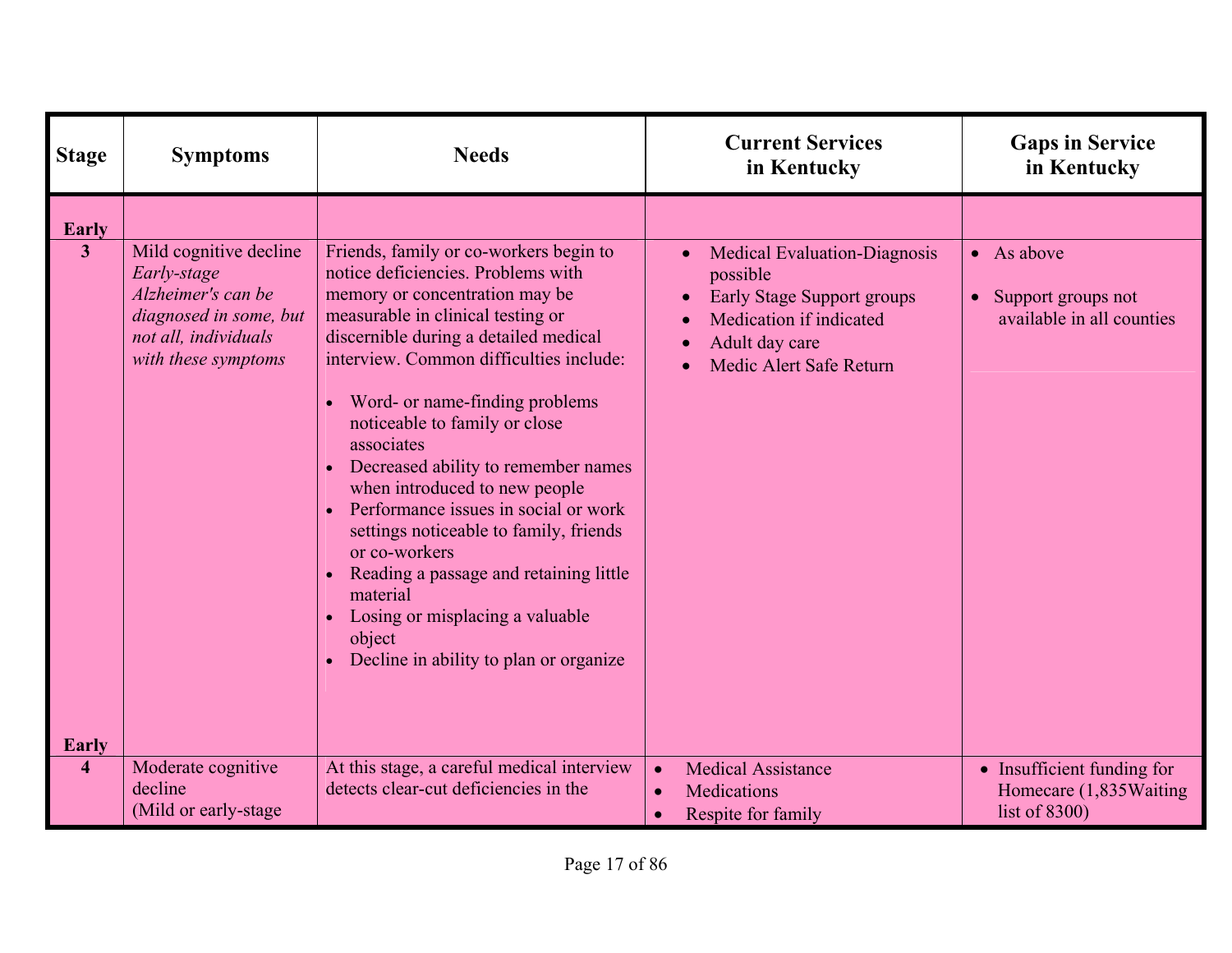| <b>Stage</b>                                   | <b>Symptoms</b>                                                                                                                      | <b>Needs</b>                                                                                                                                                                                                                                                                                                                                                                                                                                                                                                                                                                                                                                                               | <b>Current Services</b><br>in Kentucky                                                                                                                       | <b>Gaps in Service</b><br>in Kentucky                                      |
|------------------------------------------------|--------------------------------------------------------------------------------------------------------------------------------------|----------------------------------------------------------------------------------------------------------------------------------------------------------------------------------------------------------------------------------------------------------------------------------------------------------------------------------------------------------------------------------------------------------------------------------------------------------------------------------------------------------------------------------------------------------------------------------------------------------------------------------------------------------------------------|--------------------------------------------------------------------------------------------------------------------------------------------------------------|----------------------------------------------------------------------------|
| <b>Early</b><br>3 <sup>1</sup><br><b>Early</b> | Mild cognitive decline<br>Early-stage<br>Alzheimer's can be<br>diagnosed in some, but<br>not all, individuals<br>with these symptoms | Friends, family or co-workers begin to<br>notice deficiencies. Problems with<br>memory or concentration may be<br>measurable in clinical testing or<br>discernible during a detailed medical<br>interview. Common difficulties include:<br>Word- or name-finding problems<br>$\bullet$<br>noticeable to family or close<br>associates<br>Decreased ability to remember names<br>when introduced to new people<br>Performance issues in social or work<br>$\bullet$<br>settings noticeable to family, friends<br>or co-workers<br>Reading a passage and retaining little<br>material<br>Losing or misplacing a valuable<br>object<br>Decline in ability to plan or organize | <b>Medical Evaluation-Diagnosis</b><br>possible<br><b>Early Stage Support groups</b><br>Medication if indicated<br>Adult day care<br>Medic Alert Safe Return | • As above<br>• Support groups not<br>available in all counties            |
| 4                                              | Moderate cognitive<br>decline<br>(Mild or early-stage                                                                                | At this stage, a careful medical interview<br>detects clear-cut deficiencies in the                                                                                                                                                                                                                                                                                                                                                                                                                                                                                                                                                                                        | <b>Medical Assistance</b><br>$\bullet$<br>Medications<br>$\bullet$<br>Respite for family                                                                     | • Insufficient funding for<br>Homecare (1,835 Waiting)<br>list of $8300$ ) |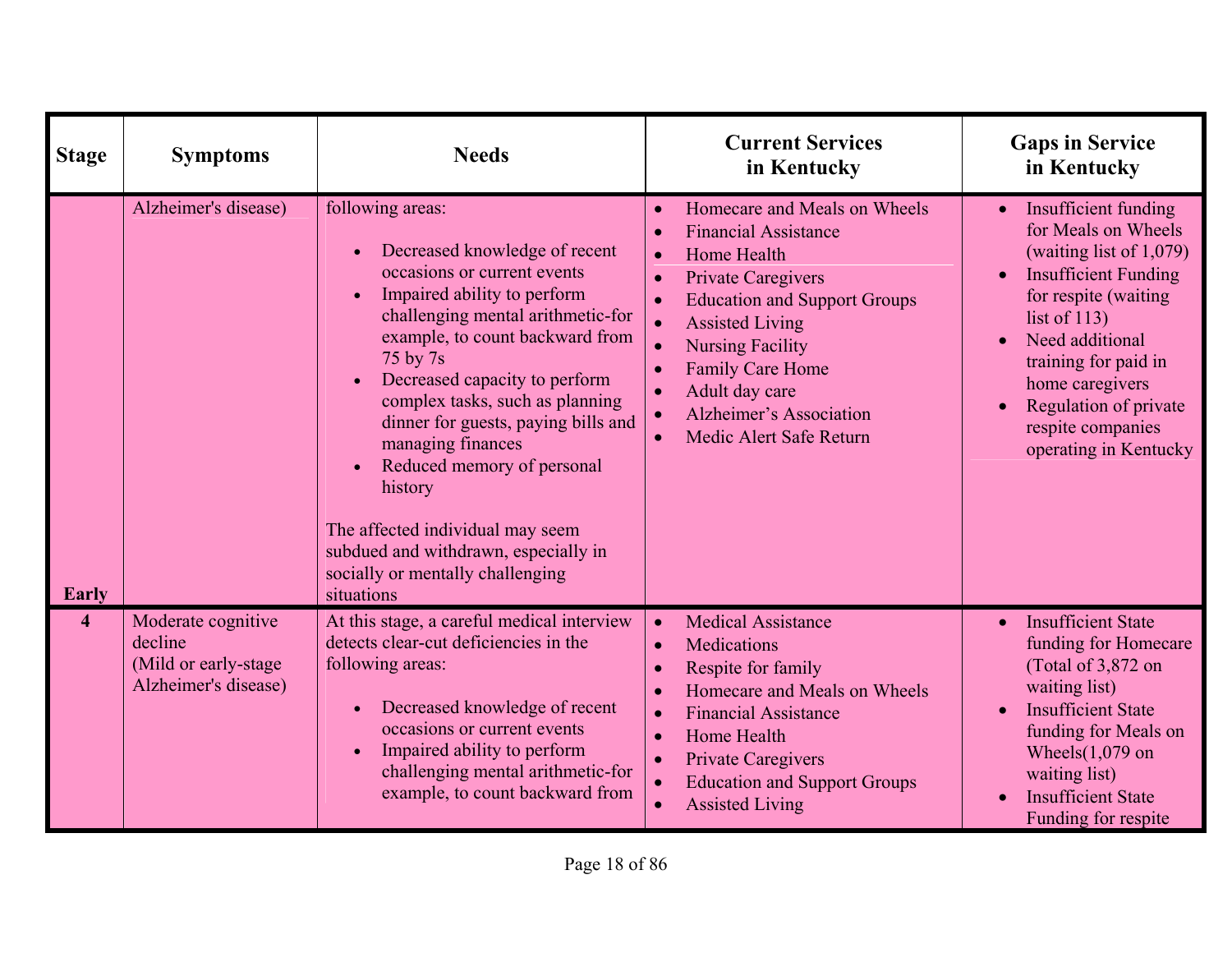| <b>Stage</b> | <b>Symptoms</b>                                                               | <b>Needs</b>                                                                                                                                                                                                                                                                                                                                                                                                                                                                                                            | <b>Current Services</b><br>in Kentucky                                                                                                                                                                                                                                                                                                               | <b>Gaps in Service</b><br>in Kentucky                                                                                                                                                                                                                                                                 |
|--------------|-------------------------------------------------------------------------------|-------------------------------------------------------------------------------------------------------------------------------------------------------------------------------------------------------------------------------------------------------------------------------------------------------------------------------------------------------------------------------------------------------------------------------------------------------------------------------------------------------------------------|------------------------------------------------------------------------------------------------------------------------------------------------------------------------------------------------------------------------------------------------------------------------------------------------------------------------------------------------------|-------------------------------------------------------------------------------------------------------------------------------------------------------------------------------------------------------------------------------------------------------------------------------------------------------|
| <b>Early</b> | Alzheimer's disease)                                                          | following areas:<br>Decreased knowledge of recent<br>occasions or current events<br>Impaired ability to perform<br>$\bullet$<br>challenging mental arithmetic-for<br>example, to count backward from<br>75 by 7s<br>Decreased capacity to perform<br>complex tasks, such as planning<br>dinner for guests, paying bills and<br>managing finances<br>Reduced memory of personal<br>history<br>The affected individual may seem<br>subdued and withdrawn, especially in<br>socially or mentally challenging<br>situations | Homecare and Meals on Wheels<br>$\bullet$<br><b>Financial Assistance</b><br>Home Health<br><b>Private Caregivers</b><br>$\bullet$<br><b>Education and Support Groups</b><br><b>Assisted Living</b><br><b>Nursing Facility</b><br><b>Family Care Home</b><br>$\bullet$<br>Adult day care<br><b>Alzheimer's Association</b><br>Medic Alert Safe Return | Insufficient funding<br>$\bullet$<br>for Meals on Wheels<br>(waiting list of $1,079$ )<br><b>Insufficient Funding</b><br>for respite (waiting<br>list of $113$ )<br>Need additional<br>training for paid in<br>home caregivers<br>Regulation of private<br>respite companies<br>operating in Kentucky |
| 4            | Moderate cognitive<br>decline<br>(Mild or early-stage<br>Alzheimer's disease) | At this stage, a careful medical interview<br>detects clear-cut deficiencies in the<br>following areas:<br>Decreased knowledge of recent<br>occasions or current events<br>Impaired ability to perform<br>challenging mental arithmetic-for<br>example, to count backward from                                                                                                                                                                                                                                          | <b>Medical Assistance</b><br>$\bullet$<br>Medications<br>Respite for family<br>$\bullet$<br>Homecare and Meals on Wheels<br><b>Financial Assistance</b><br><b>Home Health</b><br>$\bullet$<br>Private Caregivers<br><b>Education and Support Groups</b><br><b>Assisted Living</b>                                                                    | <b>Insufficient State</b><br>$\bullet$<br>funding for Homecare<br>(Total of 3,872 on<br>waiting list)<br><b>Insufficient State</b><br>funding for Meals on<br>Wheels $(1,079$ on<br>waiting list)<br><b>Insufficient State</b><br>Funding for respite                                                 |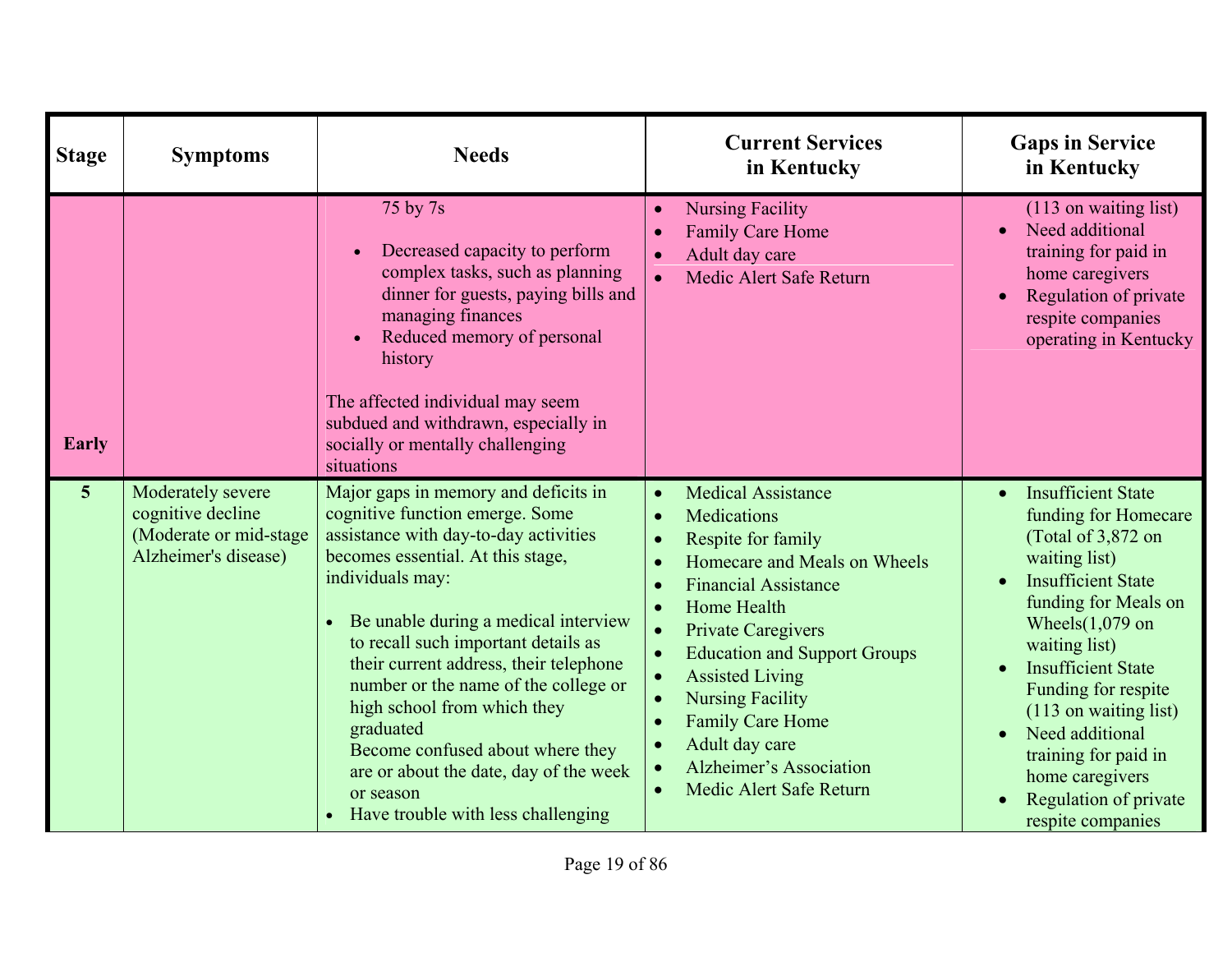| <b>Stage</b>   | <b>Symptoms</b>                                                                          | <b>Needs</b>                                                                                                                                                                                                                                                                                                                                                                                                                                                                                                                         | <b>Current Services</b><br>in Kentucky                                                                                                                                                                                                                                                                                                                                                                                                                                                                                                                         | <b>Gaps in Service</b><br>in Kentucky                                                                                                                                                                                                                                                                                                                                                             |
|----------------|------------------------------------------------------------------------------------------|--------------------------------------------------------------------------------------------------------------------------------------------------------------------------------------------------------------------------------------------------------------------------------------------------------------------------------------------------------------------------------------------------------------------------------------------------------------------------------------------------------------------------------------|----------------------------------------------------------------------------------------------------------------------------------------------------------------------------------------------------------------------------------------------------------------------------------------------------------------------------------------------------------------------------------------------------------------------------------------------------------------------------------------------------------------------------------------------------------------|---------------------------------------------------------------------------------------------------------------------------------------------------------------------------------------------------------------------------------------------------------------------------------------------------------------------------------------------------------------------------------------------------|
| <b>Early</b>   |                                                                                          | 75 by 7s<br>Decreased capacity to perform<br>complex tasks, such as planning<br>dinner for guests, paying bills and<br>managing finances<br>Reduced memory of personal<br>history<br>The affected individual may seem<br>subdued and withdrawn, especially in<br>socially or mentally challenging<br>situations                                                                                                                                                                                                                      | <b>Nursing Facility</b><br>$\bullet$<br>Family Care Home<br>Adult day care<br>$\bullet$<br>Medic Alert Safe Return                                                                                                                                                                                                                                                                                                                                                                                                                                             | $(113$ on waiting list)<br>Need additional<br>training for paid in<br>home caregivers<br>Regulation of private<br>respite companies<br>operating in Kentucky                                                                                                                                                                                                                                      |
| 5 <sup>5</sup> | Moderately severe<br>cognitive decline<br>(Moderate or mid-stage<br>Alzheimer's disease) | Major gaps in memory and deficits in<br>cognitive function emerge. Some<br>assistance with day-to-day activities<br>becomes essential. At this stage,<br>individuals may:<br>Be unable during a medical interview<br>to recall such important details as<br>their current address, their telephone<br>number or the name of the college or<br>high school from which they<br>graduated<br>Become confused about where they<br>are or about the date, day of the week<br>or season<br>Have trouble with less challenging<br>$\bullet$ | <b>Medical Assistance</b><br>$\bullet$<br>Medications<br>$\bullet$<br>Respite for family<br>$\bullet$<br>Homecare and Meals on Wheels<br>$\bullet$<br><b>Financial Assistance</b><br>$\bullet$<br>Home Health<br>$\bullet$<br><b>Private Caregivers</b><br>$\bullet$<br><b>Education and Support Groups</b><br>$\bullet$<br><b>Assisted Living</b><br>$\bullet$<br><b>Nursing Facility</b><br>$\bullet$<br>Family Care Home<br>$\bullet$<br>Adult day care<br>$\bullet$<br><b>Alzheimer's Association</b><br>$\bullet$<br>Medic Alert Safe Return<br>$\bullet$ | <b>Insufficient State</b><br>$\bullet$<br>funding for Homecare<br>(Total of 3,872 on<br>waiting list)<br><b>Insufficient State</b><br>funding for Meals on<br>Wheels $(1,079$ on<br>waiting list)<br><b>Insufficient State</b><br>Funding for respite<br>(113 on waiting list)<br>Need additional<br>training for paid in<br>home caregivers<br><b>Regulation of private</b><br>respite companies |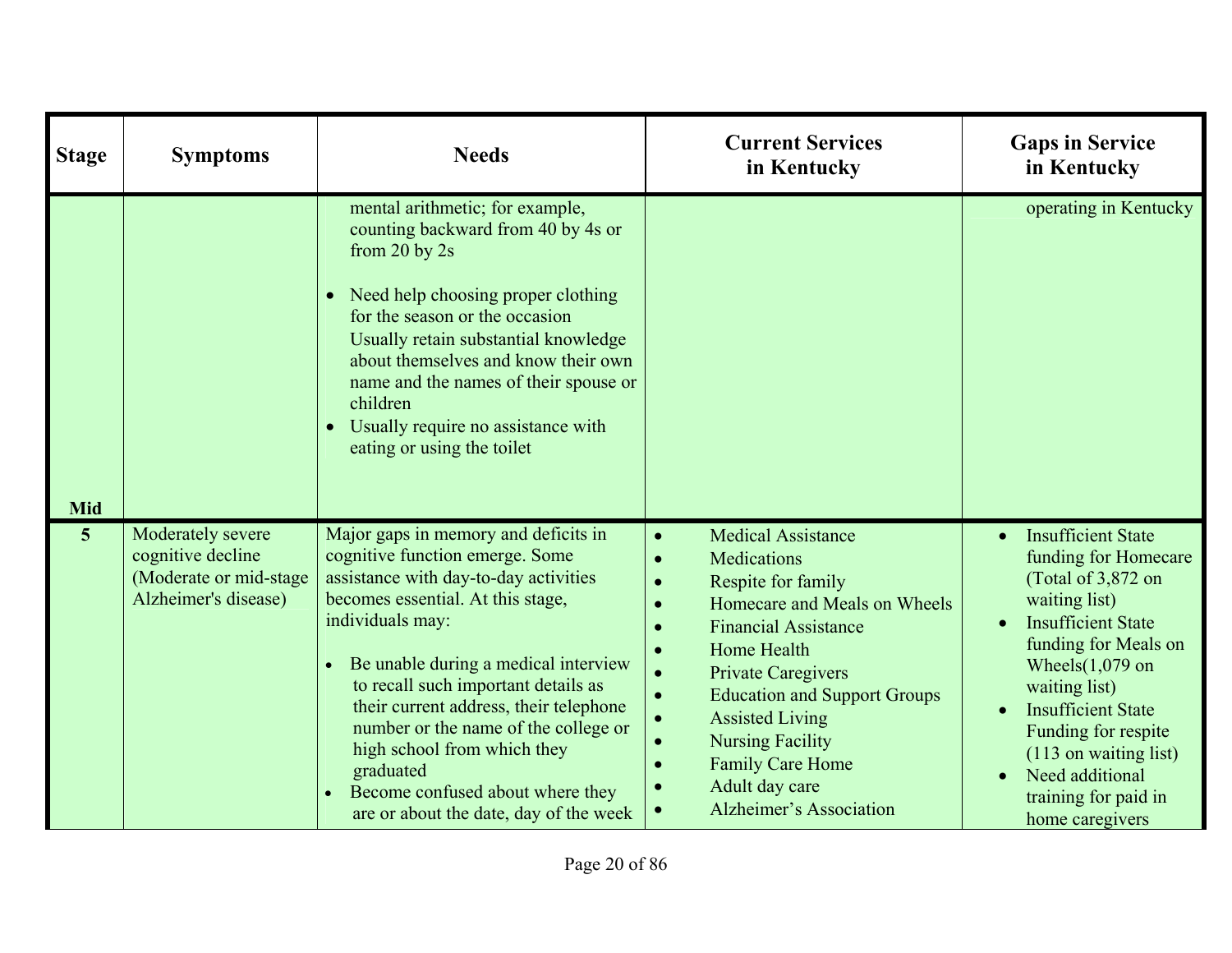| <b>Stage</b>   | <b>Symptoms</b>                                                                           | <b>Needs</b>                                                                                                                                                                                                                                                                                                                                                                                                                                                         | <b>Current Services</b><br>in Kentucky                                                                                                                                                                                                                                                                                                                                                                                             | <b>Gaps in Service</b><br>in Kentucky                                                                                                                                                                                                                                                                                            |
|----------------|-------------------------------------------------------------------------------------------|----------------------------------------------------------------------------------------------------------------------------------------------------------------------------------------------------------------------------------------------------------------------------------------------------------------------------------------------------------------------------------------------------------------------------------------------------------------------|------------------------------------------------------------------------------------------------------------------------------------------------------------------------------------------------------------------------------------------------------------------------------------------------------------------------------------------------------------------------------------------------------------------------------------|----------------------------------------------------------------------------------------------------------------------------------------------------------------------------------------------------------------------------------------------------------------------------------------------------------------------------------|
| <b>Mid</b>     |                                                                                           | mental arithmetic; for example,<br>counting backward from 40 by 4s or<br>from $20$ by $2s$<br>Need help choosing proper clothing<br>$\bullet$<br>for the season or the occasion<br>Usually retain substantial knowledge<br>about themselves and know their own<br>name and the names of their spouse or<br>children<br>Usually require no assistance with<br>$\bullet$<br>eating or using the toilet                                                                 |                                                                                                                                                                                                                                                                                                                                                                                                                                    | operating in Kentucky                                                                                                                                                                                                                                                                                                            |
| $\overline{5}$ | Moderately severe<br>cognitive decline<br>(Moderate or mid-stage)<br>Alzheimer's disease) | Major gaps in memory and deficits in<br>cognitive function emerge. Some<br>assistance with day-to-day activities<br>becomes essential. At this stage,<br>individuals may:<br>Be unable during a medical interview<br>to recall such important details as<br>their current address, their telephone<br>number or the name of the college or<br>high school from which they<br>graduated<br>Become confused about where they<br>are or about the date, day of the week | <b>Medical Assistance</b><br>$\bullet$<br>Medications<br>Respite for family<br>Homecare and Meals on Wheels<br><b>Financial Assistance</b><br>Home Health<br><b>Private Caregivers</b><br>$\bullet$<br><b>Education and Support Groups</b><br>$\bullet$<br><b>Assisted Living</b><br>$\bullet$<br><b>Nursing Facility</b><br>$\bullet$<br><b>Family Care Home</b><br>Adult day care<br><b>Alzheimer's Association</b><br>$\bullet$ | <b>Insufficient State</b><br>funding for Homecare<br>(Total of 3,872 on<br>waiting list)<br><b>Insufficient State</b><br>funding for Meals on<br>Wheels $(1,079)$ on<br>waiting list)<br><b>Insufficient State</b><br>Funding for respite<br>(113 on waiting list)<br>Need additional<br>training for paid in<br>home caregivers |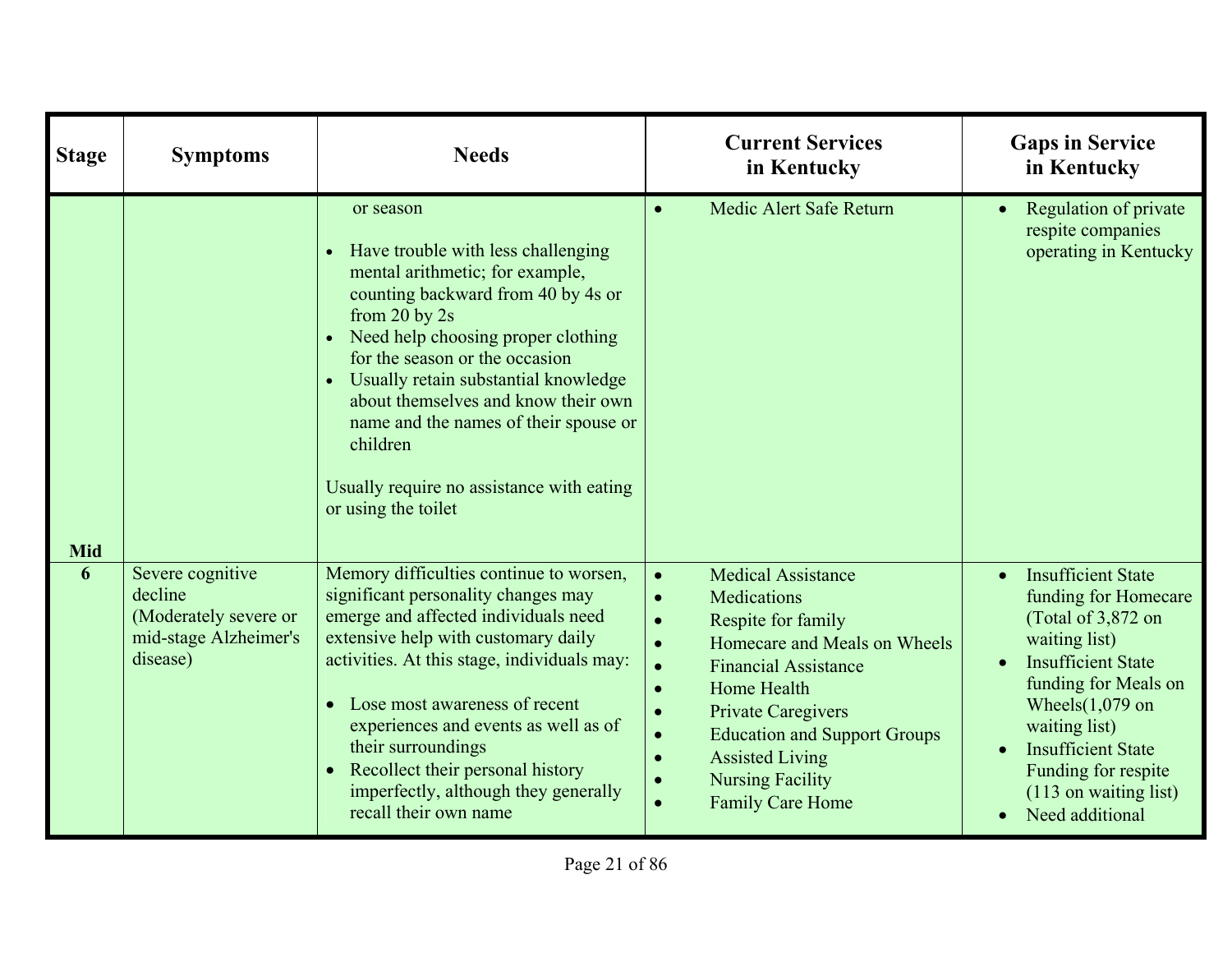| <b>Stage</b> | <b>Symptoms</b>                                                                           | <b>Needs</b>                                                                                                                                                                                                                                                                                                                                                                                                                  | <b>Current Services</b><br>in Kentucky                                                                                                                                                                                                                                                                                                                                                                                             | <b>Gaps in Service</b><br>in Kentucky                                                                                                                                                                                                                                                             |
|--------------|-------------------------------------------------------------------------------------------|-------------------------------------------------------------------------------------------------------------------------------------------------------------------------------------------------------------------------------------------------------------------------------------------------------------------------------------------------------------------------------------------------------------------------------|------------------------------------------------------------------------------------------------------------------------------------------------------------------------------------------------------------------------------------------------------------------------------------------------------------------------------------------------------------------------------------------------------------------------------------|---------------------------------------------------------------------------------------------------------------------------------------------------------------------------------------------------------------------------------------------------------------------------------------------------|
| <b>Mid</b>   |                                                                                           | or season<br>Have trouble with less challenging<br>mental arithmetic; for example,<br>counting backward from 40 by 4s or<br>from $20$ by $2s$<br>Need help choosing proper clothing<br>for the season or the occasion<br>Usually retain substantial knowledge<br>about themselves and know their own<br>name and the names of their spouse or<br>children<br>Usually require no assistance with eating<br>or using the toilet | Medic Alert Safe Return<br>$\bullet$                                                                                                                                                                                                                                                                                                                                                                                               | Regulation of private<br>$\bullet$<br>respite companies<br>operating in Kentucky                                                                                                                                                                                                                  |
| 6            | Severe cognitive<br>decline<br>(Moderately severe or<br>mid-stage Alzheimer's<br>disease) | Memory difficulties continue to worsen,<br>significant personality changes may<br>emerge and affected individuals need<br>extensive help with customary daily<br>activities. At this stage, individuals may:<br>Lose most awareness of recent<br>$\bullet$<br>experiences and events as well as of<br>their surroundings<br>Recollect their personal history<br>imperfectly, although they generally<br>recall their own name | <b>Medical Assistance</b><br>$\bullet$<br>Medications<br>$\bullet$<br>Respite for family<br>$\bullet$<br>Homecare and Meals on Wheels<br>$\bullet$<br><b>Financial Assistance</b><br>$\bullet$<br>Home Health<br>$\bullet$<br><b>Private Caregivers</b><br>$\bullet$<br><b>Education and Support Groups</b><br>$\bullet$<br><b>Assisted Living</b><br>$\bullet$<br><b>Nursing Facility</b><br><b>Family Care Home</b><br>$\bullet$ | <b>Insufficient State</b><br>$\bullet$<br>funding for Homecare<br>(Total of 3,872 on<br>waiting list)<br><b>Insufficient State</b><br>funding for Meals on<br>Wheels $(1,079$ on<br>waiting list)<br><b>Insufficient State</b><br>Funding for respite<br>(113 on waiting list)<br>Need additional |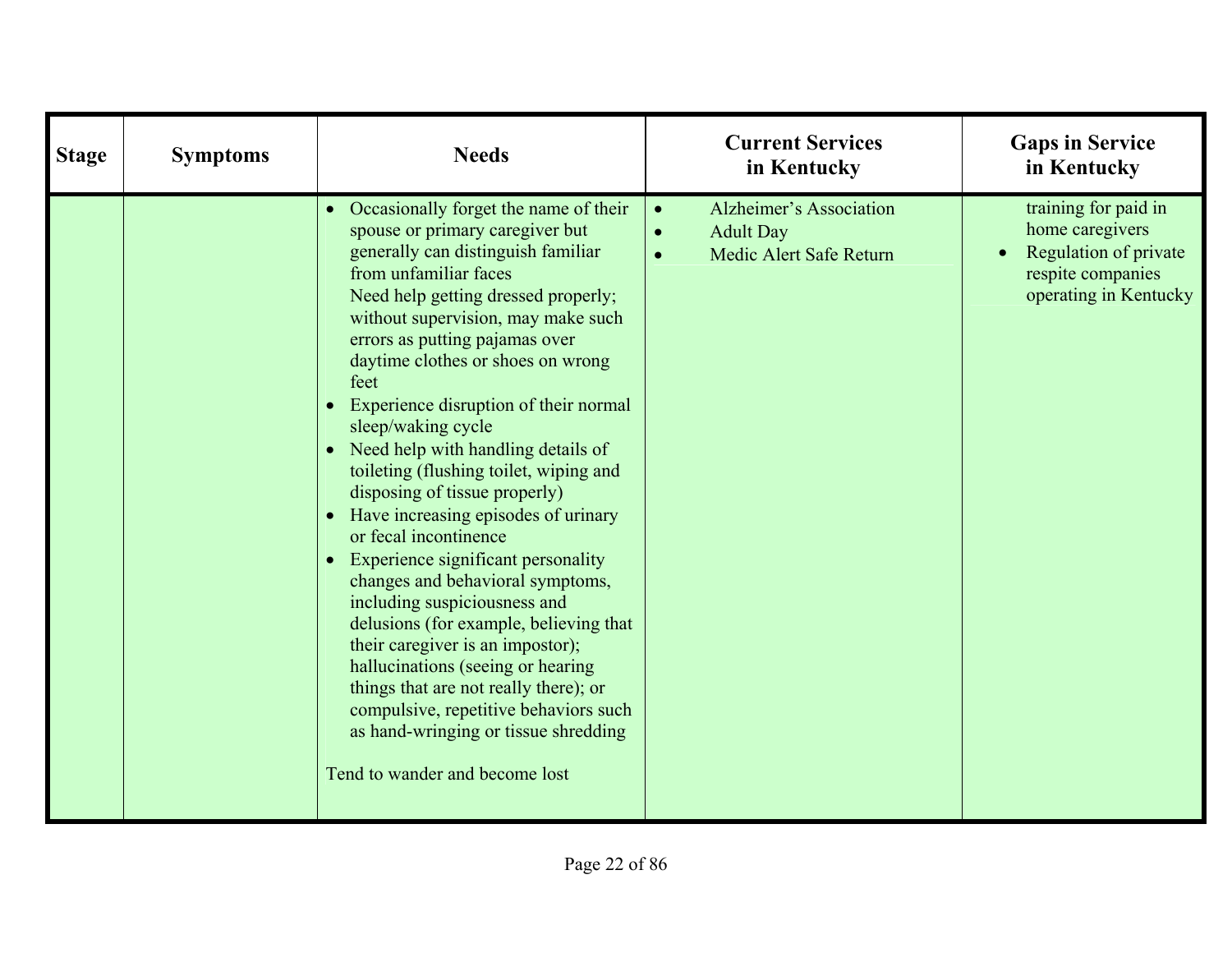| <b>Stage</b> | <b>Symptoms</b> | <b>Needs</b>                                                                                                                                                                                                                                                                                                                                                                                                                                                                                                                                                                                                                                                                                                                                                                                                                                                                                                                                 | <b>Current Services</b><br>in Kentucky                                                     | <b>Gaps in Service</b><br>in Kentucky                                                                          |
|--------------|-----------------|----------------------------------------------------------------------------------------------------------------------------------------------------------------------------------------------------------------------------------------------------------------------------------------------------------------------------------------------------------------------------------------------------------------------------------------------------------------------------------------------------------------------------------------------------------------------------------------------------------------------------------------------------------------------------------------------------------------------------------------------------------------------------------------------------------------------------------------------------------------------------------------------------------------------------------------------|--------------------------------------------------------------------------------------------|----------------------------------------------------------------------------------------------------------------|
|              |                 | Occasionally forget the name of their<br>spouse or primary caregiver but<br>generally can distinguish familiar<br>from unfamiliar faces<br>Need help getting dressed properly;<br>without supervision, may make such<br>errors as putting pajamas over<br>daytime clothes or shoes on wrong<br>feet<br>Experience disruption of their normal<br>sleep/waking cycle<br>Need help with handling details of<br>toileting (flushing toilet, wiping and<br>disposing of tissue properly)<br>Have increasing episodes of urinary<br>or fecal incontinence<br>Experience significant personality<br>changes and behavioral symptoms,<br>including suspiciousness and<br>delusions (for example, believing that<br>their caregiver is an impostor);<br>hallucinations (seeing or hearing<br>things that are not really there); or<br>compulsive, repetitive behaviors such<br>as hand-wringing or tissue shredding<br>Tend to wander and become lost | <b>Alzheimer's Association</b><br><b>Adult Day</b><br>Medic Alert Safe Return<br>$\bullet$ | training for paid in<br>home caregivers<br>Regulation of private<br>respite companies<br>operating in Kentucky |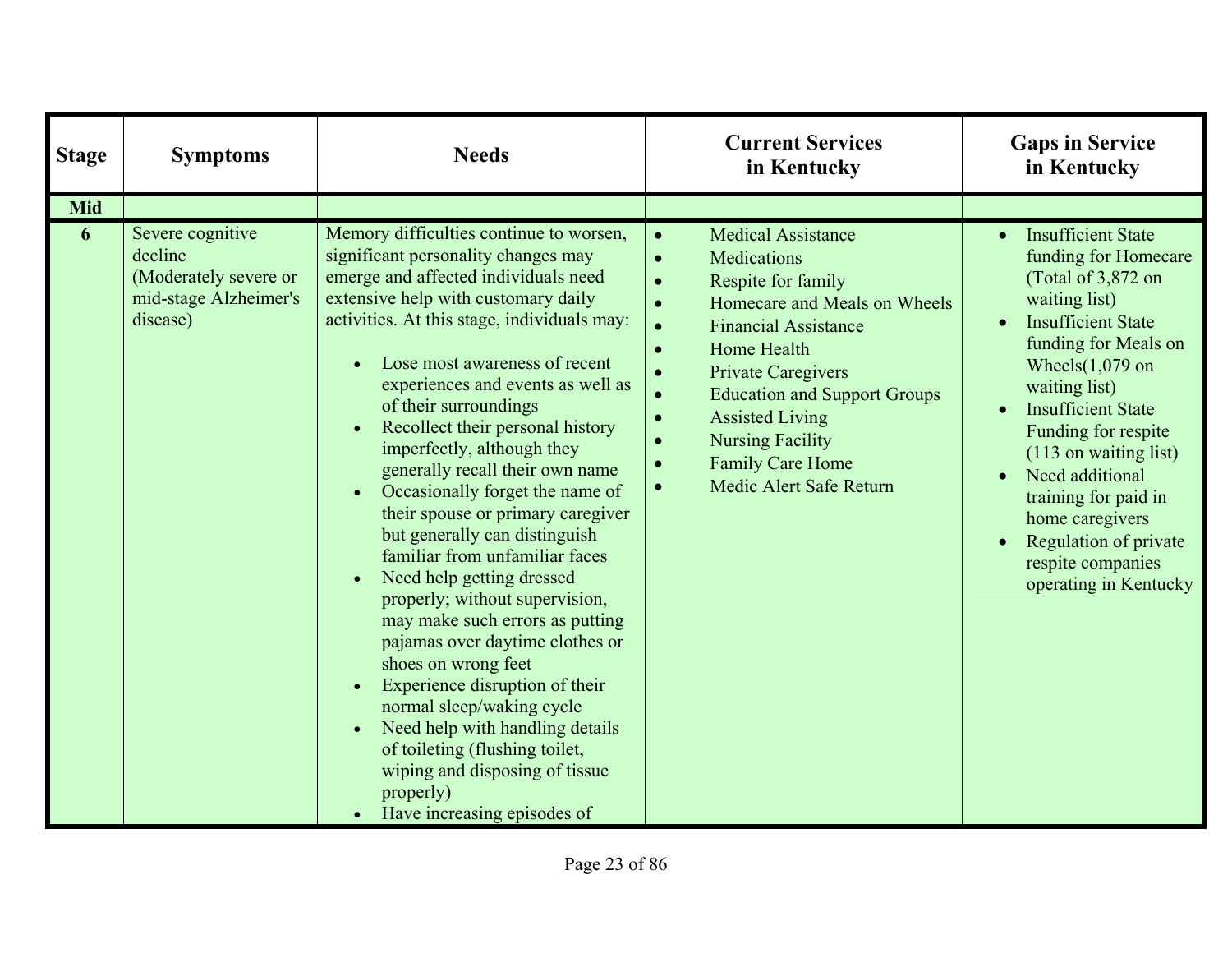| <b>Stage</b> | <b>Symptoms</b>                                                                           | <b>Needs</b>                                                                                                                                                                                                                                                                                                                                                                                                                                                                                                                                                                                                                                                                                                                                                                                                                                                                                                                              | <b>Current Services</b><br>in Kentucky                                                                                                                                                                                                                                                                                                                                          | <b>Gaps in Service</b><br>in Kentucky                                                                                                                                                                                                                                                                                                                                                                  |
|--------------|-------------------------------------------------------------------------------------------|-------------------------------------------------------------------------------------------------------------------------------------------------------------------------------------------------------------------------------------------------------------------------------------------------------------------------------------------------------------------------------------------------------------------------------------------------------------------------------------------------------------------------------------------------------------------------------------------------------------------------------------------------------------------------------------------------------------------------------------------------------------------------------------------------------------------------------------------------------------------------------------------------------------------------------------------|---------------------------------------------------------------------------------------------------------------------------------------------------------------------------------------------------------------------------------------------------------------------------------------------------------------------------------------------------------------------------------|--------------------------------------------------------------------------------------------------------------------------------------------------------------------------------------------------------------------------------------------------------------------------------------------------------------------------------------------------------------------------------------------------------|
| <b>Mid</b>   |                                                                                           |                                                                                                                                                                                                                                                                                                                                                                                                                                                                                                                                                                                                                                                                                                                                                                                                                                                                                                                                           |                                                                                                                                                                                                                                                                                                                                                                                 |                                                                                                                                                                                                                                                                                                                                                                                                        |
| 6            | Severe cognitive<br>decline<br>(Moderately severe or<br>mid-stage Alzheimer's<br>disease) | Memory difficulties continue to worsen,<br>significant personality changes may<br>emerge and affected individuals need<br>extensive help with customary daily<br>activities. At this stage, individuals may:<br>Lose most awareness of recent<br>experiences and events as well as<br>of their surroundings<br>Recollect their personal history<br>imperfectly, although they<br>generally recall their own name<br>Occasionally forget the name of<br>their spouse or primary caregiver<br>but generally can distinguish<br>familiar from unfamiliar faces<br>Need help getting dressed<br>properly; without supervision,<br>may make such errors as putting<br>pajamas over daytime clothes or<br>shoes on wrong feet<br>Experience disruption of their<br>normal sleep/waking cycle<br>Need help with handling details<br>of toileting (flushing toilet,<br>wiping and disposing of tissue<br>properly)<br>Have increasing episodes of | <b>Medical Assistance</b><br>$\bullet$<br>Medications<br>$\bullet$<br>Respite for family<br>Homecare and Meals on Wheels<br>$\bullet$<br><b>Financial Assistance</b><br>$\bullet$<br>Home Health<br><b>Private Caregivers</b><br><b>Education and Support Groups</b><br><b>Assisted Living</b><br><b>Nursing Facility</b><br><b>Family Care Home</b><br>Medic Alert Safe Return | <b>Insufficient State</b><br>funding for Homecare<br>(Total of 3,872 on<br>waiting list)<br><b>Insufficient State</b><br>funding for Meals on<br>Wheels $(1,079$ on<br>waiting list)<br><b>Insufficient State</b><br>Funding for respite<br>(113 on waiting list)<br>Need additional<br>training for paid in<br>home caregivers<br>Regulation of private<br>respite companies<br>operating in Kentucky |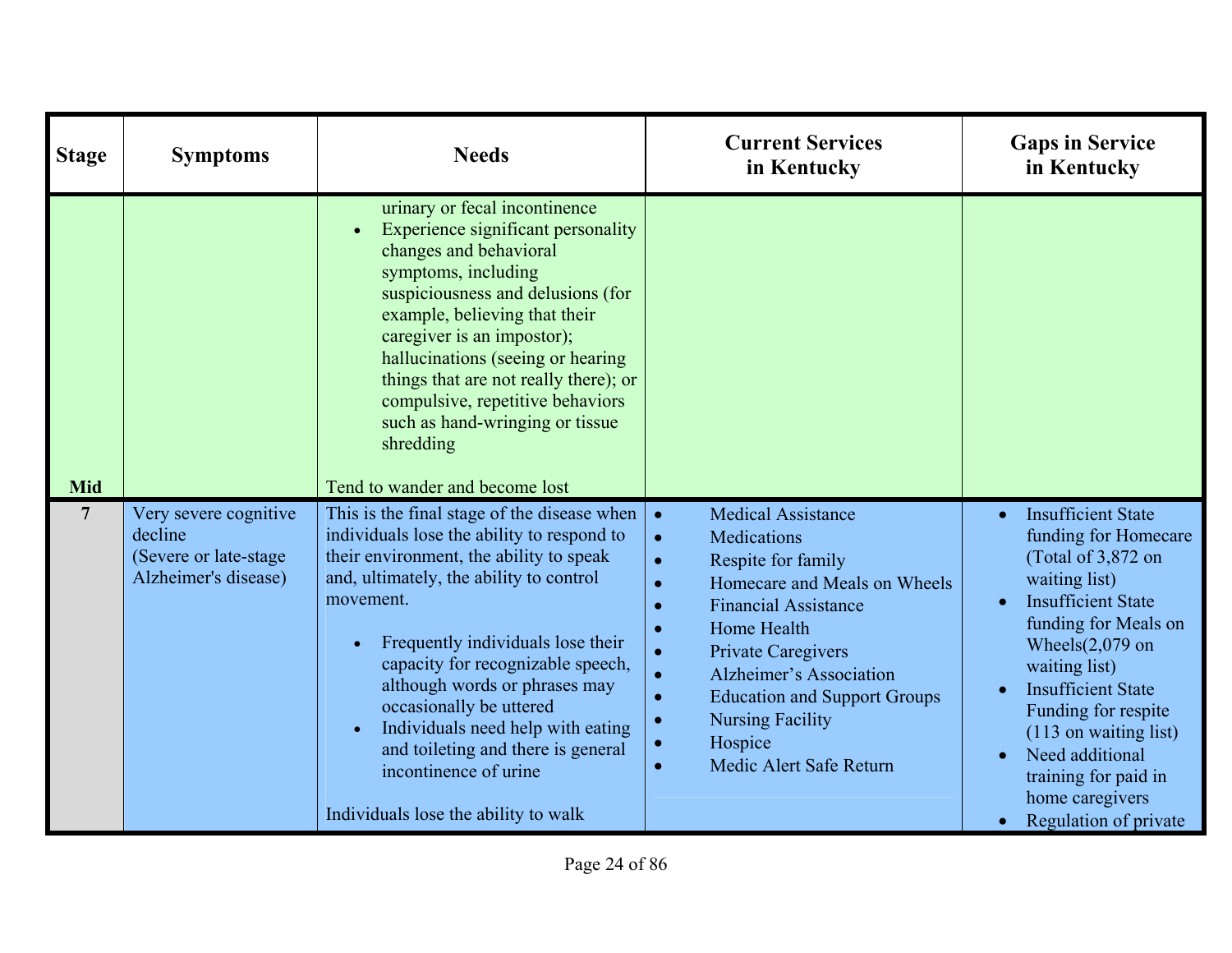| <b>Stage</b>    | <b>Symptoms</b>                                                                    | <b>Needs</b>                                                                                                                                                                                                                                                                                                                                                                                                                                                                   | <b>Current Services</b><br>in Kentucky                                                                                                                                                                                                                                                                                                                                                                                                         | <b>Gaps in Service</b><br>in Kentucky                                                                                                                                                                                                                                                                                                                                                |
|-----------------|------------------------------------------------------------------------------------|--------------------------------------------------------------------------------------------------------------------------------------------------------------------------------------------------------------------------------------------------------------------------------------------------------------------------------------------------------------------------------------------------------------------------------------------------------------------------------|------------------------------------------------------------------------------------------------------------------------------------------------------------------------------------------------------------------------------------------------------------------------------------------------------------------------------------------------------------------------------------------------------------------------------------------------|--------------------------------------------------------------------------------------------------------------------------------------------------------------------------------------------------------------------------------------------------------------------------------------------------------------------------------------------------------------------------------------|
| <b>Mid</b>      |                                                                                    | urinary or fecal incontinence<br>Experience significant personality<br>changes and behavioral<br>symptoms, including<br>suspiciousness and delusions (for<br>example, believing that their<br>caregiver is an impostor);<br>hallucinations (seeing or hearing<br>things that are not really there); or<br>compulsive, repetitive behaviors<br>such as hand-wringing or tissue<br>shredding<br>Tend to wander and become lost                                                   |                                                                                                                                                                                                                                                                                                                                                                                                                                                |                                                                                                                                                                                                                                                                                                                                                                                      |
| $7\overline{ }$ | Very severe cognitive<br>decline<br>(Severe or late-stage)<br>Alzheimer's disease) | This is the final stage of the disease when<br>individuals lose the ability to respond to<br>their environment, the ability to speak<br>and, ultimately, the ability to control<br>movement.<br>Frequently individuals lose their<br>capacity for recognizable speech,<br>although words or phrases may<br>occasionally be uttered<br>Individuals need help with eating<br>and toileting and there is general<br>incontinence of urine<br>Individuals lose the ability to walk | <b>Medical Assistance</b><br>$\bullet$<br>Medications<br>$\bullet$<br>Respite for family<br>$\bullet$<br>Homecare and Meals on Wheels<br>$\bullet$<br><b>Financial Assistance</b><br>$\bullet$<br>Home Health<br>$\bullet$<br>Private Caregivers<br>$\bullet$<br><b>Alzheimer's Association</b><br>$\bullet$<br><b>Education and Support Groups</b><br>$\bullet$<br><b>Nursing Facility</b><br>Hospice<br>Medic Alert Safe Return<br>$\bullet$ | <b>Insufficient State</b><br>$\bullet$<br>funding for Homecare<br>(Total of 3,872 on<br>waiting list)<br><b>Insufficient State</b><br>funding for Meals on<br>Wheels $(2,079$ on<br>waiting list)<br><b>Insufficient State</b><br>Funding for respite<br>$(113$ on waiting list)<br>Need additional<br>$\bullet$<br>training for paid in<br>home caregivers<br>Regulation of private |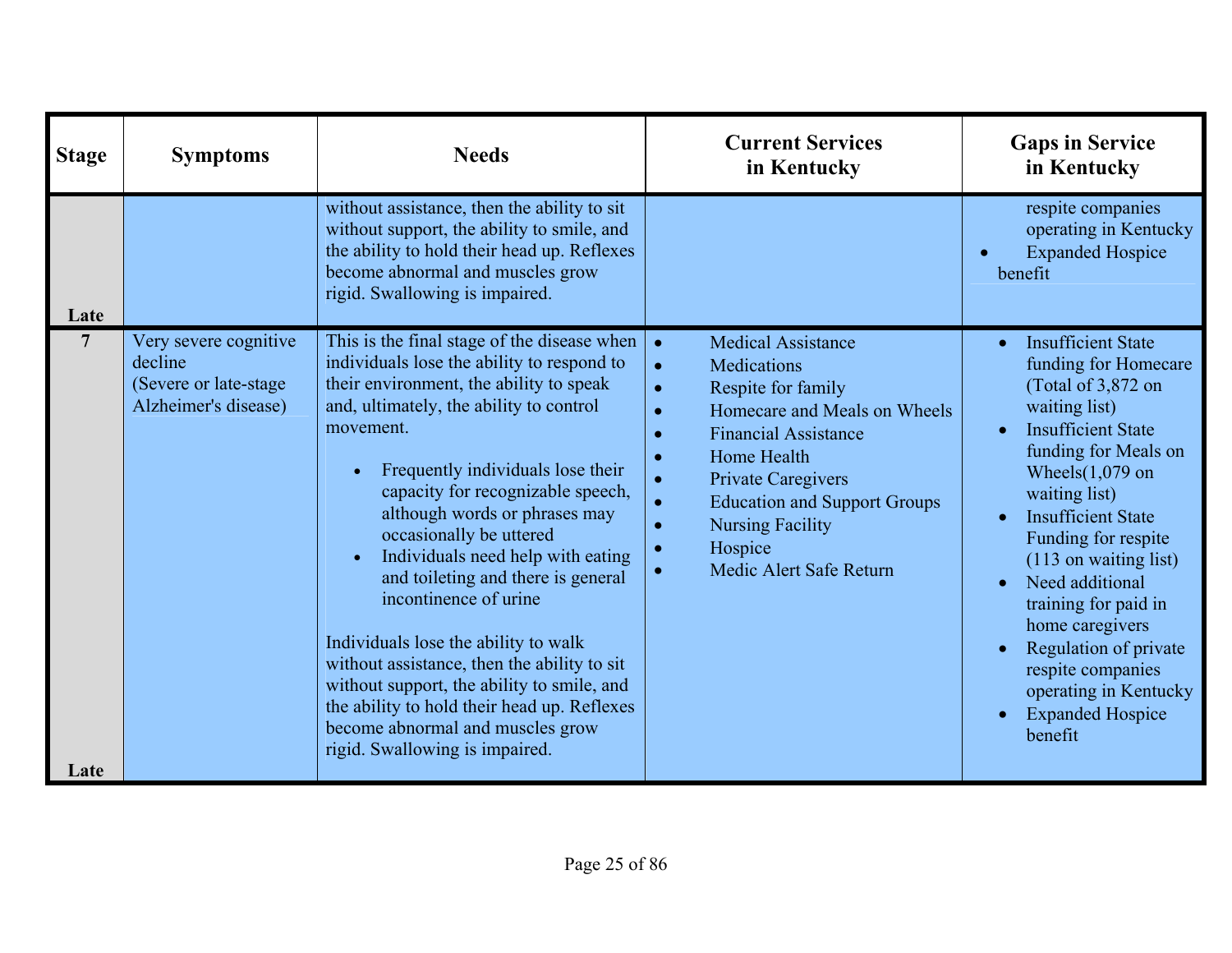| <b>Stage</b> | <b>Symptoms</b>                                                                    | <b>Needs</b>                                                                                                                                                                                                                                                                                                                                                                                                                                                                                                                                                                                                                                                                                                  | <b>Current Services</b><br>in Kentucky                                                                                                                                                                                                                                                                                                                                | <b>Gaps in Service</b><br>in Kentucky                                                                                                                                                                                                                                                                                                                                                                                                        |
|--------------|------------------------------------------------------------------------------------|---------------------------------------------------------------------------------------------------------------------------------------------------------------------------------------------------------------------------------------------------------------------------------------------------------------------------------------------------------------------------------------------------------------------------------------------------------------------------------------------------------------------------------------------------------------------------------------------------------------------------------------------------------------------------------------------------------------|-----------------------------------------------------------------------------------------------------------------------------------------------------------------------------------------------------------------------------------------------------------------------------------------------------------------------------------------------------------------------|----------------------------------------------------------------------------------------------------------------------------------------------------------------------------------------------------------------------------------------------------------------------------------------------------------------------------------------------------------------------------------------------------------------------------------------------|
| Late         |                                                                                    | without assistance, then the ability to sit<br>without support, the ability to smile, and<br>the ability to hold their head up. Reflexes<br>become abnormal and muscles grow<br>rigid. Swallowing is impaired.                                                                                                                                                                                                                                                                                                                                                                                                                                                                                                |                                                                                                                                                                                                                                                                                                                                                                       | respite companies<br>operating in Kentucky<br><b>Expanded Hospice</b><br>benefit                                                                                                                                                                                                                                                                                                                                                             |
| 7<br>Late    | Very severe cognitive<br>decline<br>(Severe or late-stage)<br>Alzheimer's disease) | This is the final stage of the disease when<br>individuals lose the ability to respond to<br>their environment, the ability to speak<br>and, ultimately, the ability to control<br>movement.<br>Frequently individuals lose their<br>capacity for recognizable speech,<br>although words or phrases may<br>occasionally be uttered<br>Individuals need help with eating<br>$\bullet$<br>and toileting and there is general<br>incontinence of urine<br>Individuals lose the ability to walk<br>without assistance, then the ability to sit<br>without support, the ability to smile, and<br>the ability to hold their head up. Reflexes<br>become abnormal and muscles grow<br>rigid. Swallowing is impaired. | <b>Medical Assistance</b><br>$\bullet$<br>Medications<br>$\bullet$<br>Respite for family<br>Homecare and Meals on Wheels<br>$\bullet$<br><b>Financial Assistance</b><br>$\bullet$<br>Home Health<br>$\bullet$<br>Private Caregivers<br>$\bullet$<br><b>Education and Support Groups</b><br><b>Nursing Facility</b><br>Hospice<br>$\bullet$<br>Medic Alert Safe Return | <b>Insufficient State</b><br>funding for Homecare<br>(Total of 3,872 on<br>waiting list)<br><b>Insufficient State</b><br>funding for Meals on<br>Wheels $(1,079$ on<br>waiting list)<br><b>Insufficient State</b><br>Funding for respite<br>(113 on waiting list)<br>Need additional<br>training for paid in<br>home caregivers<br>Regulation of private<br>respite companies<br>operating in Kentucky<br><b>Expanded Hospice</b><br>benefit |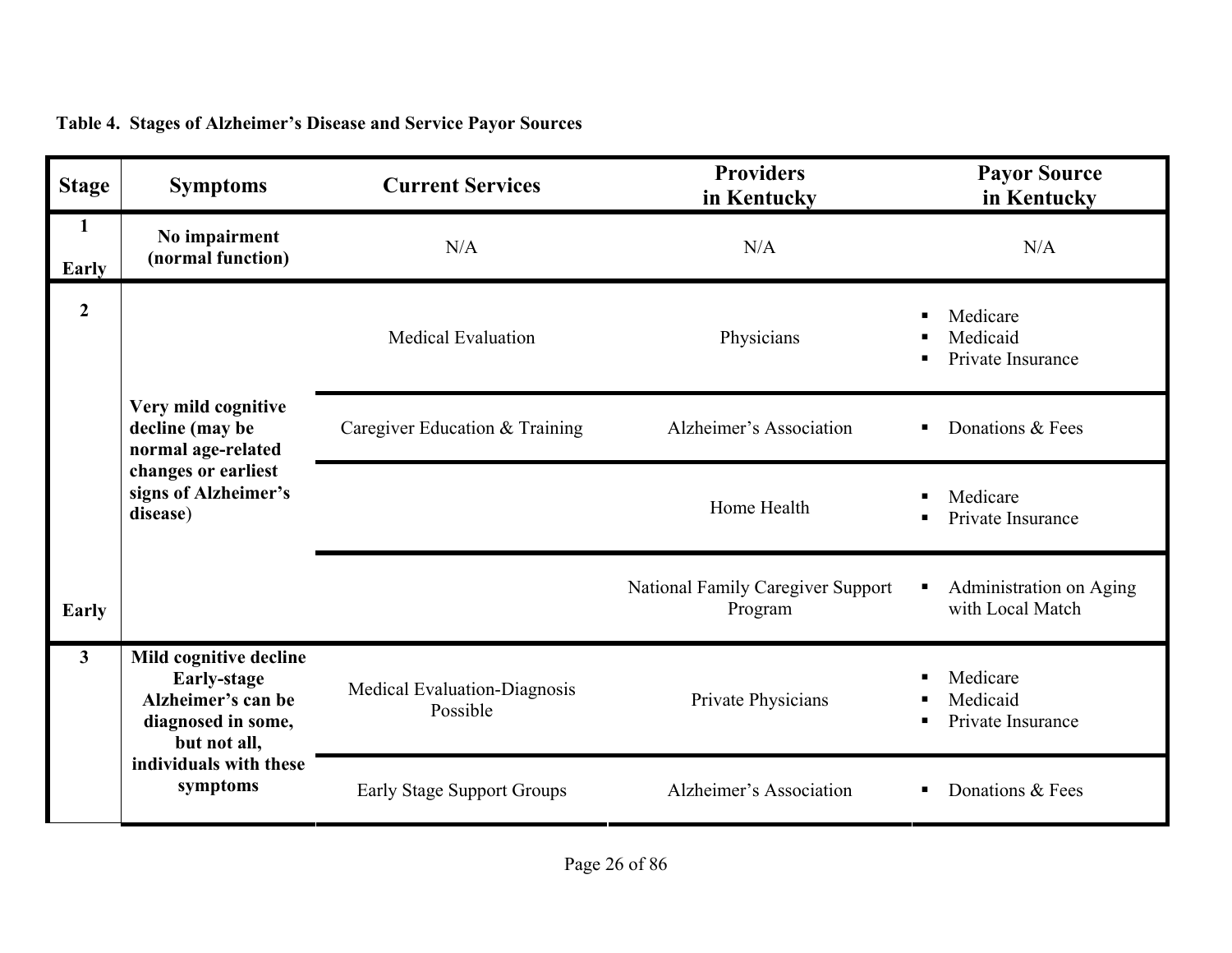| <b>Stage</b>          | <b>Symptoms</b>                                                                                          | <b>Current Services</b>                  | <b>Providers</b><br>in Kentucky              | <b>Payor Source</b><br>in Kentucky          |
|-----------------------|----------------------------------------------------------------------------------------------------------|------------------------------------------|----------------------------------------------|---------------------------------------------|
| $\mathbf{1}$<br>Early | No impairment<br>(normal function)                                                                       | N/A                                      | N/A                                          | N/A                                         |
| $\boldsymbol{2}$      |                                                                                                          | <b>Medical Evaluation</b>                | Physicians                                   | Medicare<br>Medicaid<br>Private Insurance   |
|                       | Very mild cognitive<br>decline (may be<br>normal age-related                                             | Caregiver Education & Training           | Alzheimer's Association                      | Donations & Fees<br>$\blacksquare$          |
|                       | changes or earliest<br>signs of Alzheimer's<br>disease)                                                  |                                          | Home Health                                  | Medicare<br>Private Insurance<br>п          |
| Early                 |                                                                                                          |                                          | National Family Caregiver Support<br>Program | Administration on Aging<br>with Local Match |
| 3 <sup>1</sup>        | Mild cognitive decline<br><b>Early-stage</b><br>Alzheimer's can be<br>diagnosed in some,<br>but not all, | Medical Evaluation-Diagnosis<br>Possible | Private Physicians                           | Medicare<br>Medicaid<br>Private Insurance   |
|                       | individuals with these<br>symptoms                                                                       | <b>Early Stage Support Groups</b>        | Alzheimer's Association                      | Donations & Fees<br>п.                      |

# **Table 4. Stages of Alzheimer's Disease and Service Payor Sources**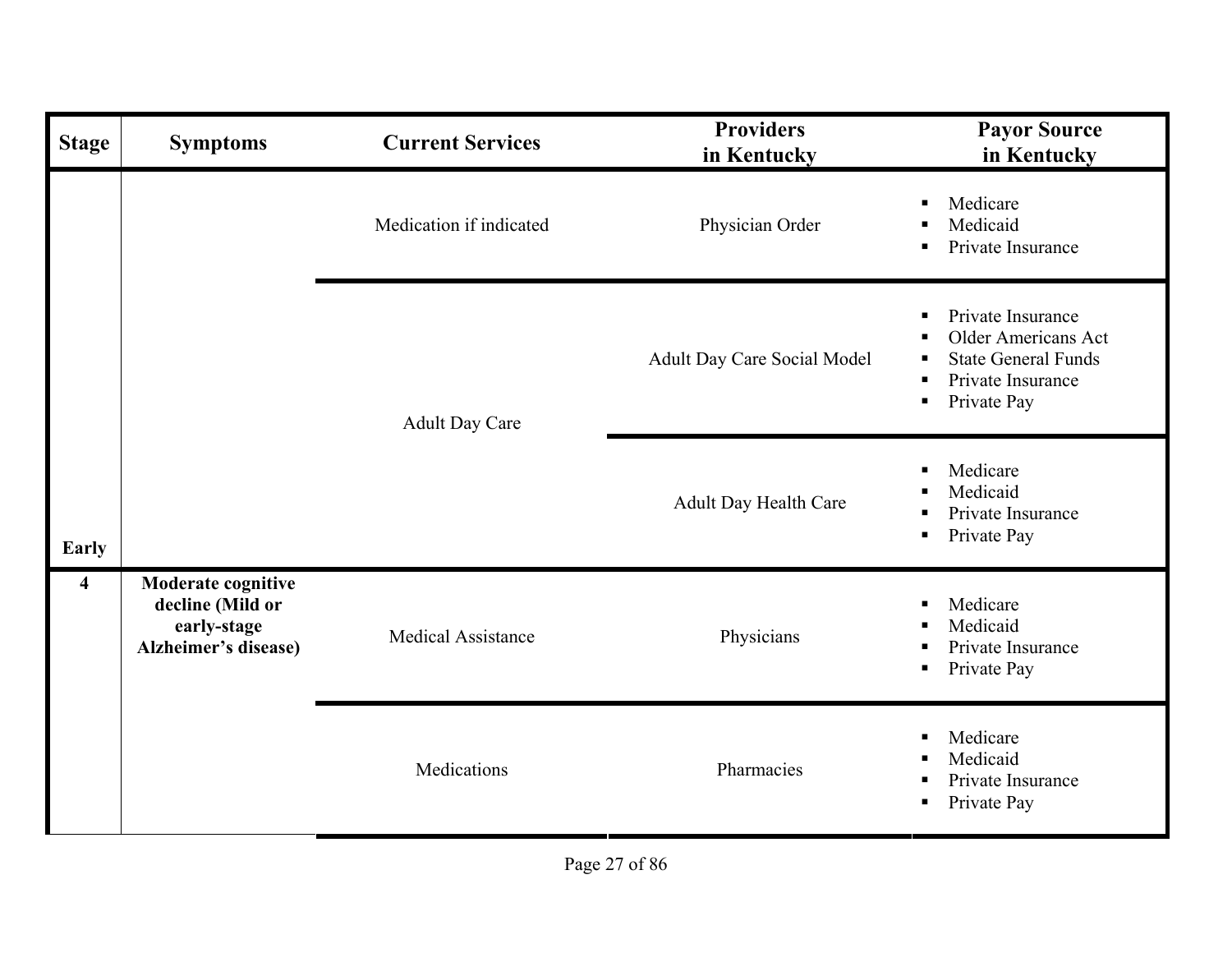| <b>Stage</b>            | <b>Symptoms</b>                                                               | <b>Current Services</b>   | <b>Providers</b><br>in Kentucky | <b>Payor Source</b><br>in Kentucky                                                                                               |
|-------------------------|-------------------------------------------------------------------------------|---------------------------|---------------------------------|----------------------------------------------------------------------------------------------------------------------------------|
|                         |                                                                               | Medication if indicated   | Physician Order                 | Medicare<br>Medicaid<br>Private Insurance                                                                                        |
|                         |                                                                               | <b>Adult Day Care</b>     | Adult Day Care Social Model     | Private Insurance<br>П<br><b>Older Americans Act</b><br><b>State General Funds</b><br>Private Insurance<br>п<br>Private Pay<br>٠ |
| Early                   |                                                                               |                           | <b>Adult Day Health Care</b>    | Medicare<br>Medicaid<br>Private Insurance<br>Private Pay                                                                         |
| $\overline{\mathbf{4}}$ | Moderate cognitive<br>decline (Mild or<br>early-stage<br>Alzheimer's disease) | <b>Medical Assistance</b> | Physicians                      | Medicare<br>Medicaid<br>Private Insurance<br>Private Pay                                                                         |
|                         |                                                                               | Medications               | Pharmacies                      | Medicare<br>Medicaid<br>Private Insurance<br>Private Pay                                                                         |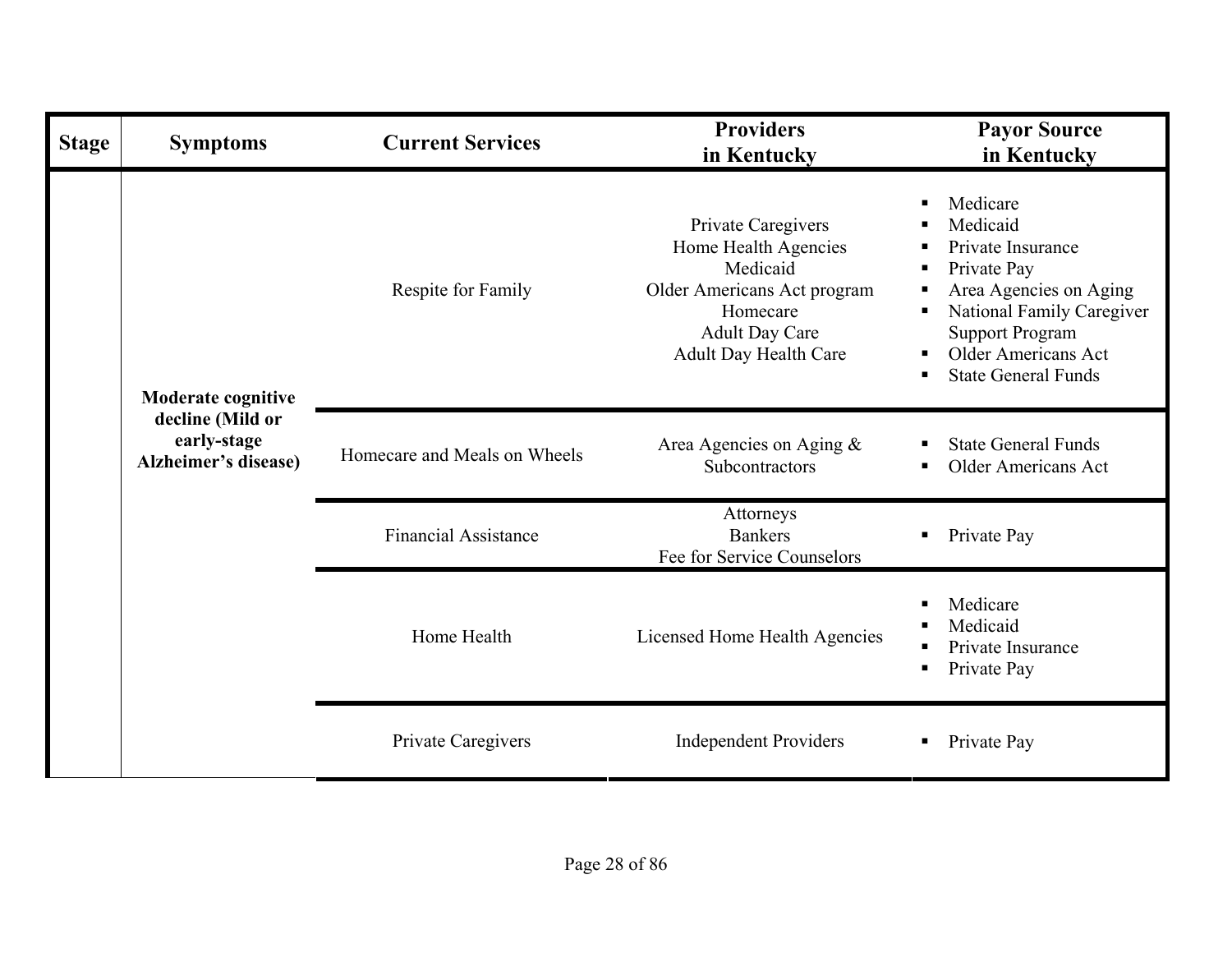| <b>Stage</b> | <b>Symptoms</b>                                         | <b>Current Services</b>      | <b>Providers</b><br>in Kentucky                                                                                                                            | <b>Payor Source</b><br>in Kentucky                                                                                                                                                                    |
|--------------|---------------------------------------------------------|------------------------------|------------------------------------------------------------------------------------------------------------------------------------------------------------|-------------------------------------------------------------------------------------------------------------------------------------------------------------------------------------------------------|
|              | <b>Moderate cognitive</b>                               | Respite for Family           | Private Caregivers<br>Home Health Agencies<br>Medicaid<br>Older Americans Act program<br>Homecare<br><b>Adult Day Care</b><br><b>Adult Day Health Care</b> | Medicare<br>Medicaid<br>Private Insurance<br>Private Pay<br>Area Agencies on Aging<br>National Family Caregiver<br><b>Support Program</b><br><b>Older Americans Act</b><br><b>State General Funds</b> |
|              | decline (Mild or<br>early-stage<br>Alzheimer's disease) | Homecare and Meals on Wheels | Area Agencies on Aging $\&$<br>Subcontractors                                                                                                              | <b>State General Funds</b><br>Older Americans Act                                                                                                                                                     |
|              |                                                         | <b>Financial Assistance</b>  | Attorneys<br><b>Bankers</b><br>Fee for Service Counselors                                                                                                  | Private Pay                                                                                                                                                                                           |
|              |                                                         | Home Health                  | Licensed Home Health Agencies                                                                                                                              | Medicare<br>Medicaid<br>Private Insurance<br>Private Pay                                                                                                                                              |
|              |                                                         | Private Caregivers           | <b>Independent Providers</b>                                                                                                                               | Private Pay                                                                                                                                                                                           |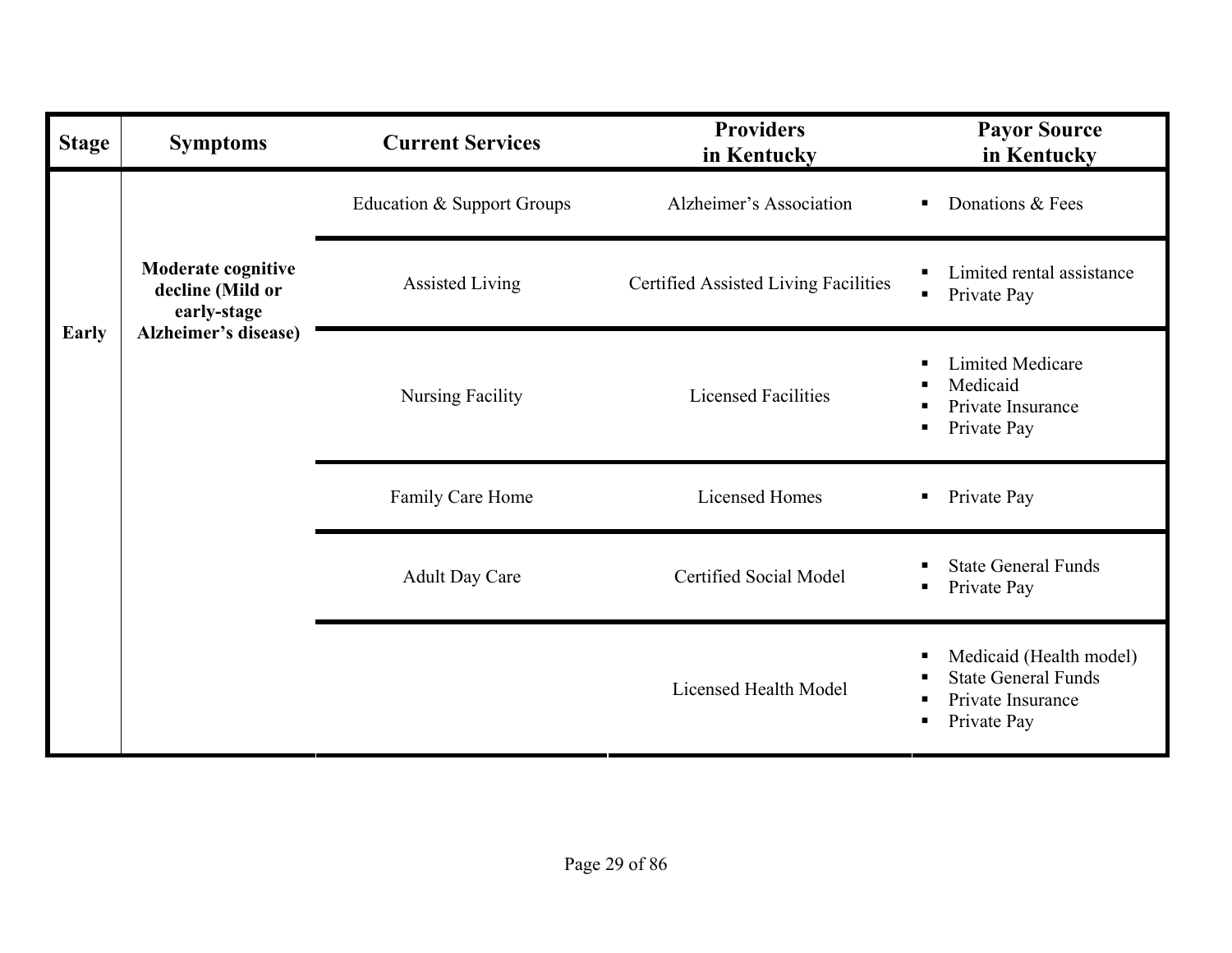| <b>Stage</b> | <b>Symptoms</b>                                                                             | <b>Current Services</b>    | <b>Providers</b><br>in Kentucky      | <b>Payor Source</b><br>in Kentucky                                                        |
|--------------|---------------------------------------------------------------------------------------------|----------------------------|--------------------------------------|-------------------------------------------------------------------------------------------|
|              |                                                                                             | Education & Support Groups | Alzheimer's Association              | Donations & Fees                                                                          |
|              | <b>Moderate cognitive</b><br>decline (Mild or<br>early-stage<br><b>Alzheimer's disease)</b> | <b>Assisted Living</b>     | Certified Assisted Living Facilities | Limited rental assistance<br>Private Pay                                                  |
| <b>Early</b> |                                                                                             | <b>Nursing Facility</b>    | <b>Licensed Facilities</b>           | <b>Limited Medicare</b><br>Medicaid<br>Private Insurance<br>Private Pay                   |
|              |                                                                                             | Family Care Home           | <b>Licensed Homes</b>                | Private Pay                                                                               |
|              |                                                                                             | <b>Adult Day Care</b>      | Certified Social Model               | <b>State General Funds</b><br>Private Pay                                                 |
|              |                                                                                             |                            | Licensed Health Model                | Medicaid (Health model)<br><b>State General Funds</b><br>Private Insurance<br>Private Pay |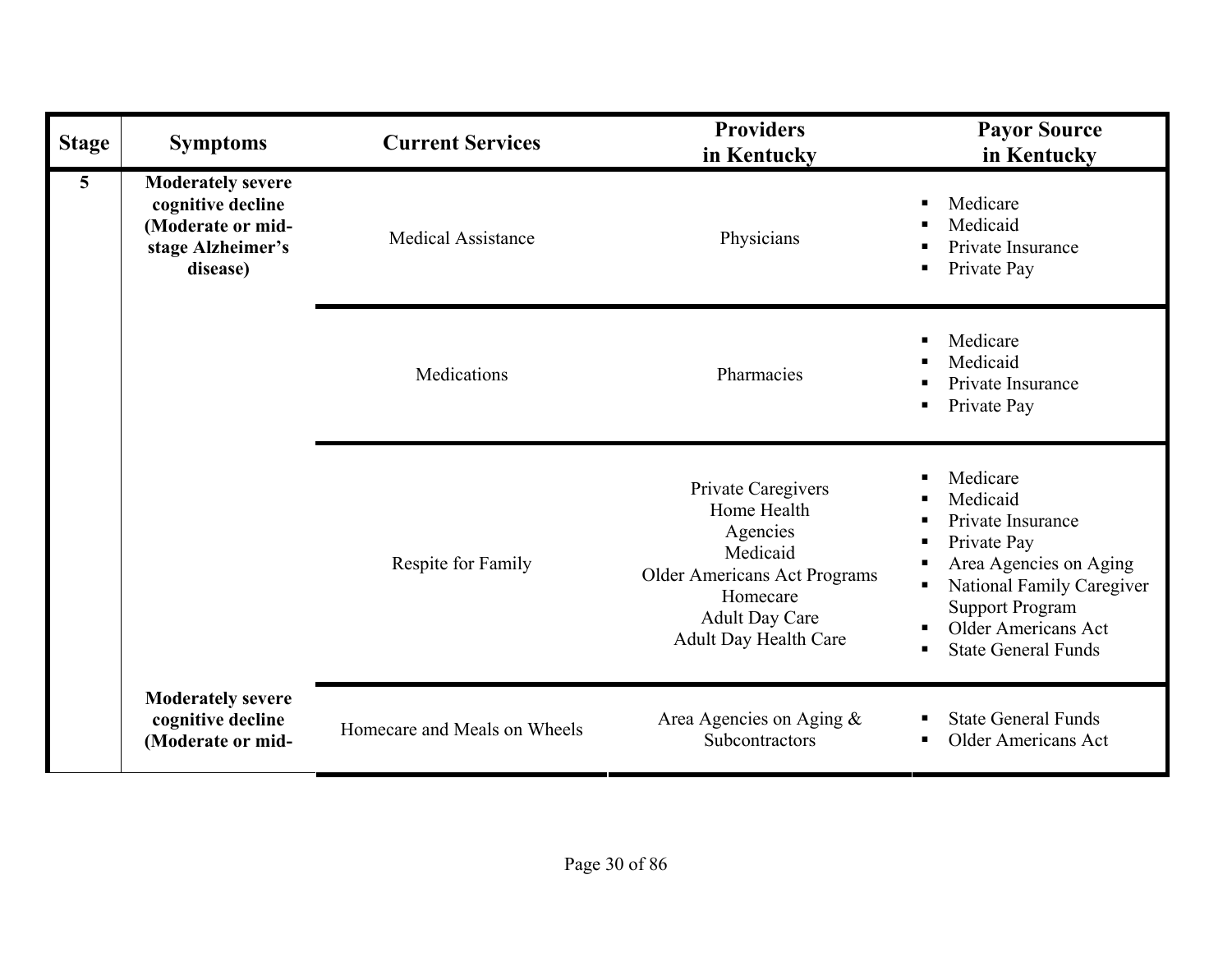| <b>Stage</b> | <b>Symptoms</b>                                                                                     | <b>Current Services</b>      | <b>Providers</b><br>in Kentucky                                                                                                                                       | <b>Payor Source</b><br>in Kentucky                                                                                                                                                                    |
|--------------|-----------------------------------------------------------------------------------------------------|------------------------------|-----------------------------------------------------------------------------------------------------------------------------------------------------------------------|-------------------------------------------------------------------------------------------------------------------------------------------------------------------------------------------------------|
| 5            | <b>Moderately severe</b><br>cognitive decline<br>(Moderate or mid-<br>stage Alzheimer's<br>disease) | <b>Medical Assistance</b>    | Physicians                                                                                                                                                            | Medicare<br>Medicaid<br>Private Insurance<br>Private Pay                                                                                                                                              |
|              |                                                                                                     | Medications                  | Pharmacies                                                                                                                                                            | Medicare<br>Medicaid<br>Private Insurance<br>Private Pay                                                                                                                                              |
|              |                                                                                                     | Respite for Family           | Private Caregivers<br>Home Health<br>Agencies<br>Medicaid<br><b>Older Americans Act Programs</b><br>Homecare<br><b>Adult Day Care</b><br><b>Adult Day Health Care</b> | Medicare<br>Medicaid<br>Private Insurance<br>Private Pay<br>Area Agencies on Aging<br>National Family Caregiver<br><b>Support Program</b><br><b>Older Americans Act</b><br><b>State General Funds</b> |
|              | <b>Moderately severe</b><br>cognitive decline<br>(Moderate or mid-                                  | Homecare and Meals on Wheels | Area Agencies on Aging &<br>Subcontractors                                                                                                                            | <b>State General Funds</b><br><b>Older Americans Act</b>                                                                                                                                              |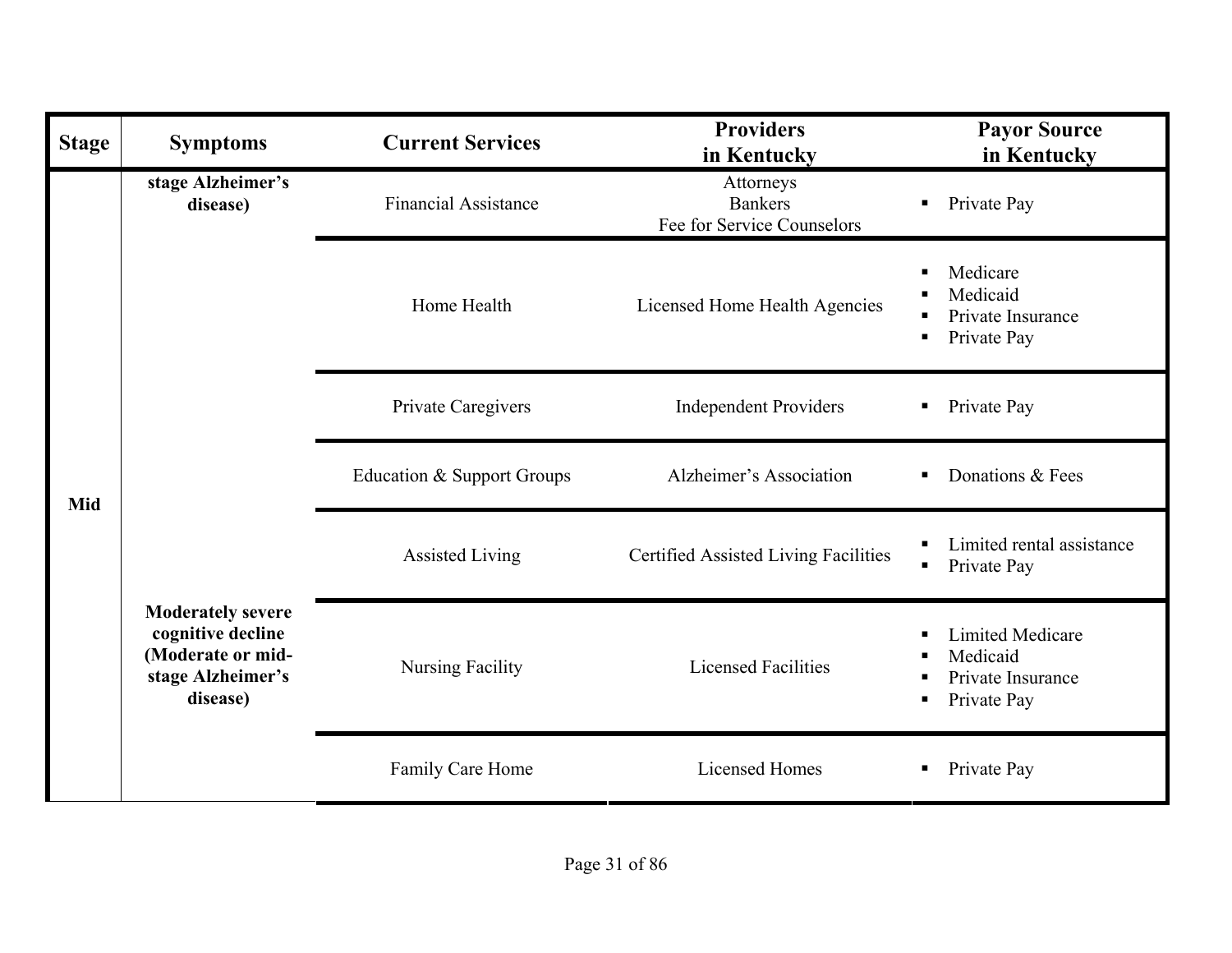| <b>Stage</b> | <b>Symptoms</b>                                                                                     | <b>Current Services</b>     | <b>Providers</b><br>in Kentucky                           | <b>Payor Source</b><br>in Kentucky                                      |
|--------------|-----------------------------------------------------------------------------------------------------|-----------------------------|-----------------------------------------------------------|-------------------------------------------------------------------------|
|              | stage Alzheimer's<br>disease)                                                                       | <b>Financial Assistance</b> | Attorneys<br><b>Bankers</b><br>Fee for Service Counselors | $\blacksquare$ Private Pay                                              |
|              |                                                                                                     | Home Health                 | Licensed Home Health Agencies                             | Medicare<br>Medicaid<br>Private Insurance<br>Private Pay                |
|              |                                                                                                     | Private Caregivers          | <b>Independent Providers</b>                              | Private Pay<br>$\blacksquare$                                           |
| Mid          |                                                                                                     | Education & Support Groups  | Alzheimer's Association                                   | Donations & Fees                                                        |
|              |                                                                                                     | <b>Assisted Living</b>      | Certified Assisted Living Facilities                      | Limited rental assistance<br>Private Pay<br>π.                          |
|              | <b>Moderately severe</b><br>cognitive decline<br>(Moderate or mid-<br>stage Alzheimer's<br>disease) | <b>Nursing Facility</b>     | <b>Licensed Facilities</b>                                | <b>Limited Medicare</b><br>Medicaid<br>Private Insurance<br>Private Pay |
|              |                                                                                                     | Family Care Home            | <b>Licensed Homes</b>                                     | Private Pay                                                             |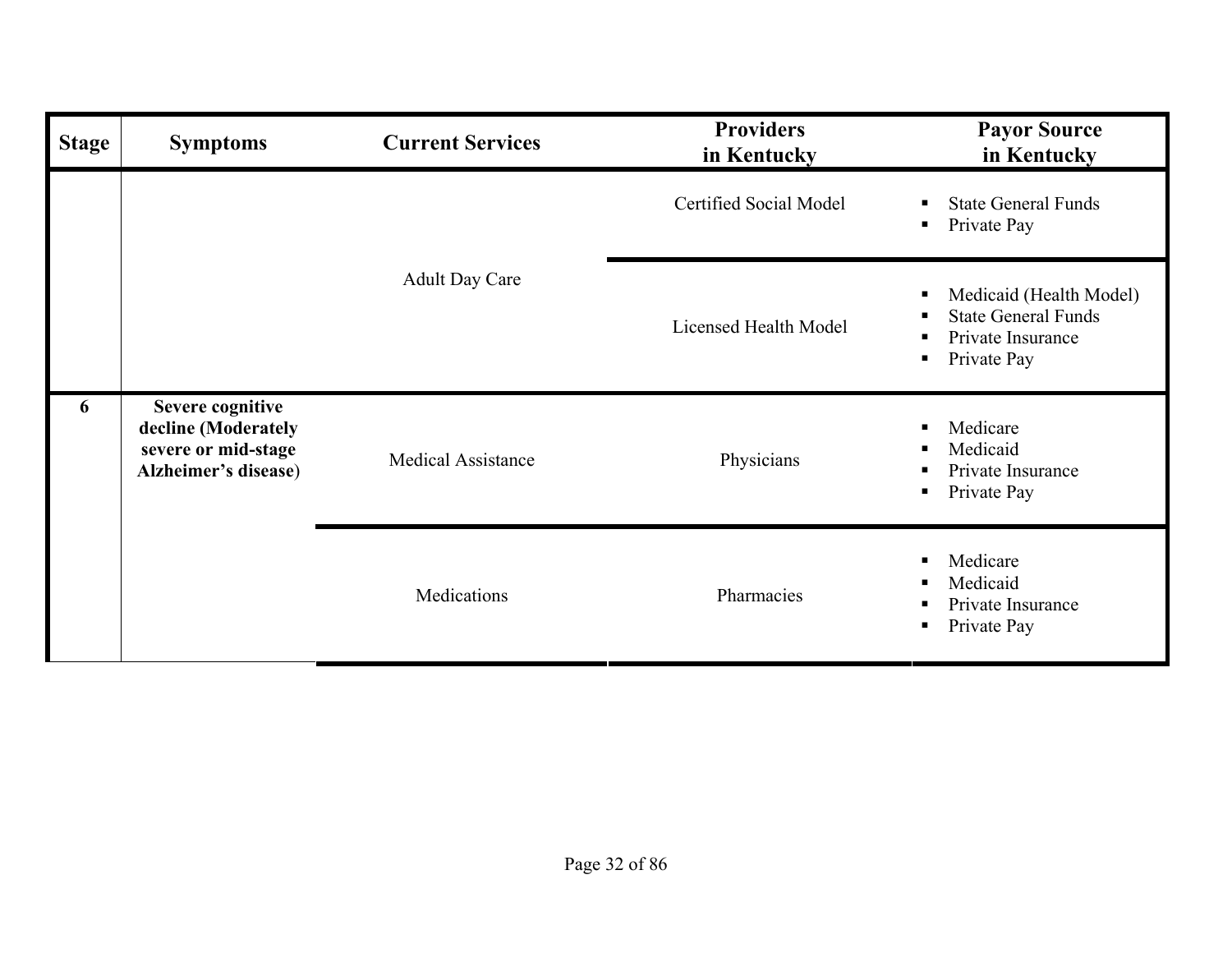| <b>Stage</b> | <b>Symptoms</b>                                                                               | <b>Current Services</b>   | <b>Providers</b><br>in Kentucky | <b>Payor Source</b><br>in Kentucky                                                        |
|--------------|-----------------------------------------------------------------------------------------------|---------------------------|---------------------------------|-------------------------------------------------------------------------------------------|
|              |                                                                                               |                           | Certified Social Model          | <b>State General Funds</b><br>Private Pay<br>п.                                           |
|              |                                                                                               | <b>Adult Day Care</b>     | Licensed Health Model           | Medicaid (Health Model)<br><b>State General Funds</b><br>Private Insurance<br>Private Pay |
| 6            | <b>Severe cognitive</b><br>decline (Moderately<br>severe or mid-stage<br>Alzheimer's disease) | <b>Medical Assistance</b> | Physicians                      | Medicare<br>Medicaid<br>Private Insurance<br>Private Pay                                  |
|              |                                                                                               | Medications               | Pharmacies                      | Medicare<br>Medicaid<br>Private Insurance<br>Private Pay                                  |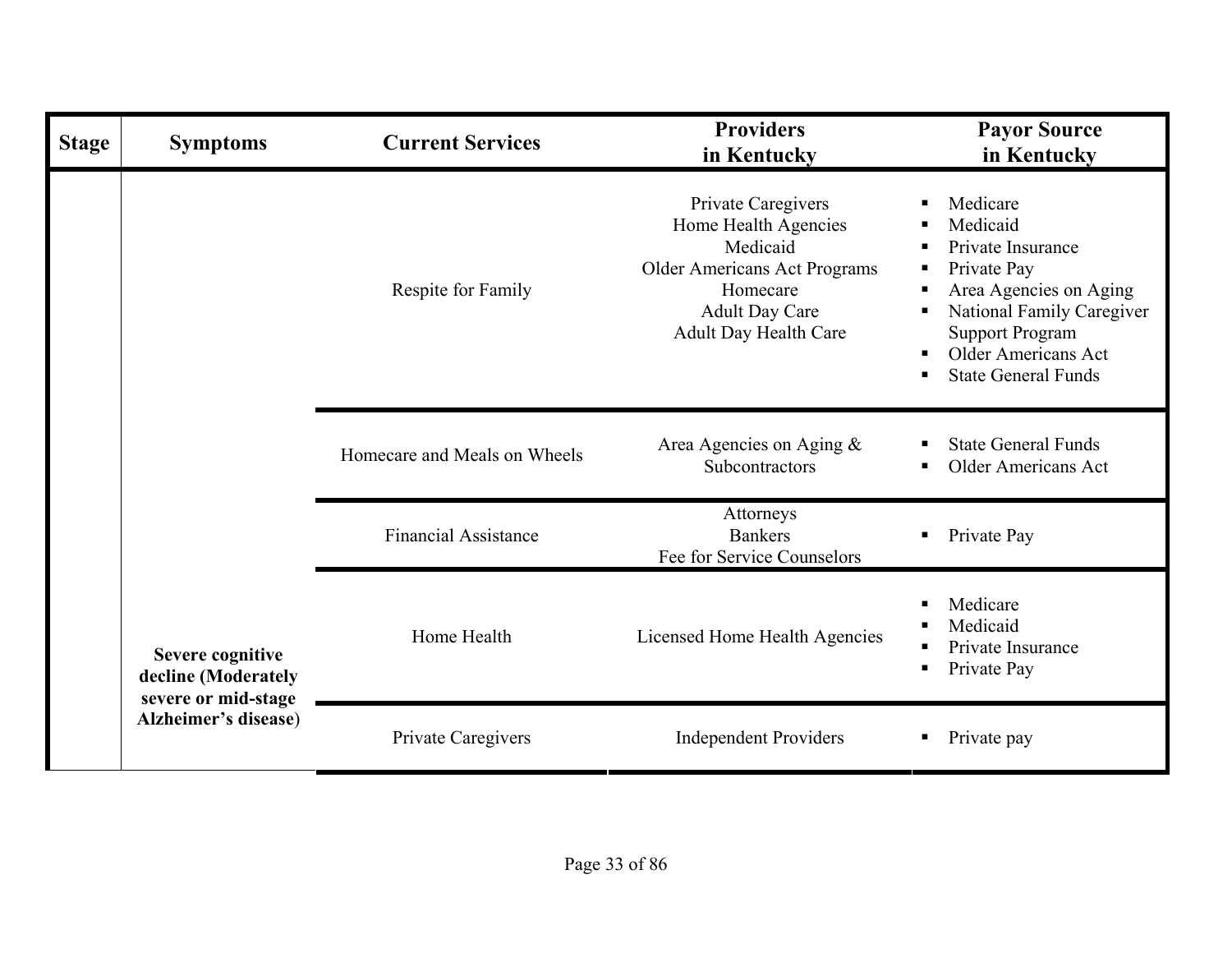| <b>Stage</b> | <b>Symptoms</b>                                                       | <b>Current Services</b>      | <b>Providers</b><br>in Kentucky                                                                                                                                    | <b>Payor Source</b><br>in Kentucky                                                                                                                                                             |
|--------------|-----------------------------------------------------------------------|------------------------------|--------------------------------------------------------------------------------------------------------------------------------------------------------------------|------------------------------------------------------------------------------------------------------------------------------------------------------------------------------------------------|
|              |                                                                       | Respite for Family           | Private Caregivers<br>Home Health Agencies<br>Medicaid<br><b>Older Americans Act Programs</b><br>Homecare<br><b>Adult Day Care</b><br><b>Adult Day Health Care</b> | Medicare<br>Medicaid<br>Private Insurance<br>Private Pay<br>Area Agencies on Aging<br>National Family Caregiver<br><b>Support Program</b><br>Older Americans Act<br><b>State General Funds</b> |
|              |                                                                       | Homecare and Meals on Wheels | Area Agencies on Aging &<br>Subcontractors                                                                                                                         | <b>State General Funds</b><br><b>Older Americans Act</b>                                                                                                                                       |
|              |                                                                       | <b>Financial Assistance</b>  | Attorneys<br><b>Bankers</b><br>Fee for Service Counselors                                                                                                          | Private Pay                                                                                                                                                                                    |
|              | <b>Severe cognitive</b><br>decline (Moderately<br>severe or mid-stage | Home Health                  | Licensed Home Health Agencies                                                                                                                                      | Medicare<br>Medicaid<br>Private Insurance<br>Private Pay                                                                                                                                       |
|              | Alzheimer's disease)                                                  | Private Caregivers           | <b>Independent Providers</b>                                                                                                                                       | Private pay<br>ш                                                                                                                                                                               |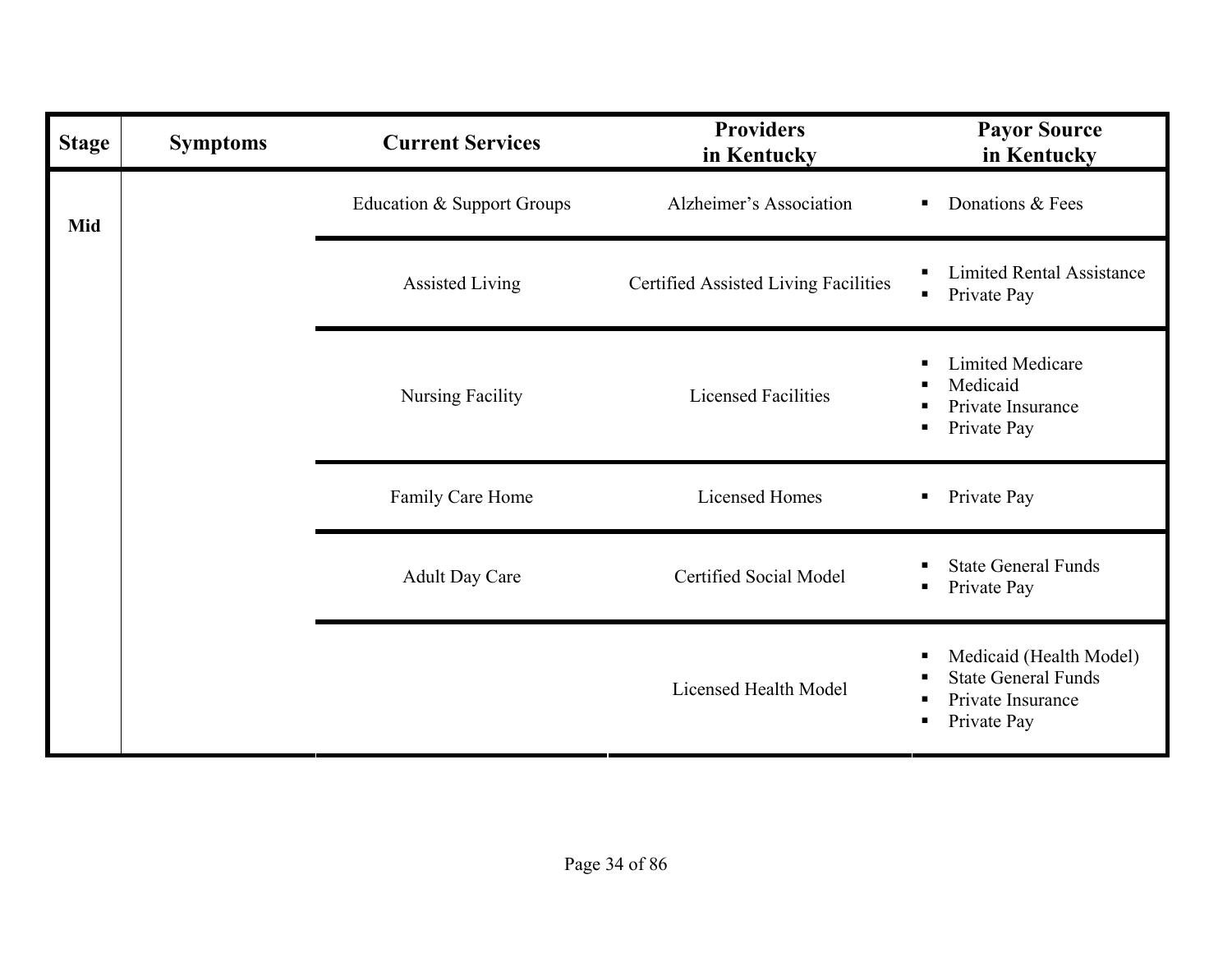| <b>Stage</b> | <b>Symptoms</b> | <b>Current Services</b>    | <b>Providers</b><br>in Kentucky      | <b>Payor Source</b><br>in Kentucky                                                             |
|--------------|-----------------|----------------------------|--------------------------------------|------------------------------------------------------------------------------------------------|
| Mid          |                 | Education & Support Groups | Alzheimer's Association              | Donations & Fees<br>$\blacksquare$                                                             |
|              |                 | <b>Assisted Living</b>     | Certified Assisted Living Facilities | <b>Limited Rental Assistance</b><br>Private Pay                                                |
|              |                 | Nursing Facility           | <b>Licensed Facilities</b>           | <b>Limited Medicare</b><br>Medicaid<br>Private Insurance<br>Private Pay                        |
|              |                 | Family Care Home           | <b>Licensed Homes</b>                | Private Pay<br>$\blacksquare$                                                                  |
|              |                 | <b>Adult Day Care</b>      | Certified Social Model               | <b>State General Funds</b><br>Private Pay                                                      |
|              |                 |                            | Licensed Health Model                | Medicaid (Health Model)<br><b>State General Funds</b><br>Private Insurance<br>Private Pay<br>٠ |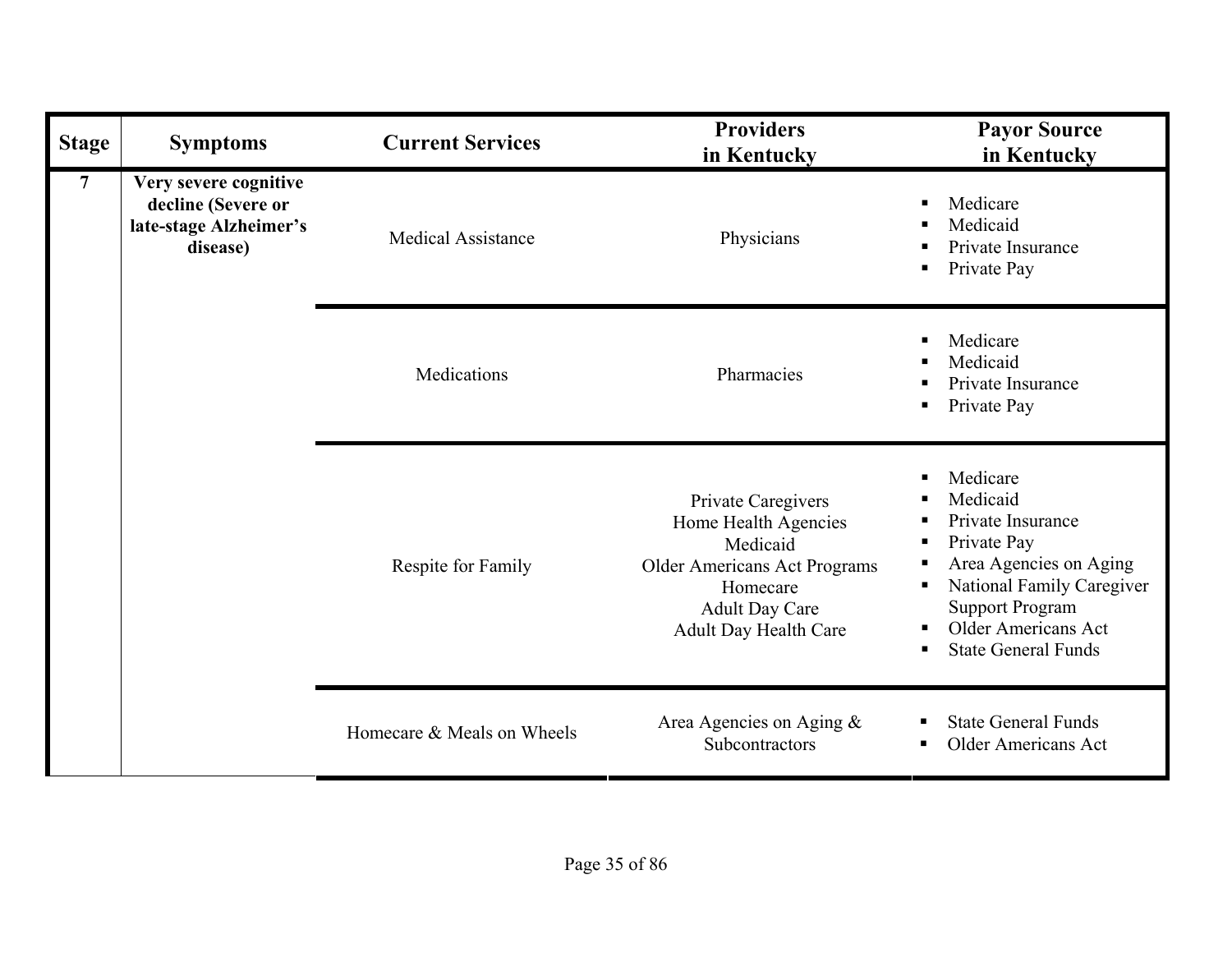| <b>Stage</b>   | <b>Symptoms</b>                                                                   | <b>Current Services</b>    | <b>Providers</b><br>in Kentucky                                                                                                                                    | <b>Payor Source</b><br>in Kentucky                                                                                                                                                                    |
|----------------|-----------------------------------------------------------------------------------|----------------------------|--------------------------------------------------------------------------------------------------------------------------------------------------------------------|-------------------------------------------------------------------------------------------------------------------------------------------------------------------------------------------------------|
| $\overline{7}$ | Very severe cognitive<br>decline (Severe or<br>late-stage Alzheimer's<br>disease) | <b>Medical Assistance</b>  | Physicians                                                                                                                                                         | Medicare<br>Medicaid<br>Private Insurance<br>Private Pay                                                                                                                                              |
|                |                                                                                   | Medications                | Pharmacies                                                                                                                                                         | Medicare<br>Medicaid<br>Private Insurance<br>Private Pay                                                                                                                                              |
|                |                                                                                   | Respite for Family         | Private Caregivers<br>Home Health Agencies<br>Medicaid<br><b>Older Americans Act Programs</b><br>Homecare<br><b>Adult Day Care</b><br><b>Adult Day Health Care</b> | Medicare<br>Medicaid<br>Private Insurance<br>Private Pay<br>Area Agencies on Aging<br>National Family Caregiver<br><b>Support Program</b><br><b>Older Americans Act</b><br><b>State General Funds</b> |
|                |                                                                                   | Homecare & Meals on Wheels | Area Agencies on Aging $\&$<br>Subcontractors                                                                                                                      | <b>State General Funds</b><br>Older Americans Act                                                                                                                                                     |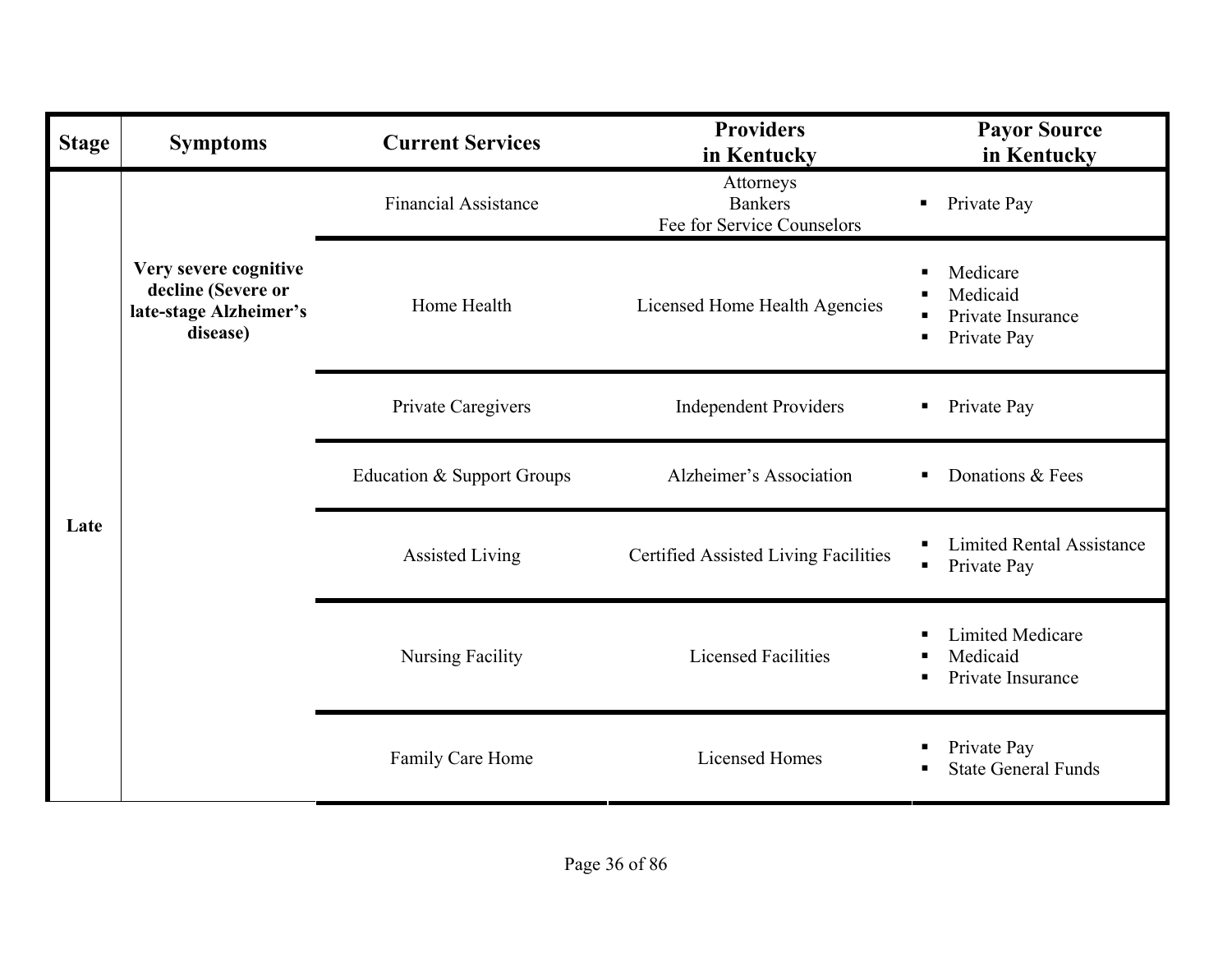| <b>Stage</b> | <b>Symptoms</b>                                                                   | <b>Current Services</b>     | <b>Providers</b><br>in Kentucky                           | <b>Payor Source</b><br>in Kentucky                            |
|--------------|-----------------------------------------------------------------------------------|-----------------------------|-----------------------------------------------------------|---------------------------------------------------------------|
|              |                                                                                   | <b>Financial Assistance</b> | Attorneys<br><b>Bankers</b><br>Fee for Service Counselors | Private Pay                                                   |
|              | Very severe cognitive<br>decline (Severe or<br>late-stage Alzheimer's<br>disease) | Home Health                 | Licensed Home Health Agencies                             | Medicare<br>Medicaid<br>Private Insurance<br>Private Pay<br>٠ |
|              |                                                                                   | Private Caregivers          | <b>Independent Providers</b>                              | Private Pay<br>$\blacksquare$                                 |
|              |                                                                                   | Education & Support Groups  | Alzheimer's Association                                   | Donations & Fees                                              |
| Late         |                                                                                   | <b>Assisted Living</b>      | Certified Assisted Living Facilities                      | <b>Limited Rental Assistance</b><br>Private Pay<br>٠          |
|              |                                                                                   | <b>Nursing Facility</b>     | <b>Licensed Facilities</b>                                | <b>Limited Medicare</b><br>Medicaid<br>Private Insurance      |
|              |                                                                                   | Family Care Home            | <b>Licensed Homes</b>                                     | Private Pay<br><b>State General Funds</b>                     |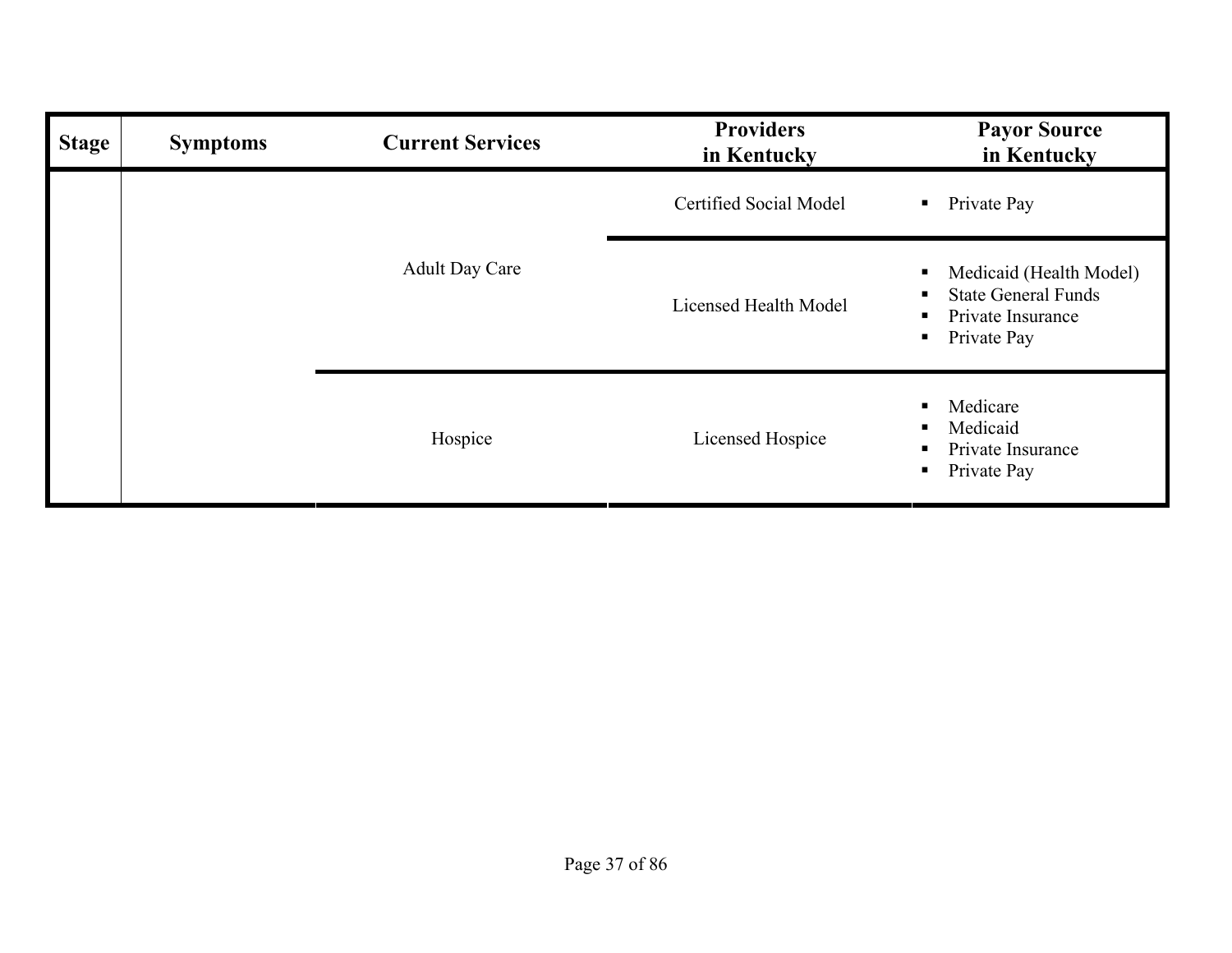| <b>Stage</b> | <b>Symptoms</b> | <b>Current Services</b> | <b>Providers</b><br>in Kentucky | <b>Payor Source</b><br>in Kentucky                                                        |
|--------------|-----------------|-------------------------|---------------------------------|-------------------------------------------------------------------------------------------|
|              |                 |                         | Certified Social Model          | Private Pay                                                                               |
|              |                 | <b>Adult Day Care</b>   | Licensed Health Model           | Medicaid (Health Model)<br><b>State General Funds</b><br>Private Insurance<br>Private Pay |
|              |                 | Hospice                 | Licensed Hospice                | Medicare<br>Medicaid<br>Private Insurance<br>Private Pay                                  |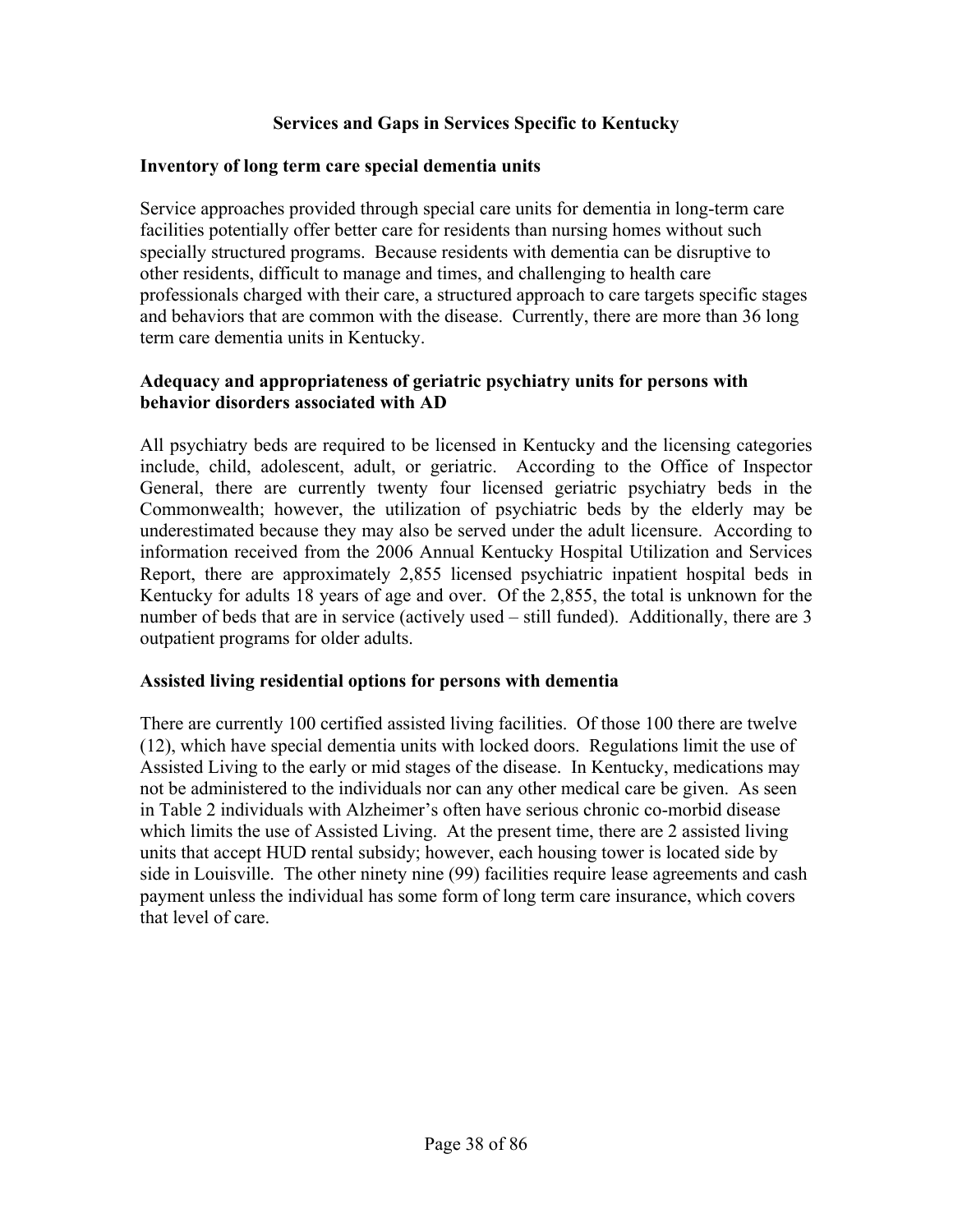### **Services and Gaps in Services Specific to Kentucky**

#### **Inventory of long term care special dementia units**

Service approaches provided through special care units for dementia in long-term care facilities potentially offer better care for residents than nursing homes without such specially structured programs. Because residents with dementia can be disruptive to other residents, difficult to manage and times, and challenging to health care professionals charged with their care, a structured approach to care targets specific stages and behaviors that are common with the disease. Currently, there are more than 36 long term care dementia units in Kentucky.

#### **Adequacy and appropriateness of geriatric psychiatry units for persons with behavior disorders associated with AD**

All psychiatry beds are required to be licensed in Kentucky and the licensing categories include, child, adolescent, adult, or geriatric. According to the Office of Inspector General, there are currently twenty four licensed geriatric psychiatry beds in the Commonwealth; however, the utilization of psychiatric beds by the elderly may be underestimated because they may also be served under the adult licensure. According to information received from the 2006 Annual Kentucky Hospital Utilization and Services Report, there are approximately 2,855 licensed psychiatric inpatient hospital beds in Kentucky for adults 18 years of age and over. Of the 2,855, the total is unknown for the number of beds that are in service (actively used – still funded). Additionally, there are 3 outpatient programs for older adults.

#### **Assisted living residential options for persons with dementia**

There are currently 100 certified assisted living facilities. Of those 100 there are twelve (12), which have special dementia units with locked doors. Regulations limit the use of Assisted Living to the early or mid stages of the disease. In Kentucky, medications may not be administered to the individuals nor can any other medical care be given. As seen in Table 2 individuals with Alzheimer's often have serious chronic co-morbid disease which limits the use of Assisted Living. At the present time, there are 2 assisted living units that accept HUD rental subsidy; however, each housing tower is located side by side in Louisville. The other ninety nine (99) facilities require lease agreements and cash payment unless the individual has some form of long term care insurance, which covers that level of care.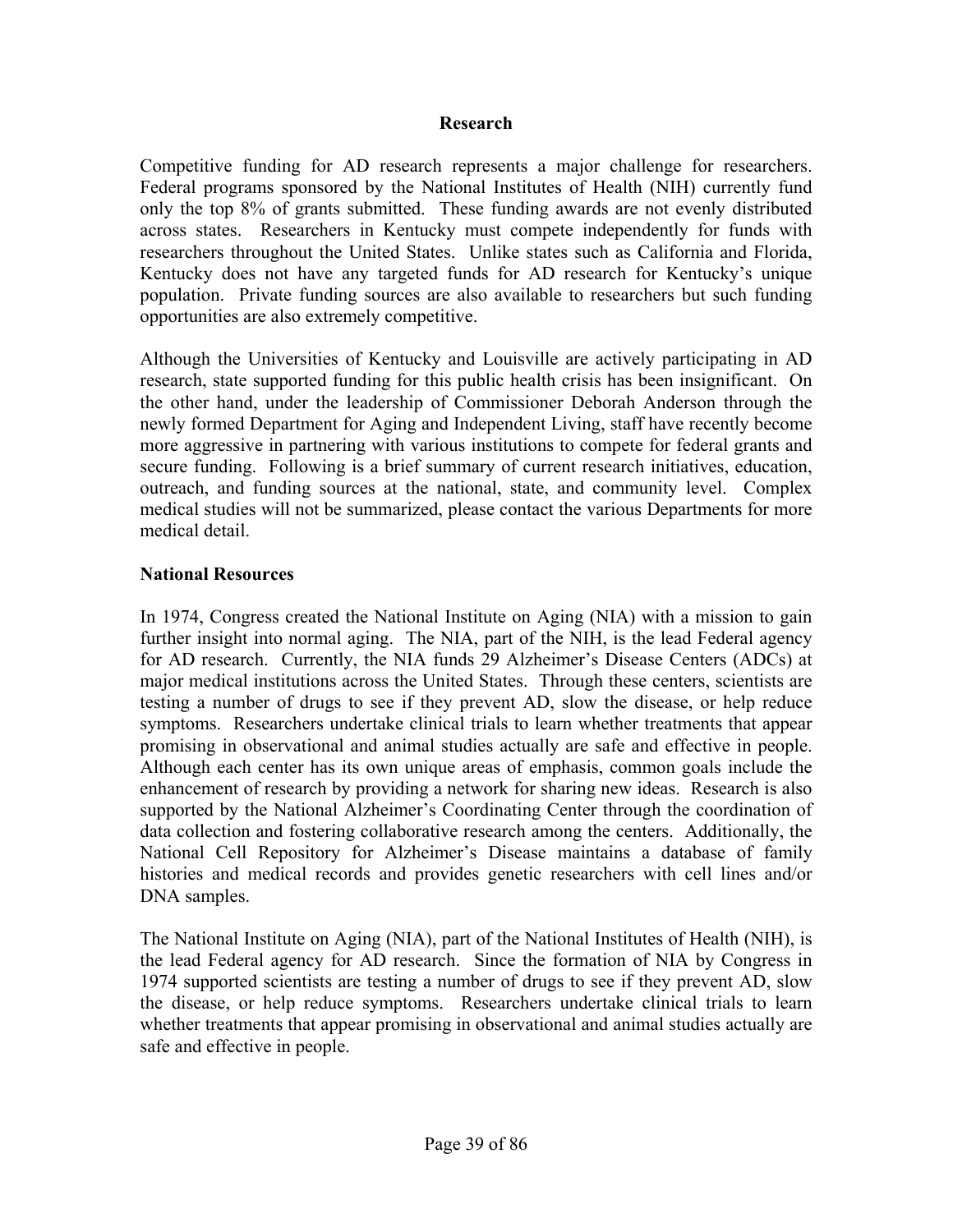#### **Research**

Competitive funding for AD research represents a major challenge for researchers. Federal programs sponsored by the National Institutes of Health (NIH) currently fund only the top 8% of grants submitted. These funding awards are not evenly distributed across states. Researchers in Kentucky must compete independently for funds with researchers throughout the United States. Unlike states such as California and Florida, Kentucky does not have any targeted funds for AD research for Kentucky's unique population. Private funding sources are also available to researchers but such funding opportunities are also extremely competitive.

Although the Universities of Kentucky and Louisville are actively participating in AD research, state supported funding for this public health crisis has been insignificant. On the other hand, under the leadership of Commissioner Deborah Anderson through the newly formed Department for Aging and Independent Living, staff have recently become more aggressive in partnering with various institutions to compete for federal grants and secure funding. Following is a brief summary of current research initiatives, education, outreach, and funding sources at the national, state, and community level. Complex medical studies will not be summarized, please contact the various Departments for more medical detail.

### **National Resources**

In 1974, Congress created the National Institute on Aging (NIA) with a mission to gain further insight into normal aging. The NIA, part of the NIH, is the lead Federal agency for AD research. Currently, the NIA funds 29 Alzheimer's Disease Centers (ADCs) at major medical institutions across the United States. Through these centers, scientists are testing a number of drugs to see if they prevent AD, slow the disease, or help reduce symptoms. Researchers undertake clinical trials to learn whether treatments that appear promising in observational and animal studies actually are safe and effective in people. Although each center has its own unique areas of emphasis, common goals include the enhancement of research by providing a network for sharing new ideas. Research is also supported by the National Alzheimer's Coordinating Center through the coordination of data collection and fostering collaborative research among the centers. Additionally, the National Cell Repository for Alzheimer's Disease maintains a database of family histories and medical records and provides genetic researchers with cell lines and/or DNA samples.

The National Institute on Aging (NIA), part of the National Institutes of Health (NIH), is the lead Federal agency for AD research. Since the formation of NIA by Congress in 1974 supported scientists are testing a number of drugs to see if they prevent AD, slow the disease, or help reduce symptoms. Researchers undertake clinical trials to learn whether treatments that appear promising in observational and animal studies actually are safe and effective in people.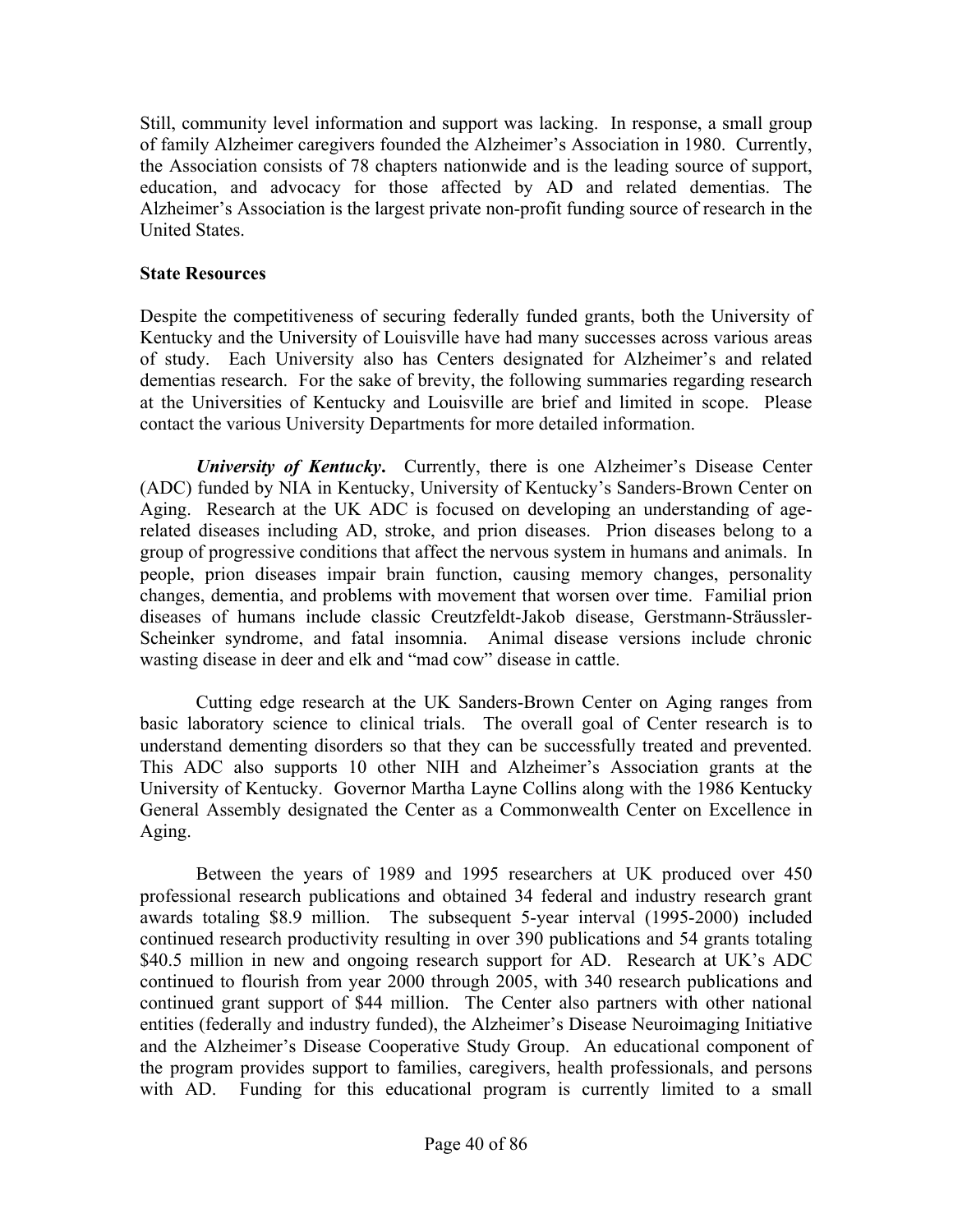Still, community level information and support was lacking. In response, a small group of family Alzheimer caregivers founded the Alzheimer's Association in 1980. Currently, the Association consists of 78 chapters nationwide and is the leading source of support, education, and advocacy for those affected by AD and related dementias. The Alzheimer's Association is the largest private non-profit funding source of research in the United States.

#### **State Resources**

Despite the competitiveness of securing federally funded grants, both the University of Kentucky and the University of Louisville have had many successes across various areas of study. Each University also has Centers designated for Alzheimer's and related dementias research. For the sake of brevity, the following summaries regarding research at the Universities of Kentucky and Louisville are brief and limited in scope. Please contact the various University Departments for more detailed information.

*University of Kentucky***.** Currently, there is one Alzheimer's Disease Center (ADC) funded by NIA in Kentucky, University of Kentucky's Sanders-Brown Center on Aging. Research at the UK ADC is focused on developing an understanding of agerelated diseases including AD, stroke, and prion diseases. Prion diseases belong to a group of progressive conditions that affect the nervous system in humans and animals. In people, prion diseases impair brain function, causing memory changes, personality changes, dementia, and problems with movement that worsen over time. Familial prion diseases of humans include classic Creutzfeldt-Jakob disease, Gerstmann-Sträussler-Scheinker syndrome, and fatal insomnia. Animal disease versions include chronic wasting disease in deer and elk and "mad cow" disease in cattle.

Cutting edge research at the UK Sanders-Brown Center on Aging ranges from basic laboratory science to clinical trials. The overall goal of Center research is to understand dementing disorders so that they can be successfully treated and prevented. This ADC also supports 10 other NIH and Alzheimer's Association grants at the University of Kentucky. Governor Martha Layne Collins along with the 1986 Kentucky General Assembly designated the Center as a Commonwealth Center on Excellence in Aging.

Between the years of 1989 and 1995 researchers at UK produced over 450 professional research publications and obtained 34 federal and industry research grant awards totaling \$8.9 million. The subsequent 5-year interval (1995-2000) included continued research productivity resulting in over 390 publications and 54 grants totaling \$40.5 million in new and ongoing research support for AD. Research at UK's ADC continued to flourish from year 2000 through 2005, with 340 research publications and continued grant support of \$44 million. The Center also partners with other national entities (federally and industry funded), the Alzheimer's Disease Neuroimaging Initiative and the Alzheimer's Disease Cooperative Study Group. An educational component of the program provides support to families, caregivers, health professionals, and persons with AD. Funding for this educational program is currently limited to a small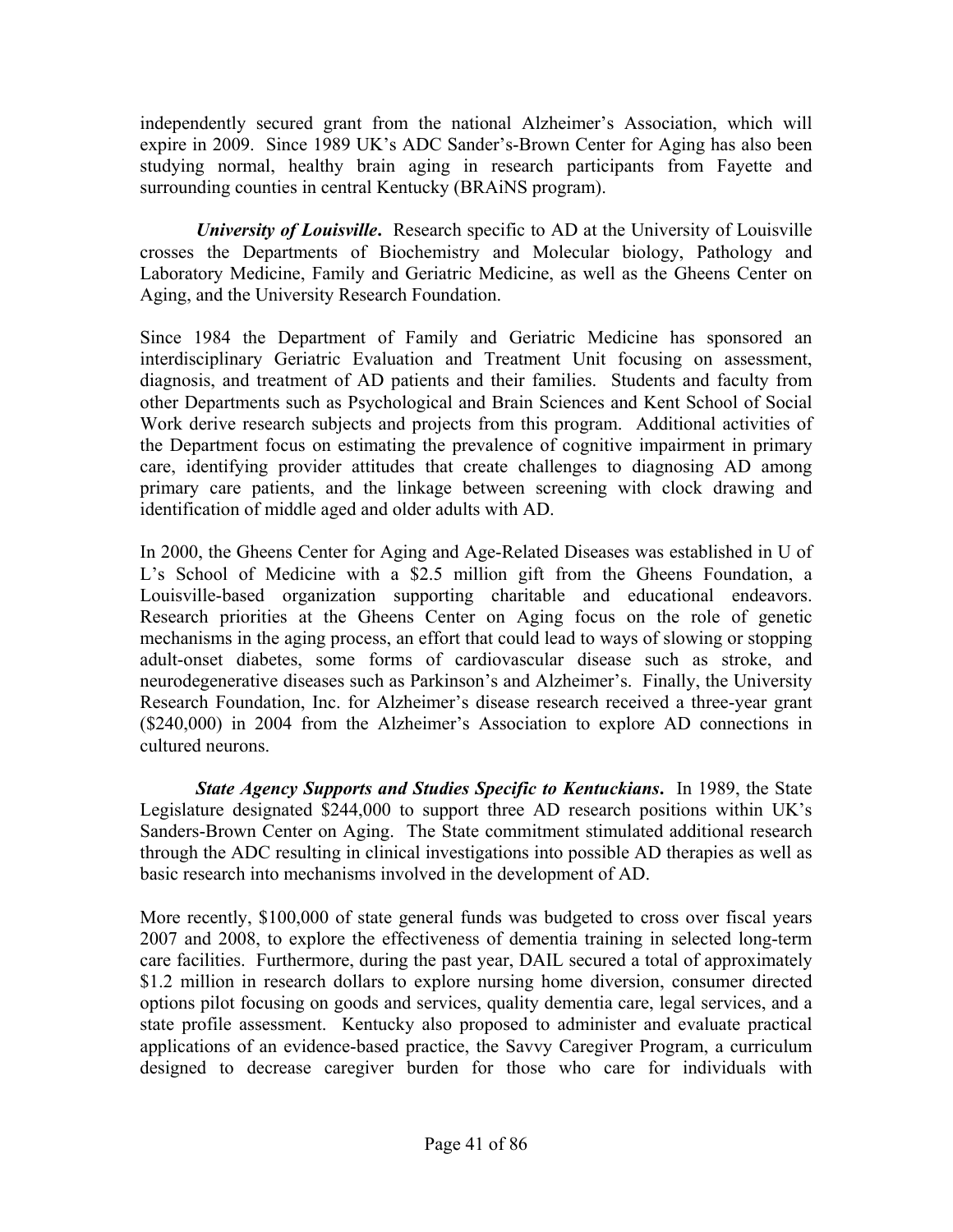independently secured grant from the national Alzheimer's Association, which will expire in 2009. Since 1989 UK's ADC Sander's-Brown Center for Aging has also been studying normal, healthy brain aging in research participants from Fayette and surrounding counties in central Kentucky (BRAiNS program).

*University of Louisville***.** Research specific to AD at the University of Louisville crosses the Departments of Biochemistry and Molecular biology, Pathology and Laboratory Medicine, Family and Geriatric Medicine, as well as the Gheens Center on Aging, and the University Research Foundation.

Since 1984 the Department of Family and Geriatric Medicine has sponsored an interdisciplinary Geriatric Evaluation and Treatment Unit focusing on assessment, diagnosis, and treatment of AD patients and their families. Students and faculty from other Departments such as Psychological and Brain Sciences and Kent School of Social Work derive research subjects and projects from this program. Additional activities of the Department focus on estimating the prevalence of cognitive impairment in primary care, identifying provider attitudes that create challenges to diagnosing AD among primary care patients, and the linkage between screening with clock drawing and identification of middle aged and older adults with AD.

In 2000, the Gheens Center for Aging and Age-Related Diseases was established in U of L's School of Medicine with a \$2.5 million gift from the Gheens Foundation, a Louisville-based organization supporting charitable and educational endeavors. Research priorities at the Gheens Center on Aging focus on the role of genetic mechanisms in the aging process, an effort that could lead to ways of slowing or stopping adult-onset diabetes, some forms of cardiovascular disease such as stroke, and neurodegenerative diseases such as Parkinson's and Alzheimer's. Finally, the University Research Foundation, Inc. for Alzheimer's disease research received a three-year grant (\$240,000) in 2004 from the Alzheimer's Association to explore AD connections in cultured neurons.

*State Agency Supports and Studies Specific to Kentuckians***.** In 1989, the State Legislature designated \$244,000 to support three AD research positions within UK's Sanders-Brown Center on Aging. The State commitment stimulated additional research through the ADC resulting in clinical investigations into possible AD therapies as well as basic research into mechanisms involved in the development of AD.

More recently, \$100,000 of state general funds was budgeted to cross over fiscal years 2007 and 2008, to explore the effectiveness of dementia training in selected long-term care facilities. Furthermore, during the past year, DAIL secured a total of approximately \$1.2 million in research dollars to explore nursing home diversion, consumer directed options pilot focusing on goods and services, quality dementia care, legal services, and a state profile assessment. Kentucky also proposed to administer and evaluate practical applications of an evidence-based practice, the Savvy Caregiver Program, a curriculum designed to decrease caregiver burden for those who care for individuals with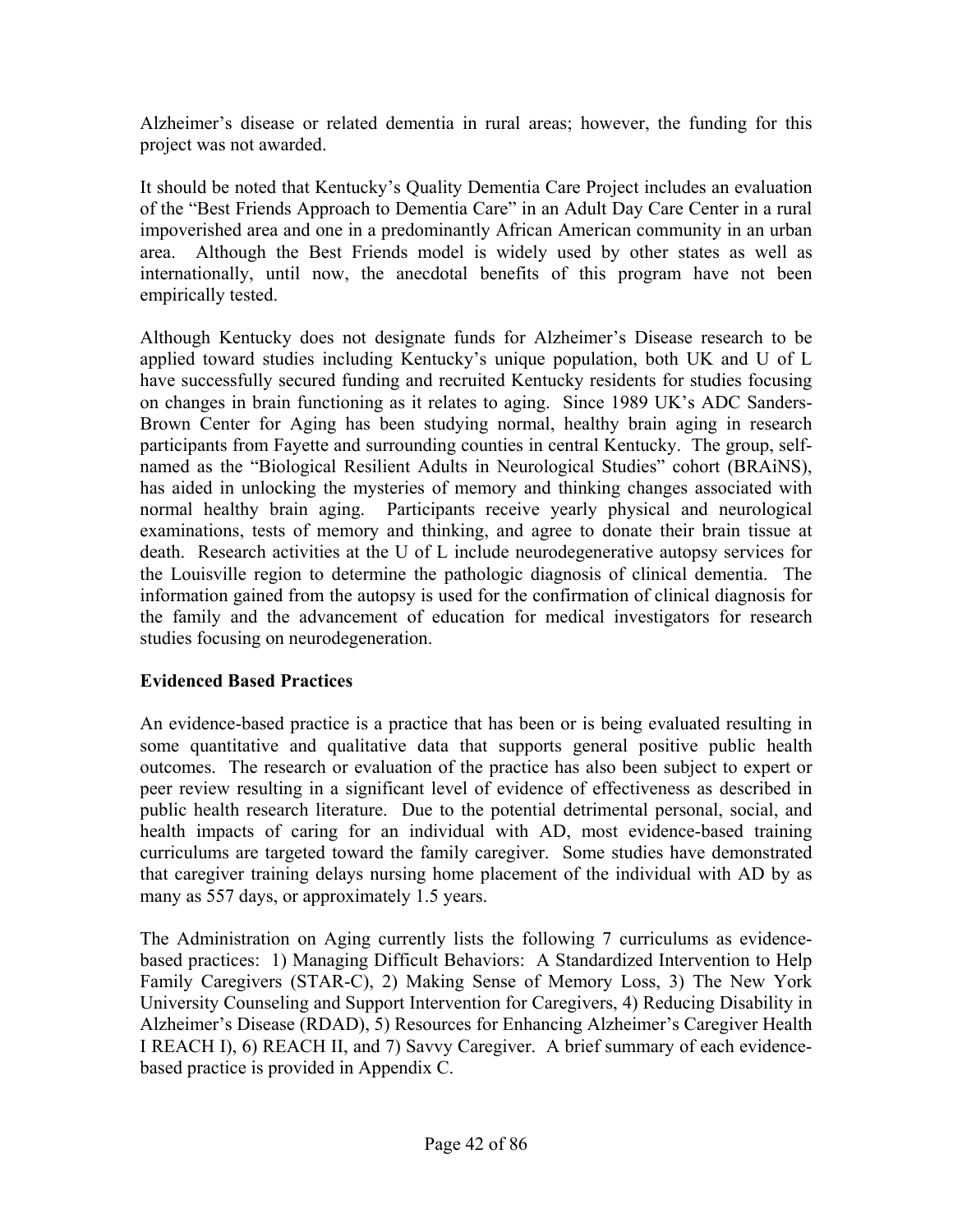Alzheimer's disease or related dementia in rural areas; however, the funding for this project was not awarded.

It should be noted that Kentucky's Quality Dementia Care Project includes an evaluation of the "Best Friends Approach to Dementia Care" in an Adult Day Care Center in a rural impoverished area and one in a predominantly African American community in an urban area. Although the Best Friends model is widely used by other states as well as internationally, until now, the anecdotal benefits of this program have not been empirically tested.

Although Kentucky does not designate funds for Alzheimer's Disease research to be applied toward studies including Kentucky's unique population, both UK and U of L have successfully secured funding and recruited Kentucky residents for studies focusing on changes in brain functioning as it relates to aging. Since 1989 UK's ADC Sanders-Brown Center for Aging has been studying normal, healthy brain aging in research participants from Fayette and surrounding counties in central Kentucky. The group, selfnamed as the "Biological Resilient Adults in Neurological Studies" cohort (BRAiNS), has aided in unlocking the mysteries of memory and thinking changes associated with normal healthy brain aging. Participants receive yearly physical and neurological examinations, tests of memory and thinking, and agree to donate their brain tissue at death. Research activities at the U of L include neurodegenerative autopsy services for the Louisville region to determine the pathologic diagnosis of clinical dementia. The information gained from the autopsy is used for the confirmation of clinical diagnosis for the family and the advancement of education for medical investigators for research studies focusing on neurodegeneration.

# **Evidenced Based Practices**

An evidence-based practice is a practice that has been or is being evaluated resulting in some quantitative and qualitative data that supports general positive public health outcomes. The research or evaluation of the practice has also been subject to expert or peer review resulting in a significant level of evidence of effectiveness as described in public health research literature. Due to the potential detrimental personal, social, and health impacts of caring for an individual with AD, most evidence-based training curriculums are targeted toward the family caregiver. Some studies have demonstrated that caregiver training delays nursing home placement of the individual with AD by as many as 557 days, or approximately 1.5 years.

The Administration on Aging currently lists the following 7 curriculums as evidencebased practices: 1) Managing Difficult Behaviors: A Standardized Intervention to Help Family Caregivers (STAR-C), 2) Making Sense of Memory Loss, 3) The New York University Counseling and Support Intervention for Caregivers, 4) Reducing Disability in Alzheimer's Disease (RDAD), 5) Resources for Enhancing Alzheimer's Caregiver Health I REACH I), 6) REACH II, and 7) Savvy Caregiver. A brief summary of each evidencebased practice is provided in Appendix C.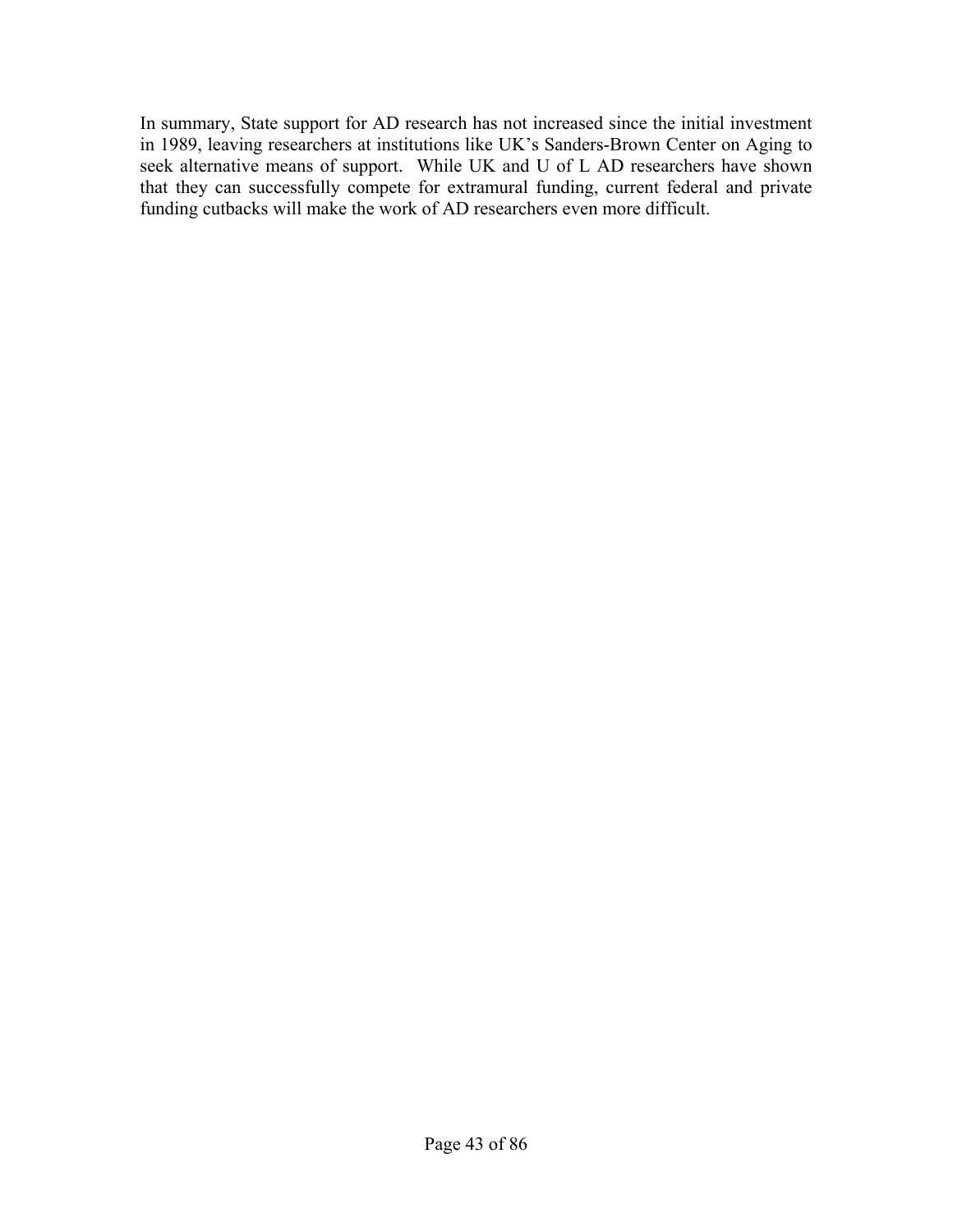In summary, State support for AD research has not increased since the initial investment in 1989, leaving researchers at institutions like UK's Sanders-Brown Center on Aging to seek alternative means of support. While UK and U of L AD researchers have shown that they can successfully compete for extramural funding, current federal and private funding cutbacks will make the work of AD researchers even more difficult.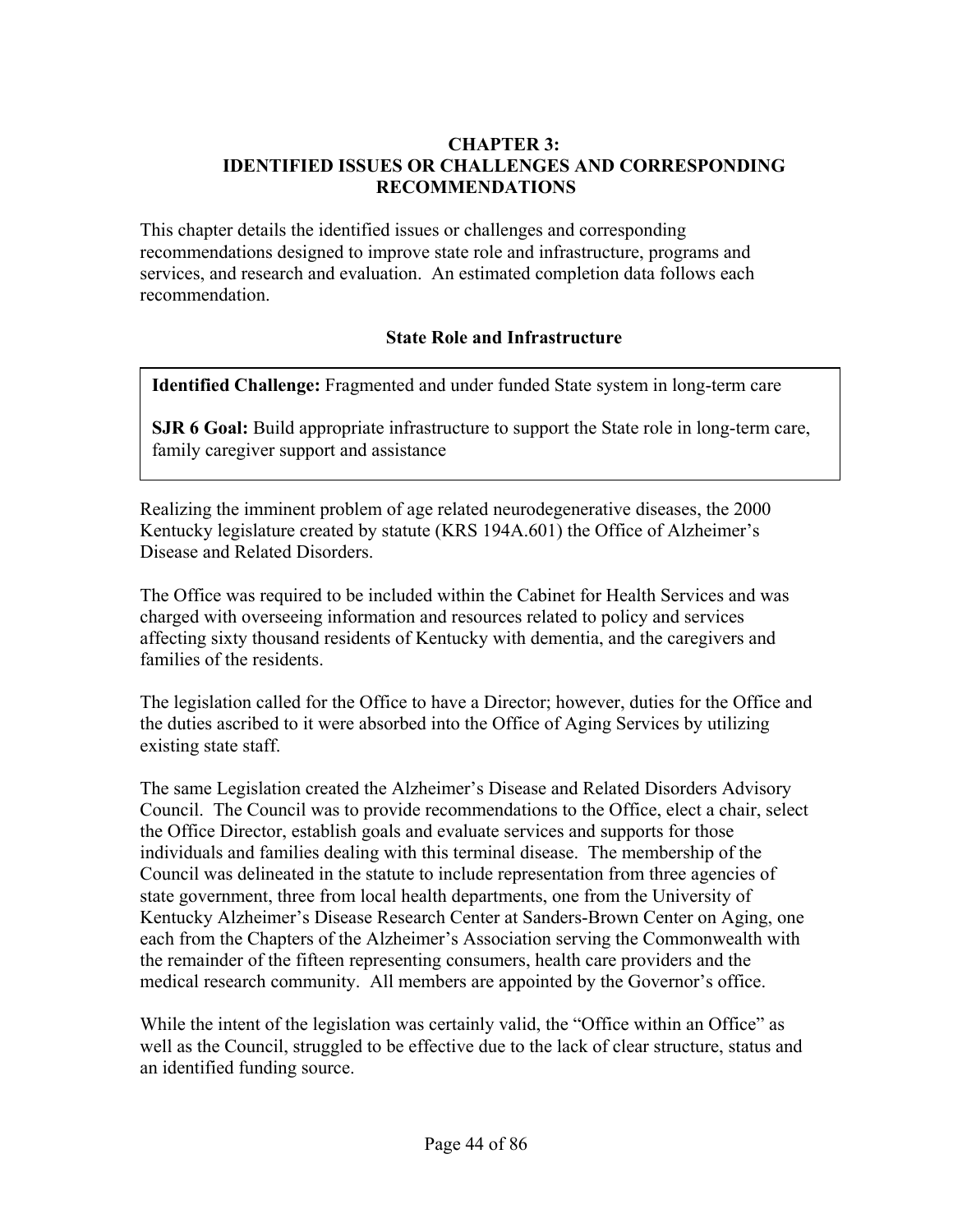#### **CHAPTER 3: IDENTIFIED ISSUES OR CHALLENGES AND CORRESPONDING RECOMMENDATIONS**

This chapter details the identified issues or challenges and corresponding recommendations designed to improve state role and infrastructure, programs and services, and research and evaluation. An estimated completion data follows each recommendation.

#### **State Role and Infrastructure**

**Identified Challenge:** Fragmented and under funded State system in long-term care

**SJR 6 Goal:** Build appropriate infrastructure to support the State role in long-term care, family caregiver support and assistance

Realizing the imminent problem of age related neurodegenerative diseases, the 2000 Kentucky legislature created by statute (KRS 194A.601) the Office of Alzheimer's Disease and Related Disorders.

The Office was required to be included within the Cabinet for Health Services and was charged with overseeing information and resources related to policy and services affecting sixty thousand residents of Kentucky with dementia, and the caregivers and families of the residents.

The legislation called for the Office to have a Director; however, duties for the Office and the duties ascribed to it were absorbed into the Office of Aging Services by utilizing existing state staff.

The same Legislation created the Alzheimer's Disease and Related Disorders Advisory Council. The Council was to provide recommendations to the Office, elect a chair, select the Office Director, establish goals and evaluate services and supports for those individuals and families dealing with this terminal disease. The membership of the Council was delineated in the statute to include representation from three agencies of state government, three from local health departments, one from the University of Kentucky Alzheimer's Disease Research Center at Sanders-Brown Center on Aging, one each from the Chapters of the Alzheimer's Association serving the Commonwealth with the remainder of the fifteen representing consumers, health care providers and the medical research community. All members are appointed by the Governor's office.

While the intent of the legislation was certainly valid, the "Office within an Office" as well as the Council, struggled to be effective due to the lack of clear structure, status and an identified funding source.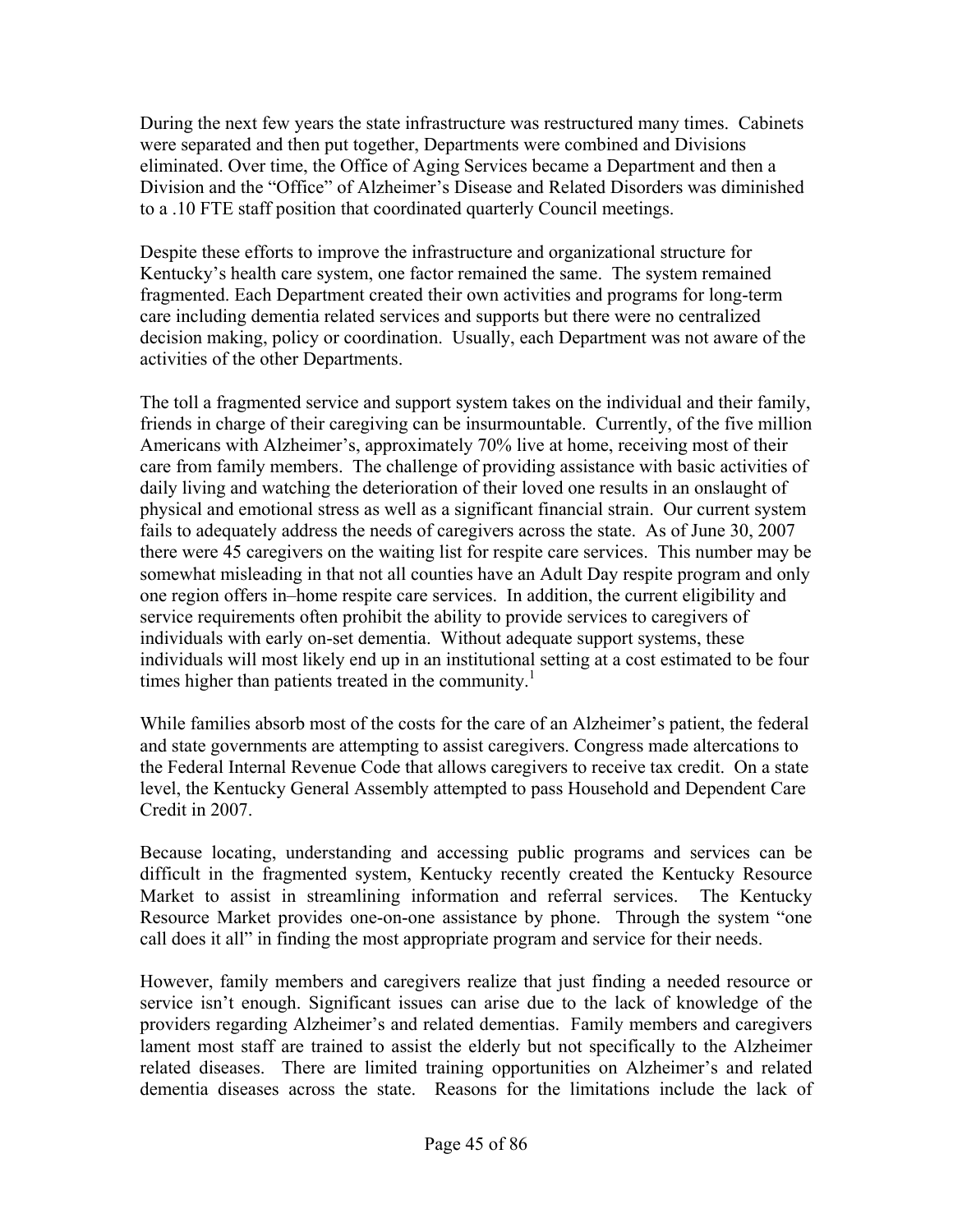During the next few years the state infrastructure was restructured many times. Cabinets were separated and then put together, Departments were combined and Divisions eliminated. Over time, the Office of Aging Services became a Department and then a Division and the "Office" of Alzheimer's Disease and Related Disorders was diminished to a .10 FTE staff position that coordinated quarterly Council meetings.

Despite these efforts to improve the infrastructure and organizational structure for Kentucky's health care system, one factor remained the same. The system remained fragmented. Each Department created their own activities and programs for long-term care including dementia related services and supports but there were no centralized decision making, policy or coordination. Usually, each Department was not aware of the activities of the other Departments.

The toll a fragmented service and support system takes on the individual and their family, friends in charge of their caregiving can be insurmountable. Currently, of the five million Americans with Alzheimer's, approximately 70% live at home, receiving most of their care from family members. The challenge of providing assistance with basic activities of daily living and watching the deterioration of their loved one results in an onslaught of physical and emotional stress as well as a significant financial strain. Our current system fails to adequately address the needs of caregivers across the state. As of June 30, 2007 there were 45 caregivers on the waiting list for respite care services. This number may be somewhat misleading in that not all counties have an Adult Day respite program and only one region offers in–home respite care services. In addition, the current eligibility and service requirements often prohibit the ability to provide services to caregivers of individuals with early on-set dementia. Without adequate support systems, these individuals will most likely end up in an institutional setting at a cost estimated to be four times higher than patients treated in the community.<sup>1</sup>

While families absorb most of the costs for the care of an Alzheimer's patient, the federal and state governments are attempting to assist caregivers. Congress made altercations to the Federal Internal Revenue Code that allows caregivers to receive tax credit. On a state level, the Kentucky General Assembly attempted to pass Household and Dependent Care Credit in 2007.

Because locating, understanding and accessing public programs and services can be difficult in the fragmented system, Kentucky recently created the Kentucky Resource Market to assist in streamlining information and referral services. The Kentucky Resource Market provides one-on-one assistance by phone. Through the system "one call does it all" in finding the most appropriate program and service for their needs.

However, family members and caregivers realize that just finding a needed resource or service isn't enough. Significant issues can arise due to the lack of knowledge of the providers regarding Alzheimer's and related dementias. Family members and caregivers lament most staff are trained to assist the elderly but not specifically to the Alzheimer related diseases. There are limited training opportunities on Alzheimer's and related dementia diseases across the state. Reasons for the limitations include the lack of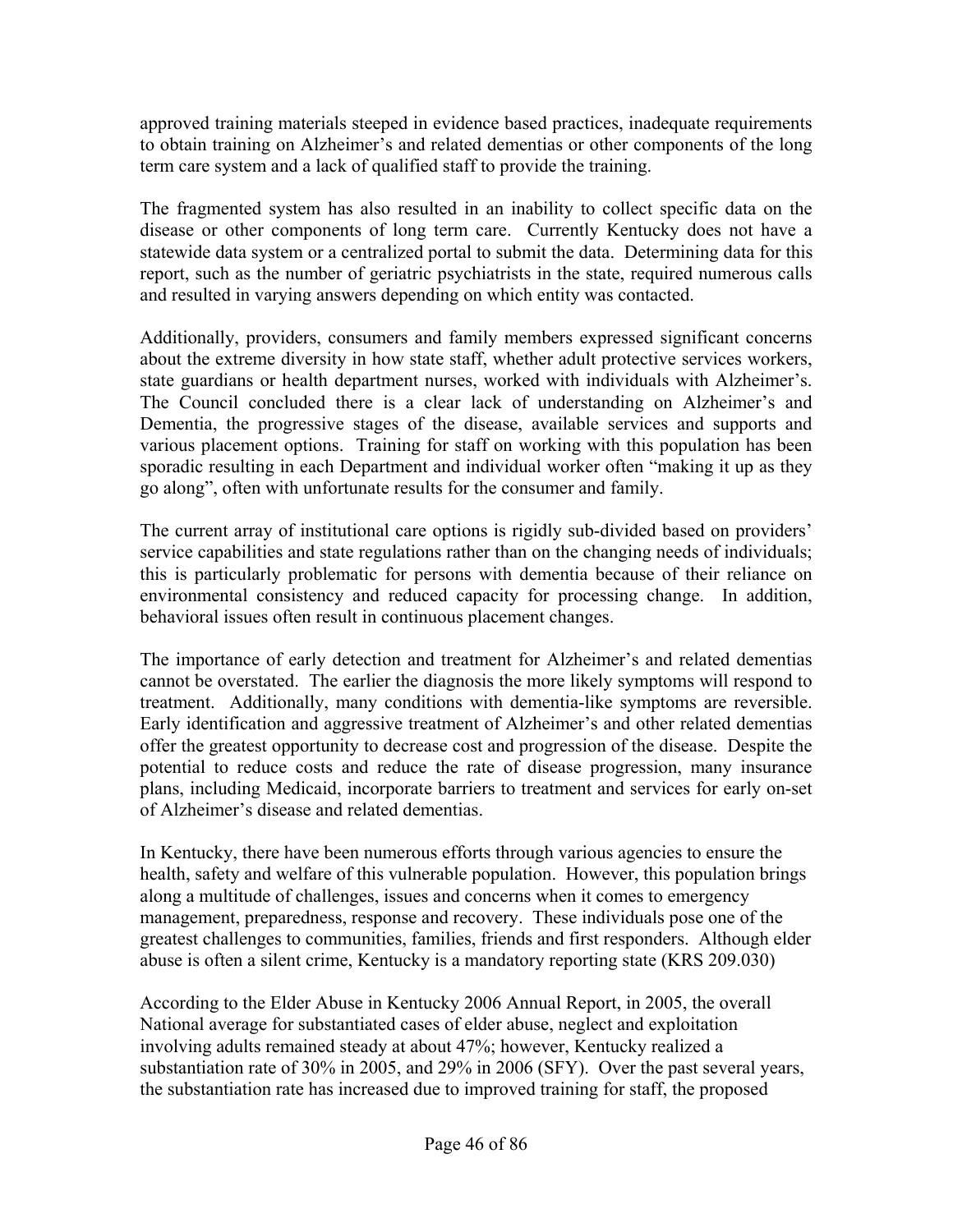approved training materials steeped in evidence based practices, inadequate requirements to obtain training on Alzheimer's and related dementias or other components of the long term care system and a lack of qualified staff to provide the training.

The fragmented system has also resulted in an inability to collect specific data on the disease or other components of long term care. Currently Kentucky does not have a statewide data system or a centralized portal to submit the data. Determining data for this report, such as the number of geriatric psychiatrists in the state, required numerous calls and resulted in varying answers depending on which entity was contacted.

Additionally, providers, consumers and family members expressed significant concerns about the extreme diversity in how state staff, whether adult protective services workers, state guardians or health department nurses, worked with individuals with Alzheimer's. The Council concluded there is a clear lack of understanding on Alzheimer's and Dementia, the progressive stages of the disease, available services and supports and various placement options. Training for staff on working with this population has been sporadic resulting in each Department and individual worker often "making it up as they go along", often with unfortunate results for the consumer and family.

The current array of institutional care options is rigidly sub-divided based on providers' service capabilities and state regulations rather than on the changing needs of individuals; this is particularly problematic for persons with dementia because of their reliance on environmental consistency and reduced capacity for processing change. In addition, behavioral issues often result in continuous placement changes.

The importance of early detection and treatment for Alzheimer's and related dementias cannot be overstated. The earlier the diagnosis the more likely symptoms will respond to treatment. Additionally, many conditions with dementia-like symptoms are reversible. Early identification and aggressive treatment of Alzheimer's and other related dementias offer the greatest opportunity to decrease cost and progression of the disease. Despite the potential to reduce costs and reduce the rate of disease progression, many insurance plans, including Medicaid, incorporate barriers to treatment and services for early on-set of Alzheimer's disease and related dementias.

In Kentucky, there have been numerous efforts through various agencies to ensure the health, safety and welfare of this vulnerable population. However, this population brings along a multitude of challenges, issues and concerns when it comes to emergency management, preparedness, response and recovery. These individuals pose one of the greatest challenges to communities, families, friends and first responders. Although elder abuse is often a silent crime, Kentucky is a mandatory reporting state (KRS 209.030)

According to the Elder Abuse in Kentucky 2006 Annual Report, in 2005, the overall National average for substantiated cases of elder abuse, neglect and exploitation involving adults remained steady at about 47%; however, Kentucky realized a substantiation rate of 30% in 2005, and 29% in 2006 (SFY). Over the past several years, the substantiation rate has increased due to improved training for staff, the proposed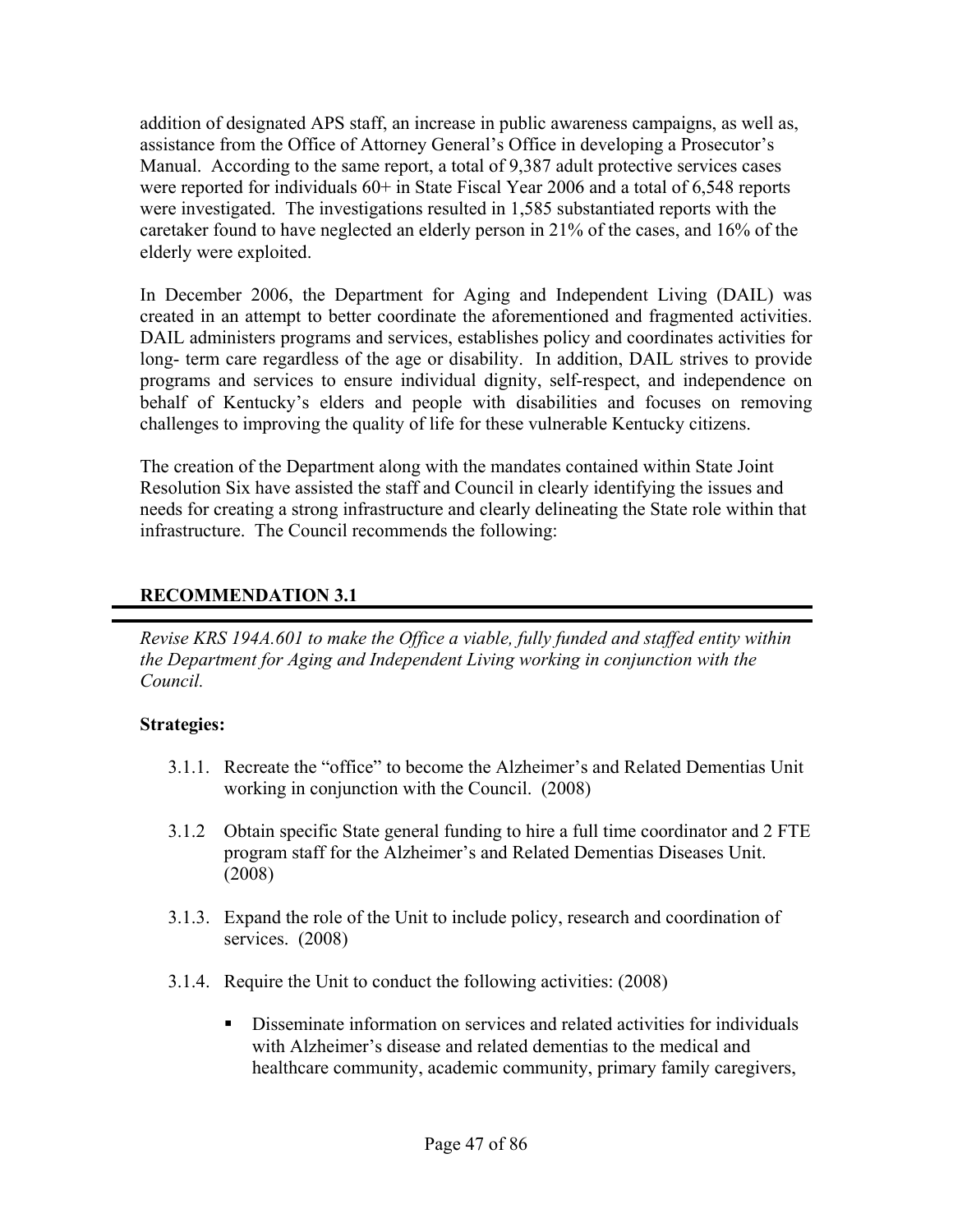addition of designated APS staff, an increase in public awareness campaigns, as well as, assistance from the Office of Attorney General's Office in developing a Prosecutor's Manual. According to the same report, a total of 9,387 adult protective services cases were reported for individuals  $60+$  in State Fiscal Year 2006 and a total of 6,548 reports were investigated. The investigations resulted in 1,585 substantiated reports with the caretaker found to have neglected an elderly person in 21% of the cases, and 16% of the elderly were exploited.

In December 2006, the Department for Aging and Independent Living (DAIL) was created in an attempt to better coordinate the aforementioned and fragmented activities. DAIL administers programs and services, establishes policy and coordinates activities for long- term care regardless of the age or disability. In addition, DAIL strives to provide programs and services to ensure individual dignity, self-respect, and independence on behalf of Kentucky's elders and people with disabilities and focuses on removing challenges to improving the quality of life for these vulnerable Kentucky citizens.

The creation of the Department along with the mandates contained within State Joint Resolution Six have assisted the staff and Council in clearly identifying the issues and needs for creating a strong infrastructure and clearly delineating the State role within that infrastructure. The Council recommends the following:

# **RECOMMENDATION 3.1**

*Revise KRS 194A.601 to make the Office a viable, fully funded and staffed entity within the Department for Aging and Independent Living working in conjunction with the Council.* 

# **Strategies:**

- 3.1.1. Recreate the "office" to become the Alzheimer's and Related Dementias Unit working in conjunction with the Council. (2008)
- 3.1.2 Obtain specific State general funding to hire a full time coordinator and 2 FTE program staff for the Alzheimer's and Related Dementias Diseases Unit. (2008)
- 3.1.3. Expand the role of the Unit to include policy, research and coordination of services. (2008)
- 3.1.4. Require the Unit to conduct the following activities: (2008)
	- Disseminate information on services and related activities for individuals with Alzheimer's disease and related dementias to the medical and healthcare community, academic community, primary family caregivers,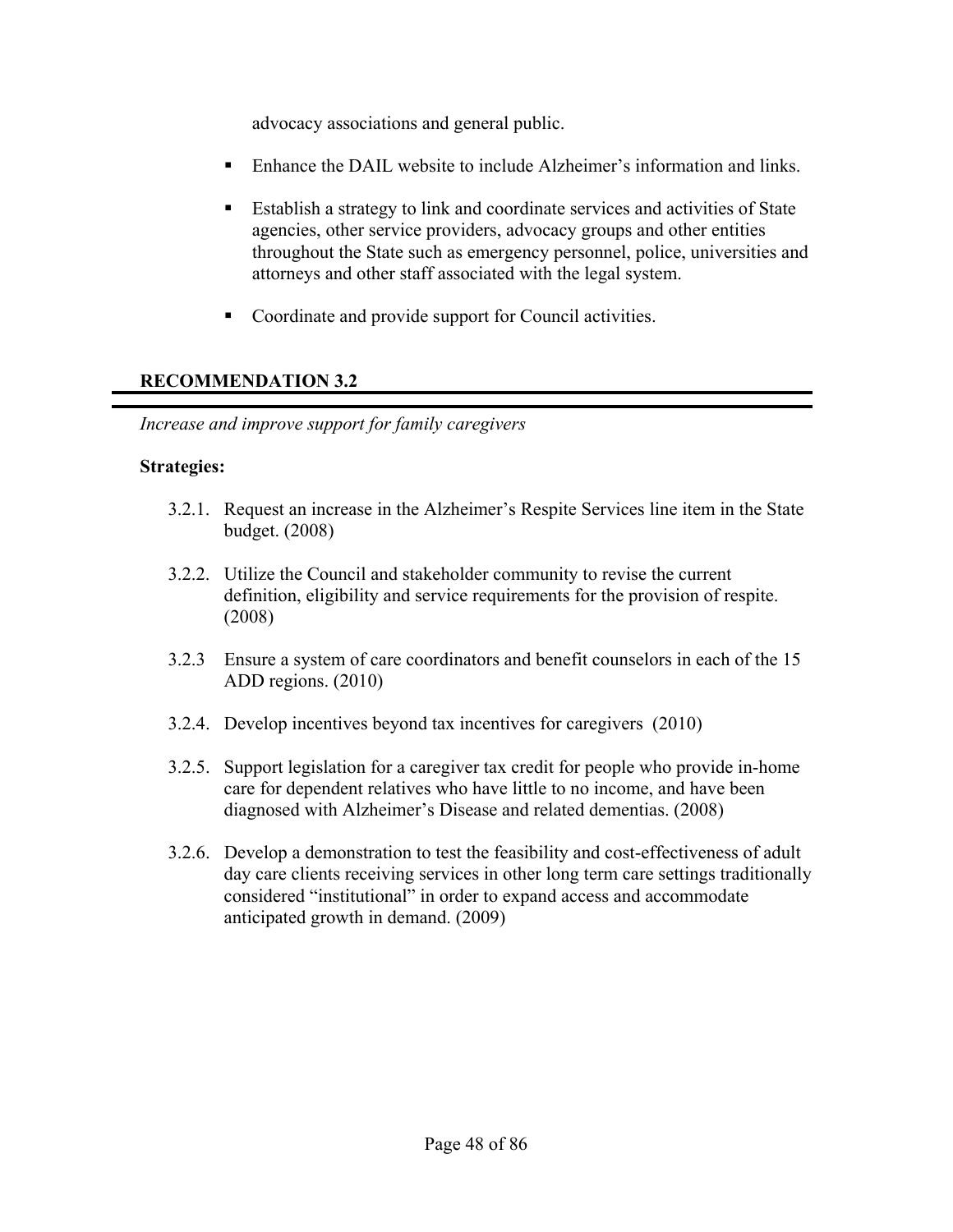advocacy associations and general public.

- Enhance the DAIL website to include Alzheimer's information and links.
- Establish a strategy to link and coordinate services and activities of State agencies, other service providers, advocacy groups and other entities throughout the State such as emergency personnel, police, universities and attorneys and other staff associated with the legal system.
- Coordinate and provide support for Council activities.

# **RECOMMENDATION 3.2**

*Increase and improve support for family caregivers* 

# **Strategies:**

- 3.2.1. Request an increase in the Alzheimer's Respite Services line item in the State budget. (2008)
- 3.2.2. Utilize the Council and stakeholder community to revise the current definition, eligibility and service requirements for the provision of respite. (2008)
- 3.2.3 Ensure a system of care coordinators and benefit counselors in each of the 15 ADD regions. (2010)
- 3.2.4. Develop incentives beyond tax incentives for caregivers (2010)
- 3.2.5. Support legislation for a caregiver tax credit for people who provide in-home care for dependent relatives who have little to no income, and have been diagnosed with Alzheimer's Disease and related dementias. (2008)
- 3.2.6. Develop a demonstration to test the feasibility and cost-effectiveness of adult day care clients receiving services in other long term care settings traditionally considered "institutional" in order to expand access and accommodate anticipated growth in demand. (2009)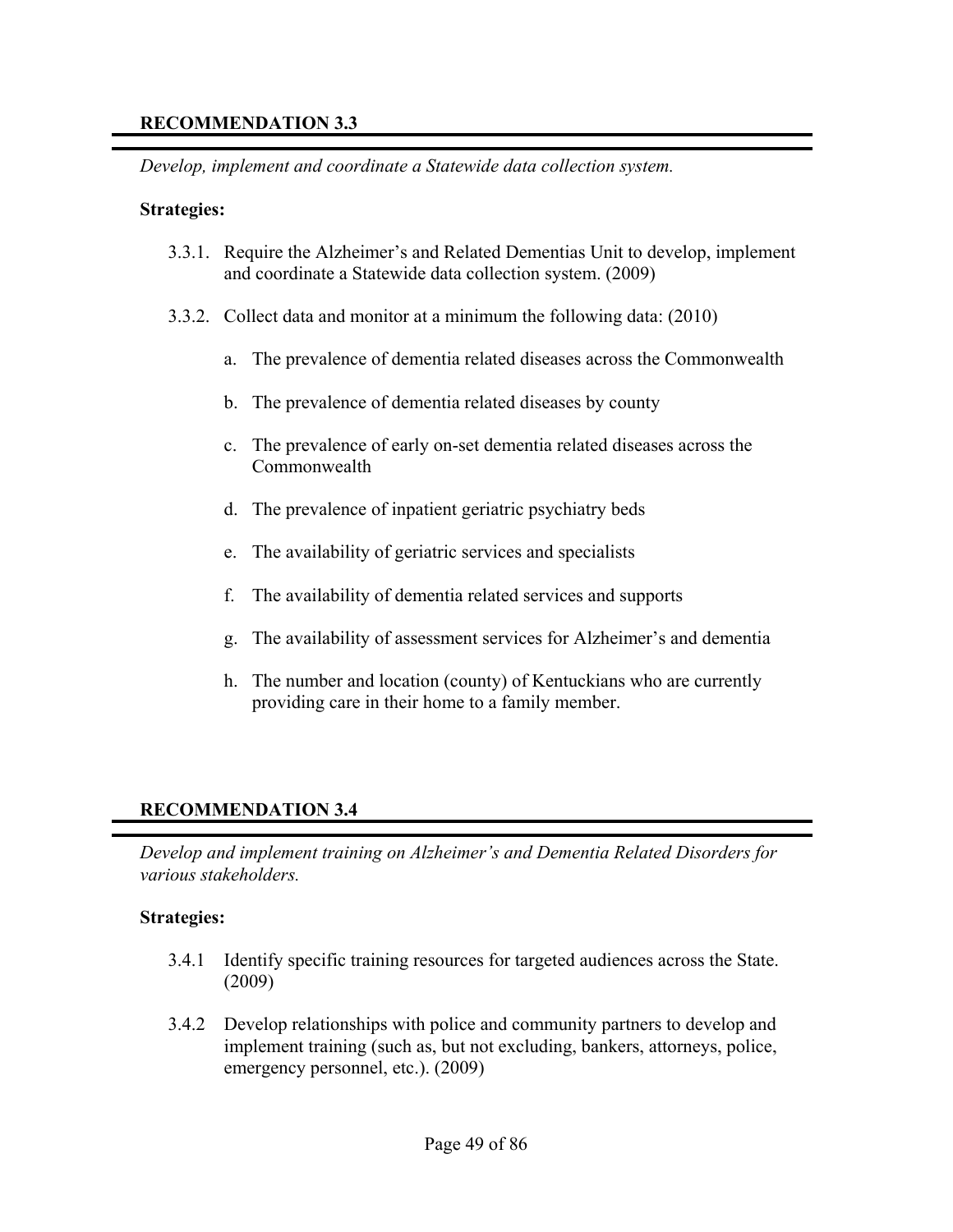#### **RECOMMENDATION 3.3**

*Develop, implement and coordinate a Statewide data collection system.* 

#### **Strategies:**

- 3.3.1. Require the Alzheimer's and Related Dementias Unit to develop, implement and coordinate a Statewide data collection system. (2009)
- 3.3.2. Collect data and monitor at a minimum the following data: (2010)
	- a. The prevalence of dementia related diseases across the Commonwealth
	- b. The prevalence of dementia related diseases by county
	- c. The prevalence of early on-set dementia related diseases across the Commonwealth
	- d. The prevalence of inpatient geriatric psychiatry beds
	- e. The availability of geriatric services and specialists
	- f. The availability of dementia related services and supports
	- g. The availability of assessment services for Alzheimer's and dementia
	- h. The number and location (county) of Kentuckians who are currently providing care in their home to a family member.

# **RECOMMENDATION 3.4**

*Develop and implement training on Alzheimer's and Dementia Related Disorders for various stakeholders.* 

#### **Strategies:**

- 3.4.1 Identify specific training resources for targeted audiences across the State. (2009)
- 3.4.2 Develop relationships with police and community partners to develop and implement training (such as, but not excluding, bankers, attorneys, police, emergency personnel, etc.). (2009)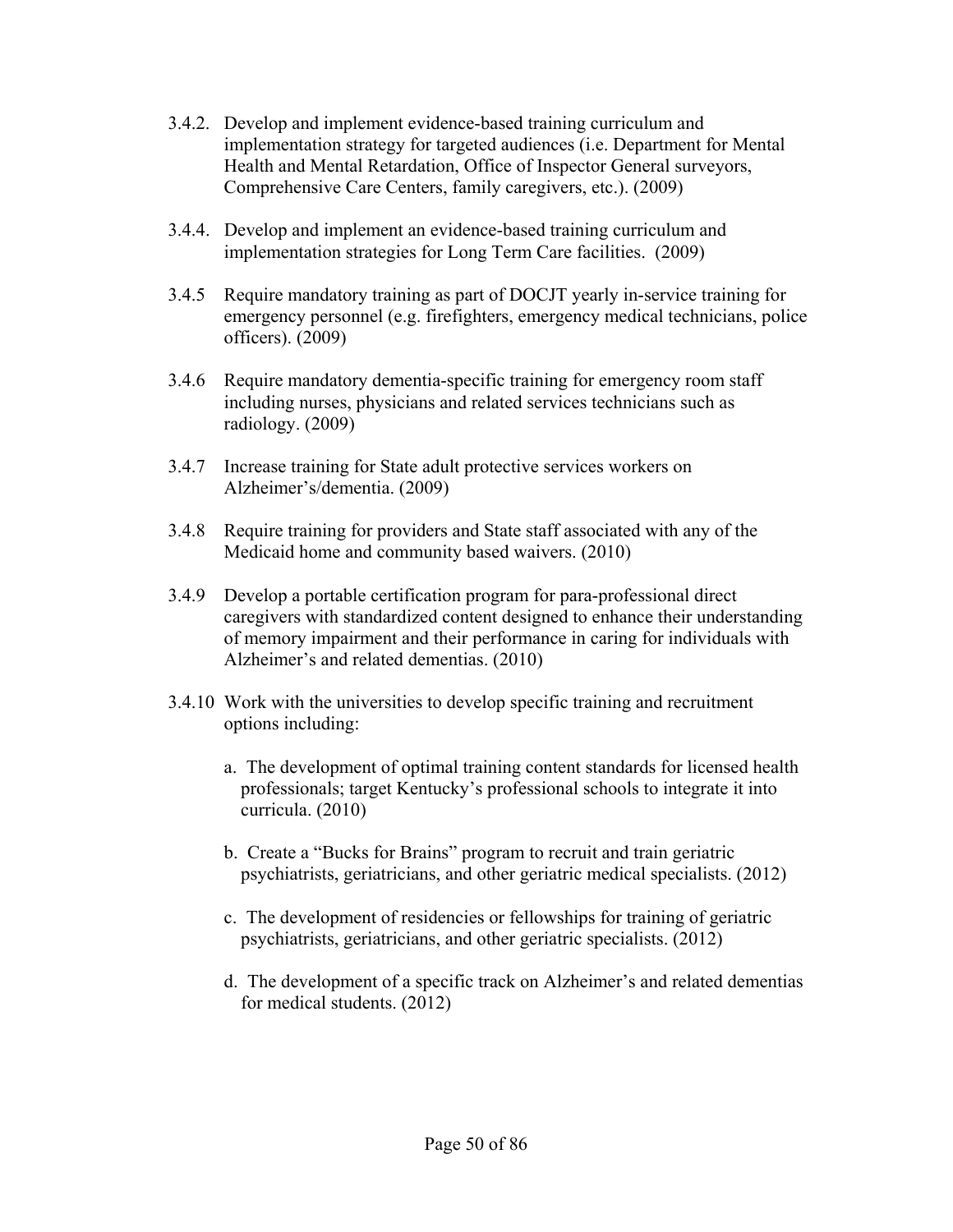- 3.4.2. Develop and implement evidence-based training curriculum and implementation strategy for targeted audiences (i.e. Department for Mental Health and Mental Retardation, Office of Inspector General surveyors, Comprehensive Care Centers, family caregivers, etc.). (2009)
- 3.4.4. Develop and implement an evidence-based training curriculum and implementation strategies for Long Term Care facilities. (2009)
- 3.4.5 Require mandatory training as part of DOCJT yearly in-service training for emergency personnel (e.g. firefighters, emergency medical technicians, police officers). (2009)
- 3.4.6 Require mandatory dementia-specific training for emergency room staff including nurses, physicians and related services technicians such as radiology. (2009)
- 3.4.7 Increase training for State adult protective services workers on Alzheimer's/dementia. (2009)
- 3.4.8 Require training for providers and State staff associated with any of the Medicaid home and community based waivers. (2010)
- 3.4.9 Develop a portable certification program for para-professional direct caregivers with standardized content designed to enhance their understanding of memory impairment and their performance in caring for individuals with Alzheimer's and related dementias. (2010)
- 3.4.10 Work with the universities to develop specific training and recruitment options including:
	- a. The development of optimal training content standards for licensed health professionals; target Kentucky's professional schools to integrate it into curricula. (2010)
	- b. Create a "Bucks for Brains" program to recruit and train geriatric psychiatrists, geriatricians, and other geriatric medical specialists. (2012)
	- c. The development of residencies or fellowships for training of geriatric psychiatrists, geriatricians, and other geriatric specialists. (2012)
	- d. The development of a specific track on Alzheimer's and related dementias for medical students. (2012)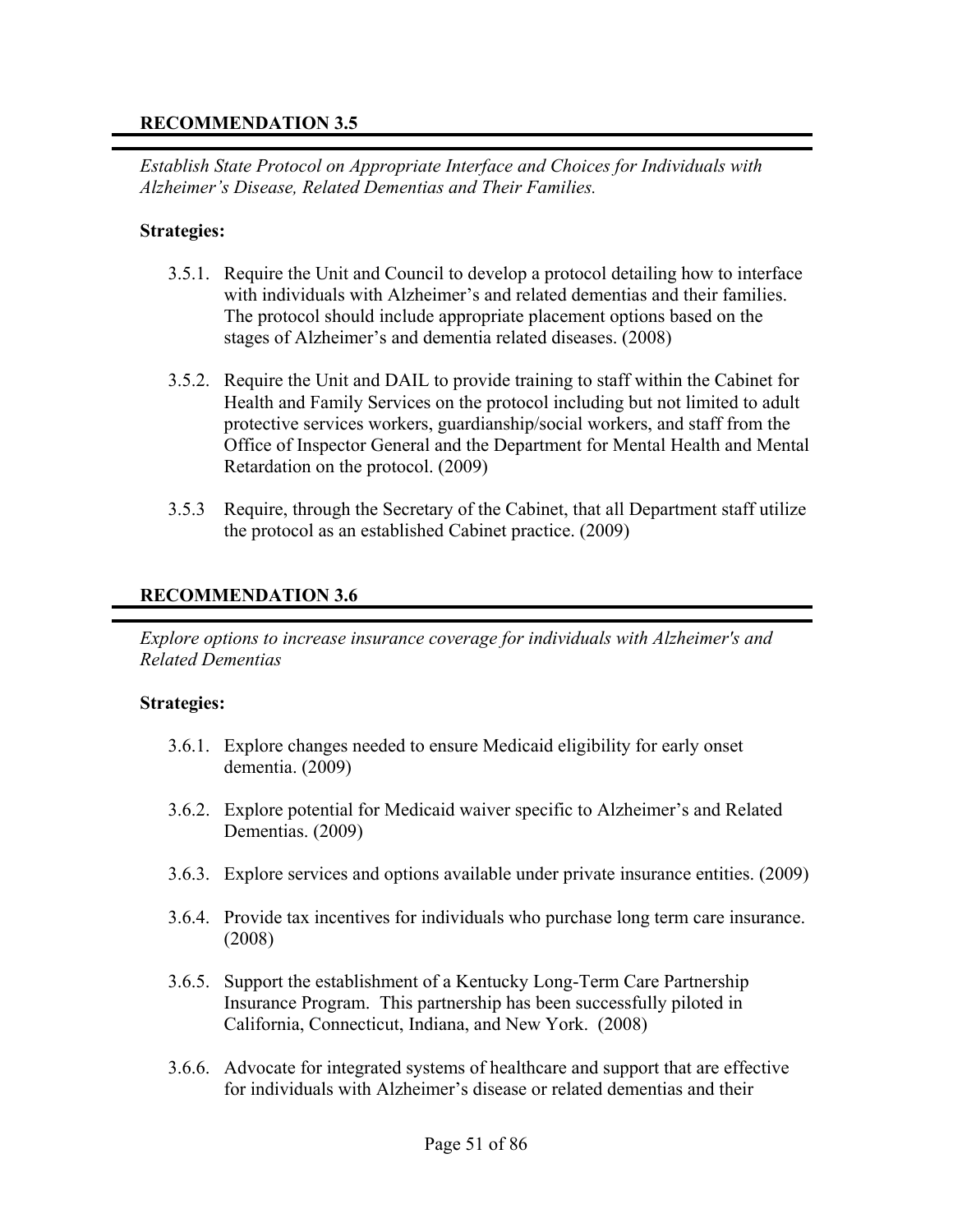### **RECOMMENDATION 3.5**

*Establish State Protocol on Appropriate Interface and Choices for Individuals with Alzheimer's Disease, Related Dementias and Their Families.* 

#### **Strategies:**

- 3.5.1. Require the Unit and Council to develop a protocol detailing how to interface with individuals with Alzheimer's and related dementias and their families. The protocol should include appropriate placement options based on the stages of Alzheimer's and dementia related diseases. (2008)
- 3.5.2. Require the Unit and DAIL to provide training to staff within the Cabinet for Health and Family Services on the protocol including but not limited to adult protective services workers, guardianship/social workers, and staff from the Office of Inspector General and the Department for Mental Health and Mental Retardation on the protocol. (2009)
- 3.5.3 Require, through the Secretary of the Cabinet, that all Department staff utilize the protocol as an established Cabinet practice. (2009)

## **RECOMMENDATION 3.6**

*Explore options to increase insurance coverage for individuals with Alzheimer's and Related Dementias* 

### **Strategies:**

- 3.6.1. Explore changes needed to ensure Medicaid eligibility for early onset dementia. (2009)
- 3.6.2. Explore potential for Medicaid waiver specific to Alzheimer's and Related Dementias. (2009)
- 3.6.3. Explore services and options available under private insurance entities. (2009)
- 3.6.4. Provide tax incentives for individuals who purchase long term care insurance. (2008)
- 3.6.5. Support the establishment of a Kentucky Long-Term Care Partnership Insurance Program. This partnership has been successfully piloted in California, Connecticut, Indiana, and New York. (2008)
- 3.6.6. Advocate for integrated systems of healthcare and support that are effective for individuals with Alzheimer's disease or related dementias and their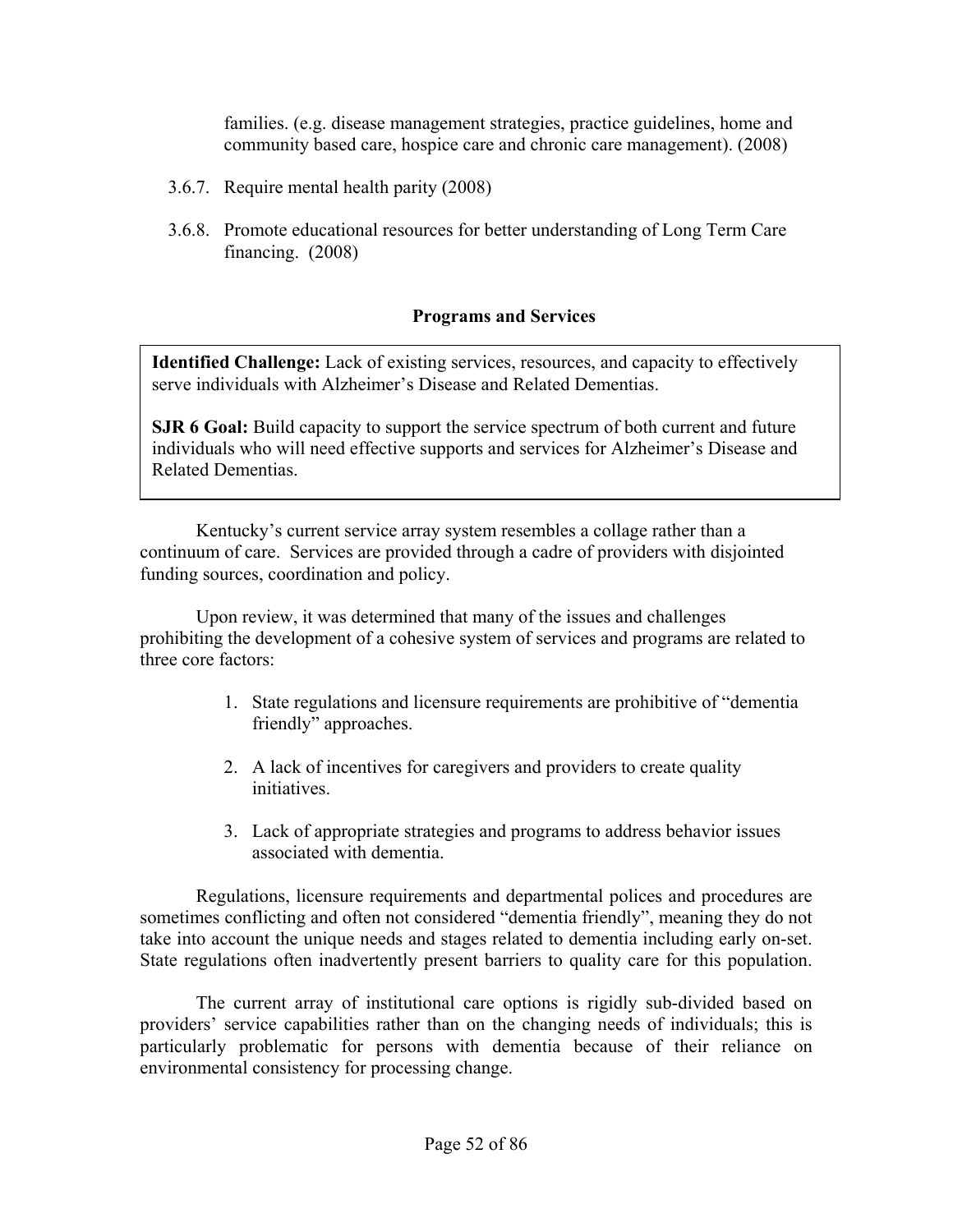families. (e.g. disease management strategies, practice guidelines, home and community based care, hospice care and chronic care management). (2008)

- 3.6.7. Require mental health parity (2008)
- 3.6.8. Promote educational resources for better understanding of Long Term Care financing. (2008)

#### **Programs and Services**

**Identified Challenge:** Lack of existing services, resources, and capacity to effectively serve individuals with Alzheimer's Disease and Related Dementias.

**SJR 6 Goal:** Build capacity to support the service spectrum of both current and future individuals who will need effective supports and services for Alzheimer's Disease and Related Dementias.

Kentucky's current service array system resembles a collage rather than a continuum of care. Services are provided through a cadre of providers with disjointed funding sources, coordination and policy.

Upon review, it was determined that many of the issues and challenges prohibiting the development of a cohesive system of services and programs are related to three core factors:

- 1. State regulations and licensure requirements are prohibitive of "dementia friendly" approaches.
- 2. A lack of incentives for caregivers and providers to create quality initiatives.
- 3. Lack of appropriate strategies and programs to address behavior issues associated with dementia.

Regulations, licensure requirements and departmental polices and procedures are sometimes conflicting and often not considered "dementia friendly", meaning they do not take into account the unique needs and stages related to dementia including early on-set. State regulations often inadvertently present barriers to quality care for this population.

The current array of institutional care options is rigidly sub-divided based on providers' service capabilities rather than on the changing needs of individuals; this is particularly problematic for persons with dementia because of their reliance on environmental consistency for processing change.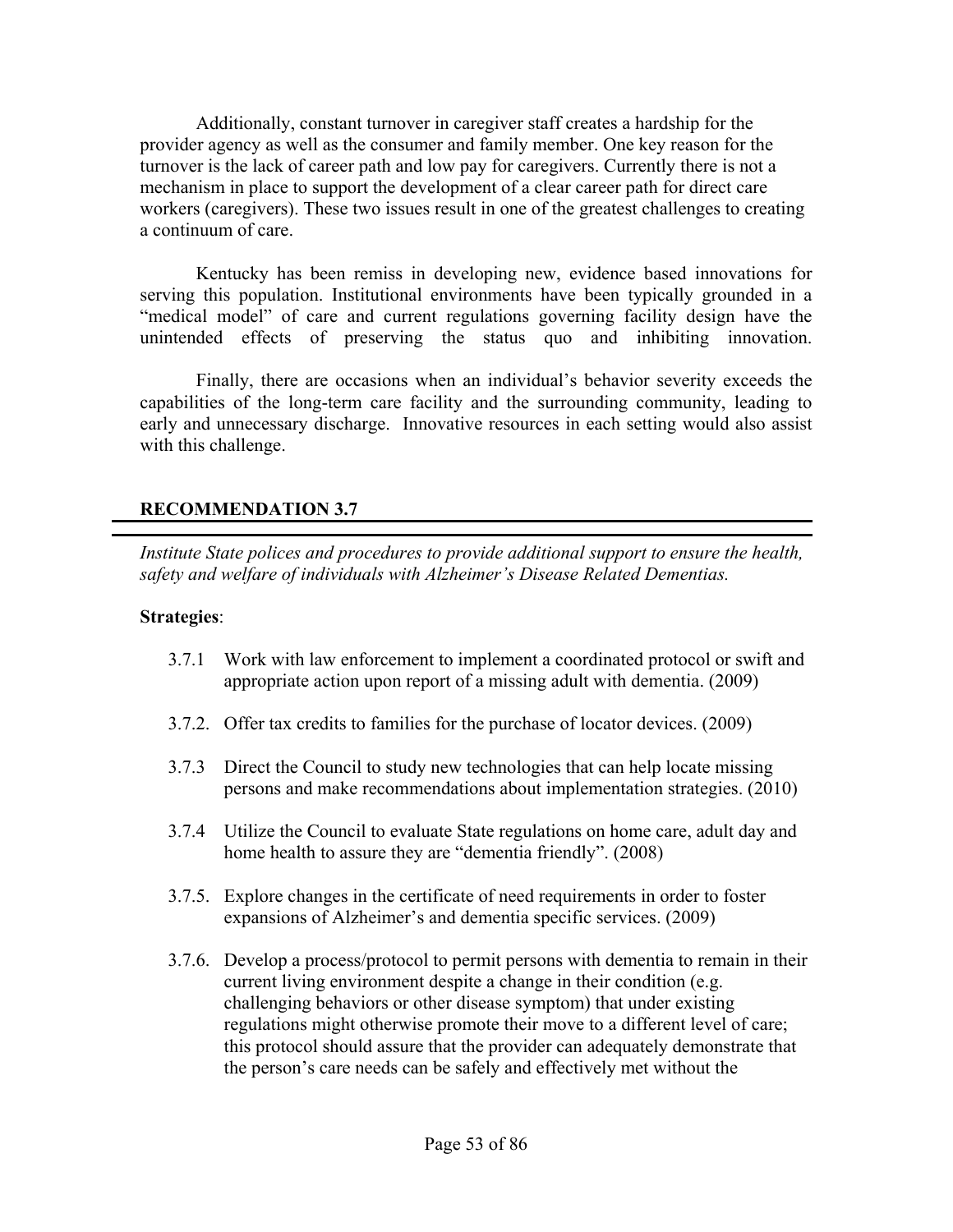Additionally, constant turnover in caregiver staff creates a hardship for the provider agency as well as the consumer and family member. One key reason for the turnover is the lack of career path and low pay for caregivers. Currently there is not a mechanism in place to support the development of a clear career path for direct care workers (caregivers). These two issues result in one of the greatest challenges to creating a continuum of care.

Kentucky has been remiss in developing new, evidence based innovations for serving this population. Institutional environments have been typically grounded in a "medical model" of care and current regulations governing facility design have the unintended effects of preserving the status quo and inhibiting innovation.

Finally, there are occasions when an individual's behavior severity exceeds the capabilities of the long-term care facility and the surrounding community, leading to early and unnecessary discharge. Innovative resources in each setting would also assist with this challenge.

## **RECOMMENDATION 3.7**

*Institute State polices and procedures to provide additional support to ensure the health, safety and welfare of individuals with Alzheimer's Disease Related Dementias.* 

### **Strategies**:

- 3.7.1 Work with law enforcement to implement a coordinated protocol or swift and appropriate action upon report of a missing adult with dementia. (2009)
- 3.7.2. Offer tax credits to families for the purchase of locator devices. (2009)
- 3.7.3 Direct the Council to study new technologies that can help locate missing persons and make recommendations about implementation strategies. (2010)
- 3.7.4 Utilize the Council to evaluate State regulations on home care, adult day and home health to assure they are "dementia friendly". (2008)
- 3.7.5. Explore changes in the certificate of need requirements in order to foster expansions of Alzheimer's and dementia specific services. (2009)
- 3.7.6. Develop a process/protocol to permit persons with dementia to remain in their current living environment despite a change in their condition (e.g. challenging behaviors or other disease symptom) that under existing regulations might otherwise promote their move to a different level of care; this protocol should assure that the provider can adequately demonstrate that the person's care needs can be safely and effectively met without the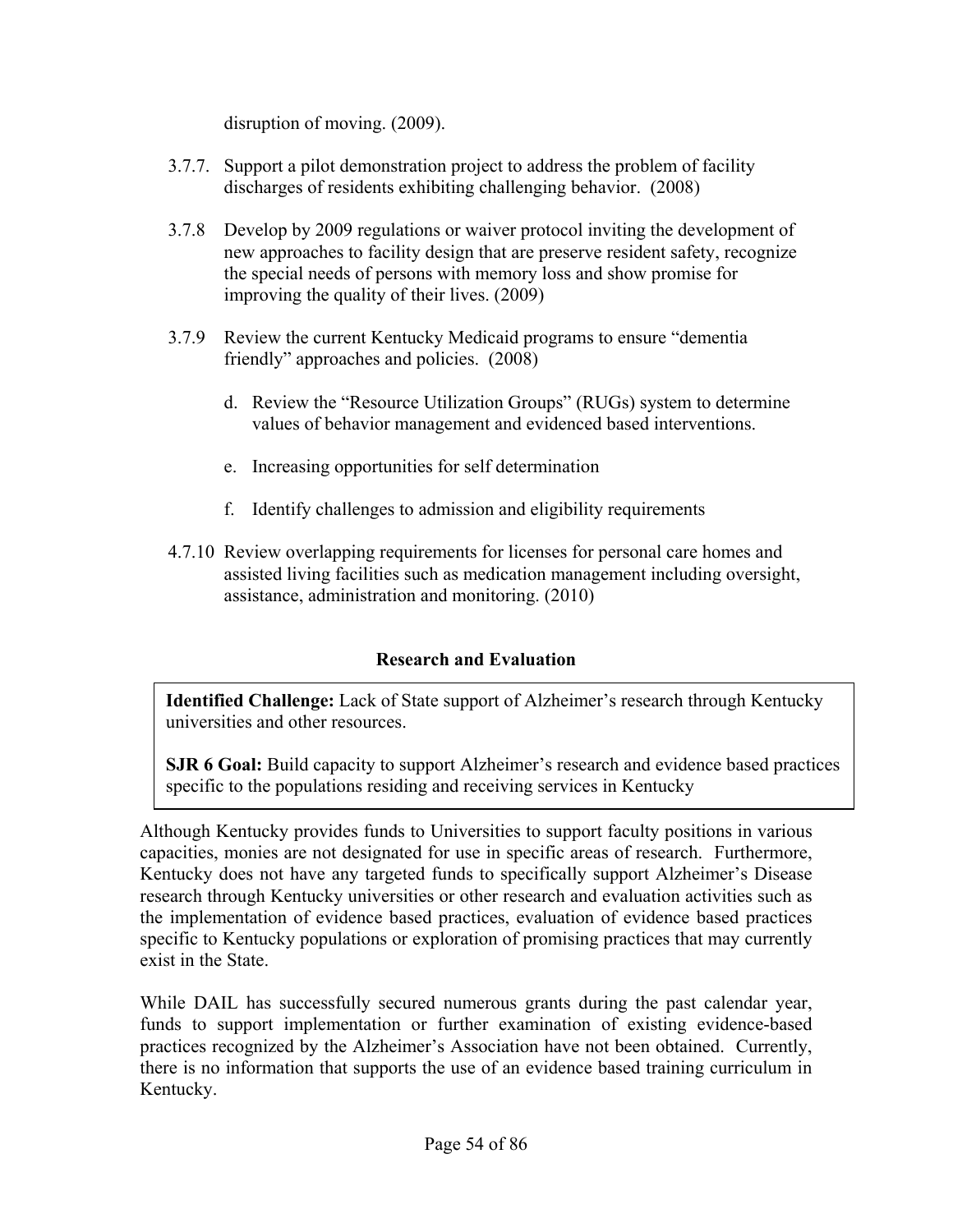disruption of moving. (2009).

- 3.7.7. Support a pilot demonstration project to address the problem of facility discharges of residents exhibiting challenging behavior. (2008)
- 3.7.8 Develop by 2009 regulations or waiver protocol inviting the development of new approaches to facility design that are preserve resident safety, recognize the special needs of persons with memory loss and show promise for improving the quality of their lives. (2009)
- 3.7.9 Review the current Kentucky Medicaid programs to ensure "dementia friendly" approaches and policies. (2008)
	- d. Review the "Resource Utilization Groups" (RUGs) system to determine values of behavior management and evidenced based interventions.
	- e. Increasing opportunities for self determination
	- f. Identify challenges to admission and eligibility requirements
- 4.7.10 Review overlapping requirements for licenses for personal care homes and assisted living facilities such as medication management including oversight, assistance, administration and monitoring. (2010)

# **Research and Evaluation**

**Identified Challenge:** Lack of State support of Alzheimer's research through Kentucky universities and other resources.

**SJR 6 Goal:** Build capacity to support Alzheimer's research and evidence based practices specific to the populations residing and receiving services in Kentucky

Although Kentucky provides funds to Universities to support faculty positions in various capacities, monies are not designated for use in specific areas of research. Furthermore, Kentucky does not have any targeted funds to specifically support Alzheimer's Disease research through Kentucky universities or other research and evaluation activities such as the implementation of evidence based practices, evaluation of evidence based practices specific to Kentucky populations or exploration of promising practices that may currently exist in the State.

While DAIL has successfully secured numerous grants during the past calendar year, funds to support implementation or further examination of existing evidence-based practices recognized by the Alzheimer's Association have not been obtained. Currently, there is no information that supports the use of an evidence based training curriculum in Kentucky.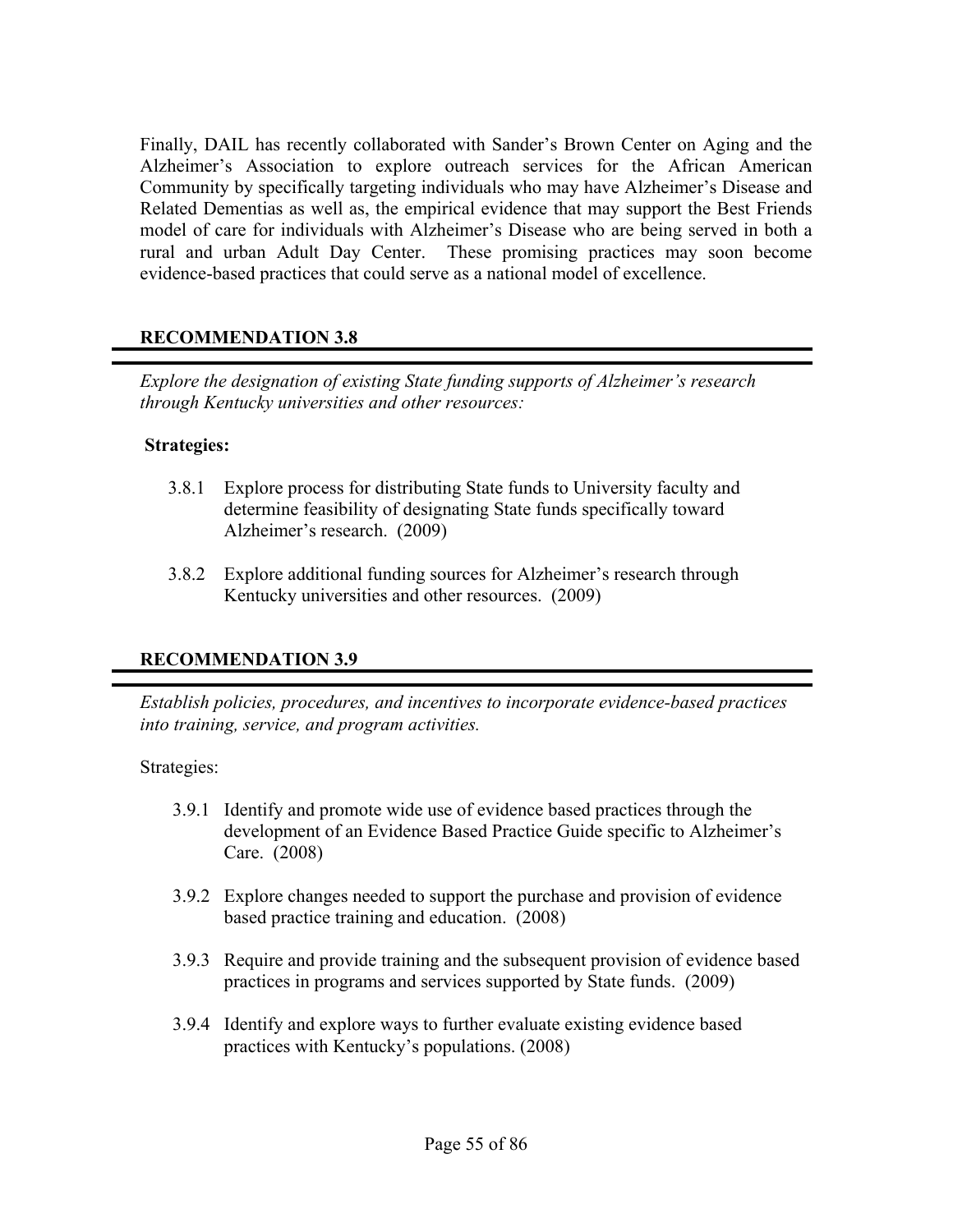Finally, DAIL has recently collaborated with Sander's Brown Center on Aging and the Alzheimer's Association to explore outreach services for the African American Community by specifically targeting individuals who may have Alzheimer's Disease and Related Dementias as well as, the empirical evidence that may support the Best Friends model of care for individuals with Alzheimer's Disease who are being served in both a rural and urban Adult Day Center. These promising practices may soon become evidence-based practices that could serve as a national model of excellence.

# **RECOMMENDATION 3.8**

*Explore the designation of existing State funding supports of Alzheimer's research through Kentucky universities and other resources:* 

#### **Strategies:**

- 3.8.1 Explore process for distributing State funds to University faculty and determine feasibility of designating State funds specifically toward Alzheimer's research. (2009)
- 3.8.2 Explore additional funding sources for Alzheimer's research through Kentucky universities and other resources. (2009)

# **RECOMMENDATION 3.9**

*Establish policies, procedures, and incentives to incorporate evidence-based practices into training, service, and program activities.* 

Strategies:

- 3.9.1 Identify and promote wide use of evidence based practices through the development of an Evidence Based Practice Guide specific to Alzheimer's Care. (2008)
- 3.9.2 Explore changes needed to support the purchase and provision of evidence based practice training and education. (2008)
- 3.9.3 Require and provide training and the subsequent provision of evidence based practices in programs and services supported by State funds. (2009)
- 3.9.4 Identify and explore ways to further evaluate existing evidence based practices with Kentucky's populations. (2008)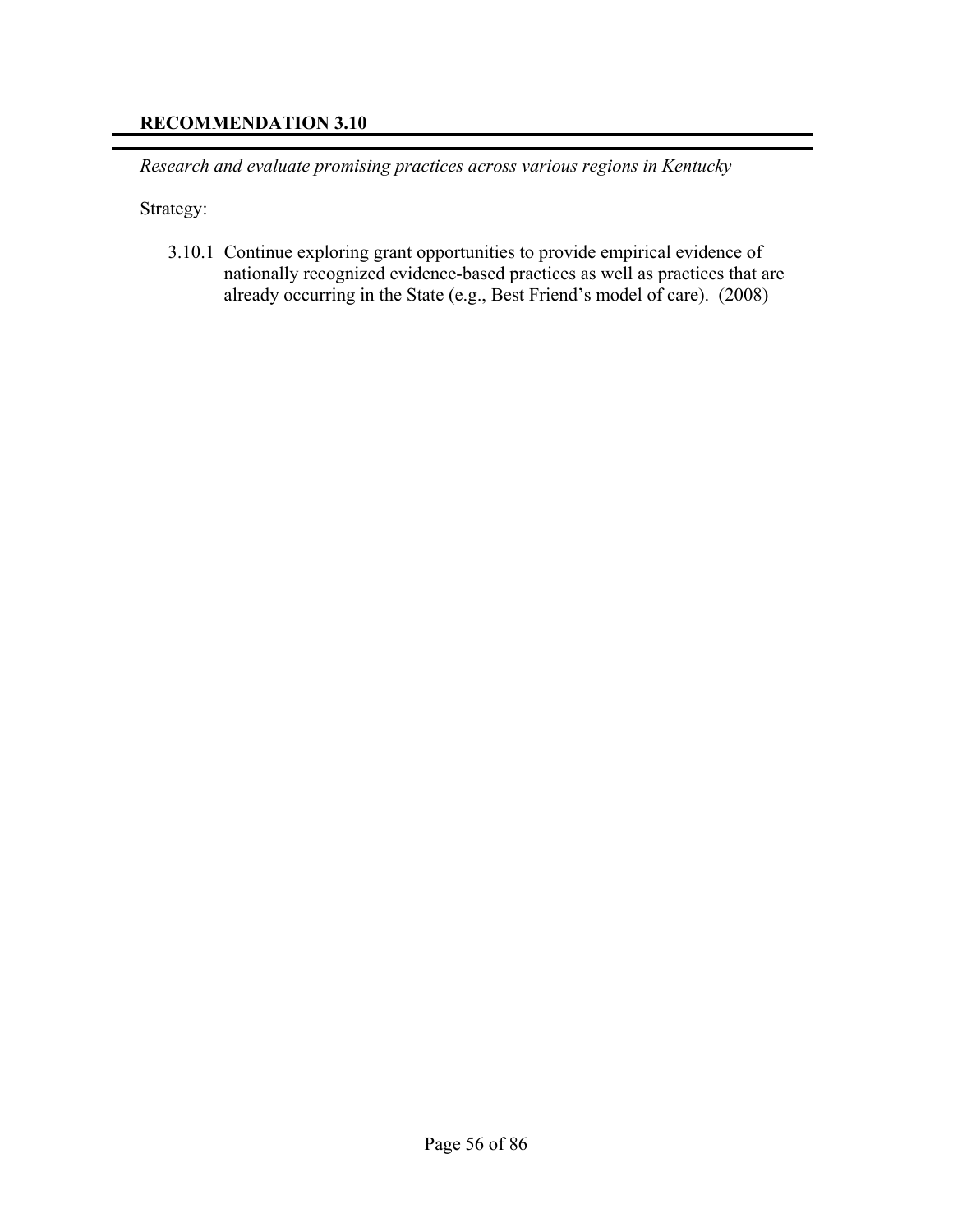## **RECOMMENDATION 3.10**

*Research and evaluate promising practices across various regions in Kentucky* 

Strategy:

3.10.1 Continue exploring grant opportunities to provide empirical evidence of nationally recognized evidence-based practices as well as practices that are already occurring in the State (e.g., Best Friend's model of care). (2008)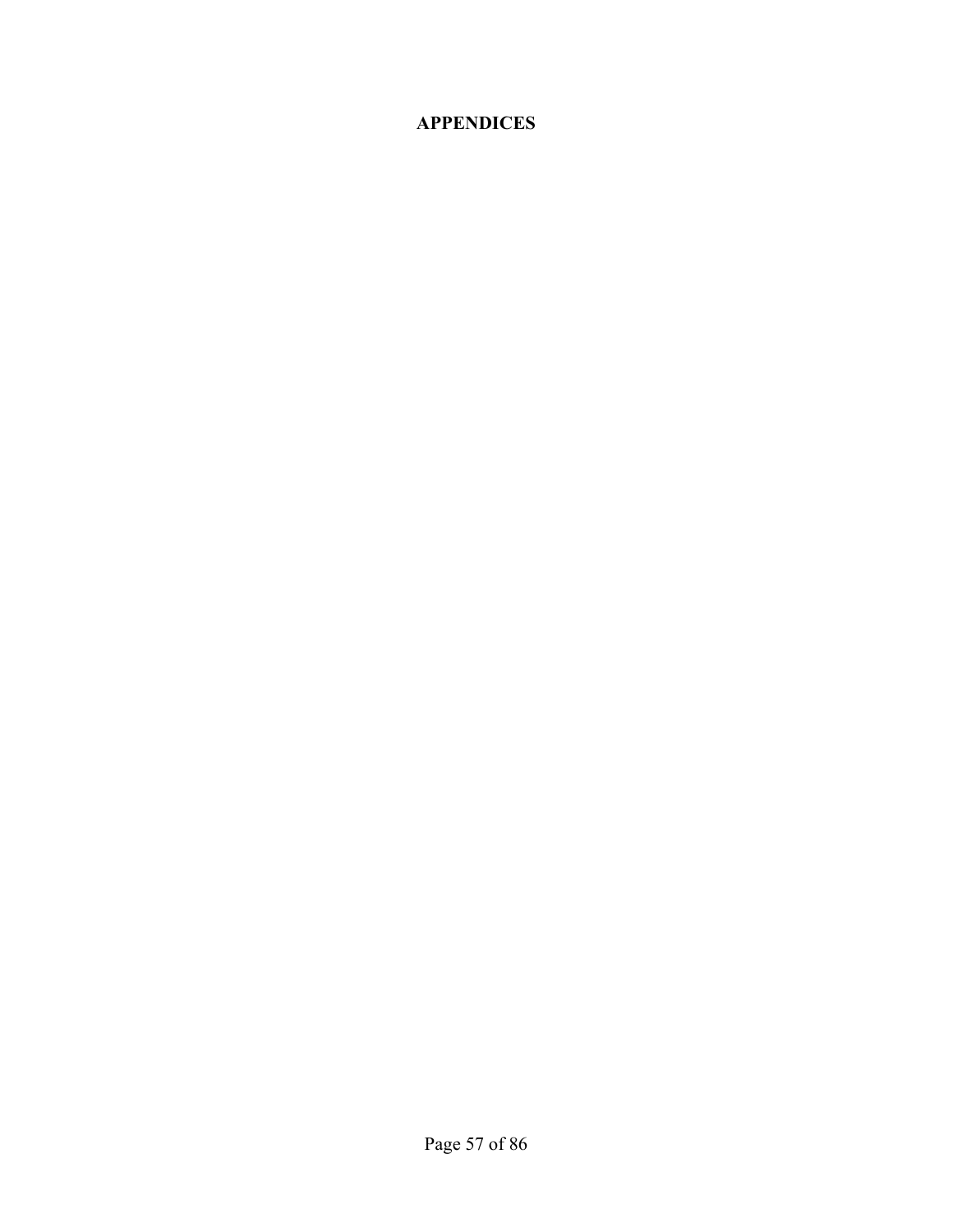# **APPENDICES**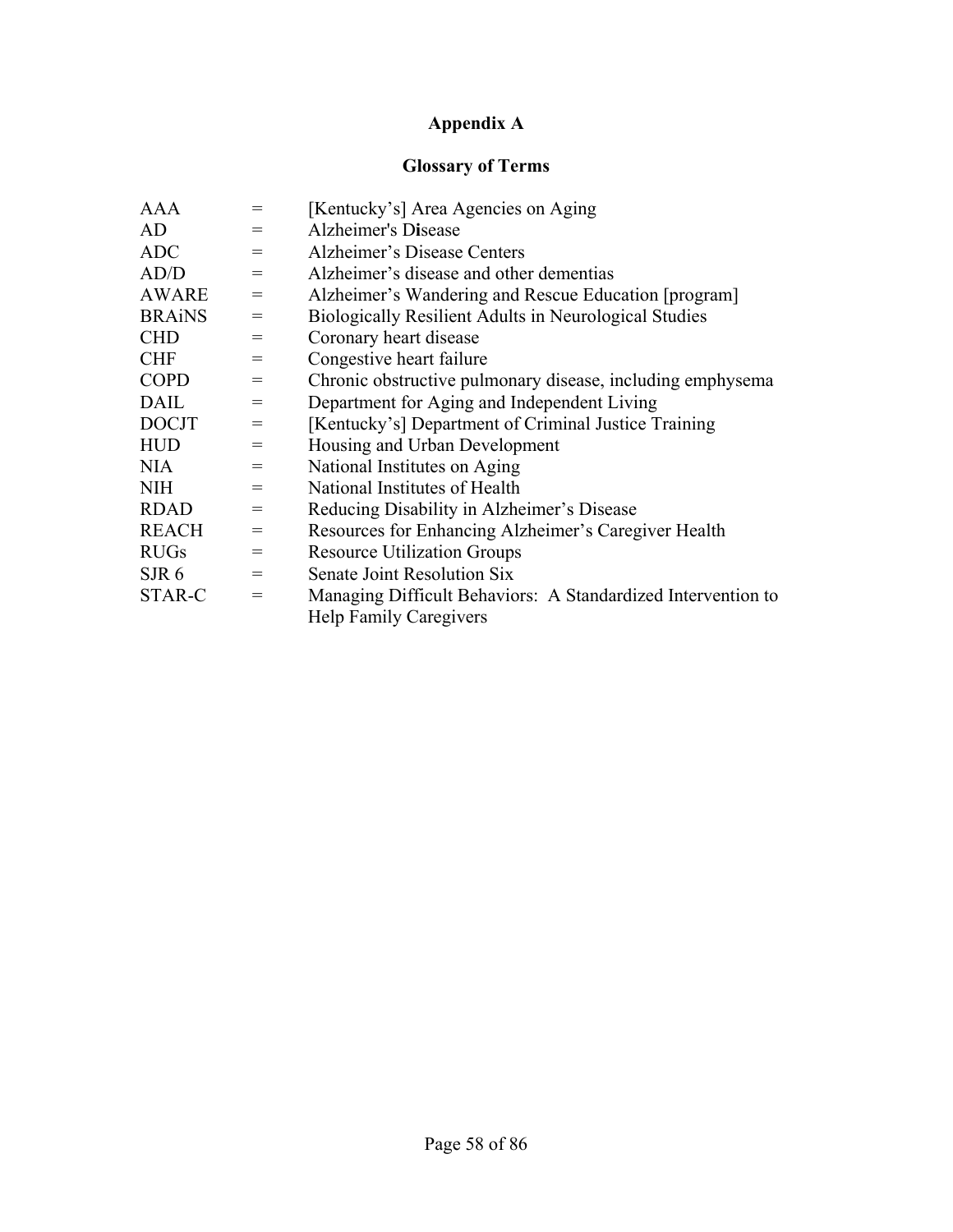# **Appendix A**

# **Glossary of Terms**

| <b>AAA</b>       |     | [Kentucky's] Area Agencies on Aging                          |
|------------------|-----|--------------------------------------------------------------|
| AD               | $=$ | <b>Alzheimer's Disease</b>                                   |
| <b>ADC</b>       | $=$ | Alzheimer's Disease Centers                                  |
| AD/D             | $=$ | Alzheimer's disease and other dementias                      |
| <b>AWARE</b>     | $=$ | Alzheimer's Wandering and Rescue Education [program]         |
| <b>BRAINS</b>    | $=$ | <b>Biologically Resilient Adults in Neurological Studies</b> |
| <b>CHD</b>       | $=$ | Coronary heart disease                                       |
| <b>CHF</b>       | $=$ | Congestive heart failure                                     |
| <b>COPD</b>      | $=$ | Chronic obstructive pulmonary disease, including emphysema   |
| <b>DAIL</b>      | $=$ | Department for Aging and Independent Living                  |
| <b>DOCJT</b>     | $=$ | [Kentucky's] Department of Criminal Justice Training         |
| <b>HUD</b>       | $=$ | Housing and Urban Development                                |
| <b>NIA</b>       | $=$ | National Institutes on Aging                                 |
| <b>NIH</b>       | $=$ | National Institutes of Health                                |
| <b>RDAD</b>      | $=$ | Reducing Disability in Alzheimer's Disease                   |
| <b>REACH</b>     | $=$ | Resources for Enhancing Alzheimer's Caregiver Health         |
| <b>RUGs</b>      | $=$ | <b>Resource Utilization Groups</b>                           |
| SIR <sub>6</sub> | $=$ | Senate Joint Resolution Six                                  |
| STAR-C           | $=$ | Managing Difficult Behaviors: A Standardized Intervention to |
|                  |     | <b>Help Family Caregivers</b>                                |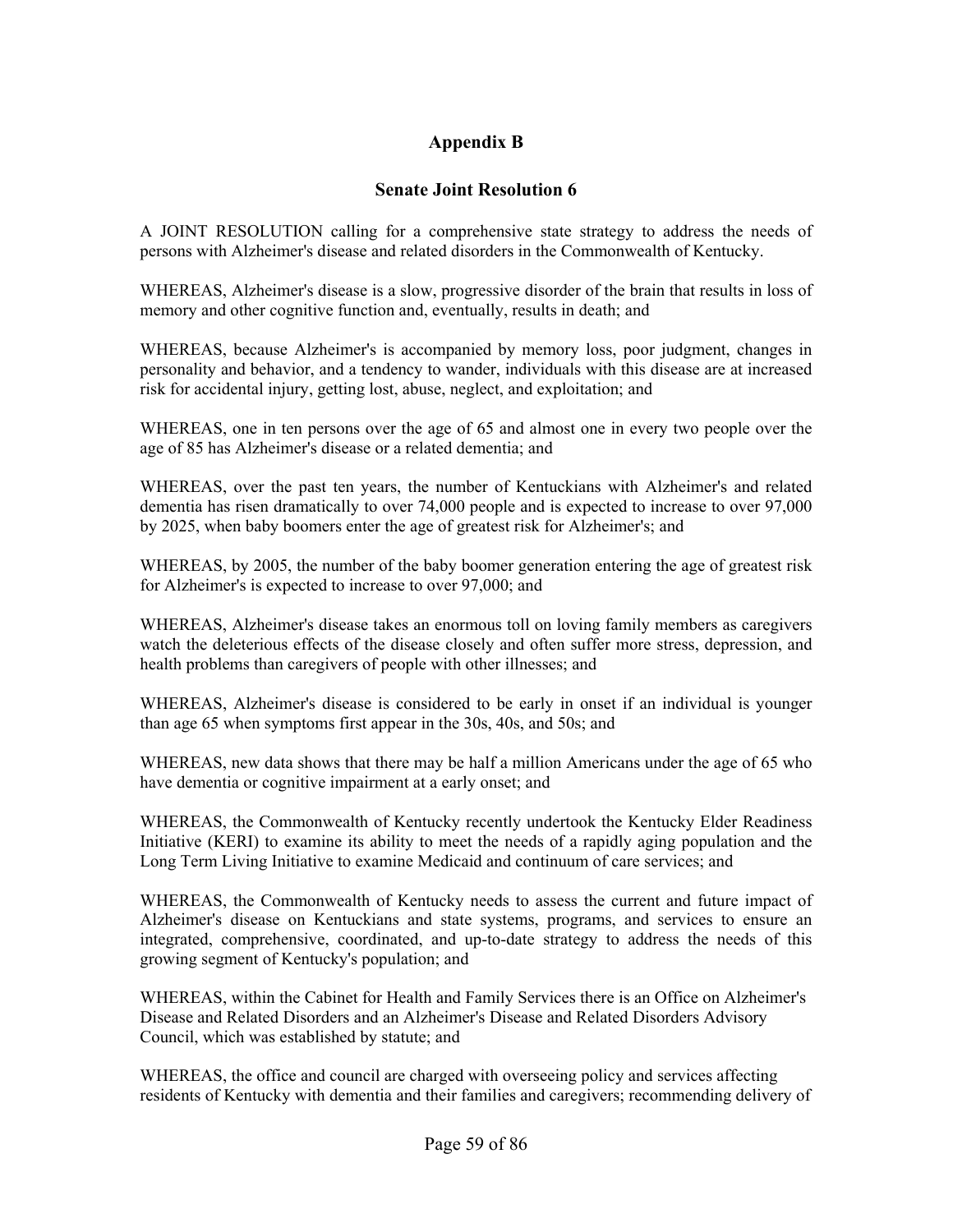# **Appendix B**

## **Senate Joint Resolution 6**

A JOINT RESOLUTION calling for a comprehensive state strategy to address the needs of persons with Alzheimer's disease and related disorders in the Commonwealth of Kentucky.

WHEREAS, Alzheimer's disease is a slow, progressive disorder of the brain that results in loss of memory and other cognitive function and, eventually, results in death; and

WHEREAS, because Alzheimer's is accompanied by memory loss, poor judgment, changes in personality and behavior, and a tendency to wander, individuals with this disease are at increased risk for accidental injury, getting lost, abuse, neglect, and exploitation; and

WHEREAS, one in ten persons over the age of 65 and almost one in every two people over the age of 85 has Alzheimer's disease or a related dementia; and

WHEREAS, over the past ten years, the number of Kentuckians with Alzheimer's and related dementia has risen dramatically to over 74,000 people and is expected to increase to over 97,000 by 2025, when baby boomers enter the age of greatest risk for Alzheimer's; and

WHEREAS, by 2005, the number of the baby boomer generation entering the age of greatest risk for Alzheimer's is expected to increase to over 97,000; and

WHEREAS, Alzheimer's disease takes an enormous toll on loving family members as caregivers watch the deleterious effects of the disease closely and often suffer more stress, depression, and health problems than caregivers of people with other illnesses; and

WHEREAS, Alzheimer's disease is considered to be early in onset if an individual is younger than age 65 when symptoms first appear in the 30s, 40s, and 50s; and

WHEREAS, new data shows that there may be half a million Americans under the age of 65 who have dementia or cognitive impairment at a early onset; and

WHEREAS, the Commonwealth of Kentucky recently undertook the Kentucky Elder Readiness Initiative (KERI) to examine its ability to meet the needs of a rapidly aging population and the Long Term Living Initiative to examine Medicaid and continuum of care services; and

WHEREAS, the Commonwealth of Kentucky needs to assess the current and future impact of Alzheimer's disease on Kentuckians and state systems, programs, and services to ensure an integrated, comprehensive, coordinated, and up-to-date strategy to address the needs of this growing segment of Kentucky's population; and

WHEREAS, within the Cabinet for Health and Family Services there is an Office on Alzheimer's Disease and Related Disorders and an Alzheimer's Disease and Related Disorders Advisory Council, which was established by statute; and

WHEREAS, the office and council are charged with overseeing policy and services affecting residents of Kentucky with dementia and their families and caregivers; recommending delivery of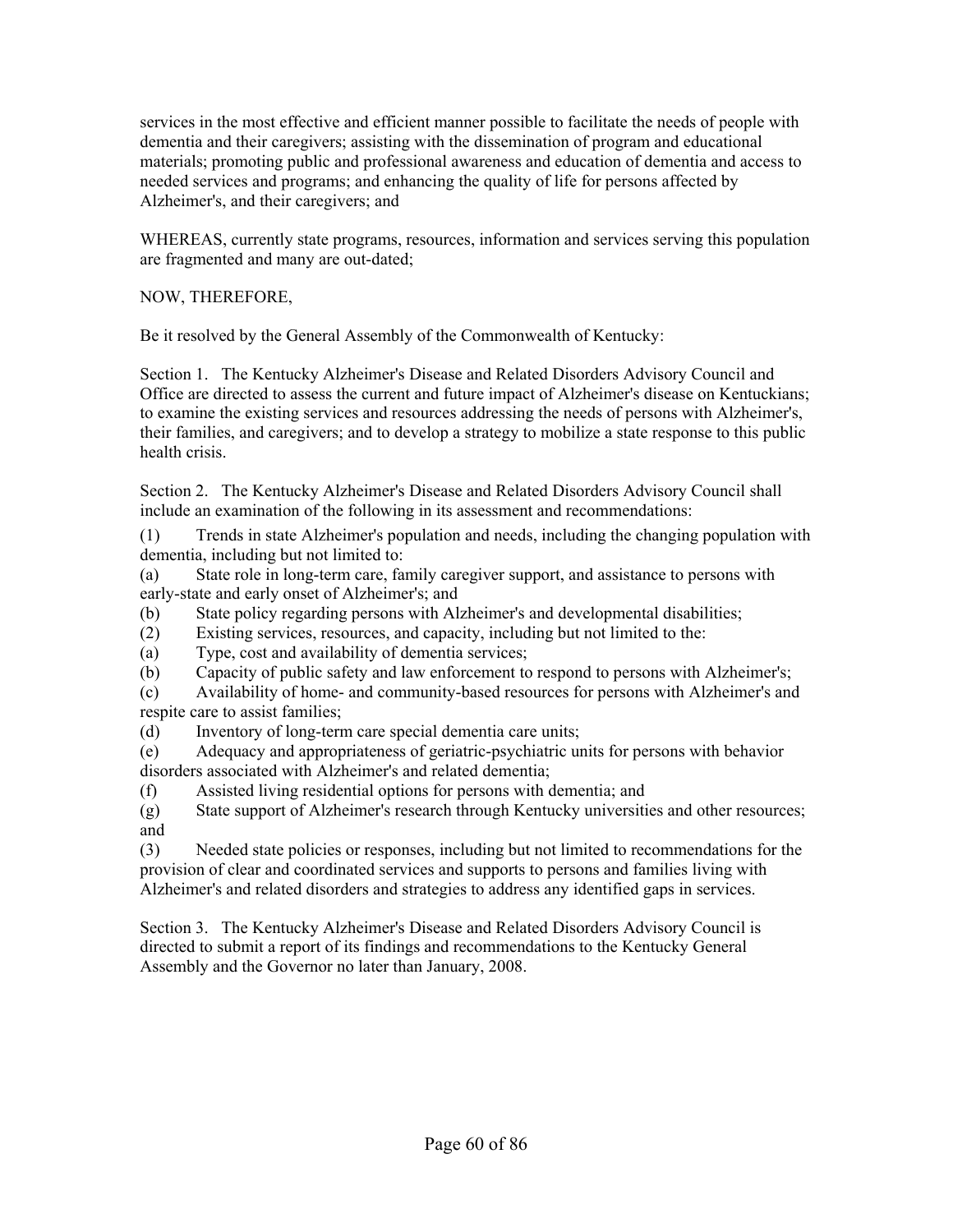services in the most effective and efficient manner possible to facilitate the needs of people with dementia and their caregivers; assisting with the dissemination of program and educational materials; promoting public and professional awareness and education of dementia and access to needed services and programs; and enhancing the quality of life for persons affected by Alzheimer's, and their caregivers; and

WHEREAS, currently state programs, resources, information and services serving this population are fragmented and many are out-dated;

NOW, THEREFORE,

Be it resolved by the General Assembly of the Commonwealth of Kentucky:

Section 1. The Kentucky Alzheimer's Disease and Related Disorders Advisory Council and Office are directed to assess the current and future impact of Alzheimer's disease on Kentuckians; to examine the existing services and resources addressing the needs of persons with Alzheimer's, their families, and caregivers; and to develop a strategy to mobilize a state response to this public health crisis.

Section 2. The Kentucky Alzheimer's Disease and Related Disorders Advisory Council shall include an examination of the following in its assessment and recommendations:

(1) Trends in state Alzheimer's population and needs, including the changing population with dementia, including but not limited to:

(a) State role in long-term care, family caregiver support, and assistance to persons with early-state and early onset of Alzheimer's; and

(b) State policy regarding persons with Alzheimer's and developmental disabilities;

(2) Existing services, resources, and capacity, including but not limited to the:

(a) Type, cost and availability of dementia services;

(b) Capacity of public safety and law enforcement to respond to persons with Alzheimer's;

(c) Availability of home- and community-based resources for persons with Alzheimer's and respite care to assist families;

(d) Inventory of long-term care special dementia care units;

(e) Adequacy and appropriateness of geriatric-psychiatric units for persons with behavior disorders associated with Alzheimer's and related dementia;

(f) Assisted living residential options for persons with dementia; and

(g) State support of Alzheimer's research through Kentucky universities and other resources; and

(3) Needed state policies or responses, including but not limited to recommendations for the provision of clear and coordinated services and supports to persons and families living with Alzheimer's and related disorders and strategies to address any identified gaps in services.

Section 3. The Kentucky Alzheimer's Disease and Related Disorders Advisory Council is directed to submit a report of its findings and recommendations to the Kentucky General Assembly and the Governor no later than January, 2008.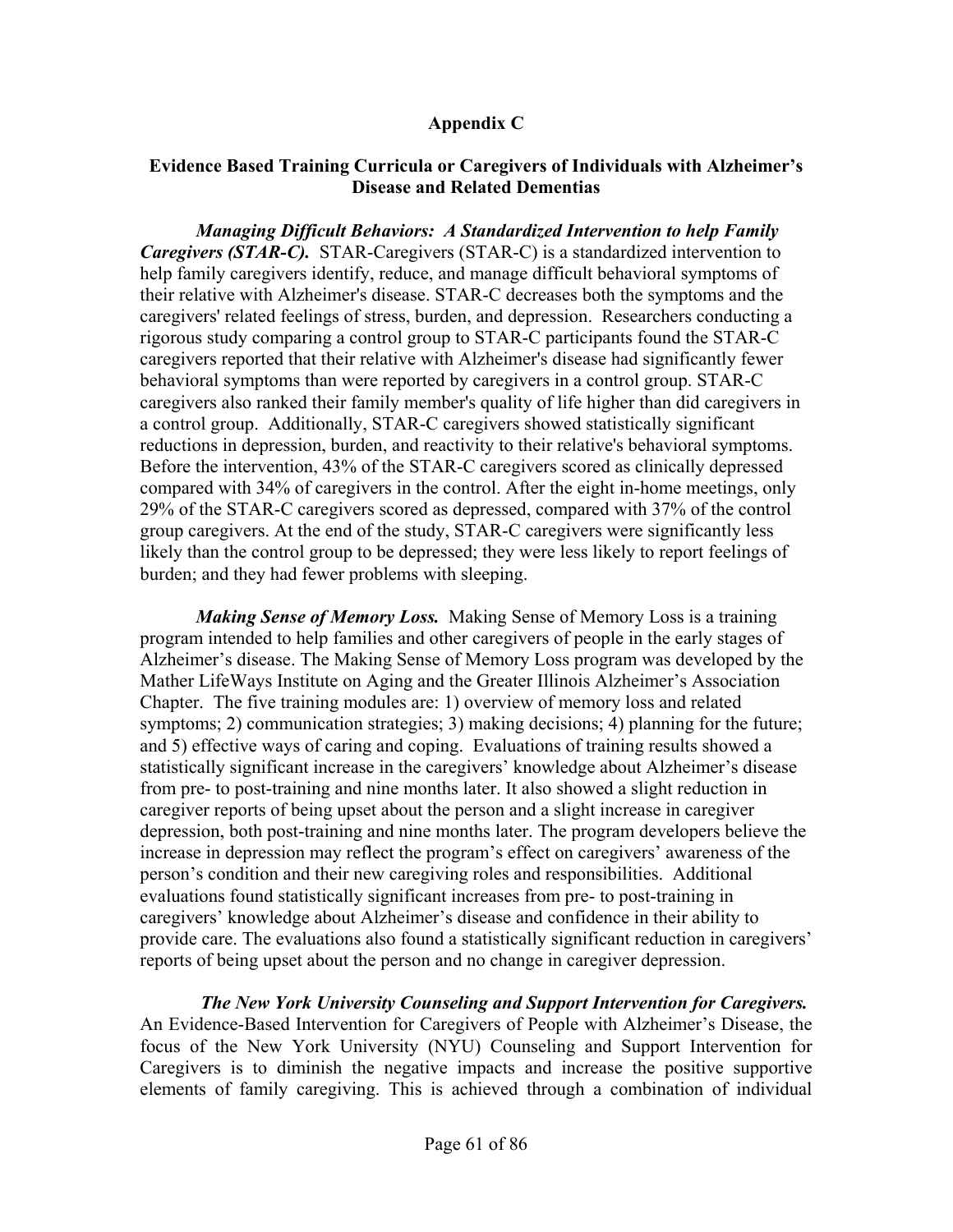### **Appendix C**

### **Evidence Based Training Curricula or Caregivers of Individuals with Alzheimer's Disease and Related Dementias**

 *Managing Difficult Behaviors: A Standardized Intervention to help Family Caregivers (STAR-C).* STAR-Caregivers (STAR-C) is a standardized intervention to help family caregivers identify, reduce, and manage difficult behavioral symptoms of their relative with Alzheimer's disease. STAR-C decreases both the symptoms and the caregivers' related feelings of stress, burden, and depression. Researchers conducting a rigorous study comparing a control group to STAR-C participants found the STAR-C caregivers reported that their relative with Alzheimer's disease had significantly fewer behavioral symptoms than were reported by caregivers in a control group. STAR-C caregivers also ranked their family member's quality of life higher than did caregivers in a control group. Additionally, STAR-C caregivers showed statistically significant reductions in depression, burden, and reactivity to their relative's behavioral symptoms. Before the intervention, 43% of the STAR-C caregivers scored as clinically depressed compared with 34% of caregivers in the control. After the eight in-home meetings, only 29% of the STAR-C caregivers scored as depressed, compared with 37% of the control group caregivers. At the end of the study, STAR-C caregivers were significantly less likely than the control group to be depressed; they were less likely to report feelings of burden; and they had fewer problems with sleeping.

*Making Sense of Memory Loss.* Making Sense of Memory Loss is a training program intended to help families and other caregivers of people in the early stages of Alzheimer's disease. The Making Sense of Memory Loss program was developed by the Mather LifeWays Institute on Aging and the Greater Illinois Alzheimer's Association Chapter. The five training modules are: 1) overview of memory loss and related symptoms; 2) communication strategies; 3) making decisions; 4) planning for the future; and 5) effective ways of caring and coping. Evaluations of training results showed a statistically significant increase in the caregivers' knowledge about Alzheimer's disease from pre- to post-training and nine months later. It also showed a slight reduction in caregiver reports of being upset about the person and a slight increase in caregiver depression, both post-training and nine months later. The program developers believe the increase in depression may reflect the program's effect on caregivers' awareness of the person's condition and their new caregiving roles and responsibilities. Additional evaluations found statistically significant increases from pre- to post-training in caregivers' knowledge about Alzheimer's disease and confidence in their ability to provide care. The evaluations also found a statistically significant reduction in caregivers' reports of being upset about the person and no change in caregiver depression.

*The New York University Counseling and Support Intervention for Caregivers.*  An Evidence-Based Intervention for Caregivers of People with Alzheimer's Disease, the focus of the New York University (NYU) Counseling and Support Intervention for Caregivers is to diminish the negative impacts and increase the positive supportive elements of family caregiving. This is achieved through a combination of individual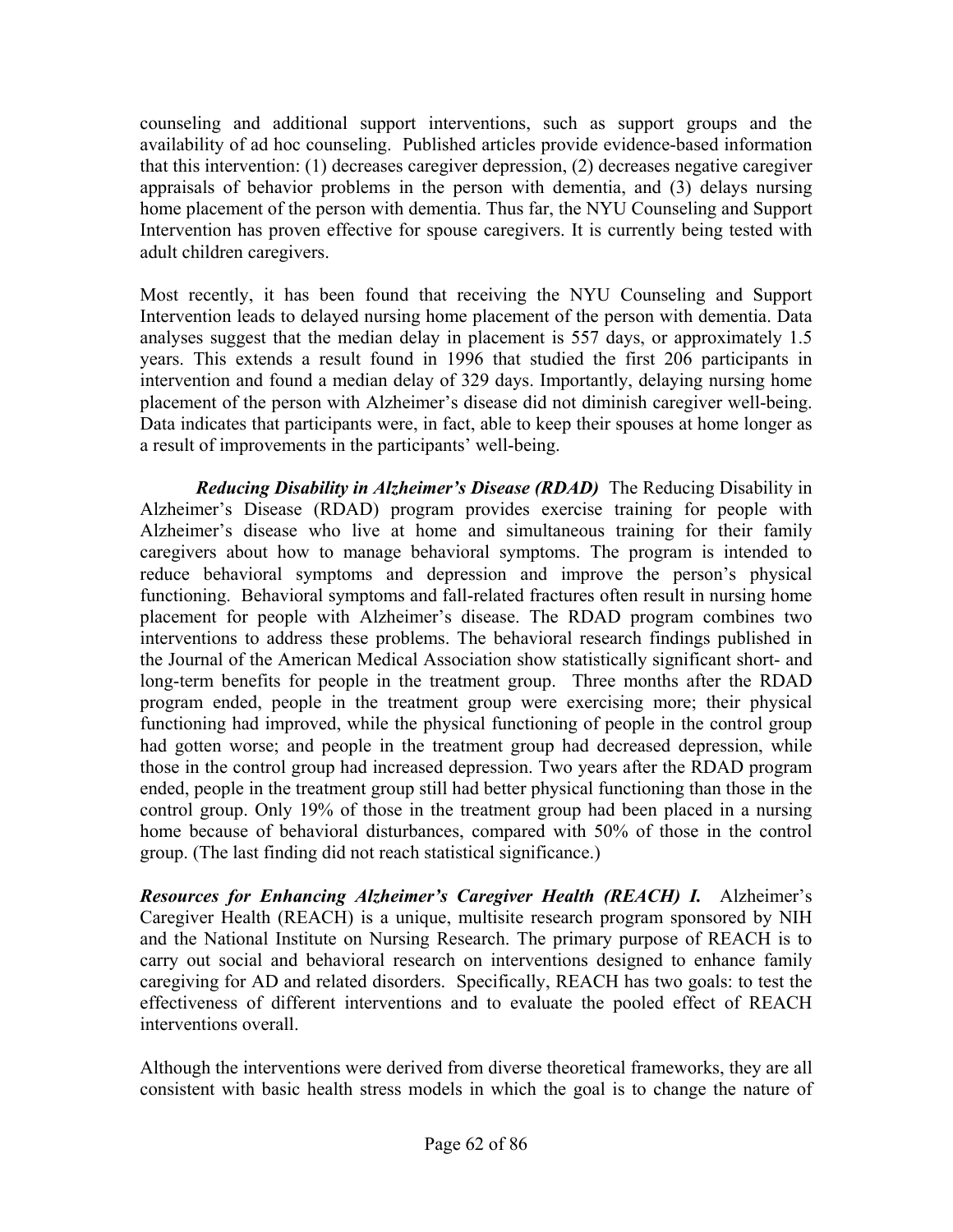counseling and additional support interventions, such as support groups and the availability of ad hoc counseling. Published articles provide evidence-based information that this intervention: (1) decreases caregiver depression, (2) decreases negative caregiver appraisals of behavior problems in the person with dementia, and (3) delays nursing home placement of the person with dementia. Thus far, the NYU Counseling and Support Intervention has proven effective for spouse caregivers. It is currently being tested with adult children caregivers.

Most recently, it has been found that receiving the NYU Counseling and Support Intervention leads to delayed nursing home placement of the person with dementia. Data analyses suggest that the median delay in placement is 557 days, or approximately 1.5 years. This extends a result found in 1996 that studied the first 206 participants in intervention and found a median delay of 329 days. Importantly, delaying nursing home placement of the person with Alzheimer's disease did not diminish caregiver well-being. Data indicates that participants were, in fact, able to keep their spouses at home longer as a result of improvements in the participants' well-being.

*Reducing Disability in Alzheimer's Disease (RDAD)* The Reducing Disability in Alzheimer's Disease (RDAD) program provides exercise training for people with Alzheimer's disease who live at home and simultaneous training for their family caregivers about how to manage behavioral symptoms. The program is intended to reduce behavioral symptoms and depression and improve the person's physical functioning. Behavioral symptoms and fall-related fractures often result in nursing home placement for people with Alzheimer's disease. The RDAD program combines two interventions to address these problems. The behavioral research findings published in the Journal of the American Medical Association show statistically significant short- and long-term benefits for people in the treatment group. Three months after the RDAD program ended, people in the treatment group were exercising more; their physical functioning had improved, while the physical functioning of people in the control group had gotten worse; and people in the treatment group had decreased depression, while those in the control group had increased depression. Two years after the RDAD program ended, people in the treatment group still had better physical functioning than those in the control group. Only 19% of those in the treatment group had been placed in a nursing home because of behavioral disturbances, compared with 50% of those in the control group. (The last finding did not reach statistical significance.)

*Resources for Enhancing Alzheimer's Caregiver Health (REACH) I.* Alzheimer's Caregiver Health (REACH) is a unique, multisite research program sponsored by NIH and the National Institute on Nursing Research. The primary purpose of REACH is to carry out social and behavioral research on interventions designed to enhance family caregiving for AD and related disorders. Specifically, REACH has two goals: to test the effectiveness of different interventions and to evaluate the pooled effect of REACH interventions overall.

Although the interventions were derived from diverse theoretical frameworks, they are all consistent with basic health stress models in which the goal is to change the nature of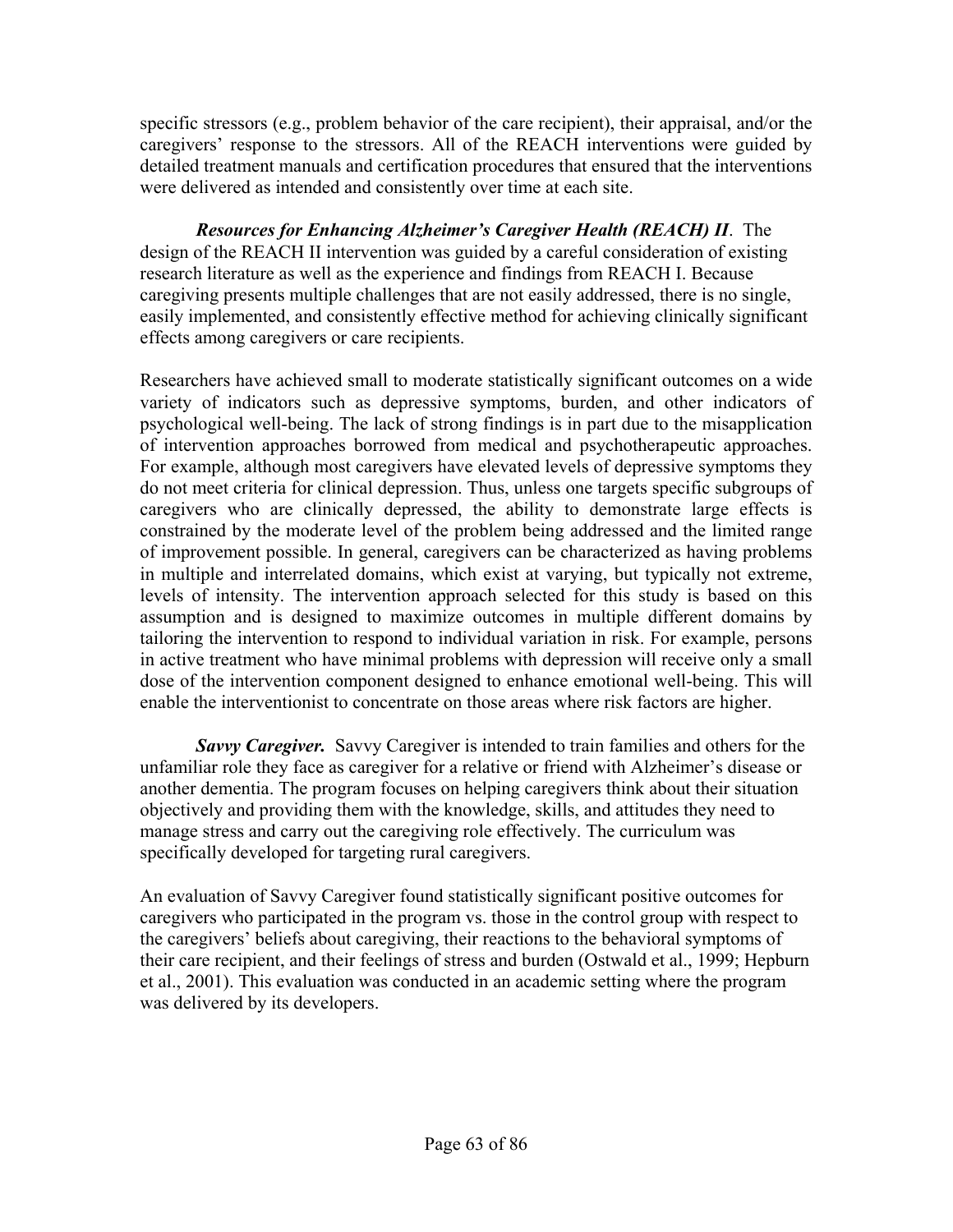specific stressors (e.g., problem behavior of the care recipient), their appraisal, and/or the caregivers' response to the stressors. All of the REACH interventions were guided by detailed treatment manuals and certification procedures that ensured that the interventions were delivered as intended and consistently over time at each site.

*Resources for Enhancing Alzheimer's Caregiver Health (REACH) II*. The design of the REACH II intervention was guided by a careful consideration of existing research literature as well as the experience and findings from REACH I. Because caregiving presents multiple challenges that are not easily addressed, there is no single, easily implemented, and consistently effective method for achieving clinically significant effects among caregivers or care recipients.

Researchers have achieved small to moderate statistically significant outcomes on a wide variety of indicators such as depressive symptoms, burden, and other indicators of psychological well-being. The lack of strong findings is in part due to the misapplication of intervention approaches borrowed from medical and psychotherapeutic approaches. For example, although most caregivers have elevated levels of depressive symptoms they do not meet criteria for clinical depression. Thus, unless one targets specific subgroups of caregivers who are clinically depressed, the ability to demonstrate large effects is constrained by the moderate level of the problem being addressed and the limited range of improvement possible. In general, caregivers can be characterized as having problems in multiple and interrelated domains, which exist at varying, but typically not extreme, levels of intensity. The intervention approach selected for this study is based on this assumption and is designed to maximize outcomes in multiple different domains by tailoring the intervention to respond to individual variation in risk. For example, persons in active treatment who have minimal problems with depression will receive only a small dose of the intervention component designed to enhance emotional well-being. This will enable the interventionist to concentrate on those areas where risk factors are higher.

*Savvy Caregiver.* Savvy Caregiver is intended to train families and others for the unfamiliar role they face as caregiver for a relative or friend with Alzheimer's disease or another dementia. The program focuses on helping caregivers think about their situation objectively and providing them with the knowledge, skills, and attitudes they need to manage stress and carry out the caregiving role effectively. The curriculum was specifically developed for targeting rural caregivers.

An evaluation of Savvy Caregiver found statistically significant positive outcomes for caregivers who participated in the program vs. those in the control group with respect to the caregivers' beliefs about caregiving, their reactions to the behavioral symptoms of their care recipient, and their feelings of stress and burden (Ostwald et al., 1999; Hepburn et al., 2001). This evaluation was conducted in an academic setting where the program was delivered by its developers.